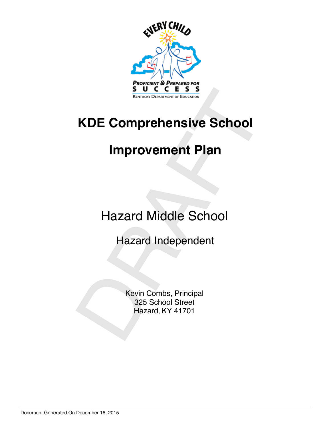

# KDE Comprehensive School<br>Improvement Plan<br>Hazard Middle School<br>Hazard Independent<br>Exevin Combs, Principal<br><sup>325</sup> School Street<br>Hazard, KY 41701 **KDE Comprehensive School**

# **Improvement Plan**

Hazard Middle School

Hazard Independent

Kevin Combs, Principal 325 School Street Hazard, KY 41701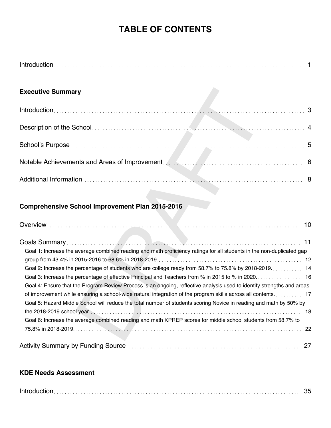# **TABLE OF CONTENTS**

| <b>Executive Summary</b>                                                                                               |
|------------------------------------------------------------------------------------------------------------------------|
|                                                                                                                        |
|                                                                                                                        |
|                                                                                                                        |
|                                                                                                                        |
|                                                                                                                        |
|                                                                                                                        |
|                                                                                                                        |
| <b>Comprehensive School Improvement Plan 2015-2016</b>                                                                 |
|                                                                                                                        |
|                                                                                                                        |
| Goal 1: Increase the average combined reading and math proficiency ratings for all students in the non-duplicated gap  |
| Goal 2: Increase the percentage of students who are college ready from 58.7% to 75.8% by 2018-2019. 14                 |
| Goal 3: Increase the percentage of effective Principal and Teachers from % in 2015 to % in 2020. 16                    |
| Goal 4: Ensure that the Program Review Process is an ongoing, reflective analysis used to identify strengths and areas |
| of improvement while ensuring a school-wide natural integration of the program skills across all contents 17           |
| Goal 5: Hazard Middle School will reduce the total number of students scoring Novice in reading and math by 50% by     |
| Goal 6: Increase the average combined reading and math KPREP scores for middle school students from 58.7% to           |
|                                                                                                                        |
| 27                                                                                                                     |

### **KDE Needs Assessment**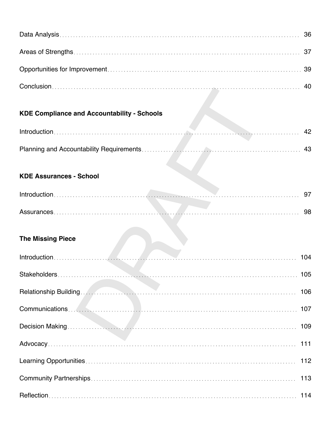# **KDE Compliance and Accountability - Schools**

### **KDE Assurances - School**

# **The Missing Piece**

| <b>KDE Compliance and Accountability - Schools</b> |
|----------------------------------------------------|
| 42                                                 |
| 43                                                 |
| <b>KDE Assurances - School</b>                     |
| 97                                                 |
|                                                    |
| <b>The Missing Piece</b>                           |
| 104                                                |
| 105                                                |
| 106                                                |
| 107                                                |
| 109                                                |
| 111                                                |
| 112                                                |
| 113                                                |
| 114                                                |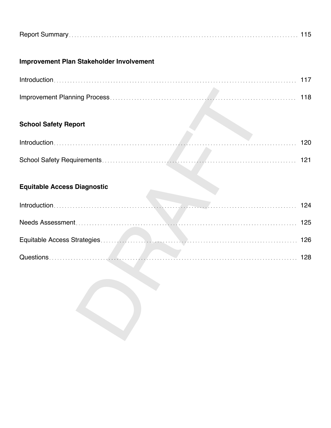|--|--|--|

# **Improvement Plan Stakeholder Involvement**

# **School Safety Report**

| $Introduction \dots 120$ |  |  |  |
|--------------------------|--|--|--|
|                          |  |  |  |

# **Equitable Access Diagnostic**

|                                    | 118 |
|------------------------------------|-----|
| <b>School Safety Report</b>        |     |
|                                    | 120 |
|                                    | 121 |
| <b>Equitable Access Diagnostic</b> |     |
|                                    | 124 |
|                                    | 125 |
|                                    | 126 |
|                                    | 128 |
|                                    |     |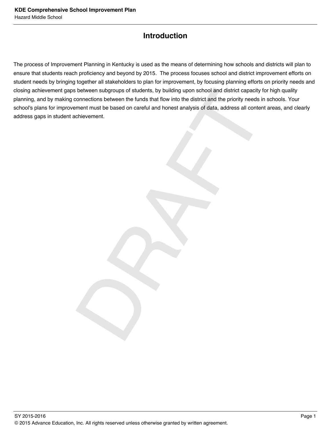# **Introduction**

between subgroups of students, by building upon school and district capacity the<br>nonnections between the funds that flow into the district and the priority needs is<br>ment must be based on careful and honest analysis of data The process of Improvement Planning in Kentucky is used as the means of determining how schools and districts will plan to ensure that students reach proficiency and beyond by 2015. The process focuses school and district improvement efforts on student needs by bringing together all stakeholders to plan for improvement, by focusing planning efforts on priority needs and closing achievement gaps between subgroups of students, by building upon school and district capacity for high quality planning, and by making connections between the funds that flow into the district and the priority needs in schools. Your school's plans for improvement must be based on careful and honest analysis of data, address all content areas, and clearly address gaps in student achievement.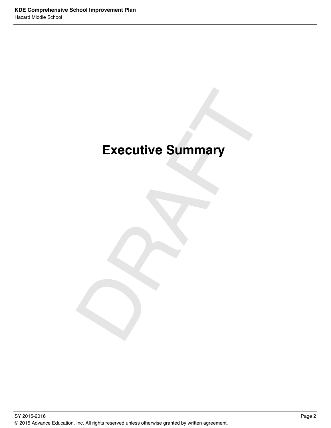# Executive Summary **Executive Summary**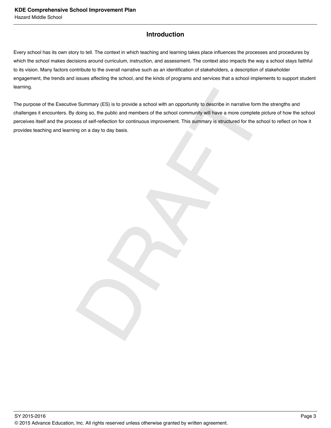#### **Introduction**

Every school has its own story to tell. The context in which teaching and learning takes place influences the processes and procedures by which the school makes decisions around curriculum, instruction, and assessment. The context also impacts the way a school stays faithful to its vision. Many factors contribute to the overall narrative such as an identification of stakeholders, a description of stakeholder engagement, the trends and issues affecting the school, and the kinds of programs and services that a school implements to support student learning.

Summary (ES) is to provide a school with an opportunity to describe in narrative form<br>doing so, the public and members of the school community will have a more complete per<br>ses of self-reflection for continuous improvement The purpose of the Executive Summary (ES) is to provide a school with an opportunity to describe in narrative form the strengths and challenges it encounters. By doing so, the public and members of the school community will have a more complete picture of how the school perceives itself and the process of self-reflection for continuous improvement. This summary is structured for the school to reflect on how it provides teaching and learning on a day to day basis.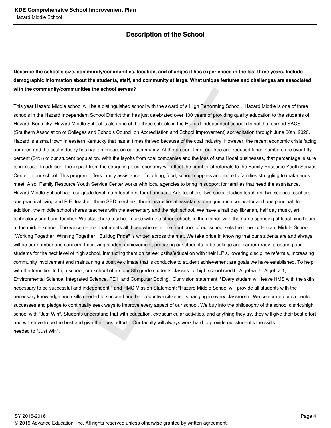#### **Description of the School**

**Describe the school's size, community/communities, location, and changes it has experienced in the last three years. Include demographic information about the students, staff, and community at large. What unique features and challenges are associated with the community/communities the school serves?**

unities the school serves?<br>
Not will be a distinguished school with the award of a High Performing School. Hazard Morel School District that has just celebrated over 100 years of providing quality educated School is laso o This year Hazard Middle school will be a distinguished school with the award of a High Performing School. Hazard Middle is one of three schools in the Hazard Independent School District that has just celebrated over 100 years of providing quality education to the students of Hazard, Kentucky. Hazard Middle School is also one of the three schools in the Hazard Independent school district that earned SACS (Southern Association of Colleges and Schools Council on Accreditation and School Improvement) accreditation through June 30th, 2020. Hazard is a small town in eastern Kentucky that has at times thrived because of the coal industry. However, the recent economic crisis facing our area and the coal industry has had an impact on our community. At the present time, our free and reduced lunch numbers are over fifty percent (54%) of our student population. With the layoffs from coal companies and the loss of small local businesses, that percentage is sure to increase. In addition, the impact from the struggling local economy will affect the number of referrals to the Family Resource Youth Service Center in our school. This program offers family assistance of clothing, food, school supplies and more to families struggling to make ends meet. Also, Family Resource Youth Service Center works with local agencies to bring in support for families that need the assistance. Hazard Middle School has four grade level math teachers, four Language Arts teachers, two social studies teachers, two science teachers, one practical living and P.E. teacher, three SED teachers, three instructional assistants, one guidance counselor and one principal. In addition, the middle school shares teachers with the elementary and the high school. We have a half day librarian, half day music, art, technology and band teacher. We also share a school nurse with the other schools in the district, with the nurse spending at least nine hours at the middle school. The welcome mat that meets all those who enter the front door of our school sets the tone for Hazard Middle School. "Working Together=Winning Together= Bulldog Pride" is written across the mat. We take pride in knowing that our students are and always will be our number one concern. Improving student achievement, preparing our students to be college and career ready, preparing our students for the next level of high school, instructing them on career paths/education with their ILP's, lowering discipline referrals, increasing community involvement and maintaining a positive climate that is conducive to student achievement are goals we have established. To help with the transition to high school, our school offers our 8th grade students classes for high school credit: Algebra .5, Algebra 1, Environmental Science, Integrated Science, PE I, and Computer Coding. Our vision statement, "Every student will leave HMS with the skills necessary to be successful and independent," and HMS Mission Statement: "Hazard Middle School will provide all students with the necessary knowledge and skills needed to succeed and be productive citizens" is hanging in every classroom. We celebrate our students' successes and pledge to continually seek ways to improve every aspect of our school. We buy into the philosophy of the school district/high school with "Just Win". Students understand that with education, extracurricular activities, and anything they try, they will give their best effort and will strive to be the best and give their best effort. Our faculty will always work hard to provide our student's the skills needed to "Just Win".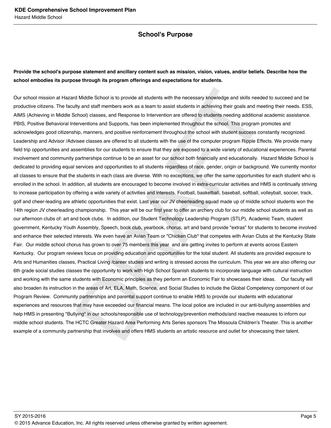#### **School's Purpose**

#### **Provide the school's purpose statement and ancillary content such as mission, vision, values, and/or beliefs. Describe how the school embodies its purpose through its program offerings and expectations for students.**

Middle School is to provide all students with the necessary knowledge and skills need<br>ty and staff members work as a team to assist students in achieving their goals and members)<br>ty and staff members work as a team to assi Our school mission at Hazard Middle School is to provide all students with the necessary knowledge and skills needed to succeed and be productive citizens. The faculty and staff members work as a team to assist students in achieving their goals and meeting their needs. ESS, AIMS (Achieving in Middle School) classes, and Response to Intervention are offered to students needing additional academic assistance. PBIS, Positive Behavioral Interventions and Supports, has been implemented throughout the school. This program promotes and acknowledges good citizenship, manners, and positive reinforcement throughout the school with student success constantly recognized. Leadership and Advisor /Advisee classes are offered to all students with the use of the computer program Ripple Effects. We provide many field trip opportunities and assemblies for our students to ensure that they are exposed to a wide variety of educational experiences. Parental involvement and community partnerships continue to be an asset for our school both financially and educationally. Hazard Middle School is dedicated to providing equal services and opportunities to all students regardless of race, gender, origin or background. We currently monitor all classes to ensure that the students in each class are diverse. With no exceptions, we offer the same opportunities for each student who is enrolled in the school. In addition, all students are encouraged to become involved in extra-curricular activities and HMS is continually striving to increase participation by offering a wide variety of activities and interests. Football, basketball, baseball, softball, volleyball, soccer, track, golf and cheer-leading are athletic opportunities that exist. Last year our JV cheerleading squad made up of middle school students won the 14th region JV cheerleading championship. This year will be our first year to offer an archery club for our middle school students as well as our afternoon clubs of: art and book clubs. In addition, our Student Technology Leadership Program (STLP), Academic Team, student government, Kentucky Youth Assembly, Speech, book club, yearbook, chorus, art and band provide "extras" for students to become involved and enhance their selected interests. We even have an Avian Team or "Chicken Club" that competes with Avian Clubs at the Kentucky State Fair. Our middle school chorus has grown to over 75 members this year and are getting invites to perform at events across Eastern Kentucky. Our program reviews focus on providing education and opportunities for the total student. All students are provided exposure to Arts and Humanities classes, Practical Living /career studies and writing is stressed across the curriculum. This year we are also offering our 6th grade social studies classes the opportunity to work with High School Spanish students to incorporate language with cultural instruction and working with the same students with Economic principles as they perform an Economic Fair to showcases their ideas. Our faculty will also broaden its instruction in the areas of Art, ELA, Math, Science, and Social Studies to include the Global Competency component of our Program Review. Community partnerships and parental support continue to enable HMS to provide our students with educational experiences and resources that may have exceeded our financial means. The local police are included in our anti-bullying assemblies and help HMS in presenting "Bullying" in our schools/responsible use of technology/prevention methods/and reactive measures to inform our middle school students. The HCTC Greater Hazard Area Performing Arts Series sponsors The Missoula Children's Theater. This is another example of a community partnership that involves and offers HMS students an artistic resource and outlet for showcasing their talent.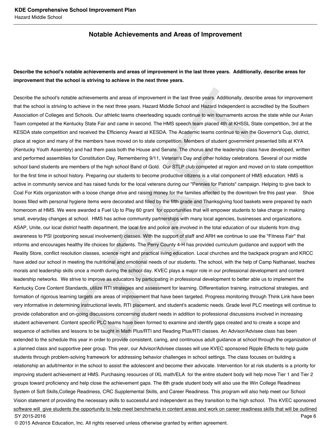#### **Notable Achievements and Areas of Improvement**

#### **Describe the school's notable achievements and areas of improvement in the last three years. Additionally, describe areas for improvement that the school is striving to achieve in the next three years.**

achievements and areas of improvement in the last three years. Additionally, describe<br>chieve in the next three years. Hazard Middle School and Hazard Independent is accre<br>Schools. Our athletic teams cheerleading squads con Describe the school's notable achievements and areas of improvement in the last three years. Additionally, describe areas for improvement that the school is striving to achieve in the next three years. Hazard Middle School and Hazard Independent is accredited by the Southern Association of Colleges and Schools. Our athletic teams cheerleading squads continue to win tournaments across the state while our Avian Team competed at the Kentucky State Fair and came in second. The HMS speech team placed 4th at KHSSL State competition, 3rd at the KESDA state competition and received the Efficiency Award at KESDA. The Academic teams continue to win the Governor's Cup, district, place at region and many of the members have moved on to state competition. Members of student government presented bills at KYA (Kentucky Youth Assembly) and had them pass both the House and Senate. The chorus and the leadership class have developed, written and performed assemblies for Constitution Day, Remembering 9/11, Veteran's Day and other holiday celebrations. Several of our middle school band students are members of the high school Band of Gold. Our STLP club competed at region and moved on to state competition for the first time in school history. Preparing our students to become productive citizens is a vital component of HMS education. HMS is active in community service and has raised funds for the local veterans during our "Pennies for Patriots" campaign. Helping to give back to Coal For Kids organization with a loose change drive and raising money for the families affected by the downtown fire this past year. Shoe boxes filled with personal hygiene items were decorated and filled by the fifth grade and Thanksgiving food baskets were prepared by each homeroom at HMS. We were awarded a Fuel Up to Play 60 grant for opportunities that will empower students to take charge in making small, everyday changes at school. HMS has active community partnerships with many local agencies, businesses and organizations. ASAP, Unite, our local district health department, the local fire and police are involved in the total education of our students from drug awareness to PSI (postponing sexual involvement) classes. With the support of staff and ARH we continue to use the "Fitness Fair" that informs and encourages healthy life choices for students. The Perry County 4-H has provided curriculum guidance and support with the Reality Store, conflict resolution classes, science night and practical living education. Local churches and the backpack program and KRCC have aided our school in meeting the nutritional and emotional needs of our students. The school, with the help of Camp Nathanael, teaches morals and leadership skills once a month during the school day. KVEC plays a major role in our professional development and content leadership networks. We strive to improve as educators by participating in professional development to better able us to implement the Kentucky Core Content Standards, utilize RTI strategies and assessment for learning. Differentiation training, instructional strategies, and formation of rigorous learning targets are areas of improvement that have been targeted. Progress monitoring through Think Link have been very informative in determining instructional levels, RTI placement, and student's academic needs. Grade level PLC meetings will continue to provide collaboration and on-going discussions concerning student needs in addition to professional discussions involved in increasing student achievement. Content specific PLC teams have been formed to examine and identify gaps created and to create a scope and sequence of activities and lessons to be taught in Math Plus/RTI and Reading Plus/RTI classes. An Advisor/Advisee class has been extended to the schedule this year in order to provide consistent, caring, and continuous adult guidance at school through the organization of a planned class and supportive peer group. This year, our Advisor/Advisee classes will use KVEC sponsored Ripple Effects to help guide students through problem-solving framework for addressing behavior challenges in school settings. The class focuses on building a relationship an adult/mentor in the school to assist the adolescent and become their advocate. Intervention for at risk students is a priority for improving student achievement at HMS. Purchasing resources of IXL math/ELA for the entire student body will help move Tier 1 and Tier 2 groups toward proficiency and help close the achievement gaps. The 8th grade student body will also use the Win College Readiness System of Soft Skills,College Readiness, CRC Supplemental Skills, and Career Readiness. This program will also help meet our School Vision statement of providing the necessary skills to successful and independent as they transition to the high school. This KVEC sponsored software will give students the opportunity to help meet benchmarks in content areas and work on career readiness skills that will be outlined SY 2015-2016 Page 6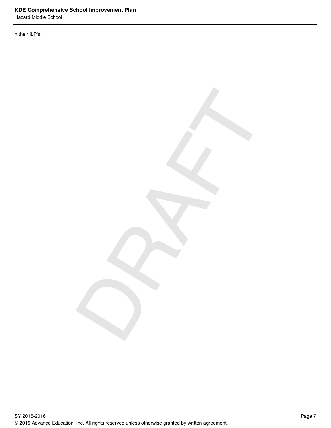Hazard Middle School

in their ILP's.

DRAFT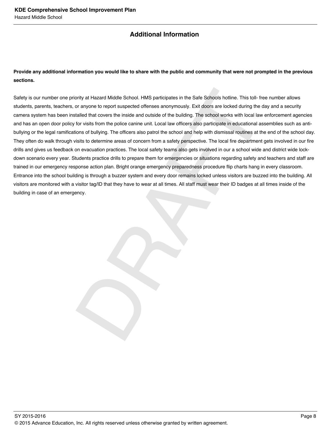#### **Additional Information**

#### **Provide any additional information you would like to share with the public and community that were not prompted in the previous sections.**

brity at Hazard Middle School. HMS participates in the Safe Schools hotline. This toll- for anyone to report suspected offenses anonymously. Exit doors are locked during the chronic particle that covers the inside and outs Safety is our number one priority at Hazard Middle School. HMS participates in the Safe Schools hotline. This toll- free number allows students, parents, teachers, or anyone to report suspected offenses anonymously. Exit doors are locked during the day and a security camera system has been installed that covers the inside and outside of the building. The school works with local law enforcement agencies and has an open door policy for visits from the police canine unit. Local law officers also participate in educational assemblies such as antibullying or the legal ramifications of bullying. The officers also patrol the school and help with dismissal routines at the end of the school day. They often do walk through visits to determine areas of concern from a safety perspective. The local fire department gets involved in our fire drills and gives us feedback on evacuation practices. The local safety teams also gets involved in our a school wide and district wide lockdown scenario every year. Students practice drills to prepare them for emergencies or situations regarding safety and teachers and staff are trained in our emergency response action plan. Bright orange emergency preparedness procedure flip charts hang in every classroom. Entrance into the school building is through a buzzer system and every door remains locked unless visitors are buzzed into the building. All visitors are monitored with a visitor tag/ID that they have to wear at all times. All staff must wear their ID badges at all times inside of the building in case of an emergency.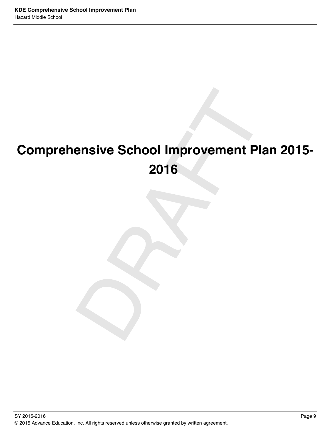# ensive School Improvement Pla<br>2016<br>DRAFT PLATER SCHOOL **Comprehensive School Improvement Plan 2015- 2016**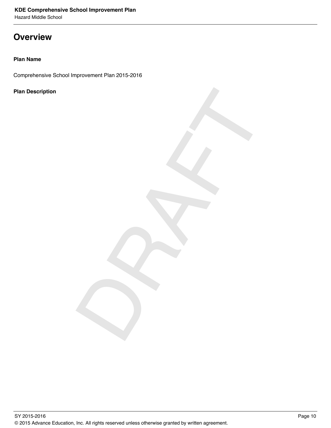Hazard Middle School

# **Overview**

#### **Plan Name**

Comprehensive School Improvement Plan 2015-2016

#### **Plan Description**

DRAFT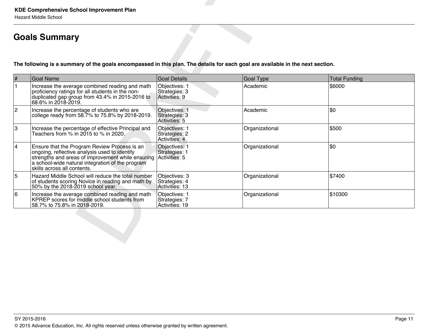# **Goals Summary**

| <b>Goals Summary</b> |                                                                                                                                                                                                                                                     |                                                  |                  |                      |  |  |  |  |
|----------------------|-----------------------------------------------------------------------------------------------------------------------------------------------------------------------------------------------------------------------------------------------------|--------------------------------------------------|------------------|----------------------|--|--|--|--|
|                      | The following is a summary of the goals encompassed in this plan. The details for each goal are available in the next section.                                                                                                                      |                                                  |                  |                      |  |  |  |  |
| $\#$                 | <b>Goal Name</b>                                                                                                                                                                                                                                    | <b>Goal Details</b>                              | <b>Goal Type</b> | <b>Total Funding</b> |  |  |  |  |
|                      | Increase the average combined reading and math<br>proficiency ratings for all students in the non-<br>duplicated gap group from 43.4% in 2015-2016 to<br>68.6% in 2018-2019.                                                                        | Objectives: 1<br>Strategies: 3<br>Activities: 9  | Academic         | \$6000               |  |  |  |  |
| $ 2\rangle$          | Increase the percentage of students who are<br>college ready from 58.7% to 75.8% by 2018-2019.                                                                                                                                                      | Objectives: 1<br>Strategies: 3<br>Activities: 5  | Academic         | \$0                  |  |  |  |  |
| lЗ                   | Increase the percentage of effective Principal and<br>Teachers from % in 2015 to % in 2020.                                                                                                                                                         | Objectives: 1<br>Strategies: 2<br>Activities: 4  | Organizational   | \$500                |  |  |  |  |
| $\overline{4}$       | Ensure that the Program Review Process is an<br>ongoing, reflective analysis used to identify<br>strengths and areas of improvement while ensuring Activities: 5<br>a school-wide natural integration of the program<br>skills across all contents. | Objectives: 1<br>Strategies: 1                   | Organizational   | l\$0                 |  |  |  |  |
| $\overline{5}$       | Hazard Middle School will reduce the total number<br>of students scoring Novice in reading and math by<br>50% by the 2018-2019 school year.                                                                                                         | Objectives: 3<br>Strategies: 4<br>Activities: 13 | Organizational   | \$7400               |  |  |  |  |
| 6                    | Increase the average combined reading and math<br>KPREP scores for middle school students from<br>58.7% to 75.8% in 2018-2019.                                                                                                                      | Objectives: 1<br>Strategies: 7<br>Activities: 19 | Organizational   | \$10300              |  |  |  |  |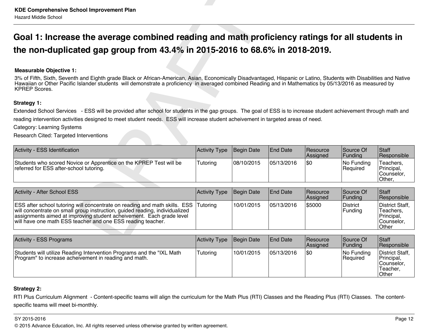# **Goal 1: Increase the average combined reading and math proficiency ratings for all students in the non-duplicated gap group from 43.4% in 2015-2016 to 68.6% in 2018-2019.**

#### **Measurable Objective 1:**

#### **Strategy 1:**

| Activity - ESS Identification                                                                                 | Activity Type Begin Date |             | <b>End Date</b> | <b>Resource</b><br><b>Assigned</b> | <b>Source Of</b><br> Fundina | <b>Staff</b><br><b>Responsible</b>               |
|---------------------------------------------------------------------------------------------------------------|--------------------------|-------------|-----------------|------------------------------------|------------------------------|--------------------------------------------------|
| Students who scored Novice or Apprentice on the KPREP Test will be<br>referred for ESS after-school tutoring. | Tutoring                 | 108/10/2015 | 105/13/2016     | \$0                                | No Funding<br>Reauired       | Teachers.<br>Principal.<br>Counselor.<br>'Other, |

| <b>KDE Comprehensive School Improvement Plan</b><br><b>Hazard Middle School</b>                                                                                                                                                                                                                                                                                                                    |               |                   |                 |                      |                            |                                                                          |
|----------------------------------------------------------------------------------------------------------------------------------------------------------------------------------------------------------------------------------------------------------------------------------------------------------------------------------------------------------------------------------------------------|---------------|-------------------|-----------------|----------------------|----------------------------|--------------------------------------------------------------------------|
| Goal 1: Increase the average combined reading and math proficiency ratings for all students in                                                                                                                                                                                                                                                                                                     |               |                   |                 |                      |                            |                                                                          |
| the non-duplicated gap group from 43.4% in 2015-2016 to 68.6% in 2018-2019.                                                                                                                                                                                                                                                                                                                        |               |                   |                 |                      |                            |                                                                          |
| <b>Measurable Objective 1:</b><br>3% of Fifth, Sixth, Seventh and Eighth grade Black or African-American, Asian, Economically Disadvantaged, Hispanic or Latino, Students with Disabilities and Native<br>Hawaiian or Other Pacific Islander students will demonstrate a proficiency in averaged combined Reading and in Mathematics by 05/13/2016 as measured by<br><b>KPREP Scores.</b>          |               |                   |                 |                      |                            |                                                                          |
| Strategy 1:<br>Extended School Services - ESS will be provided after school for students in the gap groups. The goal of ESS is to increase student achievement through math and<br>reading intervention activities designed to meet student needs. ESS will increase student acheivement in targeted areas of need.<br>Category: Learning Systems<br><b>Research Cited: Targeted Interventions</b> |               |                   |                 |                      |                            |                                                                          |
| Activity - ESS Identification                                                                                                                                                                                                                                                                                                                                                                      | Activity Type | Begin Date        | End Date        | Resource<br>Assigned | Source Of<br>Funding       | Staff<br>Responsible                                                     |
| Students who scored Novice or Apprentice on the KPREP Test will be<br>referred for ESS after-school tutoring.                                                                                                                                                                                                                                                                                      | Tutoring      | 08/10/2015        | 05/13/2016      | l\$0                 | No Funding<br>Required     | Teachers,<br>Principal,<br>Counselor.<br>Other.                          |
| Activity - After School ESS                                                                                                                                                                                                                                                                                                                                                                        | Activity Type | <b>Begin Date</b> | <b>End Date</b> | Resource<br>Assigned | Source Of<br>Funding       | Staff<br>Responsible                                                     |
| ESS after school tutoring will concentrate on reading and math skills. ESS<br>will concentrate on small group instruction, guided reading, individualized<br>assignments aimed at improving student acheivement. Each grade level<br>will have one math ESS teacher and one ESS reading teacher.                                                                                                   | Tutoring      | 10/01/2015        | 05/13/2016      | \$5000               | <b>District</b><br>Funding | District Staff.<br>Teachers,<br>Principal,<br>Counselor,<br><b>Other</b> |
| <b>Activity - ESS Programs</b>                                                                                                                                                                                                                                                                                                                                                                     | Activity Type | Begin Date        | <b>End Date</b> | Resource             | Source Of                  | Staff                                                                    |

| <b>Activity - ESS Programs</b>                                                                                                 | Activity Type | Begin Date | <b>End Date</b> | <b>Resource</b><br><b>Assigned</b> | Source Of<br>IFundina         | <b>Staff</b><br><b>Responsible</b>                                |
|--------------------------------------------------------------------------------------------------------------------------------|---------------|------------|-----------------|------------------------------------|-------------------------------|-------------------------------------------------------------------|
| Students will utilize Reading Intervention Programs and the "IXL Math<br>Program" to increase acheivement in reading and math. | Tutoring      | 10/01/2015 | 05/13/2016      | \$0                                | No Funding<br><b>Required</b> | District Staff,<br>Principal,<br> Counselor,<br>Teacher.<br>Other |

#### **Strategy 2:**

RTI Plus Curriculum Alignment - Content-specific teams will align the curriculum for the Math Plus (RTI) Classes and the Reading Plus (RTI) Classes. The contentspecific teams will meet bi-monthly.

#### SY 2015-2016 Page 12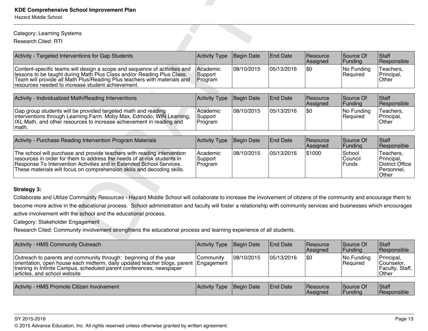#### Category: Learning Systems

| <b>KDE Comprehensive School Improvement Plan</b><br><b>Hazard Middle School</b>                                                                                                                                                                                                                       |                                |                   |                 |                      |                            |                                                                          |
|-------------------------------------------------------------------------------------------------------------------------------------------------------------------------------------------------------------------------------------------------------------------------------------------------------|--------------------------------|-------------------|-----------------|----------------------|----------------------------|--------------------------------------------------------------------------|
| Category: Learning Systems                                                                                                                                                                                                                                                                            |                                |                   |                 |                      |                            |                                                                          |
| Research Cited: RTI                                                                                                                                                                                                                                                                                   |                                |                   |                 |                      |                            |                                                                          |
| Activity - Targeted Interventions for Gap Students                                                                                                                                                                                                                                                    | Activity Type                  | <b>Begin Date</b> | <b>End Date</b> | Resource<br>Assigned | Source Of<br>Funding       | Staff<br>Responsible                                                     |
| Content-specific teams will design a scope and sequence of activities and<br>lessons to be taught during Math Plus Class and/or Reading Plus Class.<br>Team will provide all Math Plus/Reading Plus teachers with materials and<br>resources needed to increase student achievement.                  | Academic<br>Support<br>Program | 08/10/2015        | 05/13/2016      | \$0                  | No Funding<br>Required     | Teachers.<br>Principal,<br>Other                                         |
| Activity - Individualized Math/Reading Interventions                                                                                                                                                                                                                                                  | <b>Activity Type</b>           | Begin Date        | <b>End Date</b> | Resource<br>Assigned | Source Of<br>Funding       | Staff<br>Responsible                                                     |
| Gap group students will be provided targeted math and reading<br>interventions through Learning Farm. Moby Max, Edmodo, WIN Learning,<br>IXL Math, and other resources to increase achievement in reading and<br>math.                                                                                | Academic<br>Support<br>Program | 08/10/2015        | 05/13/2016      | \$0                  | No Funding<br>Required     | Teachers.<br>Principal,<br>Other                                         |
| Activity - Purchase Reading Intervention Program Materials                                                                                                                                                                                                                                            | <b>Activity Type</b>           | <b>Begin Date</b> | End Date        | Resource             | Source Of                  | Staff                                                                    |
|                                                                                                                                                                                                                                                                                                       |                                |                   |                 | Assigned             | Funding                    | Responsible                                                              |
| The school will purchase and provide teachers with reading intervention<br>resources in order for them to address the needs of at-risk students in<br>Response To Intervention Activities and in Extended School Services.<br>These materials will focus on comprehension skills and decoding skills. | Academic<br>Support<br>Program | 08/10/2015        | 05/13/2016      | \$1000               | School<br>Council<br>Funds | Teachers,<br>Principal,<br><b>District Office</b><br>Personnel,<br>Other |
| Strategy 3:                                                                                                                                                                                                                                                                                           |                                |                   |                 |                      |                            |                                                                          |
|                                                                                                                                                                                                                                                                                                       |                                |                   |                 |                      |                            |                                                                          |
| Collaborate and Utilize Community Resources - Hazard Middle School will collaborate to increase the involvement of citizens of the community and encourage them to                                                                                                                                    |                                |                   |                 |                      |                            |                                                                          |
| become more active in the educational process. School administration and faculty will foster a relationship with community services and businesses which encourages                                                                                                                                   |                                |                   |                 |                      |                            |                                                                          |
| active involvement with the school and the educational process.                                                                                                                                                                                                                                       |                                |                   |                 |                      |                            |                                                                          |
| Category: Stakeholder Engagement                                                                                                                                                                                                                                                                      |                                |                   |                 |                      |                            |                                                                          |
| Research Cited: Community involvement strengthens the educational process and learning experience of all students.                                                                                                                                                                                    |                                |                   |                 |                      |                            |                                                                          |
| $\Lambda$ and the $\Lambda$ HMO $\Omega$ is a second to $\Omega$ the second                                                                                                                                                                                                                           | $\mathbf{L}$                   |                   |                 |                      | ۔ ما<br>$\sim$             | یر دہ ا                                                                  |

#### **Strategy 3:**

| <b>Activity - HMS Community Outreach</b>                                                                                                                                                                                                                           | Activity Type | Begin Date | <b>End Date</b> | <b>Resource</b><br>Assigned | Source Of<br><b>Funding</b> | <b>Staff</b><br>Responsible                            |
|--------------------------------------------------------------------------------------------------------------------------------------------------------------------------------------------------------------------------------------------------------------------|---------------|------------|-----------------|-----------------------------|-----------------------------|--------------------------------------------------------|
| Outreach to parents and community through: beginning of the year<br>orientation, open house each midterm, daily updated teacher blogs, parent   Engagement<br>training in Infinite Campus, scheduled parent conferences, newspaper<br>articles, and school website | Community     | 08/10/2015 | 05/13/2016      | \$0                         | No Funding<br>Required      | Principal,<br>Counselor,<br> Faculty, Staff,<br> Other |
|                                                                                                                                                                                                                                                                    |               |            |                 |                             |                             |                                                        |

| <b>HMS Promote Citizen Involvement</b><br>Activity | Activity Type | Begin Date | End Date | <b>Resource</b><br><b>Assigned</b> | Source Of<br>l Fundina | Staff<br>Responsible |
|----------------------------------------------------|---------------|------------|----------|------------------------------------|------------------------|----------------------|
|----------------------------------------------------|---------------|------------|----------|------------------------------------|------------------------|----------------------|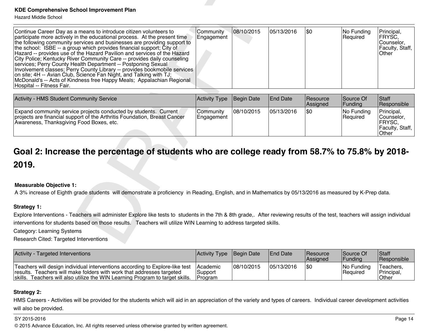| <b>KDE Comprehensive School Improvement Plan</b><br><b>Hazard Middle School</b>                                                                                                                                                                                                                                                                                                                                                                                                                                                                                                                                                                                                                                                                                                      |                         |            |                 |                      |                        |                                                                |
|--------------------------------------------------------------------------------------------------------------------------------------------------------------------------------------------------------------------------------------------------------------------------------------------------------------------------------------------------------------------------------------------------------------------------------------------------------------------------------------------------------------------------------------------------------------------------------------------------------------------------------------------------------------------------------------------------------------------------------------------------------------------------------------|-------------------------|------------|-----------------|----------------------|------------------------|----------------------------------------------------------------|
| Continue Career Day as a means to introduce citizen volunteers to<br>participate more actively in the educational process. At the present time<br>the following community services and businesses are providing support to<br>the school: ISBE -- a group which provides financial support; City of<br>Hazard -- provides use of the Hazard Pavilion and services of the Hazard<br>City Police; Kentucky River Community Care -- provides daily counseling<br>services; Perry County Health Department -- Postponing Sexual<br>Involvement classes; Perry County Library -- provides bookmobile services<br>on site; 4H -- Avian Club, Science Fan Night, and Talking with TJ;<br>McDonald's -- Acts of Kindness free Happy Meals; Appalachian Regional<br>Hospital -- Fitness Fair. | Community<br>Engagement | 08/10/2015 | 05/13/2016      | \$0                  | No Funding<br>Required | Principal,<br>FRYSC,<br>Counselor,<br>Faculty, Staff,<br>Other |
|                                                                                                                                                                                                                                                                                                                                                                                                                                                                                                                                                                                                                                                                                                                                                                                      |                         |            |                 |                      |                        |                                                                |
| Activity - HMS Student Community Service                                                                                                                                                                                                                                                                                                                                                                                                                                                                                                                                                                                                                                                                                                                                             | <b>Activity Type</b>    | Begin Date | <b>End Date</b> | Resource<br>Assigned | Source Of<br>Funding   | Staff<br>Responsible                                           |
| Expand community service projects conducted by students. Current<br>projects are financial support of the Arthritis Foundation, Breast Cancer<br>Awareness, Thanksgiving Food Boxes, etc.                                                                                                                                                                                                                                                                                                                                                                                                                                                                                                                                                                                            | Community<br>Engagement | 08/10/2015 | 05/13/2016      | \$0                  | No Funding<br>Required | Principal,<br>Counselor,<br>FRYSC,<br>Faculty, Staff,<br>Other |
| Goal 2: Increase the percentage of students who are college ready from 58.7% to 75.8% by 2018-<br>2019.                                                                                                                                                                                                                                                                                                                                                                                                                                                                                                                                                                                                                                                                              |                         |            |                 |                      |                        |                                                                |
| <b>Measurable Objective 1:</b><br>A 3% increase of Eighth grade students will demonstrate a proficiency in Reading, English, and in Mathematics by 05/13/2016 as measured by K-Prep data.                                                                                                                                                                                                                                                                                                                                                                                                                                                                                                                                                                                            |                         |            |                 |                      |                        |                                                                |
| Strategy 1:<br>Explore Interventions - Teachers will administer Explore like tests to students in the 7th & 8th grade,. After reviewing results of the test, teachers will assign individual<br>interventions for students based on those results. Teachers will utilize WIN Learning to address targeted skills.<br>Category: Learning Systems<br>Research Cited: Targeted Interventions                                                                                                                                                                                                                                                                                                                                                                                            |                         |            |                 |                      |                        |                                                                |

| <b>Activity - HMS Student Community Service</b>                                                                                                                                           | Activity Type                  | Begin Date | <b>End Date</b> | <b>Resource</b><br><b>Assigned</b> | Source Of<br><b>Funding</b> | Staff<br>Responsible                                              |
|-------------------------------------------------------------------------------------------------------------------------------------------------------------------------------------------|--------------------------------|------------|-----------------|------------------------------------|-----------------------------|-------------------------------------------------------------------|
| Expand community service projects conducted by students. Current<br>projects are financial support of the Arthritis Foundation, Breast Cancer<br>Awareness, Thanksgiving Food Boxes, etc. | <b>Community</b><br>Engagement | 08/10/2015 | 105/13/2016     | \$0                                | No Funding<br>Required      | Principal,<br> Counselor.<br>IFRYSC.<br> Faculty, Staff,<br>Other |

# **Goal 2: Increase the percentage of students who are college ready from 58.7% to 75.8% by 2018- 2019.**

#### **Measurable Objective 1:**

#### **Strategy 1:**

| Activity - Targeted Interventions                                                                                                                                                                                                      | <b>Activity Type Begin Date</b>          |            | <b>End Date</b> | Resource<br><b>Assigned</b> | <b>Source Of</b><br><b>IFundina</b> | Staff<br><b>Responsible</b>        |
|----------------------------------------------------------------------------------------------------------------------------------------------------------------------------------------------------------------------------------------|------------------------------------------|------------|-----------------|-----------------------------|-------------------------------------|------------------------------------|
| Teachers will design individual interventions according to Explore-like test<br>results. Teachers will make folders with work that addresses targeted<br>skills. Teachers will also utilize the WIN Learning Program to target skills. | <b>IAcademic</b><br> Support<br>IProaram | 08/10/2015 | 05/13/2016      | \$0                         | No Funding<br>Required              | 'Teachers,<br>Principal,<br>∣Other |

#### **Strategy 2:**

HMS Careers - Activities will be provided for the students which will aid in an appreciation of the variety and types of careers. Individual career development activities will also be provided.

#### SY 2015-2016 Page 14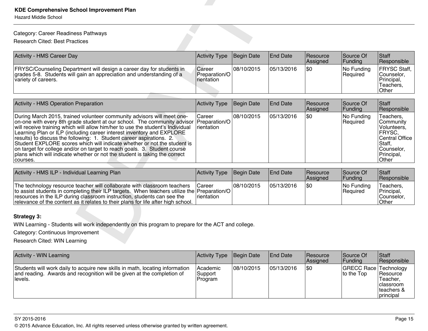#### Category: Career Readiness Pathways

| <b>KDE Comprehensive School Improvement Plan</b><br><b>Hazard Middle School</b>                                                                                                                                                                                                                                                                                                                                                                                                                                                                                                                                                         |                                       |                   |                 |                      |                        |                                                                                                                         |
|-----------------------------------------------------------------------------------------------------------------------------------------------------------------------------------------------------------------------------------------------------------------------------------------------------------------------------------------------------------------------------------------------------------------------------------------------------------------------------------------------------------------------------------------------------------------------------------------------------------------------------------------|---------------------------------------|-------------------|-----------------|----------------------|------------------------|-------------------------------------------------------------------------------------------------------------------------|
| Category: Career Readiness Pathways                                                                                                                                                                                                                                                                                                                                                                                                                                                                                                                                                                                                     |                                       |                   |                 |                      |                        |                                                                                                                         |
| <b>Research Cited: Best Practices</b>                                                                                                                                                                                                                                                                                                                                                                                                                                                                                                                                                                                                   |                                       |                   |                 |                      |                        |                                                                                                                         |
| Activity - HMS Career Day                                                                                                                                                                                                                                                                                                                                                                                                                                                                                                                                                                                                               | <b>Activity Type</b>                  | <b>Begin Date</b> | <b>End Date</b> | Resource<br>Assigned | Source Of<br>Funding   | Staff<br>Responsible                                                                                                    |
| FRYSC/Counseling Department will design a career day for students in<br>grades 5-8. Students will gain an appreciation and understanding of a<br>variety of careers.                                                                                                                                                                                                                                                                                                                                                                                                                                                                    | Career<br>Preparation/O<br>rientation | 08/10/2015        | 05/13/2016      | \$0                  | No Funding<br>Required | FRYSC Staff.<br>Counselor,<br>Principal,<br>Teachers,<br>Other                                                          |
| <b>Activity - HMS Operation Preparation</b>                                                                                                                                                                                                                                                                                                                                                                                                                                                                                                                                                                                             | <b>Activity Type</b>                  | <b>Begin Date</b> | <b>End Date</b> | Resource<br>Assigned | Source Of<br>Funding   | Staff<br>Responsible                                                                                                    |
| During March 2015, trained volunteer community advisors will meet one-<br>on-one with every 8th grade student at our school. The community advisor<br>will receive training which will allow him/her to use the student's Individual<br>Learning Plan or ILP (including career interest inventory and EXPLORE<br>results) to discuss the following: 1. Student career aspirations. 2.<br>Student EXPLORE scores which will indicate whether or not the student is<br>on target for college and/or on target to reach goals. 3. Student course<br>plans which will indicate whether or not the student is taking the correct<br>courses. | Career<br>Preparation/O<br>rientation | 08/10/2015        | 05/13/2016      | \$0                  | No Funding<br>Required | Teachers.<br>Community<br>Volunteers,<br>FRYSC,<br><b>Central Office</b><br>Staff,<br>Counselor,<br>Principal,<br>Other |
|                                                                                                                                                                                                                                                                                                                                                                                                                                                                                                                                                                                                                                         |                                       |                   |                 |                      |                        |                                                                                                                         |
| Activity - HMS ILP - Individual Learning Plan                                                                                                                                                                                                                                                                                                                                                                                                                                                                                                                                                                                           | <b>Activity Type</b>                  | <b>Begin Date</b> | <b>End Date</b> | Resource<br>Assigned | Source Of<br>Funding   | Staff<br>Responsible                                                                                                    |
| The technology resource teacher will collaborate with classroom teachers<br>to assist students in completing their ILP targets. When teachers utilize the<br>resources in the ILP during classroom instruction, students can see the<br>relevance of the content as it relates to their plans for life after high school.                                                                                                                                                                                                                                                                                                               | Career<br>Preparation/O<br>rientation | 08/10/2015        | 05/13/2016      | \$0                  | No Funding<br>Required | Teachers,<br>Principal,<br>Counselor,<br>Other                                                                          |
| Strategy 3:                                                                                                                                                                                                                                                                                                                                                                                                                                                                                                                                                                                                                             |                                       |                   |                 |                      |                        |                                                                                                                         |
| WIN Learning - Students will work independently on this program to prepare for the ACT and college.                                                                                                                                                                                                                                                                                                                                                                                                                                                                                                                                     |                                       |                   |                 |                      |                        |                                                                                                                         |
| Category: Continuous Improvement                                                                                                                                                                                                                                                                                                                                                                                                                                                                                                                                                                                                        |                                       |                   |                 |                      |                        |                                                                                                                         |
| Research Cited: WIN Learning                                                                                                                                                                                                                                                                                                                                                                                                                                                                                                                                                                                                            |                                       |                   |                 |                      |                        |                                                                                                                         |

| Activity - HMS ILP - Individual Learning Plan                                                                                                                                                                                                                                                                                               | Activity Type Begin Date              |             | <b>End Date</b> | <b>IResource</b><br><b>Assigned</b> | Source Of<br><b>IFundina</b>  | <b>Staff</b><br><b>Responsible</b>              |
|---------------------------------------------------------------------------------------------------------------------------------------------------------------------------------------------------------------------------------------------------------------------------------------------------------------------------------------------|---------------------------------------|-------------|-----------------|-------------------------------------|-------------------------------|-------------------------------------------------|
| The technology resource teacher will collaborate with classroom teachers<br>  to assist students in completing their ILP targets. When teachers utilize the Preparation/O<br>resources in the ILP during classroom instruction, students can see the<br>  relevance of the content as it relates to their plans for life after high school. | <b>ICareer</b><br><b>I</b> rientation | 108/10/2015 | 105/13/2016     | \$0                                 | No Funding<br><b>Required</b> | Teachers,<br>Principal,<br>Counselor,<br> Other |

#### **Strategy 3:**

| <b>Activity - WIN Learning</b>                                                                                                                                    | Activity Type                          | Begin Date | <b>End Date</b> | <b>Resource</b><br><b>Assigned</b> | Source Of<br><b>Funding</b>           | <b>Staff</b><br>Responsible                                                  |
|-------------------------------------------------------------------------------------------------------------------------------------------------------------------|----------------------------------------|------------|-----------------|------------------------------------|---------------------------------------|------------------------------------------------------------------------------|
| Students will work daily to acquire new skills in math, locating information<br>and reading. Awards and recognition will be given at the completion of<br>levels. | <b>Academic</b><br>Support<br> Program | 08/10/2015 | 05/13/2016      | \$0                                | GRECC Race   Technology<br>to the Top | <b>Resource</b><br>Teacher,<br><b>Iclassroom</b><br>Iteachers &<br>principal |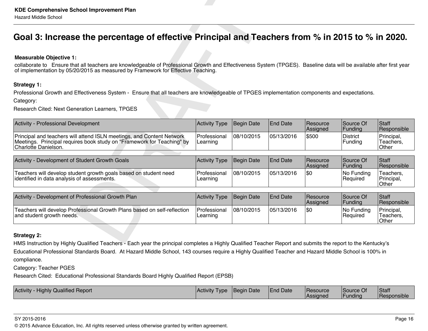# **Goal 3: Increase the percentage of effective Principal and Teachers from % in 2015 to % in 2020.**

#### **Measurable Objective 1:**

#### **Strategy 1:**

| <b>KDE Comprehensive School Improvement Plan</b><br><b>Hazard Middle School</b>                                                                                                                                                                         |                          |                   |                 |                      |                            |                                  |
|---------------------------------------------------------------------------------------------------------------------------------------------------------------------------------------------------------------------------------------------------------|--------------------------|-------------------|-----------------|----------------------|----------------------------|----------------------------------|
| Goal 3: Increase the percentage of effective Principal and Teachers from % in 2015 to % in 2020.                                                                                                                                                        |                          |                   |                 |                      |                            |                                  |
| <b>Measurable Objective 1:</b>                                                                                                                                                                                                                          |                          |                   |                 |                      |                            |                                  |
| collaborate to Ensure that all teachers are knowledgeable of Professional Growth and Effectiveness System (TPGES). Baseline data will be available after first year<br>of implementation by 05/20/2015 as measured by Framework for Effective Teaching. |                          |                   |                 |                      |                            |                                  |
| Strategy 1:                                                                                                                                                                                                                                             |                          |                   |                 |                      |                            |                                  |
| Professional Growth and Effectiveness System - Ensure that all teachers are knowledgeable of TPGES implementation components and expectations.                                                                                                          |                          |                   |                 |                      |                            |                                  |
| Category:                                                                                                                                                                                                                                               |                          |                   |                 |                      |                            |                                  |
|                                                                                                                                                                                                                                                         |                          |                   |                 |                      |                            |                                  |
| Research Cited: Next Generation Learners, TPGES                                                                                                                                                                                                         |                          |                   |                 |                      |                            |                                  |
|                                                                                                                                                                                                                                                         | <b>Activity Type</b>     | <b>Begin Date</b> | <b>End Date</b> | Resource<br>Assigned | Source Of<br>Funding       | Staff<br>Responsible             |
| Principal and teachers will attend ISLN meetings, and Content Network<br>Meetings. Principal requires book study on "Framework for Teaching" by<br>Charlotte Danielson.                                                                                 | Professional<br>Learning | 08/10/2015        | 05/13/2016      | \$500                | <b>District</b><br>Funding | Principal,<br>Teachers,<br>Other |
| Activity - Development of Student Growth Goals                                                                                                                                                                                                          | <b>Activity Type</b>     | <b>Begin Date</b> | <b>End Date</b> | Resource<br>Assigned | Source Of<br>Funding       | Staff<br>Responsible             |
| Activity - Professional Development<br>Teachers will develop student growth goals based on student need<br>identified in data analysis of assessments.                                                                                                  | Professional<br>Learning | 08/10/2015        | 05/13/2016      | \$0                  | No Funding<br>Required     | Teachers.<br>Principal,<br>Other |
|                                                                                                                                                                                                                                                         |                          |                   |                 |                      |                            |                                  |
| Activity - Development of Professional Growth Plan                                                                                                                                                                                                      | <b>Activity Type</b>     | Begin Date        | <b>End Date</b> | Resource<br>Assigned | Source Of<br>Funding       | <b>Staff</b><br>Responsible      |

| Activity - Development of Student Growth Goals                                                                  | Activity Type Begin Date        |            | <b>End Date</b> | <b>I</b> Resource<br><b>Assigned</b> | Source Of<br> Fundina     | Staff<br><b>Responsible</b>      |
|-----------------------------------------------------------------------------------------------------------------|---------------------------------|------------|-----------------|--------------------------------------|---------------------------|----------------------------------|
| Teachers will develop student growth goals based on student need<br>identified in data analysis of assessments. | <b>Professional</b><br>Learning | 08/10/2015 | 05/13/2016      | 1\$C                                 | INo Fundina<br>l Reauired | Teachers.<br>Principal,<br>Other |

| Activity - Development of Professional Growth Plan                                                    | Activity Type Begin Date |             | <b>IEnd Date</b> | <b>IResource</b><br><b>Assigned</b> | Source Of<br> Fundina    | Staff<br>Responsible              |
|-------------------------------------------------------------------------------------------------------|--------------------------|-------------|------------------|-------------------------------------|--------------------------|-----------------------------------|
| Teachers will develop Professional Growth Plans based on self-reflection<br>and student growth needs. | Professional<br>Learning | 108/10/2015 | 105/13/2016      | 1\$0                                | INo Fundina<br> Reauired | 'Principal,<br>Teachers.<br>Other |

#### **Strategy 2:**

HMS Instruction by Highly Qualified Teachers - Each year the principal completes a Highly Qualified Teacher Report and submits the report to the Kentucky's Educational Professional Standards Board. At Hazard Middle School, 143 courses require a Highly Qualified Teacher and Hazard Middle School is 100% in compliance.

Category: Teacher PGES

Research Cited: Educational Professional Standards Board Highly Qualified Report (EPSB)

| Activity<br><b>Highly Qualified Report</b> | I vpe<br><b>Activity</b> | <b>Beain Date</b> | <b>End Date</b> | <b>I</b> Resource<br><b>Assigned</b> | <b>Source Of</b><br>Funding | Staff<br>l Responsible |
|--------------------------------------------|--------------------------|-------------------|-----------------|--------------------------------------|-----------------------------|------------------------|
|--------------------------------------------|--------------------------|-------------------|-----------------|--------------------------------------|-----------------------------|------------------------|

#### SY 2015-2016 Page 16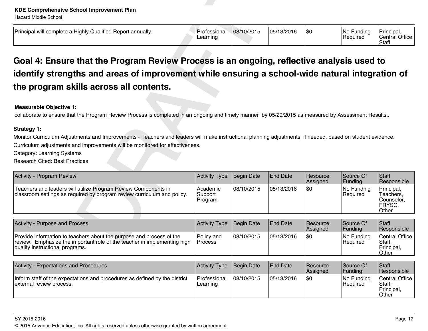| V Qualified<br>Principal will complete a Highly C<br>` Report annuallv. | IProfessional<br>∟earning | 08/10/2015 | 05/13/2016 | ۱¢∩<br>טעו | $ No$ Funding<br>'Requirea | Principa <sub>1</sub><br>Central Office<br>Staff |
|-------------------------------------------------------------------------|---------------------------|------------|------------|------------|----------------------------|--------------------------------------------------|
|                                                                         |                           |            |            |            |                            |                                                  |

# **Goal 4: Ensure that the Program Review Process is an ongoing, reflective analysis used to identify strengths and areas of improvement while ensuring a school-wide natural integration of the program skills across all contents.**

#### **Measurable Objective 1:**

#### **Strategy 1:**

| <b>KDE Comprehensive School Improvement Plan</b><br><b>Hazard Middle School</b>                                                                                                      |                                |            |                 |                      |                        |                                                          |
|--------------------------------------------------------------------------------------------------------------------------------------------------------------------------------------|--------------------------------|------------|-----------------|----------------------|------------------------|----------------------------------------------------------|
| Principal will complete a Highly Qualified Report annually.                                                                                                                          | Professional<br>Learning       | 08/10/2015 | 05/13/2016      | \$0                  | No Funding<br>Required | Principal,<br>Central Office<br>Staff                    |
| Goal 4: Ensure that the Program Review Process is an ongoing, reflective analysis used to                                                                                            |                                |            |                 |                      |                        |                                                          |
| identify strengths and areas of improvement while ensuring a school-wide natural integration of                                                                                      |                                |            |                 |                      |                        |                                                          |
| the program skills across all contents.                                                                                                                                              |                                |            |                 |                      |                        |                                                          |
| <b>Measurable Objective 1:</b><br>collaborate to ensure that the Program Review Process is completed in an ongoing and timely manner by 05/29/2015 as measured by Assessment Results |                                |            |                 |                      |                        |                                                          |
| Strategy 1:                                                                                                                                                                          |                                |            |                 |                      |                        |                                                          |
| Monitor Curriculum Adjustments and Improvements - Teachers and leaders will make instructional planning adjustments, if needed, based on student evidence.                           |                                |            |                 |                      |                        |                                                          |
| Curriculum adjustments and improvements will be monitored for effectiveness.                                                                                                         |                                |            |                 |                      |                        |                                                          |
| Category: Learning Systems                                                                                                                                                           |                                |            |                 |                      |                        |                                                          |
| <b>Research Cited: Best Practices</b>                                                                                                                                                |                                |            |                 |                      |                        |                                                          |
| Activity - Program Review                                                                                                                                                            | <b>Activity Type</b>           | Begin Date | <b>End Date</b> | Resource<br>Assigned | Source Of<br>Funding   | Staff<br>Responsible                                     |
| Teachers and leaders will utilize Program Review Components in<br>classroom settings as required by program review curriculum and policy.                                            | Academic<br>Support<br>Program | 08/10/2015 | 05/13/2016      | <b>SO</b>            | No Funding<br>Required | Principal,<br>Teachers,<br>Counselor,<br>FRYSC,<br>Other |
| Activity - Purpose and Process                                                                                                                                                       | <b>Activity Type</b>           | Begin Date | <b>End Date</b> | Resource<br>Assigned | Source Of<br>Funding   | Staff<br>Responsible                                     |
| Provide information to teachers about the purpose and process of the<br>review. Emphasize the important role of the teacher in implementing high                                     | Policy and<br>Process          | 08/10/2015 | 05/13/2016      | <b>SO</b>            | No Funding<br>Required | <b>Central Office</b><br>Staff.                          |

|                                                                                                                                                                                              |                        |             |             | <b>Assigned</b> | 'Funding                | Responsible                                     |
|----------------------------------------------------------------------------------------------------------------------------------------------------------------------------------------------|------------------------|-------------|-------------|-----------------|-------------------------|-------------------------------------------------|
| Provide information to teachers about the purpose and process of the<br>review. Emphasize the important role of the teacher in implementing high<br><i>c</i> quality instructional programs. | Policy and<br>IProcess | 108/10/2015 | 105/13/2016 |                 | INo Fundina<br>Reauired | Central Office<br>Staff.<br>Principal.<br>Other |

| Activity - Expectations and Procedures                                                                 | Activity Type                   | Begin Date | <b>End Date</b> | <b>IResource</b><br><b>Assigned</b> | Source Of<br>Fundina   | Staff<br><b>Responsible</b>                      |
|--------------------------------------------------------------------------------------------------------|---------------------------------|------------|-----------------|-------------------------------------|------------------------|--------------------------------------------------|
| Inform staff of the expectations and procedures as defined by the district<br>external review process. | <b>Professional</b><br>Learning | 08/10/2015 | 05/13/2016      | 1\$0                                | No Funding<br>Required | Central Office  <br>Staff<br>Principal.<br>Other |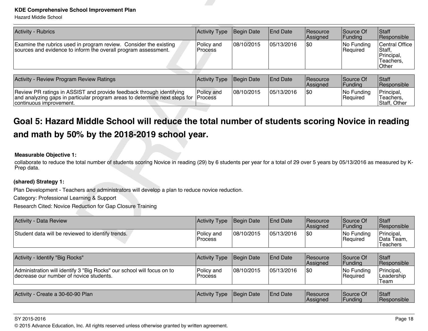| <b>KDE Comprehensive School Improvement Plan</b><br><b>Hazard Middle School</b>                                                                                                                                                                                                                                                                                             |                              |            |                 |                      |                        |                                                              |
|-----------------------------------------------------------------------------------------------------------------------------------------------------------------------------------------------------------------------------------------------------------------------------------------------------------------------------------------------------------------------------|------------------------------|------------|-----------------|----------------------|------------------------|--------------------------------------------------------------|
| <b>Activity - Rubrics</b>                                                                                                                                                                                                                                                                                                                                                   | <b>Activity Type</b>         | Begin Date | <b>End Date</b> | Resource<br>Assigned | Source Of<br>Funding   | Staff<br>Responsible                                         |
| Examine the rubrics used in program review. Consider the existing<br>sources and evidence to inform the overall program assessment.                                                                                                                                                                                                                                         | Policy and<br>Process        | 08/10/2015 | 05/13/2016      | l\$0                 | No Funding<br>Required | Central Office<br>Staff.<br>Principal,<br>Teachers,<br>Other |
| Activity - Review Program Review Ratings                                                                                                                                                                                                                                                                                                                                    | <b>Activity Type</b>         | Begin Date | <b>End Date</b> | Resource<br>Assigned | Source Of<br>Funding   | Staff<br>Responsible                                         |
| Review PR ratings in ASSIST and provide feedback through identifying<br>and analyzing gaps in particular program areas to determine next steps for Process<br>continuous improvement.                                                                                                                                                                                       | Policy and                   | 08/10/2015 | 05/13/2016      | l\$0                 | No Funding<br>Required | Principal,<br>Teachers.<br>Staff, Other                      |
| Goal 5: Hazard Middle School will reduce the total number of students scoring Novice in reading<br>and math by 50% by the 2018-2019 school year.<br><b>Measurable Objective 1:</b><br>collaborate to reduce the total number of students scoring Novice in reading (29) by 6 students per year for a total of 29 over 5 years by 05/13/2016 as measured by K-<br>Prep data. |                              |            |                 |                      |                        |                                                              |
| (shared) Strategy 1:                                                                                                                                                                                                                                                                                                                                                        |                              |            |                 |                      |                        |                                                              |
| Plan Development - Teachers and administrators will develop a plan to reduce novice reduction.                                                                                                                                                                                                                                                                              |                              |            |                 |                      |                        |                                                              |
| Category: Professional Learning & Support                                                                                                                                                                                                                                                                                                                                   |                              |            |                 |                      |                        |                                                              |
| Research Cited: Novice Reduction for Gap Closure Training                                                                                                                                                                                                                                                                                                                   |                              |            |                 |                      |                        |                                                              |
| Activity - Data Review                                                                                                                                                                                                                                                                                                                                                      | <b>Activity Type</b>         | Begin Date | <b>End Date</b> | Resource<br>Assigned | Source Of<br>Funding   | Staff<br>Responsible                                         |
| Student data will be reviewed to identify trends.                                                                                                                                                                                                                                                                                                                           | Policy and<br><b>Process</b> | 08/10/2015 | 05/13/2016      | \$0                  | No Funding<br>Required | Principal,<br> Data Team.                                    |

# **Goal 5: Hazard Middle School will reduce the total number of students scoring Novice in reading and math by 50% by the 2018-2019 school year.**

#### **Measurable Objective 1:**

#### **(shared) Strategy 1:**

| <b>Activity - Data Review</b>                                                                                     | Activity Type                | Begin Date  | End Date        | Resource<br>Assigned        | Source Of<br>Funding   | <b>Staff</b><br>Responsible          |
|-------------------------------------------------------------------------------------------------------------------|------------------------------|-------------|-----------------|-----------------------------|------------------------|--------------------------------------|
| Student data will be reviewed to identify trends.                                                                 | Policy and<br><b>Process</b> | 08/10/2015  | 105/13/2016     | \$0                         | No Funding<br>Required | Principal,<br>Data Team,<br>Teachers |
|                                                                                                                   |                              |             |                 |                             |                        |                                      |
| Activity - Identify "Big Rocks"                                                                                   | Activity Type                | Begin Date  | <b>End Date</b> | <b>Resource</b><br>Assigned | Source Of<br> Funding  | <b>Staff</b><br>Responsible          |
| Administration will identify 3 "Big Rocks" our school will focus on to<br>decrease our number of novice students. | Policy and<br><b>Process</b> | 108/10/2015 | 105/13/2016     | \$0                         | No Funding<br>Required | Principal,<br>Leadership<br>Team     |
|                                                                                                                   |                              |             |                 |                             |                        |                                      |
| Activity - Create a 30-60-90 Plan                                                                                 | Activity Type                | Begin Date  | <b>End Date</b> | Resource<br>Assigned        | Source Of<br> Fundina  | Staff<br>Responsible                 |

#### SY 2015-2016 Page 18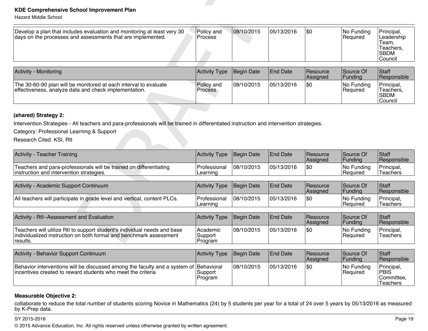| Develop a plan that includes evaluation and monitoring at least very 30<br>days on the processes and assessments that are implemented. | Policy and<br>l Process  | 08/10/2015  | 05/13/2016      | \$0                         | No Funding<br>Required | Principal,<br>Leadership<br>Team.<br>Teachers,<br> SBDM<br> Council |
|----------------------------------------------------------------------------------------------------------------------------------------|--------------------------|-------------|-----------------|-----------------------------|------------------------|---------------------------------------------------------------------|
| <b>Activity - Monitoring</b>                                                                                                           | <b>Activity Type</b>     | Begin Date  | <b>End Date</b> | <b>Resource</b><br>Assigned | Source Of<br> Funding  | Staff<br>Responsible                                                |
| The 30-60-90 plan will be monitored at each interval to evaluate<br>effectiveness, analyze data and check implementation.              | Policy and<br>lProcess ∶ | 108/10/2015 | 05/13/2016      | 1\$0                        | No Funding<br>Required | Principal,<br>Teachers.<br><b>SBDM</b><br> Council                  |

#### **(shared) Strategy 2:**

| <b>KDE Comprehensive School Improvement Plan</b><br><b>Hazard Middle School</b>                                                                            |                                  |                   |                 |                      |                                   |                                                                          |
|------------------------------------------------------------------------------------------------------------------------------------------------------------|----------------------------------|-------------------|-----------------|----------------------|-----------------------------------|--------------------------------------------------------------------------|
| Develop a plan that includes evaluation and monitoring at least very 30<br>days on the processes and assessments that are implemented.                     | Policy and<br>Process            | 08/10/2015        | 05/13/2016      | \$0                  | No Funding<br>Required            | Principal,<br>Leadership<br>Team,<br>Teachers,<br><b>SBDM</b><br>Council |
| Activity - Monitoring                                                                                                                                      | Activity Type                    | <b>Begin Date</b> | <b>End Date</b> | Resource<br>Assigned | Source Of<br>Funding              | Staff<br>Responsible                                                     |
| The 30-60-90 plan will be monitored at each interval to evaluate<br>effectiveness, analyze data and check implementation.                                  | Policy and<br>Process            | 08/10/2015        | 05/13/2016      | \$0                  | No Funding<br>Required            | Principal,<br>Teachers,<br><b>SBDM</b><br>Council                        |
| Category: Professional Learning & Support<br>Research Cited: KSI, Rtl<br>Activity - Teacher Training                                                       | Activity Type                    | <b>Begin Date</b> | <b>End Date</b> | Resource             | Source Of                         | <b>Staff</b>                                                             |
| Teachers and para-professionals will be trained on differentiating<br>instruction and intervention strategies.                                             | Professional<br>Learning         | 08/10/2015        | 05/13/2016      | Assigned<br> \$0     | Funding<br>No Funding<br>Required | Responsible<br>Principal,<br>Teachers                                    |
|                                                                                                                                                            |                                  |                   |                 |                      |                                   |                                                                          |
| Activity - Academic Support Continuum                                                                                                                      | Activity Type                    | <b>Begin Date</b> | <b>End Date</b> | Resource<br>Assigned | Source Of<br>Funding              | <b>Staff</b><br>Responsible                                              |
| All teachers will participate in grade level and vertical, content PLCs.                                                                                   | Professional<br>Learning         | 08/10/2015        | 05/13/2016      | \$0                  | No Funding<br>Required            | Principal,<br><b>Teachers</b>                                            |
| Activity - RtI--Assessment and Evaluation                                                                                                                  | Activity Type                    | <b>Begin Date</b> | <b>End Date</b> | Resource<br>Assigned | Source Of<br>Funding              | <b>Staff</b><br>Responsible                                              |
| Teachers will utilize RtI to support student's individual needs and base<br>individualized instruction on both formal and benchmark assessment<br>results. | Academic<br>Support<br>Program   | 08/10/2015        | 05/13/2016      | \$0                  | No Funding<br>Required            | Principal,<br><b>Teachers</b>                                            |
| Activity - Behavior Support Continuum                                                                                                                      | Activity Type                    | Begin Date        | <b>End Date</b> | Resource<br>Assigned | Source Of<br>Funding              | <b>Staff</b><br>Responsible                                              |
| Behavior interventions will be discussed among the faculty and a system of<br>incentives created to reward students who meet the criteria                  | Behavioral<br>Support<br>Program | 08/10/2015        | 05/13/2016      | \$0                  | No Funding<br>Required            | Principal,<br><b>PBIS</b><br>Committee,<br><b>Teachers</b>               |

#### **Measurable Objective 2:**

collaborate to reduce the total number of students scoring Novice in Mathematics (24) by 5 students per year for a total of 24 over 5 years by 05/13/2016 as measured by K-Prep data.

#### SY 2015-2016 Page 19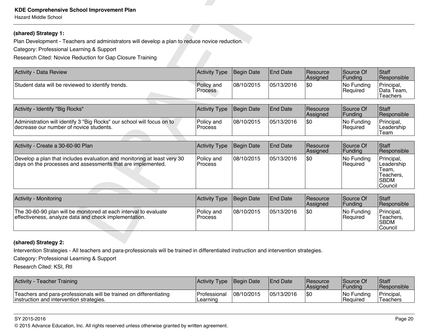#### **(shared) Strategy 1:**

| <b>KDE Comprehensive School Improvement Plan</b><br><b>Hazard Middle School</b>                                                                                                                                                  |                       |                   |                 |                      |                                   |                                                                          |
|----------------------------------------------------------------------------------------------------------------------------------------------------------------------------------------------------------------------------------|-----------------------|-------------------|-----------------|----------------------|-----------------------------------|--------------------------------------------------------------------------|
| (shared) Strategy 1:<br>Plan Development - Teachers and administrators will develop a plan to reduce novice reduction.<br>Category: Professional Learning & Support<br>Research Cited: Novice Reduction for Gap Closure Training |                       |                   |                 |                      |                                   |                                                                          |
| Activity - Data Review                                                                                                                                                                                                           | <b>Activity Type</b>  | <b>Begin Date</b> | <b>End Date</b> | Resource             | Source Of                         | Staff                                                                    |
| Student data will be reviewed to identify trends.                                                                                                                                                                                | Policy and<br>Process | 08/10/2015        | 05/13/2016      | Assigned<br> \$0     | Funding<br>No Funding<br>Required | Responsible<br>Principal,<br>Data Team,<br><b>Teachers</b>               |
| Activity - Identify "Big Rocks"                                                                                                                                                                                                  | <b>Activity Type</b>  | <b>Begin Date</b> | <b>End Date</b> | Resource<br>Assigned | Source Of<br>Funding              | Staff<br>Responsible                                                     |
| Administration will identify 3 "Big Rocks" our school will focus on to<br>decrease our number of novice students.                                                                                                                | Policy and<br>Process | 08/10/2015        | 05/13/2016      | l\$0                 | No Funding<br>Required            | Principal,<br>Leadership<br>Team                                         |
| Activity - Create a 30-60-90 Plan                                                                                                                                                                                                | <b>Activity Type</b>  | <b>Begin Date</b> | <b>End Date</b> | Resource<br>Assigned | Source Of<br>Funding              | Staff<br>Responsible                                                     |
| Develop a plan that includes evaluation and monitoring at least very 30<br>days on the processes and assessments that are implemented.                                                                                           | Policy and<br>Process | 08/10/2015        | 05/13/2016      | l\$0                 | No Funding<br>Required            | Principal,<br>Leadership<br>Team,<br>Teachers,<br><b>SBDM</b><br>Council |
| Activity - Monitoring                                                                                                                                                                                                            | <b>Activity Type</b>  | <b>Begin Date</b> | <b>End Date</b> | Resource<br>Assigned | Source Of<br>Funding              | Staff<br>Responsible                                                     |
| The 30-60-90 plan will be monitored at each interval to evaluate<br>effectiveness, analyze data and check implementation.                                                                                                        | Policy and<br>Process | 08/10/2015        | 05/13/2016      | l\$0                 | No Funding<br>Required            | Principal,<br>Teachers,<br><b>SBDM</b><br>Council                        |

#### **(shared) Strategy 2:**

Intervention Strategies - All teachers and para-professionals will be trained in differentiated instruction and intervention strategies.

Category: Professional Learning & Support

Research Cited: KSI, RtI

| <b>Activity - Teacher Training</b>                                                                              | Activity Type                   | Begin Date | <b>End Date</b> | <b>Resource</b><br><b>Assigned</b> | lSource Of<br><b>Funding</b>         | <sup>1</sup> Staff<br><b>Responsible</b> |
|-----------------------------------------------------------------------------------------------------------------|---------------------------------|------------|-----------------|------------------------------------|--------------------------------------|------------------------------------------|
| Teachers and para-professionals will be trained on differentiating<br>linstruction and intervention strategies. | <b>Professional</b><br>Learning | 08/10/2015 | 05/13/2016      | \$0                                | No Funding<br><i><b>Required</b></i> | Principal,<br>Teachers                   |

#### SY 2015-2016 Page 20

© 2015 Advance Education, Inc. All rights reserved unless otherwise granted by written agreement.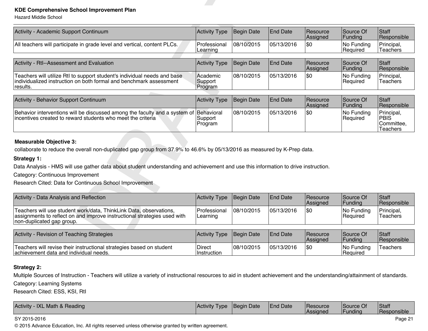| <b>KDE Comprehensive School Improvement Plan</b><br><b>Hazard Middle School</b>                                                                                                                                                                                                                                                                      |                                |                   |                 |                      |                        |                                                     |
|------------------------------------------------------------------------------------------------------------------------------------------------------------------------------------------------------------------------------------------------------------------------------------------------------------------------------------------------------|--------------------------------|-------------------|-----------------|----------------------|------------------------|-----------------------------------------------------|
| Activity - Academic Support Continuum                                                                                                                                                                                                                                                                                                                | <b>Activity Type</b>           | <b>Begin Date</b> | <b>End Date</b> | Resource<br>Assigned | Source Of<br>Funding   | <b>Staff</b><br>Responsible                         |
| All teachers will participate in grade level and vertical, content PLCs.                                                                                                                                                                                                                                                                             | Professional<br>Learning       | 08/10/2015        | 05/13/2016      | l\$0                 | No Funding<br>Required | Principal,<br><b>Teachers</b>                       |
| Activity - RtI--Assessment and Evaluation                                                                                                                                                                                                                                                                                                            | <b>Activity Type</b>           | <b>Begin Date</b> | <b>End Date</b> | Resource<br>Assigned | Source Of<br>Funding   | Staff<br>Responsible                                |
| Teachers will utilize RtI to support student's individual needs and base<br>individualized instruction on both formal and benchmark assessment<br>results.                                                                                                                                                                                           | Academic<br>Support<br>Program | 08/10/2015        | 05/13/2016      | l\$0                 | No Funding<br>Required | Principal,<br>Teachers                              |
| Activity - Behavior Support Continuum                                                                                                                                                                                                                                                                                                                | <b>Activity Type</b>           | <b>Begin Date</b> | End Date        | Resource<br>Assigned | Source Of<br>Funding   | Staff<br>Responsible                                |
| Behavior interventions will be discussed among the faculty and a system of Behavioral<br>incentives created to reward students who meet the criteria                                                                                                                                                                                                 | Support<br>Program             | 08/10/2015        | 105/13/2016     | l\$0                 | No Funding<br>Required | Principal,<br><b>PBIS</b><br>Committee,<br>Teachers |
| <b>Measurable Objective 3:</b><br>collaborate to reduce the overall non-duplicated gap group from 37.9% to 46.6% by 05/13/2016 as measured by K-Prep data.<br>Strategy 1:<br>Data Analysis - HMS will use gather data about student understanding and achievement and use this information to drive instruction.<br>Category: Continuous Improvement |                                |                   |                 |                      |                        |                                                     |
| Research Cited: Data for Continuous School Improvement                                                                                                                                                                                                                                                                                               |                                |                   |                 |                      |                        |                                                     |
| Activity - Data Analysis and Reflection                                                                                                                                                                                                                                                                                                              | <b>Activity Type</b>           | <b>Begin Date</b> | <b>End Date</b> | Resource<br>Assigned | Source Of<br>Funding   | <b>Staff</b><br>Responsible                         |
| Teachers will use student work/data, ThinkLink Data, observations,<br>assignments to reflect on and improve instructional strategies used with<br>non-duplicated gap group.                                                                                                                                                                          | Professional<br>Learning       | 08/10/2015        | 05/13/2016      | l\$0                 | No Funding<br>Required | Principal,<br>Teachers                              |
| Activity - Revision of Teaching Strategies                                                                                                                                                                                                                                                                                                           | <b>Activity Type</b>           | <b>Begin Date</b> | End Date        | Resource<br>Assigned | Source Of<br>Funding   | Staff<br>Responsible                                |

#### **Measurable Objective 3:**

#### **Strategy 1:**

| Activity - Data Analysis and Reflection                                                                                                                                      | Activity Type Begin Date          |            | <b>IEnd Date</b> | <b>Resource</b><br><b>Assigned</b> | Source Of<br> Fundina      | Staff<br><b>Responsible</b> |
|------------------------------------------------------------------------------------------------------------------------------------------------------------------------------|-----------------------------------|------------|------------------|------------------------------------|----------------------------|-----------------------------|
| Teachers will use student work/data, ThinkLink Data, observations,<br>assignments to reflect on and improve instructional strategies used with<br> non-duplicated gap group. | <b>IProfessional</b><br> Learning | 08/10/2015 | 05/13/2016       | 1\$0                               | $ No$ Funding<br> Reauired | 'Principal,<br>Teachers     |

| Activity - Revision of Teaching Strategies                                                                     | <b>Activity Type</b>           | <b>IBeain Date</b> | <b>IEnd Date</b> | <b>IResource</b><br><b>Assigned</b> | lSource Of<br><b>IFundina</b> | <b>Staff</b><br>Responsible |
|----------------------------------------------------------------------------------------------------------------|--------------------------------|--------------------|------------------|-------------------------------------|-------------------------------|-----------------------------|
| Teachers will revise their instructional strategies based on student<br>achievement data and individual needs. | <b>Direct</b><br>I Instruction | 08/10/2015         | 05/13/2016       | \$0                                 | No Funding<br> Reauired       | Teachers                    |

#### **Strategy 2:**

Multiple Sources of Instruction - Teachers will utilize a variety of instructional resources to aid in student achievement and the understanding/attainment of standards.

Category: Learning Systems

Research Cited: ESS, KSI, RtI

| Activity<br>IXL Math & Reading | $\blacksquare$ Activity<br>I vpe | Begin Date | End Date | <b>I</b> Resource<br>Assigned | Source Of<br>Funding | Staff<br><b>Responsible</b> |
|--------------------------------|----------------------------------|------------|----------|-------------------------------|----------------------|-----------------------------|
|--------------------------------|----------------------------------|------------|----------|-------------------------------|----------------------|-----------------------------|

#### SY 2015-2016 Page 21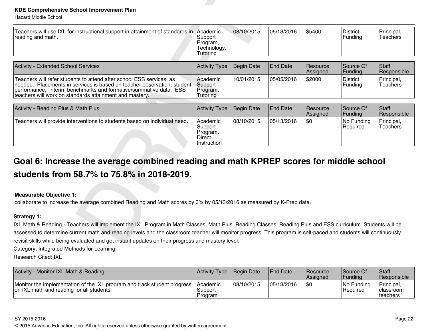| Academic<br>Support<br>Program,                                 | 08/10/2015                                                                                                                                                                                                            | 05/13/2016      | \$5400               | <b>District</b><br>Funding                                                                                                                                  | Principal,<br>Teachers                                                                           |
|-----------------------------------------------------------------|-----------------------------------------------------------------------------------------------------------------------------------------------------------------------------------------------------------------------|-----------------|----------------------|-------------------------------------------------------------------------------------------------------------------------------------------------------------|--------------------------------------------------------------------------------------------------|
| Tutoring                                                        |                                                                                                                                                                                                                       |                 |                      |                                                                                                                                                             |                                                                                                  |
| Activity Type                                                   | <b>Begin Date</b>                                                                                                                                                                                                     | <b>End Date</b> | Resource<br>Assigned | Source Of<br>Funding                                                                                                                                        | Staff<br>Responsible                                                                             |
| Academic<br>Support<br>Program,<br>Tutoring                     | 10/01/2015                                                                                                                                                                                                            | 05/05/2016      | \$2000               | <b>District</b><br>Funding                                                                                                                                  | Principal,<br><b>Teachers</b>                                                                    |
| <b>Activity Type</b>                                            | <b>Begin Date</b>                                                                                                                                                                                                     | <b>End Date</b> | Resource             | Source Of                                                                                                                                                   | Staff<br>Responsible                                                                             |
| Academic<br>Support<br>Program,<br><b>Direct</b><br>Instruction | 08/10/2015                                                                                                                                                                                                            | 05/13/2016      | \$0                  | No Funding<br>Required                                                                                                                                      | Principal,<br><b>Teachers</b>                                                                    |
|                                                                 |                                                                                                                                                                                                                       |                 |                      |                                                                                                                                                             |                                                                                                  |
|                                                                 |                                                                                                                                                                                                                       |                 |                      |                                                                                                                                                             |                                                                                                  |
|                                                                 |                                                                                                                                                                                                                       |                 |                      |                                                                                                                                                             |                                                                                                  |
|                                                                 |                                                                                                                                                                                                                       |                 |                      |                                                                                                                                                             |                                                                                                  |
|                                                                 |                                                                                                                                                                                                                       |                 |                      |                                                                                                                                                             |                                                                                                  |
|                                                                 |                                                                                                                                                                                                                       |                 |                      | IXL Math & Reading - Teachers will implement the IXL Program in Math Classes, Math Plus, Reading Classes, Reading Plus and ESS curriculum. Students will be |                                                                                                  |
|                                                                 | Teachers will use IXL for instructional support in attainment of standards in<br>Technology,<br>needed. Placements in services is based on teacher observation, student<br>students from 58.7% to 75.8% in 2018-2019. |                 |                      | Assigned<br>collaborate to increase the average combined Reading and Math scores by 3% by 05/13/2016 as measured by K-Prep data.                            | Funding<br>Goal 6: Increase the average combined reading and math KPREP scores for middle school |

# **Goal 6: Increase the average combined reading and math KPREP scores for middle school students from 58.7% to 75.8% in 2018-2019.**

#### **Measurable Objective 1:**

#### **Strategy 1:**

Category: Integrated Methods for Learning

Research Cited: IXL

| Activity - Monitor IXL Math & Reading                                                                                 | Activity Type Begin Date              |             | <b>IEnd Date</b> | <b>Resource</b><br><b>Assigned</b> | Source Of<br><b>IFundina</b>   | Staff<br><b>Responsible</b>                         |
|-----------------------------------------------------------------------------------------------------------------------|---------------------------------------|-------------|------------------|------------------------------------|--------------------------------|-----------------------------------------------------|
| Monitor the implementation of the IXL program and track student progress<br>on IXL math and reading for all students. | <b>Academic</b><br>Support<br>Program | 108/10/2015 | 05/13/2016       | \$0                                | INo Fundina<br><b>Required</b> | Principal,<br><b>Iclassroom</b><br><b>Iteachers</b> |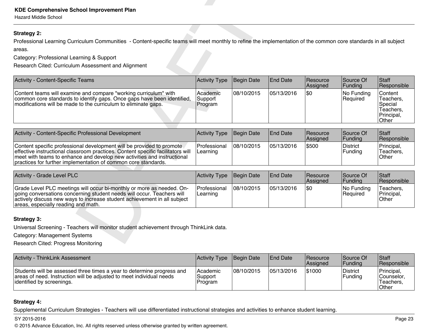#### **Strategy 2:**

| <b>KDE Comprehensive School Improvement Plan</b><br><b>Hazard Middle School</b>                                                                                                                                                                                                                       |                                |                   |                 |                      |                            |                                                                     |
|-------------------------------------------------------------------------------------------------------------------------------------------------------------------------------------------------------------------------------------------------------------------------------------------------------|--------------------------------|-------------------|-----------------|----------------------|----------------------------|---------------------------------------------------------------------|
| <b>Strategy 2:</b>                                                                                                                                                                                                                                                                                    |                                |                   |                 |                      |                            |                                                                     |
| Professional Learning Curriculum Communities - Content-specific teams will meet monthly to refine the implementation of the common core standards in all subject                                                                                                                                      |                                |                   |                 |                      |                            |                                                                     |
| areas.                                                                                                                                                                                                                                                                                                |                                |                   |                 |                      |                            |                                                                     |
| Category: Professional Learning & Support                                                                                                                                                                                                                                                             |                                |                   |                 |                      |                            |                                                                     |
| Research Cited: Curriculum Assessment and Alignment                                                                                                                                                                                                                                                   |                                |                   |                 |                      |                            |                                                                     |
| Activity - Content-Specific Teams                                                                                                                                                                                                                                                                     | Activity Type                  | <b>Begin Date</b> | <b>End Date</b> | Resource<br>Assigned | Source Of<br>Funding       | Staff<br>Responsible                                                |
| Content teams will examine and compare "working curriculum" with<br>common core standards to identify gaps. Once gaps have been identified,<br>modifications will be made to the curriculum to eliminate gaps.                                                                                        | Academic<br>Support<br>Program | 08/10/2015        | 05/13/2016      | \$0                  | No Funding<br>Required     | Content<br>Teachers,<br>Special<br>Teachers,<br>Principal,<br>Other |
|                                                                                                                                                                                                                                                                                                       |                                |                   |                 |                      |                            |                                                                     |
| Activity - Content-Specific Professional Development                                                                                                                                                                                                                                                  | <b>Activity Type</b>           | Begin Date        | <b>End Date</b> | Resource<br>Assigned | Source Of<br>Funding       | Staff<br>Responsible                                                |
| Content specific professional development will be provided to promote<br>effective instructional classroom practices. Content specific facilitators will<br>meet with teams to enhance and develop new activities and instructional<br>practices for further implementation of common core standards. | Professional<br>Learning       | 08/10/2015        | 05/13/2016      | \$500                | <b>District</b><br>Funding | Principal,<br>Teachers,<br>Other                                    |
|                                                                                                                                                                                                                                                                                                       |                                |                   |                 |                      |                            |                                                                     |
| Activity - Grade Level PLC                                                                                                                                                                                                                                                                            | <b>Activity Type</b>           | Begin Date        | <b>End Date</b> | Resource<br>Assigned | Source Of<br>Funding       | <b>Staff</b><br>Responsible                                         |
| Grade Level PLC meetings will occur bi-monthly or more as needed. On-<br>going conversations concerning student needs will occur. Teachers will<br>actively discuss new ways to increase student achievement in all subject<br>areas, especially reading and math.                                    | Professional<br>Learning       | 08/10/2015        | 05/13/2016      | \$0                  | No Funding<br>Required     | Teachers.<br>Principal,<br>Other                                    |
|                                                                                                                                                                                                                                                                                                       |                                |                   |                 |                      |                            |                                                                     |
| <b>Strategy 3:</b>                                                                                                                                                                                                                                                                                    |                                |                   |                 |                      |                            |                                                                     |
| Universal Screening - Teachers will monitor student achievement through ThinkLink data.                                                                                                                                                                                                               |                                |                   |                 |                      |                            |                                                                     |
| Category: Management Systems                                                                                                                                                                                                                                                                          |                                |                   |                 |                      |                            |                                                                     |
| Docograph Citad: Drogrape Monitoring                                                                                                                                                                                                                                                                  |                                |                   |                 |                      |                            |                                                                     |

| Activity - Content-Specific Professional Development                                                                                                                                                                                                                                                  | Activity Type Begin Date          |             | <b>End Date</b> | <b>IResource</b><br>Assigned | Source Of<br> Fundina      | <b>Staff</b><br><b>Responsible</b> |
|-------------------------------------------------------------------------------------------------------------------------------------------------------------------------------------------------------------------------------------------------------------------------------------------------------|-----------------------------------|-------------|-----------------|------------------------------|----------------------------|------------------------------------|
| Content specific professional development will be provided to promote<br>effective instructional classroom practices. Content specific facilitators will<br>meet with teams to enhance and develop new activities and instructional<br>practices for further implementation of common core standards. | <b>IProfessional</b><br>ILearning | 108/10/2015 | 105/13/2016     | \$500                        | District<br><b>Funding</b> | Principal,<br>Teachers.<br>Other   |

| Activity - Grade Level PLC                                                                                                                                                                                                                                         | Activity Type Begin Date |             | <b>End Date</b> | <b>IResource</b><br><b>Assigned</b> | Source Of<br><b>Funding</b> | <b>Staff</b><br><b>Responsible</b>      |
|--------------------------------------------------------------------------------------------------------------------------------------------------------------------------------------------------------------------------------------------------------------------|--------------------------|-------------|-----------------|-------------------------------------|-----------------------------|-----------------------------------------|
| Grade Level PLC meetings will occur bi-monthly or more as needed. On-<br>going conversations concerning student needs will occur. Teachers will<br>actively discuss new ways to increase student achievement in all subject<br>areas, especially reading and math. | Professional<br>Learning | 108/10/2015 | 105/13/2016     | 1\$C                                | $ No$ Funding<br>Required   | Teachers.<br>Principal,<br><b>Other</b> |

#### **Strategy 3:**

Research Cited: Progress Monitoring

| Activity - ThinkLink Assessment                                                                                                                                            | Activity Type                    | Begin Date  | <b>End Date</b> | <b>Resource</b><br><b>Assigned</b> | <b>Source Of</b><br> Funding | Staff<br><b>Responsible</b>                           |
|----------------------------------------------------------------------------------------------------------------------------------------------------------------------------|----------------------------------|-------------|-----------------|------------------------------------|------------------------------|-------------------------------------------------------|
| Students will be assessed three times a year to determine progress and<br>areas of need. Instruction will be adjusted to meet individual needs<br>dentified by screenings. | l Academic<br>Support<br>Program | 108/10/2015 | 105/13/2016     | \$1000                             | District<br>Funding          | Principal,<br>Counselor.<br>Teachers.<br><b>Other</b> |

#### **Strategy 4:**

Supplemental Curriculum Strategies - Teachers will use differentiated instructional strategies and activities to enhance student learning.

#### SY 2015-2016 Page 23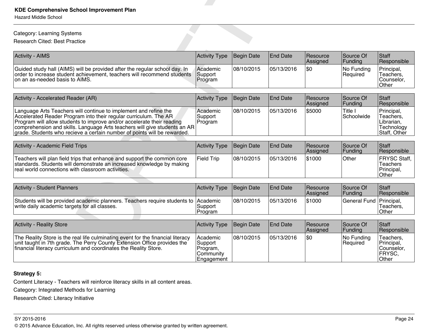#### Category: Learning Systems

| <b>KDE Comprehensive School Improvement Plan</b><br><b>Hazard Middle School</b>                                                                                                                                                                                                                                                                                         |                                                            |                   |                 |                      |                         |                                                                     |
|-------------------------------------------------------------------------------------------------------------------------------------------------------------------------------------------------------------------------------------------------------------------------------------------------------------------------------------------------------------------------|------------------------------------------------------------|-------------------|-----------------|----------------------|-------------------------|---------------------------------------------------------------------|
| Category: Learning Systems<br><b>Research Cited: Best Practice</b>                                                                                                                                                                                                                                                                                                      |                                                            |                   |                 |                      |                         |                                                                     |
| <b>Activity - AIMS</b>                                                                                                                                                                                                                                                                                                                                                  | Activity Type                                              | <b>Begin Date</b> | <b>End Date</b> | Resource<br>Assigned | Source Of<br>Funding    | <b>Staff</b><br>Responsible                                         |
| Guided study hall (AIMS) will be provided after the regular school day. In<br>order to increase student achievement, teachers will recommend students<br>on an as-needed basis to AIMS.                                                                                                                                                                                 | Academic<br>Support<br>Program                             | 08/10/2015        | 05/13/2016      | \$0                  | No Funding<br>Required  | Principal,<br>Teachers.<br>Counselor,<br>Other                      |
|                                                                                                                                                                                                                                                                                                                                                                         |                                                            |                   |                 |                      |                         |                                                                     |
| Activity - Accelerated Reader (AR)                                                                                                                                                                                                                                                                                                                                      | Activity Type                                              | Begin Date        | <b>End Date</b> | Resource<br>Assigned | Source Of<br>Funding    | <b>Staff</b><br>Responsible                                         |
| Language Arts Teachers will continue to implement and refine the<br>Accelerated Reader Program into their regular curriculum. The AR<br>Program will allow students to improve and/or accelerate their reading<br>comprehension and skills. Language Arts teachers will give students an AR<br>grade. Students who recieve a certain number of points will be rewarded. | Academic<br>Support<br>Program                             | 08/10/2015        | 05/13/2016      | \$5000               | Title I<br>Schoolwide   | Principal,<br>Teachers,<br>Librarian.<br>Technology<br>Staff, Other |
|                                                                                                                                                                                                                                                                                                                                                                         |                                                            |                   |                 |                      |                         |                                                                     |
| Activity - Academic Field Trips                                                                                                                                                                                                                                                                                                                                         | <b>Activity Type</b>                                       | <b>Begin Date</b> | <b>End Date</b> | Resource<br>Assigned | Source Of<br>Funding    | <b>Staff</b><br>Responsible                                         |
| Teachers will plan field trips that enhance and support the common core<br>standards. Students will demonstrate an increased knowledge by making<br>real world connections with classroom activities.                                                                                                                                                                   | <b>Field Trip</b>                                          | 08/10/2015        | 05/13/2016      | \$1000               | Other                   | FRYSC Staff,<br>Teachers<br>Principal,<br>Other                     |
|                                                                                                                                                                                                                                                                                                                                                                         |                                                            |                   |                 |                      |                         |                                                                     |
| <b>Activity - Student Planners</b>                                                                                                                                                                                                                                                                                                                                      | <b>Activity Type</b>                                       | <b>Begin Date</b> | <b>End Date</b> | Resource<br>Assigned | Source Of<br>Funding    | <b>Staff</b><br>Responsible                                         |
| Students will be provided academic planners. Teachers require students to Academic<br>write daily academic targets for all classes.                                                                                                                                                                                                                                     | Support<br>Program                                         | 08/10/2015        | 05/13/2016      | 51000                | General Fund Principal, | Teachers.<br>Other                                                  |
|                                                                                                                                                                                                                                                                                                                                                                         |                                                            |                   |                 |                      |                         |                                                                     |
| <b>Activity - Reality Store</b>                                                                                                                                                                                                                                                                                                                                         | <b>Activity Type</b>                                       | <b>Begin Date</b> | <b>End Date</b> | Resource<br>Assigned | Source Of<br>Funding    | <b>Staff</b><br>Responsible                                         |
| The Reality Store is the real life culminating event for the financial literacy<br>unit taught in 7th grade. The Perry County Extension Office provides the<br>financial literacy curriculum and coordinates the Reality Store.                                                                                                                                         | Academic<br>Support<br>Program,<br>Community<br>Engagement | 08/10/2015        | 05/13/2016      | l\$0                 | No Funding<br>Required  | Teachers,<br>Principal,<br>Counselor,<br>FRYSC,<br>Other            |

#### **Strategy 5:**

Content Literacy - Teachers will reinforce literacy skills in all content areas.

Category: Integrated Methods for Learning

Research Cited: Literacy Initiative

#### SY 2015-2016 Page 24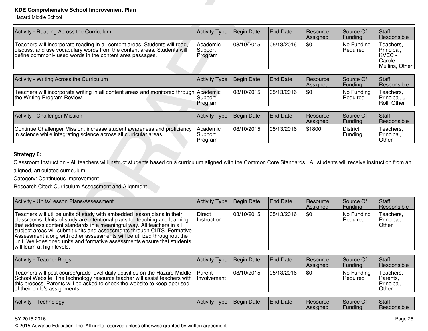| <b>KDE Comprehensive School Improvement Plan</b>                                                                                                                                                                                                                                                                                                                                                                                                                     |                                |                   |                 |                      |                        |                                                               |
|----------------------------------------------------------------------------------------------------------------------------------------------------------------------------------------------------------------------------------------------------------------------------------------------------------------------------------------------------------------------------------------------------------------------------------------------------------------------|--------------------------------|-------------------|-----------------|----------------------|------------------------|---------------------------------------------------------------|
| <b>Hazard Middle School</b>                                                                                                                                                                                                                                                                                                                                                                                                                                          |                                |                   |                 |                      |                        |                                                               |
| Activity - Reading Across the Curriculum                                                                                                                                                                                                                                                                                                                                                                                                                             | <b>Activity Type</b>           | <b>Begin Date</b> | <b>End Date</b> | Resource<br>Assigned | Source Of<br>Funding   | Staff<br>Responsible                                          |
| Teachers will incorporate reading in all content areas. Students will read,<br>discuss, and use vocabulary words from the content areas. Students will<br>define commonly used words in the content area passages.                                                                                                                                                                                                                                                   | Academic<br>Support<br>Program | 08/10/2015        | 05/13/2016      | \$0                  | No Funding<br>Required | Teachers.<br>Principal,<br>KVEC -<br>Carole<br>Mullins, Other |
| Activity - Writing Across the Curriculum                                                                                                                                                                                                                                                                                                                                                                                                                             | Activity Type                  | <b>Begin Date</b> | <b>End Date</b> | Resource<br>Assigned | Source Of<br>Funding   | Staff<br>Responsible                                          |
| Teachers will incorporate writing in all content areas and monitored through Academic<br>the Writing Program Review.                                                                                                                                                                                                                                                                                                                                                 | Support<br>Program             | 08/10/2015        | 05/13/2016      | \$0                  | No Funding<br>Required | Teachers,<br>Principal, J.<br>Roll, Other                     |
| Activity - Challenger Mission                                                                                                                                                                                                                                                                                                                                                                                                                                        | Activity Type                  | <b>Begin Date</b> | <b>End Date</b> | Resource<br>Assigned | Source Of<br>Funding   | Staff<br>Responsible                                          |
| Continue Challenger Mission, increase student awareness and proficiency<br>in science while integrating science across all curricular areas.                                                                                                                                                                                                                                                                                                                         | Academic<br>Support<br>Program | 08/10/2015        | 05/13/2016      | \$1800               | District<br>Funding    | Teachers,<br>Principal,<br>Other                              |
| Strategy 6:                                                                                                                                                                                                                                                                                                                                                                                                                                                          |                                |                   |                 |                      |                        |                                                               |
| Classroom Instruction - All teachers will instruct students based on a curriculum aligned with the Common Core Standards. All students will receive instruction from an                                                                                                                                                                                                                                                                                              |                                |                   |                 |                      |                        |                                                               |
| aligned, articulated curriculum.                                                                                                                                                                                                                                                                                                                                                                                                                                     |                                |                   |                 |                      |                        |                                                               |
| Category: Continuous Improvement                                                                                                                                                                                                                                                                                                                                                                                                                                     |                                |                   |                 |                      |                        |                                                               |
| Research Cited: Curriculum Assessment and Alignment                                                                                                                                                                                                                                                                                                                                                                                                                  |                                |                   |                 |                      |                        |                                                               |
| Activity - Units/Lesson Plans/Assessment                                                                                                                                                                                                                                                                                                                                                                                                                             | Activity Type                  | <b>Begin Date</b> | <b>End Date</b> | Resource<br>Assigned | Source Of<br>Funding   | Staff<br>Responsible                                          |
| Teachers will utilize units of study with embedded lesson plans in their<br>classrooms. Units of study are intentional plans for teaching and learning<br>that address content standards in a meaningful way. All teachers in all<br>subject areas will submit units and assessments through CIITS. Formative<br>Assessment along with other assessments will be utilized throughout the<br>unit. Well-designed units and formative assessments ensure that students | <b>Direct</b><br>Instruction   | 08/10/2015        | 05/13/2016      | \$0                  | No Funding<br>Required | Teachers,<br>Principal,<br>Other                              |

#### **Strategy 6:**

| Activity - Units/Lesson Plans/Assessment                                                                                                                                                                                                                                                                                                                                                                                                                                                           | <b>Activity Type</b>          | Begin Date  | <b>End Date</b> | <b>Resource</b><br>Assigned | Source Of<br> Funding  | Staff<br>Responsible                    |
|----------------------------------------------------------------------------------------------------------------------------------------------------------------------------------------------------------------------------------------------------------------------------------------------------------------------------------------------------------------------------------------------------------------------------------------------------------------------------------------------------|-------------------------------|-------------|-----------------|-----------------------------|------------------------|-----------------------------------------|
| Teachers will utilize units of study with embedded lesson plans in their<br>classrooms. Units of study are intentional plans for teaching and learning<br>that address content standards in a meaningful way. All teachers in all<br>subject areas will submit units and assessments through CIITS. Formative<br>Assessment along with other assessments will be utilized throughout the<br>unit. Well-designed units and formative assessments ensure that students<br>will learn at high levels. | <b>Direct</b><br>IInstruction | 108/10/2015 | 105/13/2016     | 1\$0                        | No Funding<br>Required | Teachers,<br>Principal,<br><b>Other</b> |

| <b>Activity - Teacher Blogs</b>                                                                                                                                                                                                                                                      | Activity Type Begin Date |             | <b>End Date</b> | <b>Resource</b><br>Assigned | Source Of<br><b>Funding</b> | Staff<br><b>Responsible</b>                     |
|--------------------------------------------------------------------------------------------------------------------------------------------------------------------------------------------------------------------------------------------------------------------------------------|--------------------------|-------------|-----------------|-----------------------------|-----------------------------|-------------------------------------------------|
| Teachers will post course/grade level daily activities on the Hazard Middle<br>School Website. The technology resource teacher will assist teachers with   Involvement<br>this process. Parents will be asked to check the website to keep apprised<br>of their child's assignments. | <b>IParent</b>           | 108/10/2015 | 05/13/2016      | 1\$0                        | No Funding<br> Reauired     | 'Teachers,<br> Parents,<br>Principal,<br> Other |

|  | Activity<br>l echnoloav. | ⊺Activity<br><i>I</i> vpe | Begin Date | End Date | l Resource<br>Assianec | Source Of<br>Funding | <b>Staff</b><br>Responsible |
|--|--------------------------|---------------------------|------------|----------|------------------------|----------------------|-----------------------------|
|--|--------------------------|---------------------------|------------|----------|------------------------|----------------------|-----------------------------|

#### SY 2015-2016 Page 25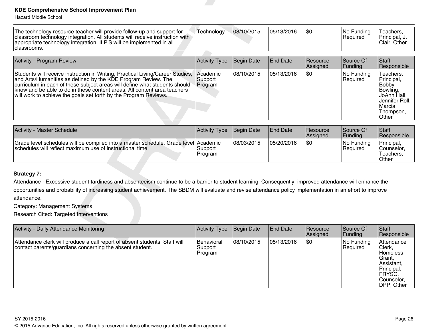| <b>KDE Comprehensive School Improvement Plan</b><br><b>Hazard Middle School</b>                                                                                                                                                                                                                                                                                               |                                |                   |                 |                      |                        |                                                                                                                      |
|-------------------------------------------------------------------------------------------------------------------------------------------------------------------------------------------------------------------------------------------------------------------------------------------------------------------------------------------------------------------------------|--------------------------------|-------------------|-----------------|----------------------|------------------------|----------------------------------------------------------------------------------------------------------------------|
| The technology resource teacher will provide follow-up and support for<br>classroom technology integration. All students will receive instruction with<br>appropriate technology integration. ILP'S will be implemented in all<br>classrooms.                                                                                                                                 | Technology                     | 08/10/2015        | 05/13/2016      | \$0                  | No Funding<br>Required | Teachers,<br>Principal, J.<br>Clair, Other                                                                           |
| Activity - Program Review                                                                                                                                                                                                                                                                                                                                                     | <b>Activity Type</b>           | <b>Begin Date</b> | <b>End Date</b> | Resource<br>Assigned | Source Of<br>Funding   | <b>Staff</b><br>Responsible                                                                                          |
| Students will receive instruction in Writing, Practical Living/Career Studies,<br>and Arts/Humanities as defined by the KDE Program Review. The<br>curriculum in each of these subject areas will define what students should<br>know and be able to do in these content areas. All content area teachers<br>will work to achieve the goals set forth by the Program Reviews. | Academic<br>Support<br>Program | 08/10/2015        | 05/13/2016      | \$0                  | No Funding<br>Required | Teachers,<br>Principal,<br><b>Bobby</b><br>Bowling,<br>JoAnn Hall,<br>Jennifer Roll,<br>Marcia<br>Thompson,<br>Other |
| Activity - Master Schedule                                                                                                                                                                                                                                                                                                                                                    | <b>Activity Type</b>           | <b>Begin Date</b> | <b>End Date</b> | Resource<br>Assigned | Source Of<br>Funding   | <b>Staff</b><br>Responsible                                                                                          |
| Grade level schedules will be compiled into a master schedule. Grade level Academic<br>schedules will reflect maximum use of instructional time.                                                                                                                                                                                                                              | Support<br>Program             | 08/03/2015        | 05/20/2016      | \$0                  | No Funding<br>Required | Principal,<br>Counselor,<br>Teachers,<br>Other                                                                       |
| <b>Strategy 7:</b>                                                                                                                                                                                                                                                                                                                                                            |                                |                   |                 |                      |                        |                                                                                                                      |
| Attendance - Excessive student tardiness and absenteeism continue to be a barrier to student learning. Consequently, improved attendance will enhance the<br>opportunities and probability of increasing student achievement. The SBDM will evaluate and revise attendance policy implementation in an effort to improve<br>attendance.                                       |                                |                   |                 |                      |                        |                                                                                                                      |
| <b>Category: Management Systems</b>                                                                                                                                                                                                                                                                                                                                           |                                |                   |                 |                      |                        |                                                                                                                      |
| <b>Research Cited: Targeted Interventions</b>                                                                                                                                                                                                                                                                                                                                 |                                |                   |                 |                      |                        |                                                                                                                      |
| Activity - Daily Attendance Monitoring                                                                                                                                                                                                                                                                                                                                        | <b>Activity Type</b>           | <b>Begin Date</b> | <b>End Date</b> | Resource<br>Assigned | Source Of<br>Funding   | <b>Staff</b><br>Responsible                                                                                          |
| Attendance clerk will produce a call report of absent students. Staff will                                                                                                                                                                                                                                                                                                    | <b>Behavioral</b>              | 08/10/2015        | 05/13/2016      | \$0                  | No Fundina             | Attendance                                                                                                           |

| <b>Activity - Master Schedule</b>                                                                                                                | <b>Activity Type</b> | Begin Date  | <b>IEnd Date</b> | <b>IResource</b><br><b>Assigned</b> | Source Of<br> Fundina          | Staff<br><b>Responsible</b>                      |
|--------------------------------------------------------------------------------------------------------------------------------------------------|----------------------|-------------|------------------|-------------------------------------|--------------------------------|--------------------------------------------------|
| Grade level schedules will be compiled into a master schedule. Grade level Academic<br>schedules will reflect maximum use of instructional time. | Support<br>Program   | 108/03/2015 | 105/20/2016      | 1\$0                                | INo Fundina<br><b>Required</b> | Principal,<br>Counselor.<br>'Teachers.<br> Other |

#### **Strategy 7:**

| Activity - Daily Attendance Monitoring                                                                                                 | Activity Type                    | Begin Date  | <b>End Date</b> | <b>Resource</b><br>Assigned | Source Of<br> Funding  | Staff<br>Responsible                                                                                                                |
|----------------------------------------------------------------------------------------------------------------------------------------|----------------------------------|-------------|-----------------|-----------------------------|------------------------|-------------------------------------------------------------------------------------------------------------------------------------|
| Attendance clerk will produce a call report of absent students. Staff will<br>contact parents/guardians concerning the absent student. | Behavioral<br>Support<br>Program | 108/10/2015 | 105/13/2016     | <b>\\$0</b>                 | No Funding<br>Required | Attendance<br><sup>'</sup> Clerk,<br><b>Homeless</b><br>Grant,<br> Assistant.<br>Principal,<br> FRYSC.<br> Counselor.<br>DPP, Other |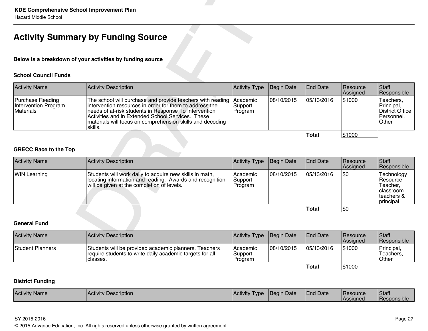# **Activity Summary by Funding Source**

#### **Below is a breakdown of your activities by funding source**

#### **School Council Funds**

| <b>Activity Name</b>                                  | Activity Description                                                                                                                                                                                                                                                                                         | Activity Type                           | Begin Date  | <b>End Date</b> | Resource<br>Assigned | <b>Staff</b><br>Responsible                                        |
|-------------------------------------------------------|--------------------------------------------------------------------------------------------------------------------------------------------------------------------------------------------------------------------------------------------------------------------------------------------------------------|-----------------------------------------|-------------|-----------------|----------------------|--------------------------------------------------------------------|
| Purchase Reading<br>Intervention Program<br>Materials | The school will purchase and provide teachers with reading<br>intervention resources in order for them to address the<br>Ineeds of at-risk students in Response To Intervention<br>Activities and in Extended School Services. These<br>materials will focus on comprehension skills and decoding<br>skills. | <b>Academic</b><br> Support<br> Program | 108/10/2015 | 105/13/2016     | \$1000               | Teachers.<br>Principal,<br>District Office<br>Personnel.<br> Other |
|                                                       |                                                                                                                                                                                                                                                                                                              |                                         |             | Total           | \$1000               |                                                                    |

#### **GRECC Race to the Top**

| <b>KDE Comprehensive School Improvement Plan</b><br><b>Hazard Middle School</b> |                                                                                                                                                                                                                                                                                                             |                                |                   |                 |                      |                                                                            |
|---------------------------------------------------------------------------------|-------------------------------------------------------------------------------------------------------------------------------------------------------------------------------------------------------------------------------------------------------------------------------------------------------------|--------------------------------|-------------------|-----------------|----------------------|----------------------------------------------------------------------------|
|                                                                                 | <b>Activity Summary by Funding Source</b>                                                                                                                                                                                                                                                                   |                                |                   |                 |                      |                                                                            |
|                                                                                 | Below is a breakdown of your activities by funding source                                                                                                                                                                                                                                                   |                                |                   |                 |                      |                                                                            |
| <b>School Council Funds</b>                                                     |                                                                                                                                                                                                                                                                                                             |                                |                   |                 |                      |                                                                            |
| <b>Activity Name</b>                                                            | <b>Activity Description</b>                                                                                                                                                                                                                                                                                 | <b>Activity Type</b>           | <b>Begin Date</b> | End Date        | Resource<br>Assigned | Staff<br>Responsible                                                       |
| <b>Purchase Reading</b><br>Intervention Program<br><b>Materials</b>             | The school will purchase and provide teachers with reading<br>intervention resources in order for them to address the<br>needs of at-risk students in Response To Intervention<br>Activities and in Extended School Services. These<br>materials will focus on comprehension skills and decoding<br>skills. | Academic<br>Support<br>Program | 08/10/2015        | 05/13/2016      | \$1000               | Teachers.<br>Principal,<br>District Office<br>Personnel,<br>Other          |
| <b>GRECC Race to the Top</b>                                                    |                                                                                                                                                                                                                                                                                                             |                                |                   | <b>Total</b>    | \$1000               |                                                                            |
| <b>Activity Name</b>                                                            | <b>Activity Description</b>                                                                                                                                                                                                                                                                                 | <b>Activity Type</b>           | <b>Begin Date</b> | End Date        | Resource<br>Assigned | Staff<br>Responsible                                                       |
| <b>WIN Learning</b>                                                             | Students will work daily to acquire new skills in math,<br>locating information and reading. Awards and recognition<br>will be given at the completion of levels.                                                                                                                                           | Academic<br>Support<br>Program | 08/10/2015        | 05/13/2016      | \$0                  | Technology<br>Resource<br>Teacher,<br>classroom<br>teachers &<br>principal |
|                                                                                 |                                                                                                                                                                                                                                                                                                             |                                |                   | <b>Total</b>    | ∣\$0                 |                                                                            |
| <b>General Fund</b>                                                             |                                                                                                                                                                                                                                                                                                             |                                |                   |                 |                      |                                                                            |
| <b>Activity Name</b>                                                            | <b>Activity Description</b>                                                                                                                                                                                                                                                                                 | <b>Activity Type</b>           | <b>Begin Date</b> | <b>End Date</b> | Resource<br>Assigned | Staff<br>Responsible                                                       |

#### **General Fund**

| <b>Activity Name</b> | Activity Description                                                                                                           | Activity Type   Begin Date       |            | <b>End Date</b> | <b>Resource</b><br><b>Assigned</b> | Staff<br>Responsible              |
|----------------------|--------------------------------------------------------------------------------------------------------------------------------|----------------------------------|------------|-----------------|------------------------------------|-----------------------------------|
| Student Planners     | Students will be provided academic planners. Teachers<br>require students to write daily academic targets for all<br>Iclasses. | l Academic<br>Support<br>Program | 08/10/2015 | 05/13/2016      | 1\$1000                            | Principal,<br>Teachers.<br> Other |
|                      |                                                                                                                                |                                  |            | Total           | 51000                              |                                   |

#### **District Funding**

| <b>Activity Name</b> | <b>Activity Description</b> | <b>Activity</b><br><b>Type</b> | <b>Begin</b><br>Date | <b>End Date</b> | <b>Resource</b><br>Assigned | Staff<br><b>Responsible</b> |
|----------------------|-----------------------------|--------------------------------|----------------------|-----------------|-----------------------------|-----------------------------|
|                      |                             |                                |                      |                 |                             |                             |

#### SY 2015-2016 Page 27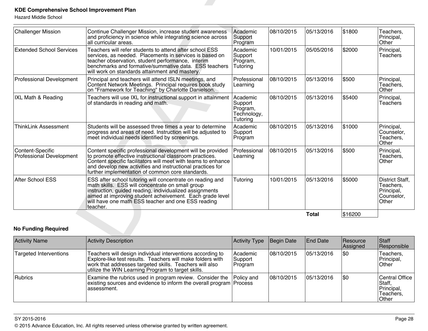| <b>No Funding Required</b>                   |                                                                                                                                                                                                                                                                                                          |                                                            |            |              |         |                                                                          |
|----------------------------------------------|----------------------------------------------------------------------------------------------------------------------------------------------------------------------------------------------------------------------------------------------------------------------------------------------------------|------------------------------------------------------------|------------|--------------|---------|--------------------------------------------------------------------------|
|                                              |                                                                                                                                                                                                                                                                                                          |                                                            |            | <b>Total</b> | \$16200 |                                                                          |
| After School ESS                             | ESS after school tutoring will concentrate on reading and<br>math skills. ESS will concentrate on small group<br>instruction, guided reading, individualized assignments<br>aimed at improving student acheivement. Each grade level<br>will have one math ESS teacher and one ESS reading<br>teacher.   | Tutoring                                                   | 10/01/2015 | 05/13/2016   | \$5000  | District Staff,<br>Teachers,<br>Principal,<br>Counselor,<br><b>Other</b> |
| Content-Specific<br>Professional Development | Content specific professional development will be provided<br>to promote effective instructional classroom practices.<br>Content specific facilitators will meet with teams to enhance<br>and develop new activities and instructional practices for<br>further implementation of common core standards. | Professional<br>Learning                                   | 08/10/2015 | 05/13/2016   | 5500    | Principal,<br>Teachers,<br>Other                                         |
| <b>ThinkLink Assessment</b>                  | Students will be assessed three times a year to determine<br>progress and areas of need. Instruction will be adjusted to<br>meet individual needs identified by screenings.                                                                                                                              | Academic<br> Support<br>Program                            | 08/10/2015 | 05/13/2016   | 51000   | Principal,<br>Counselor,<br>Teachers,<br>Other                           |
| <b>IXL Math &amp; Reading</b>                | Teachers will use IXL for instructional support in attainment<br>of standards in reading and math.                                                                                                                                                                                                       | Academic<br>Support<br>Program,<br>Technology,<br>Tutoring | 08/10/2015 | 05/13/2016   | \$5400  | Principal,<br><b>Teachers</b>                                            |
| <b>Professional Development</b>              | Principal and teachers will attend ISLN meetings, and<br>Content Network Meetings. Principal requires book study<br>on "Framework for Teaching" by Charlotte Danielson.                                                                                                                                  | Professional<br>Learning                                   | 08/10/2015 | 05/13/2016   | \$500   | Principal,<br>Teachers,<br>Other                                         |
| <b>Extended School Services</b>              | Teachers will refer students to attend after school ESS<br>services, as needed. Placements in services is based on<br>teacher observation, student performance, interim<br>benchmarks and formative/summative data. ESS teachers<br>will work on standards attainment and mastery.                       | Academic<br>Support<br>Program,<br>Tutoring                | 10/01/2015 | 05/05/2016   | \$2000  | Principal,<br><b>Teachers</b>                                            |
| <b>Challenger Mission</b>                    | Continue Challenger Mission, increase student awareness<br>and proficiency in science while integrating science across<br>all curricular areas.                                                                                                                                                          | Academic<br>Support<br>Program                             | 08/10/2015 | 05/13/2016   | \$1800  | Teachers,<br>Principal,<br>Other                                         |

| <b>Activity Name</b>          | Activity Description                                                                                                                                                                                                                      | <b>Activity Type</b>           | Begin Date | <b>End Date</b> | Resource<br>Assigned | Staff<br>Responsible                                                |
|-------------------------------|-------------------------------------------------------------------------------------------------------------------------------------------------------------------------------------------------------------------------------------------|--------------------------------|------------|-----------------|----------------------|---------------------------------------------------------------------|
| <b>Targeted Interventions</b> | Teachers will design individual interventions according to<br>Explore-like test results. Teachers will make folders with<br>work that addresses targeted skills. Teachers will also<br>utilize the WIN Learning Program to target skills. | Academic<br>Support<br>Program | 08/10/2015 | 05/13/2016      | \$0                  | Teachers.<br>Principal,<br>Other                                    |
| Rubrics                       | Examine the rubrics used in program review. Consider the Policy and<br>existing sources and evidence to inform the overall program Process<br>lassessment.                                                                                |                                | 08/10/2015 | 105/13/2016     | \$0                  | <b>Central Office</b><br>Staff,<br>Principal,<br>Teachers,<br>Other |

#### SY 2015-2016 Page 28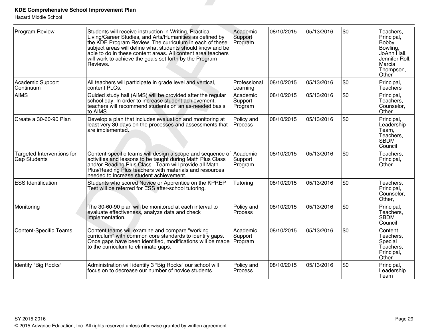| <b>KDE Comprehensive School Improvement Plan</b><br><b>Hazard Middle School</b> |                                                                                                                                                                                                                                                                                                                                                                                     |                                |            |            |            |                                                                                                               |
|---------------------------------------------------------------------------------|-------------------------------------------------------------------------------------------------------------------------------------------------------------------------------------------------------------------------------------------------------------------------------------------------------------------------------------------------------------------------------------|--------------------------------|------------|------------|------------|---------------------------------------------------------------------------------------------------------------|
| <b>Program Review</b>                                                           | Students will receive instruction in Writing, Practical<br>Living/Career Studies, and Arts/Humanities as defined by<br>the KDE Program Review. The curriculum in each of these<br>subject areas will define what students should know and be<br>able to do in these content areas. All content area teachers<br>will work to achieve the goals set forth by the Program<br>Reviews. | Academic<br>Support<br>Program | 08/10/2015 | 05/13/2016 | l\$0       | Teachers,<br>Principal,<br>Bobby<br>Bowling,<br>JoAnn Hall,<br>Jennifer Roll,<br>Marcia<br>Thompson,<br>Other |
| <b>Academic Support</b><br>Continuum                                            | All teachers will participate in grade level and vertical,<br>content PLCs.                                                                                                                                                                                                                                                                                                         | Professional<br>Learning       | 08/10/2015 | 05/13/2016 | \$0        | Principal,<br><b>Teachers</b>                                                                                 |
| <b>AIMS</b>                                                                     | Guided study hall (AIMS) will be provided after the regular<br>school day. In order to increase student achievement,<br>teachers will recommend students on an as-needed basis<br>∣to AIMS.                                                                                                                                                                                         | Academic<br>Support<br>Program | 08/10/2015 | 05/13/2016 | \$0        | Principal,<br>Teachers,<br>Counselor,<br>Other                                                                |
| Create a 30-60-90 Plan                                                          | Develop a plan that includes evaluation and monitoring at<br>least very 30 days on the processes and assessments that<br>are implemented.                                                                                                                                                                                                                                           | Policy and<br>Process          | 08/10/2015 | 05/13/2016 | l\$0       | Principal,<br>Leadership<br>Team,<br>Teachers,<br><b>SBDM</b><br>Council                                      |
| Targeted Interventions for<br>Gap Students                                      | Content-specific teams will design a scope and sequence of<br>activities and lessons to be taught during Math Plus Class<br>and/or Reading Plus Class. Team will provide all Math<br>Plus/Reading Plus teachers with materials and resources<br>needed to increase student achievement.                                                                                             | Academic<br>Support<br>Program | 08/10/2015 | 05/13/2016 | \$0        | Teachers,<br>Principal,<br>Other                                                                              |
| <b>ESS Identification</b>                                                       | Students who scored Novice or Apprentice on the KPREP<br>Test will be referred for ESS after-school tutoring.                                                                                                                                                                                                                                                                       | Tutoring                       | 08/10/2015 | 05/13/2016 | l\$0       | Teachers,<br>Principal,<br>Counselor,<br>Other,                                                               |
| Monitoring                                                                      | The 30-60-90 plan will be monitored at each interval to<br>evaluate effectiveness, analyze data and check<br>implementation.                                                                                                                                                                                                                                                        | Policy and<br>Process          | 08/10/2015 | 05/13/2016 | l\$0       | Principal,<br>Teachers.<br><b>SBDM</b><br>Council                                                             |
| Content-Specific Teams                                                          | Content teams will examine and compare "working"<br>curriculum" with common core standards to identify gaps.<br>Once gaps have been identified, modifications will be made Program<br>to the curriculum to eliminate gaps.                                                                                                                                                          | Academic<br>Support            | 08/10/2015 | 05/13/2016 | l\$0       | Content<br>Teachers,<br>Special<br>Teachers,<br>Principal,<br>Other                                           |
| Identify "Big Rocks"                                                            | Administration will identify 3 "Big Rocks" our school will<br>focus on to decrease our number of novice students.                                                                                                                                                                                                                                                                   | Policy and<br>Process          | 08/10/2015 | 05/13/2016 | <b>\$0</b> | Principal,<br>Leadership<br>Team                                                                              |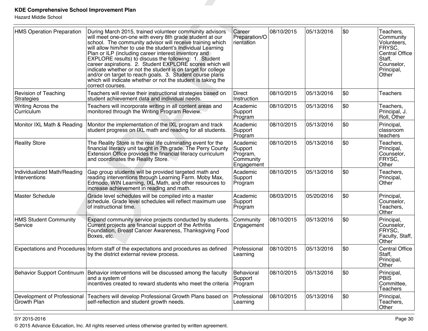| <b>KDE Comprehensive School Improvement Plan</b><br><b>Hazard Middle School</b> |                                                                                                                                                                                                                                                                                                                                                                                                                                                                                                                                                                                                                                              |                                                            |            |            |     |                                                                                                                         |
|---------------------------------------------------------------------------------|----------------------------------------------------------------------------------------------------------------------------------------------------------------------------------------------------------------------------------------------------------------------------------------------------------------------------------------------------------------------------------------------------------------------------------------------------------------------------------------------------------------------------------------------------------------------------------------------------------------------------------------------|------------------------------------------------------------|------------|------------|-----|-------------------------------------------------------------------------------------------------------------------------|
| <b>HMS Operation Preparation</b>                                                | During March 2015, trained volunteer community advisors<br>will meet one-on-one with every 8th grade student at our<br>school. The community advisor will receive training which<br>will allow him/her to use the student's Individual Learning<br>Plan or ILP (including career interest inventory and<br>EXPLORE results) to discuss the following: 1. Student<br>career aspirations. 2. Student EXPLORE scores which will<br>indicate whether or not the student is on target for college<br>and/or on target to reach goals. 3. Student course plans<br>which will indicate whether or not the student is taking the<br>correct courses. | Career<br>Preparation/O<br>rientation                      | 08/10/2015 | 05/13/2016 | \$0 | Teachers,<br>Community<br>Volunteers,<br>FRYSC,<br><b>Central Office</b><br>Staff,<br>Counselor,<br>Principal,<br>Other |
| <b>Revision of Teaching</b><br><b>Strategies</b>                                | Teachers will revise their instructional strategies based on<br>student achievement data and individual needs.                                                                                                                                                                                                                                                                                                                                                                                                                                                                                                                               | <b>Direct</b><br>Instruction                               | 08/10/2015 | 05/13/2016 | \$0 | <b>Teachers</b>                                                                                                         |
| Writing Across the<br>Curriculum                                                | Teachers will incorporate writing in all content areas and<br>monitored through the Writing Program Review.                                                                                                                                                                                                                                                                                                                                                                                                                                                                                                                                  | Academic<br>Support<br>Program                             | 08/10/2015 | 05/13/2016 | \$0 | Teachers.<br>Principal, J.<br>Roll, Other                                                                               |
| Monitor IXL Math & Reading                                                      | Monitor the implementation of the IXL program and track<br>student progress on IXL math and reading for all students.                                                                                                                                                                                                                                                                                                                                                                                                                                                                                                                        | Academic<br>Support<br>Program                             | 08/10/2015 | 05/13/2016 | \$0 | Principal,<br>classroom<br>teachers                                                                                     |
| <b>Reality Store</b>                                                            | The Reality Store is the real life culminating event for the<br>financial literacy unit taught in 7th grade. The Perry County<br>Extension Office provides the financial literacy curriculum<br>and coordinates the Reality Store.                                                                                                                                                                                                                                                                                                                                                                                                           | Academic<br>Support<br>Program,<br>Community<br>Engagement | 08/10/2015 | 05/13/2016 | \$0 | Teachers,<br>Principal,<br>Counselor,<br>FRYSC,<br>Other                                                                |
| Individualized Math/Reading<br>Interventions                                    | Gap group students will be provided targeted math and<br>reading interventions through Learning Farm. Moby Max,<br>Edmodo, WIN Learning, IXL Math, and other resources to<br>increase achievement in reading and math.                                                                                                                                                                                                                                                                                                                                                                                                                       | Academic<br>Support<br>Program                             | 08/10/2015 | 05/13/2016 | \$0 | Teachers,<br>Principal,<br>Other                                                                                        |
| Master Schedule                                                                 | Grade level schedules will be compiled into a master<br>schedule. Grade level schedules will reflect maximum use<br>of instructional time.                                                                                                                                                                                                                                                                                                                                                                                                                                                                                                   | Academic<br>Support<br>Program                             | 08/03/2015 | 05/20/2016 | \$0 | Principal,<br>Counselor,<br>Teachers,<br>Other                                                                          |
| <b>HMS Student Community</b><br>Service                                         | Expand community service projects conducted by students.<br>Current projects are financial support of the Arthritis<br>Foundation, Breast Cancer Awareness, Thanksgiving Food<br>Boxes, etc.                                                                                                                                                                                                                                                                                                                                                                                                                                                 | Community<br>Engagement                                    | 08/10/2015 | 05/13/2016 | \$0 | Principal,<br>Counselor,<br> FRYSC,<br>Faculty, Staff,<br>Other                                                         |
|                                                                                 | Expectations and Procedures Inform staff of the expectations and procedures as defined<br>by the district external review process.                                                                                                                                                                                                                                                                                                                                                                                                                                                                                                           | Professional<br>Learning                                   | 08/10/2015 | 05/13/2016 | \$0 | <b>Central Office</b><br>Staff,<br>Principal,<br>Other                                                                  |
| Behavior Support Continuum                                                      | Behavior interventions will be discussed among the faculty<br>and a system of<br>incentives created to reward students who meet the criteria                                                                                                                                                                                                                                                                                                                                                                                                                                                                                                 | Behavioral<br>Support<br>Program                           | 08/10/2015 | 05/13/2016 | \$0 | Principal,<br><b>PBIS</b><br>Committee,<br><b>Teachers</b>                                                              |
| Development of Professional<br>Growth Plan                                      | Teachers will develop Professional Growth Plans based on<br>self-reflection and student growth needs.                                                                                                                                                                                                                                                                                                                                                                                                                                                                                                                                        | Professional<br>Learning                                   | 08/10/2015 | 05/13/2016 | \$0 | Principal,<br>Teachers,<br>Other                                                                                        |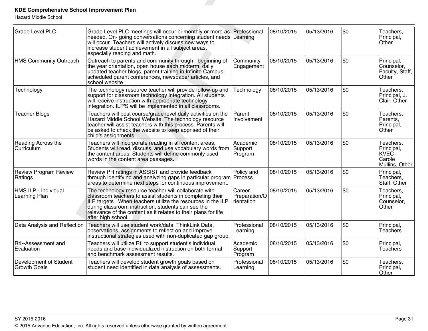| <b>KDE Comprehensive School Improvement Plan</b><br><b>Hazard Middle School</b> |                                                                                                                                                                                                                                                                                                                                 |                                       |            |            |     |                                                               |
|---------------------------------------------------------------------------------|---------------------------------------------------------------------------------------------------------------------------------------------------------------------------------------------------------------------------------------------------------------------------------------------------------------------------------|---------------------------------------|------------|------------|-----|---------------------------------------------------------------|
| <b>Grade Level PLC</b>                                                          | Grade Level PLC meetings will occur bi-monthly or more as<br>needed. On- going conversations concerning student needs Learning<br>will occur. Teachers will actively discuss new ways to<br>increase student achievement in all subject areas,<br>especially reading and math.                                                  | Professional                          | 08/10/2015 | 05/13/2016 | \$0 | Teachers,<br>Principal,<br>Other                              |
| <b>HMS Community Outreach</b>                                                   | Outreach to parents and community through: beginning of<br>the year orientation, open house each midterm, daily<br>updated teacher blogs, parent training in Infinite Campus,<br>scheduled parent conferences, newspaper articles, and<br>school website                                                                        | Community<br>Engagement               | 08/10/2015 | 05/13/2016 | \$0 | Principal,<br>Counselor,<br>Faculty, Staff,<br>Other          |
| Technology                                                                      | The technology resource teacher will provide follow-up and<br>support for classroom technology integration. All students<br>will receive instruction with appropriate technology<br>integration. ILP'S will be implemented in all classrooms.                                                                                   | Technology                            | 08/10/2015 | 05/13/2016 | \$0 | Teachers,<br>Principal, J.<br>Clair, Other                    |
| <b>Teacher Blogs</b>                                                            | Teachers will post course/grade level daily activities on the<br>Hazard Middle School Website. The technology resource<br>teacher will assist teachers with this process. Parents will<br>be asked to check the website to keep apprised of their<br>child's assignments.                                                       | Parent<br>Involvement                 | 08/10/2015 | 05/13/2016 | \$0 | Teachers,<br>Parents,<br>Principal,<br>Other                  |
| Reading Across the<br>Curriculum                                                | Teachers will incorporate reading in all content areas.<br>Students will read, discuss, and use vocabulary words from<br>the content areas. Students will define commonly used<br>words in the content area passages.                                                                                                           | Academic<br>Support<br>Program        | 08/10/2015 | 05/13/2016 | \$0 | Teachers,<br>Principal,<br>KVEC -<br>Carole<br>Mullins, Other |
| <b>Review Program Review</b><br>Ratings                                         | Review PR ratings in ASSIST and provide feedback<br>through identifying and analyzing gaps in particular program Process<br>areas to determine next steps for continuous improvement.                                                                                                                                           | Policy and                            | 08/10/2015 | 05/13/2016 | \$0 | Principal,<br>Teachers,<br>Staff, Other                       |
| HMS ILP - Individual<br>Learning Plan                                           | The technology resource teacher will collaborate with<br>classroom teachers to assist students in completing their<br>ILP targets. When teachers utilize the resources in the ILP<br>during classroom instruction, students can see the<br>relevance of the content as it relates to their plans for life<br>after high school. | Career<br>Preparation/O<br>rientation | 08/10/2015 | 05/13/2016 | \$0 | Teachers,<br>Principal,<br>Counselor,<br>Other                |
| Data Analysis and Reflection                                                    | Teachers will use student work/data, ThinkLink Data,<br>observations, assignments to reflect on and improve<br>instructional strategies used with non-duplicated gap group.                                                                                                                                                     | Professional<br>Learning              | 08/10/2015 | 05/13/2016 | \$0 | Principal,<br><b>Teachers</b>                                 |
| Rtl--Assessment and<br>Evaluation                                               | Teachers will utilize RtI to support student's individual<br>needs and base individualized instruction on both formal<br>and benchmark assessment results.                                                                                                                                                                      | Academic<br>Support<br>Program        | 08/10/2015 | 05/13/2016 | \$0 | Principal,<br><b>Teachers</b>                                 |
| Development of Student<br><b>Growth Goals</b>                                   | Teachers will develop student growth goals based on<br>student need identified in data analysis of assessments.                                                                                                                                                                                                                 | Professional<br>Learning              | 08/10/2015 | 05/13/2016 | \$0 | Teachers,<br>Principal,<br>Other                              |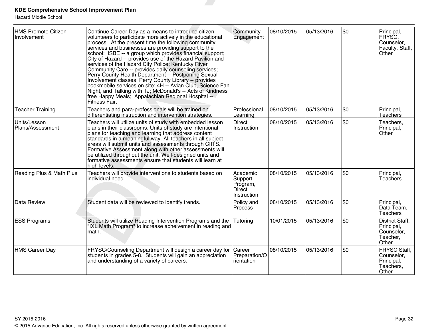| <b>KDE Comprehensive School Improvement Plan</b><br><b>Hazard Middle School</b> |                                                                                                                                                                                                                                                                                                                                                                                                                                                                                                                                                                                                                                                                                                                                                                                               |                                                                 |            |            |     |                                                                       |
|---------------------------------------------------------------------------------|-----------------------------------------------------------------------------------------------------------------------------------------------------------------------------------------------------------------------------------------------------------------------------------------------------------------------------------------------------------------------------------------------------------------------------------------------------------------------------------------------------------------------------------------------------------------------------------------------------------------------------------------------------------------------------------------------------------------------------------------------------------------------------------------------|-----------------------------------------------------------------|------------|------------|-----|-----------------------------------------------------------------------|
| <b>HMS Promote Citizen</b><br>Involvement                                       | Continue Career Day as a means to introduce citizen<br>volunteers to participate more actively in the educational<br>process. At the present time the following community<br>services and businesses are providing support to the<br>school: ISBE -- a group which provides financial support;<br>City of Hazard -- provides use of the Hazard Pavilion and<br>services of the Hazard City Police; Kentucky River<br>Community Care -- provides daily counseling services;<br>Perry County Health Department -- Postponing Sexual<br>Involvement classes; Perry County Library -- provides<br>bookmobile services on site; 4H -- Avian Club, Science Fan<br>Night, and Talking with TJ; McDonald's -- Acts of Kindness<br>free Happy Meals; Appalachian Regional Hospital --<br>Fitness Fair. | Community<br>Engagement                                         | 08/10/2015 | 05/13/2016 | \$0 | Principal,<br>FRYSC,<br>Counselor,<br>Faculty, Staff,<br>Other        |
| <b>Teacher Training</b>                                                         | Teachers and para-professionals will be trained on<br>differentiating instruction and intervention strategies.                                                                                                                                                                                                                                                                                                                                                                                                                                                                                                                                                                                                                                                                                | Professional<br>Learning                                        | 08/10/2015 | 05/13/2016 | \$0 | Principal,<br><b>Teachers</b>                                         |
| Units/Lesson<br>Plans/Assessment                                                | Teachers will utilize units of study with embedded lesson<br>plans in their classrooms. Units of study are intentional<br>plans for teaching and learning that address content<br>standards in a meaningful way. All teachers in all subject<br>areas will submit units and assessments through CIITS.<br>Formative Assessment along with other assessments will<br>be utilized throughout the unit. Well-designed units and<br>formative assessments ensure that students will learn at<br>high levels.                                                                                                                                                                                                                                                                                      | Direct<br>Instruction                                           | 08/10/2015 | 05/13/2016 | \$0 | Teachers,<br>Principal,<br>Other                                      |
| Reading Plus & Math Plus                                                        | Teachers will provide interventions to students based on<br>individual need.                                                                                                                                                                                                                                                                                                                                                                                                                                                                                                                                                                                                                                                                                                                  | Academic<br>Support<br>Program,<br><b>Direct</b><br>Instruction | 08/10/2015 | 05/13/2016 | \$0 | Principal,<br>Teachers                                                |
| Data Review                                                                     | Student data will be reviewed to identify trends.                                                                                                                                                                                                                                                                                                                                                                                                                                                                                                                                                                                                                                                                                                                                             | Policy and<br><b>Process</b>                                    | 08/10/2015 | 05/13/2016 | \$0 | Principal,<br>Data Team,<br><b>Teachers</b>                           |
| <b>ESS Programs</b>                                                             | Students will utilize Reading Intervention Programs and the<br>"IXL Math Program" to increase acheivement in reading and<br>math.                                                                                                                                                                                                                                                                                                                                                                                                                                                                                                                                                                                                                                                             | Tutoring                                                        | 10/01/2015 | 05/13/2016 | \$0 | District Staff,<br>Principal,<br>Counselor,<br>Teacher,<br>Other      |
| <b>HMS Career Day</b>                                                           | FRYSC/Counseling Department will design a career day for<br>students in grades 5-8. Students will gain an appreciation<br>and understanding of a variety of careers.                                                                                                                                                                                                                                                                                                                                                                                                                                                                                                                                                                                                                          | Career<br>Preparation/O<br>rientation                           | 08/10/2015 | 05/13/2016 | \$0 | <b>FRYSC Staff,</b><br>Counselor,<br>Principal,<br>Teachers,<br>Other |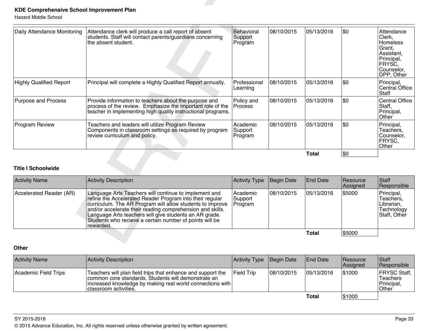| <b>KDE Comprehensive School Improvement Plan</b><br><b>Hazard Middle School</b> |                                                                                                                                                                                                                                                                                                                                                                               |                                  |            |                 |                      |                                                                                                                     |
|---------------------------------------------------------------------------------|-------------------------------------------------------------------------------------------------------------------------------------------------------------------------------------------------------------------------------------------------------------------------------------------------------------------------------------------------------------------------------|----------------------------------|------------|-----------------|----------------------|---------------------------------------------------------------------------------------------------------------------|
| Daily Attendance Monitoring                                                     | Attendance clerk will produce a call report of absent<br>students. Staff will contact parents/guardians concerning<br>the absent student.                                                                                                                                                                                                                                     | Behavioral<br>Support<br>Program | 08/10/2015 | 05/13/2016      | \$0                  | Attendance<br>Clerk,<br><b>Homeless</b><br>Grant,<br>Assistant.<br>Principal,<br>FRYSC.<br>Counselor,<br>DPP, Other |
| <b>Highly Qualified Report</b>                                                  | Principal will complete a Highly Qualified Report annually.                                                                                                                                                                                                                                                                                                                   | Professional<br>Learning         | 08/10/2015 | 05/13/2016      | \$0                  | Principal,<br>Central Office<br>Staff                                                                               |
| <b>Purpose and Process</b>                                                      | Provide information to teachers about the purpose and<br>process of the review. Emphasize the important role of the<br>teacher in implementing high quality instructional programs.                                                                                                                                                                                           | Policy and<br>Process            | 08/10/2015 | 05/13/2016      | \$0                  | <b>Central Office</b><br>Staff,<br>Principal,<br>Other                                                              |
| Program Review                                                                  | Teachers and leaders will utilize Program Review<br>Components in classroom settings as required by program<br>review curriculum and policy.                                                                                                                                                                                                                                  | Academic<br>Support<br>Program   | 08/10/2015 | 05/13/2016      | \$0                  | Principal,<br>Teachers.<br>Counselor,<br>FRYSC.<br>Other                                                            |
|                                                                                 |                                                                                                                                                                                                                                                                                                                                                                               |                                  |            | <b>Total</b>    | ∣\$Օ                 |                                                                                                                     |
| <b>Title I Schoolwide</b>                                                       |                                                                                                                                                                                                                                                                                                                                                                               |                                  |            |                 |                      |                                                                                                                     |
| <b>Activity Name</b>                                                            | <b>Activity Description</b>                                                                                                                                                                                                                                                                                                                                                   | <b>Activity Type</b>             | Begin Date | <b>End Date</b> | Resource<br>Assigned | <b>Staff</b><br>Responsible                                                                                         |
| Accelerated Reader (AR)                                                         | Language Arts Teachers will continue to implement and<br>refine the Accelerated Reader Program into their regular<br>curriculum. The AR Program will allow students to improve<br>and/or accelerate their reading comprehension and skills.<br>Language Arts teachers will give students an AR grade.<br>Students who recieve a certain number of points will be<br>rewarded. | Academic<br>Support<br>Program   | 08/10/2015 | 05/13/2016      | \$5000               | Principal,<br>Teachers.<br>Librarian,<br>Technology<br>Staff, Other                                                 |
|                                                                                 |                                                                                                                                                                                                                                                                                                                                                                               |                                  |            | <b>Total</b>    | \$5000               |                                                                                                                     |

# **Title I Schoolwide**

| <b>Activity Name</b>    | Activity Description                                                                                                                                                                                                                                                                                                                                                          | Activity Type                   | Begin Date  | <b>End Date</b> | <b>Resource</b><br><b>Assigned</b> | Staff<br>Responsible                                                |
|-------------------------|-------------------------------------------------------------------------------------------------------------------------------------------------------------------------------------------------------------------------------------------------------------------------------------------------------------------------------------------------------------------------------|---------------------------------|-------------|-----------------|------------------------------------|---------------------------------------------------------------------|
| Accelerated Reader (AR) | Language Arts Teachers will continue to implement and<br>refine the Accelerated Reader Program into their regular<br>curriculum. The AR Program will allow students to improve<br>and/or accelerate their reading comprehension and skills.<br>Language Arts teachers will give students an AR grade.<br>Students who recieve a certain number of points will be<br>rewarded. | Academic<br>Support<br> Program | 108/10/2015 | 05/13/2016      | 1\$5000                            | Principal,<br>Teachers,<br>Librarian,<br>Technology<br>Staff, Other |
|                         |                                                                                                                                                                                                                                                                                                                                                                               |                                 |             | Total           | \$5000                             |                                                                     |

# **Other**

| <b>Activity Name</b> | Activity Description                                                                                                                                                                                         | Activity Type     | Begin Date | <b>End Date</b> | Resource<br><b>Assigned</b> | Staff<br>Responsible                                           |
|----------------------|--------------------------------------------------------------------------------------------------------------------------------------------------------------------------------------------------------------|-------------------|------------|-----------------|-----------------------------|----------------------------------------------------------------|
| Academic Field Trips | Teachers will plan field trips that enhance and support the<br>common core standards. Students will demonstrate an<br> increased knowledge by making real world connections with  <br>Iclassroom activities. | <b>Field Trip</b> | 08/10/2015 | 105/13/2016     | \$1000                      | <b>FRYSC Staff,</b><br><b>Teachers</b><br>Principal,<br> Other |
|                      |                                                                                                                                                                                                              |                   |            | Total           | \$1000                      |                                                                |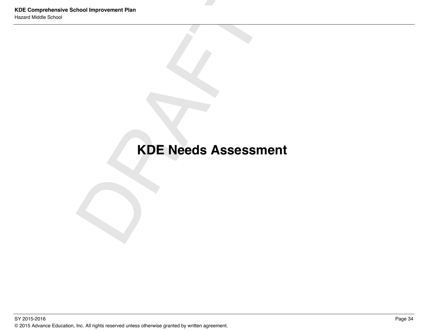# hool Improvement Plan<br>
KDE Needs Assessment<br>
CRDE Needs Assessment<br>
CRDE Needs Assessment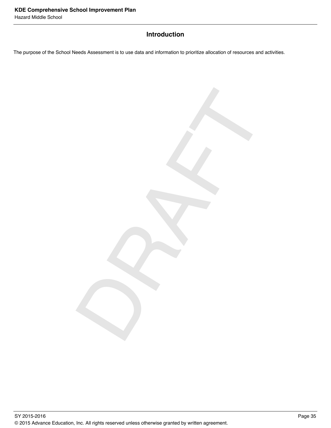# **Introduction**

DRAFT

The purpose of the School Needs Assessment is to use data and information to prioritize allocation of resources and activities.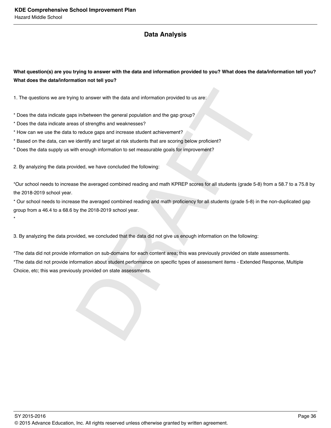# **Data Analysis**

**What question(s) are you trying to answer with the data and information provided to you? What does the data/information tell you? What does the data/information not tell you?**

1. The questions we are trying to answer with the data and information provided to us are:

\* Does the data indicate gaps in/between the general population and the gap group?

\* Does the data indicate areas of strengths and weaknesses?

\* How can we use the data to reduce gaps and increase student achievement?

\* Based on the data, can we identify and target at risk students that are scoring below proficient?

\* Does the data supply us with enough information to set measurable goals for improvement?

2. By analyzing the data provided, we have concluded the following:

\*

\*Our school needs to increase the averaged combined reading and math KPREP scores for all students (grade 5-8) from a 58.7 to a 75.8 by the 2018-2019 school year.

\* Our school needs to increase the averaged combined reading and math proficiency for all students (grade 5-8) in the non-duplicated gap group from a 46.4 to a 68.6 by the 2018-2019 school year.

3. By analyzing the data provided, we concluded that the data did not give us enough information on the following:

g to answer with the data and information provided to us are:<br>
in/between the general population and the gap group?<br>
so its trengths and weaknesses?<br>
so reduce gaps and increase student schierement?<br>
preduce gaps and incre \*The data did not provide information on sub-domains for each content area; this was previously provided on state assessments. \*The data did not provide information about student performance on specific types of assessment items - Extended Response, Multiple Choice, etc; this was previously provided on state assessments.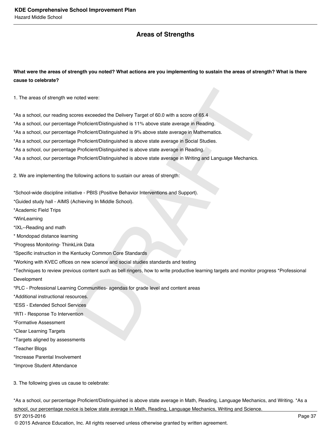# **Areas of Strengths**

# **What were the areas of strength you noted? What actions are you implementing to sustain the areas of strength? What is there cause to celebrate?**

1. The areas of strength we noted were:

nder Were:<br>
The second the Delivery Target of 60.0 with a score of 65.4<br>
Proficient/Distinguished is 11% above state average in Reading.<br>
Proficient/Distinguished is 9% above state average in Reading.<br>
Proficient/Distingui \*As a school, our reading scores exceeded the Delivery Target of 60.0 with a score of 65.4 \*As a school, our percentage Proficient/Distinguished is 11% above state average in Reading. \*As a school, our percentage Proficient/Distinguished is 9% above state average in Mathematics. \*As a school, our percentage Proficient/Distinguished is above state average in Social Studies. \*As a school, our percentage Proficient/Distinguished is above state average in Reading. \*As a school, our percentage Proficient/Distinguished is above state average in Writing and Language Mechanics.

2. We are implementing the following actions to sustain our areas of strength:

\*School-wide discipline initiative - PBIS (Positive Behavior Interventions and Support).

\*Guided study hall - AIMS (Achieving In Middle School).

\*Academic Field Trips

\*WinLearning

\*IXL--Reading and math

\* Mondopad distance learning

\*Progress Monitoring- ThinkLink Data

\*Specific instruction in the Kentucky Common Core Standards

\*Working with KVEC offices on new science and social studies standards and testing

\*Techniques to review previous content such as bell ringers, how to write productive learning targets and monitor progress \*Professional Development

\*PLC - Professional Learning Communities- agendas for grade level and content areas

\*Additional instructional resources.

\*ESS - Extended School Services

\*RTI - Response To Intervention

\*Formative Assessment

\*Clear Learning Targets

\*Targets aligned by assessments

\*Teacher Blogs

\*Increase Parental Involvement

\*Improve Student Attendance

3. The following gives us cause to celebrate:

\*As a school, our percentage Proficient/Distinguished is above state average in Math, Reading, Language Mechanics, and Writing. \*As a school, our percentage novice is below state average in Math, Reading, Language Mechanics, Writing and Science.

SY 2015-2016 Page 37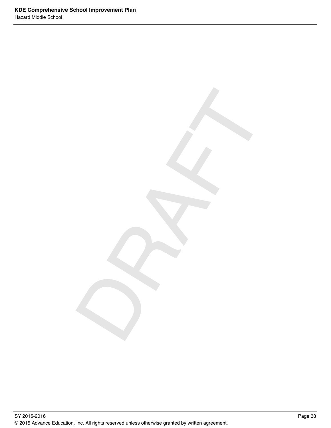SY 2015-2016 Page 38 © 2015 Advance Education, Inc. All rights reserved unless otherwise granted by written agreement.

DRAFT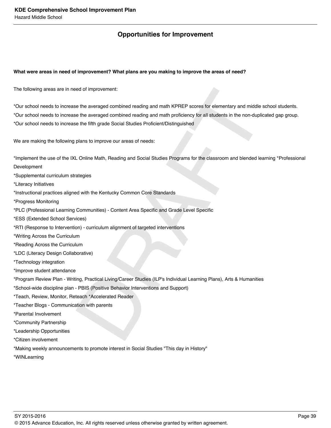# **Opportunities for Improvement**

### **What were areas in need of improvement? What plans are you making to improve the areas of need?**

The following areas are in need of improvement:

et the averaged combined reading and math KPREP scores for elementary and middle et the averaged combined reading and math proficiency for all students in the non-duplie<br>the the averaged combined reading and math proficien \*Our school needs to increase the averaged combined reading and math KPREP scores for elementary and middle school students. \*Our school needs to increase the averaged combined reading and math proficiency for all students in the non-duplicated gap group. \*Our school needs to increase the fifth grade Social Studies Proficient/Distinguished

We are making the following plans to improve our areas of needs:

\*Implement the use of the IXL Online Math, Reading and Social Studies Programs for the classroom and blended learning \*Professional

Development

\*Supplemental curriculum strategies

\*Literacy Initiatives

\*Instructional practices aligned with the Kentucky Common Core Standards

\*Progress Monitoring

\*PLC (Professional Learning Communities) - Content Area Specific and Grade Level Specific

\*ESS (Extended School Services)

\*RTI (Response to Intervention) - curriculum alignment of targeted interventions

\*Writing Across the Curriculum

\*Reading Across the Curriculum

\*LDC (Literacy Design Collaborative)

\*Technology integration

\*Improve student attendance

\*Program Review Plan - Writing, Practical Living/Career Studies (ILP's Individual Learning Plans), Arts & Humanities

\*School-wide discipline plan - PBIS (Positive Behavior Interventions and Support)

\*Teach, Review, Monitor, Reteach \*Accelerated Reader

\*Teacher Blogs - Communication with parents

\*Parental Involvement

\*Community Partnership

\*Leadership Opportunities

\*Citizen involvement

\*Making weekly announcements to promote interest in Social Studies "This day in History"

\*WINLearning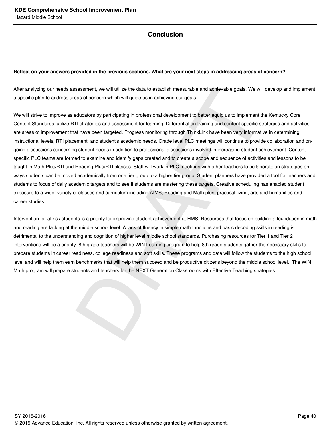# **Conclusion**

### **Reflect on your answers provided in the previous sections. What are your next steps in addressing areas of concern?**

After analyzing our needs assessment, we will utilize the data to establish measurable and achievable goals. We will develop and implement a specific plan to address areas of concern which will guide us in achieving our goals.

sessment, we will utilize the data to establish measurable and achievable goals. We will<br>as of concern which will guide us in achieving our goals.<br>
and concern which will guide us in achieving our goals.<br>
El strategies and We will strive to improve as educators by participating in professional development to better equip us to implement the Kentucky Core Content Standards, utilize RTI strategies and assessment for learning. Differentiation training and content specific strategies and activities are areas of improvement that have been targeted. Progress monitoring through ThinkLink have been very informative in determining instructional levels, RTI placement, and student's academic needs. Grade level PLC meetings will continue to provide collaboration and ongoing discussions concerning student needs in addition to professional discussions involved in increasing student achievement. Content specific PLC teams are formed to examine and identify gaps created and to create a scope and sequence of activities and lessons to be taught in Math Plus/RTI and Reading Plus/RTI classes. Staff will work in PLC meetings with other teachers to collaborate on strategies on ways students can be moved academically from one tier group to a higher tier group. Student planners have provided a tool for teachers and students to focus of daily academic targets and to see if students are mastering these targets. Creative scheduling has enabled student exposure to a wider variety of classes and curriculum including AIMS, Reading and Math plus, practical living, arts and humanities and career studies.

Intervention for at risk students is a priority for improving student achievement at HMS. Resources that focus on building a foundation in math and reading are lacking at the middle school level. A lack of fluency in simple math functions and basic decoding skills in reading is detrimental to the understanding and cognition of higher level middle school standards. Purchasing resources for Tier 1 and Tier 2 interventions will be a priority. 8th grade teachers will be WIN Learning program to help 8th grade students gather the necessary skills to prepare students in career readiness, college readiness and soft skills. These programs and data will follow the students to the high school level and will help them earn benchmarks that will help them succeed and be productive citizens beyond the middle school level. The WIN Math program will prepare students and teachers for the NEXT Generation Classrooms with Effective Teaching strategies.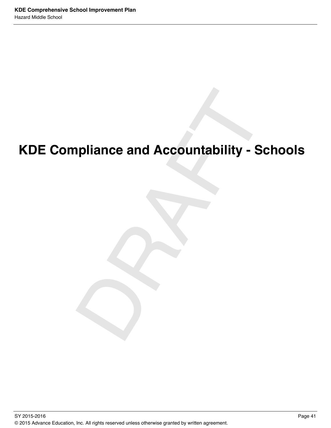# pliance and Accountability - S **KDE Compliance and Accountability - Schools**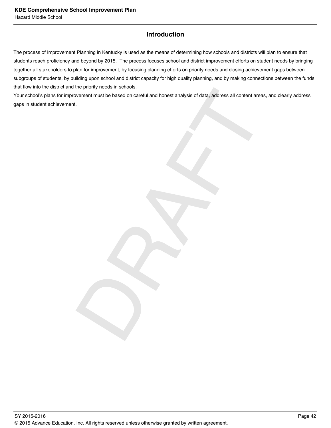# **Introduction**

The process of Improvement Planning in Kentucky is used as the means of determining how schools and districts will plan to ensure that students reach proficiency and beyond by 2015. The process focuses school and district improvement efforts on student needs by bringing together all stakeholders to plan for improvement, by focusing planning efforts on priority needs and closing achievement gaps between subgroups of students, by building upon school and district capacity for high quality planning, and by making connections between the funds that flow into the district and the priority needs in schools.

meth must be based on careful and honest analysis of data, address all content area<br>wement must be based on careful and honest analysis of data, address all content area Your school's plans for improvement must be based on careful and honest analysis of data, address all content areas, and clearly address gaps in student achievement.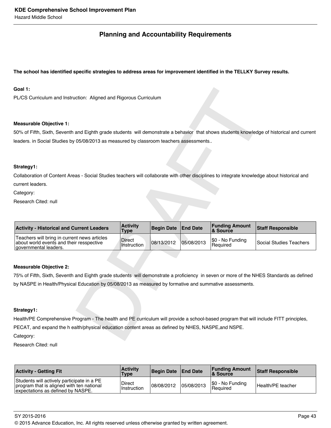# **Planning and Accountability Requirements**

### **The school has identified specific strategies to address areas for improvement identified in the TELLKY Survey results.**

### **Goal 1:**

### **Measurable Objective 1:**

### **Strategy1:**

| Goal 1:                                                                                                                                      |                                |                   |                 |                                   |                                |
|----------------------------------------------------------------------------------------------------------------------------------------------|--------------------------------|-------------------|-----------------|-----------------------------------|--------------------------------|
| PL/CS Curriculum and Instruction: Aligned and Rigorous Curriculum                                                                            |                                |                   |                 |                                   |                                |
|                                                                                                                                              |                                |                   |                 |                                   |                                |
| <b>Measurable Objective 1:</b>                                                                                                               |                                |                   |                 |                                   |                                |
| 50% of Fifth, Sixth, Seventh and Eighth grade students will demonstrate a behavior that shows students knowledge of historical and current   |                                |                   |                 |                                   |                                |
| leaders. in Social Studies by 05/08/2013 as measured by classroom teachers assessments                                                       |                                |                   |                 |                                   |                                |
| Strategy1:                                                                                                                                   |                                |                   |                 |                                   |                                |
| Collaboration of Content Areas - Social Studies teachers will collaborate with other disciplines to integrate knowledge about historical and |                                |                   |                 |                                   |                                |
| current leaders.                                                                                                                             |                                |                   |                 |                                   |                                |
| Category:                                                                                                                                    |                                |                   |                 |                                   |                                |
| Research Cited: null                                                                                                                         |                                |                   |                 |                                   |                                |
|                                                                                                                                              |                                |                   |                 |                                   |                                |
|                                                                                                                                              |                                |                   |                 |                                   |                                |
| <b>Activity - Historical and Current Leaders</b>                                                                                             | <b>Activity</b><br><b>Type</b> | <b>Begin Date</b> | <b>End Date</b> | <b>Funding Amount</b><br>& Source | <b>Staff Responsible</b>       |
| Teachers will bring in current news articles<br>about world events and their resspective<br>governmental leaders.                            | Direct<br>Instruction          | 08/13/2012        | 05/08/2013      | \$0 - No Funding<br>Required      | <b>Social Studies Teachers</b> |
|                                                                                                                                              |                                |                   |                 |                                   |                                |
| <b>Measurable Objective 2:</b>                                                                                                               |                                |                   |                 |                                   |                                |
| 75% of Fifth, Sixth, Seventh and Eighth grade students will demonstrate a proficiency in seven or more of the NHES Standards as defined      |                                |                   |                 |                                   |                                |
| by NASPE in Health/Physical Education by 05/08/2013 as measured by formative and summative assessments.                                      |                                |                   |                 |                                   |                                |
|                                                                                                                                              |                                |                   |                 |                                   |                                |
|                                                                                                                                              |                                |                   |                 |                                   |                                |
| Strategy1:                                                                                                                                   |                                |                   |                 |                                   |                                |
| Health/PE Comprehensive Program - The health and PE curriculum will provide a school-based program that will include FITT principles,        |                                |                   |                 |                                   |                                |
| PECAT, and expand the h ealth/physical education content areas as defined by NHES, NASPE, and NSPE.                                          |                                |                   |                 |                                   |                                |
| Category:                                                                                                                                    |                                |                   |                 |                                   |                                |
|                                                                                                                                              |                                |                   |                 |                                   |                                |

### **Measurable Objective 2:**

### **Strategy1:**

Research Cited: null

| <b>Activity - Getting Fit</b>                                                                                                | <b>Activity</b><br><b>Type</b> | Begin Date   End Date |            | <b>Funding Amount</b><br><b>&amp; Source</b> | <b>Staff Responsible</b> |
|------------------------------------------------------------------------------------------------------------------------------|--------------------------------|-----------------------|------------|----------------------------------------------|--------------------------|
| Students will actively participate in a PE<br>program that is aligned with ten national<br>expectations as defined by NASPE. | Direct<br>Instruction          | 08/08/2012            | 05/08/2013 | \$0 - No Funding<br><b>Reauired</b>          | Health/PE teacher        |

SY 2015-2016 Page 43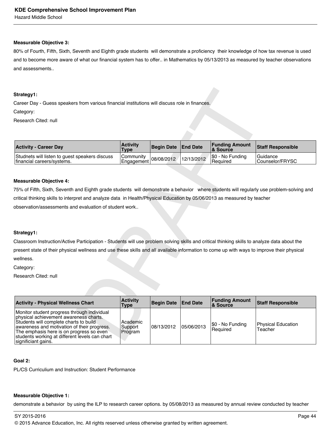### **Measurable Objective 3:**

80% of Fourth, Fifth, Sixth, Seventh and Eighth grade students will demonstrate a proficiency their knowledge of how tax revenue is used and to become more aware of what our financial system has to offer.. in Mathematics by 05/13/2013 as measured by teacher observations and assessments..

### **Strategy1:**

| <b>Activity - Career Day</b>                                                 | <b>Activity</b><br><b>Type</b>                | Begin Date End Date |            | <b>Funding Amount</b><br><b>&amp; Source</b> | Staff Responsible                  |
|------------------------------------------------------------------------------|-----------------------------------------------|---------------------|------------|----------------------------------------------|------------------------------------|
| Studnets will listen to guest speakers discuss<br>financial careers/systems. | Community <br>  Engagement 08/08/2012   19/19 |                     | 12/13/2012 | S0 - No Funding<br><b>Required</b>           | <b>Guidance</b><br>Counselor/FRYSC |

### **Measurable Objective 4:**

### **Strategy1:**

| Strategy1:                                                                                                                                                                                                                                                                                          |                                |                   |                 |                                   |                                      |
|-----------------------------------------------------------------------------------------------------------------------------------------------------------------------------------------------------------------------------------------------------------------------------------------------------|--------------------------------|-------------------|-----------------|-----------------------------------|--------------------------------------|
| Career Day - Guess speakers from various financial institutions will discuss role in finances.                                                                                                                                                                                                      |                                |                   |                 |                                   |                                      |
| Category:                                                                                                                                                                                                                                                                                           |                                |                   |                 |                                   |                                      |
| Research Cited: null                                                                                                                                                                                                                                                                                |                                |                   |                 |                                   |                                      |
|                                                                                                                                                                                                                                                                                                     |                                |                   |                 |                                   |                                      |
|                                                                                                                                                                                                                                                                                                     |                                |                   |                 |                                   |                                      |
| <b>Activity - Career Day</b>                                                                                                                                                                                                                                                                        | <b>Activity</b><br><b>Type</b> | <b>Begin Date</b> | <b>End Date</b> | <b>Funding Amount</b><br>& Source | <b>Staff Responsible</b>             |
| Studnets will listen to guest speakers discuss<br>financial careers/systems.                                                                                                                                                                                                                        | Community<br>Engagement        | 08/08/2012        | 12/13/2012      | \$0 - No Funding<br>Required      | Guidance<br>Counselor/FRYSC          |
|                                                                                                                                                                                                                                                                                                     |                                |                   |                 |                                   |                                      |
| <b>Measurable Objective 4:</b>                                                                                                                                                                                                                                                                      |                                |                   |                 |                                   |                                      |
| 75% of Fifth, Sixth, Seventh and Eighth grade students will demonstrate a behavior where students will regularly use problem-solving and                                                                                                                                                            |                                |                   |                 |                                   |                                      |
| critical thinking skills to interpret and analyze data in Health/Physical Education by 05/06/2013 as measured by teacher                                                                                                                                                                            |                                |                   |                 |                                   |                                      |
| observation/assessments and evaluation of student work                                                                                                                                                                                                                                              |                                |                   |                 |                                   |                                      |
|                                                                                                                                                                                                                                                                                                     |                                |                   |                 |                                   |                                      |
|                                                                                                                                                                                                                                                                                                     |                                |                   |                 |                                   |                                      |
| Strategy1:                                                                                                                                                                                                                                                                                          |                                |                   |                 |                                   |                                      |
| Classroom Instruction/Active Participation - Students will use problem solving skills and critical thinking skills to analyze data about the                                                                                                                                                        |                                |                   |                 |                                   |                                      |
| present state of their physical wellness and use these skills and all available information to come up with ways to improve their physical                                                                                                                                                          |                                |                   |                 |                                   |                                      |
| wellness.                                                                                                                                                                                                                                                                                           |                                |                   |                 |                                   |                                      |
| Category:                                                                                                                                                                                                                                                                                           |                                |                   |                 |                                   |                                      |
| Research Cited: null                                                                                                                                                                                                                                                                                |                                |                   |                 |                                   |                                      |
|                                                                                                                                                                                                                                                                                                     |                                |                   |                 |                                   |                                      |
|                                                                                                                                                                                                                                                                                                     |                                |                   |                 |                                   |                                      |
| <b>Activity - Physical Wellness Chart</b>                                                                                                                                                                                                                                                           | <b>Activity</b><br>Type        | <b>Begin Date</b> | <b>End Date</b> | <b>Funding Amount</b><br>& Source | <b>Staff Responsible</b>             |
| Monitor student progress through individual<br>physical achievement awareness charts.<br>Students will complete charts to build<br>awareness and motivation of their progress.<br>The emphasis here is on progress so even<br>students working at different levels can chart<br>significiant gains. | Academic<br>Support<br>Program | 08/13/2012        | 05/06/2013      | \$0 - No Funding<br>Required      | <b>Physical Education</b><br>Teacher |
|                                                                                                                                                                                                                                                                                                     |                                |                   |                 |                                   |                                      |

### **Goal 2:**

PL/CS Curriculium and Instruction: Student Performance

### **Measurable Objective 1:**

demonstrate a behavior by using the ILP to research career options. by 05/08/2013 as measured by annual review conducted by teacher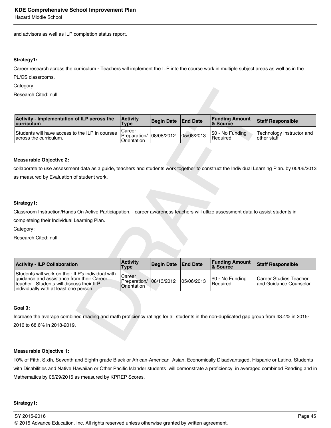and advisors as well as ILP completion status report.

### **Strategy1:**

Career research across the curriculum - Teachers will implement the ILP into the course work in multiple subject areas as well as in the

PL/CS classrooms.

Category:

| <b>Activity - Implementation of ILP across the</b><br><b>curriculum</b>     | ∣Activitv<br><b>Type</b>                         | Begin Date End Date |            | <b>Funding Amount</b><br>8 Source | <b>Staff Responsible</b>                  |
|-----------------------------------------------------------------------------|--------------------------------------------------|---------------------|------------|-----------------------------------|-------------------------------------------|
| Students will have access to the ILP in courses 1<br>across the curriculum. | Career<br>Preparation/108/08/2012<br>Orientation |                     | 05/08/2013 | \$0 - No Funding<br>l Reauired    | Technology instructor and<br>lother staff |

### **Measurable Objective 2:**

### **Strategy1:**

| Research Cited: null                                                                                                                                                                 |                                       |                   |                 |                                   |                                                          |
|--------------------------------------------------------------------------------------------------------------------------------------------------------------------------------------|---------------------------------------|-------------------|-----------------|-----------------------------------|----------------------------------------------------------|
| Activity - Implementation of ILP across the<br>curriculum                                                                                                                            | <b>Activity</b><br><b>Type</b>        | <b>Begin Date</b> | <b>End Date</b> | <b>Funding Amount</b><br>& Source | <b>Staff Responsible</b>                                 |
| Students will have access to the ILP in courses<br>across the curriculum.                                                                                                            | Career<br>Preparation/<br>Orientation | 08/08/2012        | 05/08/2013      | \$0 - No Funding<br>Required      | Technology instructor and<br>other staff                 |
|                                                                                                                                                                                      |                                       |                   |                 |                                   |                                                          |
| <b>Measurable Objective 2:</b>                                                                                                                                                       |                                       |                   |                 |                                   |                                                          |
| collaborate to use assessment data as a guide, teachers and students work together to construct the Individual Learning Plan. by 05/06/2013                                          |                                       |                   |                 |                                   |                                                          |
| as measured by Evaluation of student work.                                                                                                                                           |                                       |                   |                 |                                   |                                                          |
|                                                                                                                                                                                      |                                       |                   |                 |                                   |                                                          |
|                                                                                                                                                                                      |                                       |                   |                 |                                   |                                                          |
| Strategy1:                                                                                                                                                                           |                                       |                   |                 |                                   |                                                          |
| Classroom Instruction/Hands On Active Particiapation. - career awareness teachers will utlize assessment data to assist students in                                                  |                                       |                   |                 |                                   |                                                          |
| completeing their Individual Learning Plan.                                                                                                                                          |                                       |                   |                 |                                   |                                                          |
| Category:                                                                                                                                                                            |                                       |                   |                 |                                   |                                                          |
| Research Cited: null                                                                                                                                                                 |                                       |                   |                 |                                   |                                                          |
|                                                                                                                                                                                      |                                       |                   |                 |                                   |                                                          |
|                                                                                                                                                                                      |                                       |                   |                 |                                   |                                                          |
| <b>Activity - ILP Collaboration</b>                                                                                                                                                  | <b>Activity</b><br><b>Type</b>        | <b>Begin Date</b> | <b>End Date</b> | <b>Funding Amount</b><br>& Source | <b>Staff Responsible</b>                                 |
| Students will work on their ILP's individual with<br>guidance and assistance from their Career<br>teacher. Students will discuss their ILP<br>individually with at least one person. | Career<br>Preparation/<br>Orientation | 08/13/2012        | 05/06/2013      | \$0 - No Funding<br>Required      | <b>Career Studies Teacher</b><br>and Guidance Counselor. |
|                                                                                                                                                                                      |                                       |                   |                 |                                   |                                                          |
| Goal 3:                                                                                                                                                                              |                                       |                   |                 |                                   |                                                          |
|                                                                                                                                                                                      |                                       |                   |                 |                                   |                                                          |
| Increase the average combined reading and math proficiency ratings for all students in the non-duplicated gap group from 43.4% in 2015-                                              |                                       |                   |                 |                                   |                                                          |
| 2016 to 68.6% in 2018-2019.                                                                                                                                                          |                                       |                   |                 |                                   |                                                          |
|                                                                                                                                                                                      |                                       |                   |                 |                                   |                                                          |

### **Goal 3:**

### **Measurable Objective 1:**

10% of Fifth, Sixth, Seventh and Eighth grade Black or African-American, Asian, Economically Disadvantaged, Hispanic or Latino, Students with Disabilities and Native Hawaiian or Other Pacific Islander students will demonstrate a proficiency in averaged combined Reading and in Mathematics by 05/29/2015 as measured by KPREP Scores.

### **Strategy1:**

 $\,$  SY 2015-2016  $\,$  Page 45  $\,$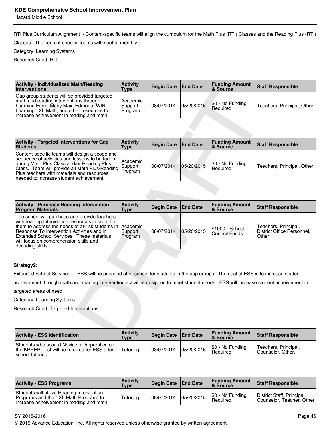Hazard Middle School

RTI Plus Curriculum Alignment - Content-specific teams will align the curriculum for the Math Plus (RTI) Classes and the Reading Plus (RTI)

Classes. The content-specific teams will meet bi-monthly.

Category: Learning Systems

Research Cited: RTI

| <b>Activity - Individualized Math/Reading</b><br>Interventions                                                                                                                                                               | <b>Activity</b><br>Type         | Begin Date   End Date |            | <b>Funding Amount</b><br>8 Source | <b>Staff Responsible</b>   |
|------------------------------------------------------------------------------------------------------------------------------------------------------------------------------------------------------------------------------|---------------------------------|-----------------------|------------|-----------------------------------|----------------------------|
| Gap group students will be provided targeted<br>I math and reading interventions through<br>Learning Farm. Moby Max, Edmodo, WIN<br>Learning, IXL Math, and other resources to<br>lincrease achievement in reading and math. | Academic<br>Support<br> Program | 08/07/2014            | 05/20/2015 | $ \$0 - No Funding$<br>l Reauired | Teachers, Principal, Other |

| <b>Activity - Targeted Interventions for Gap</b><br>Students                                                                                                                                                                                                                                        | <b>Activity</b><br>Type | Begin Date End Date |            | <b>Funding Amount</b><br>8 Source | Staff Responsible          |
|-----------------------------------------------------------------------------------------------------------------------------------------------------------------------------------------------------------------------------------------------------------------------------------------------------|-------------------------|---------------------|------------|-----------------------------------|----------------------------|
| Content-specific teams will design a scope and<br>sequence of activities and lessons to be taught<br>during Math Plus Class and/or Reading Plus<br>Class. Team will provide all Math Plus/Reading Program<br>Plus teachers with materials and resources<br>Ineeded to increase student achievement. | l Academic              | 08/07/2014          | 05/20/2015 | S0 - No Funding<br>l Reauired     | Teachers, Principal, Other |

| <b>Interventions</b>                                                                                                                                                                                                                                                                                           | Type                           | saan bato         | ייש ביינ        | & Source                          | טועוטוועקטטוו וושוכ                                         |
|----------------------------------------------------------------------------------------------------------------------------------------------------------------------------------------------------------------------------------------------------------------------------------------------------------------|--------------------------------|-------------------|-----------------|-----------------------------------|-------------------------------------------------------------|
| Gap group students will be provided targeted<br>math and reading interventions through<br>Learning Farm. Moby Max, Edmodo, WIN<br>Learning, IXL Math, and other resources to<br>increase achievement in reading and math.                                                                                      | Academic<br>Support<br>Program | 08/07/2014        | 05/20/2015      | \$0 - No Funding<br>Required      | Teachers, Principal, Other                                  |
|                                                                                                                                                                                                                                                                                                                |                                |                   |                 |                                   |                                                             |
| <b>Activity - Targeted Interventions for Gap</b><br><b>Students</b>                                                                                                                                                                                                                                            | <b>Activity</b><br><b>Type</b> | <b>Begin Date</b> | <b>End Date</b> | <b>Funding Amount</b><br>& Source | <b>Staff Responsible</b>                                    |
| Content-specific teams will design a scope and<br>sequence of activities and lessons to be taught<br>during Math Plus Class and/or Reading Plus<br>Class. Team will provide all Math Plus/Reading<br>Plus teachers with materials and resources<br>needed to increase student achievement.                     | Academic<br>Support<br>Program | 08/07/2014        | 05/20/2015      | \$0 - No Funding<br>Required      | Teachers, Principal, Other                                  |
|                                                                                                                                                                                                                                                                                                                |                                |                   |                 |                                   |                                                             |
| <b>Activity - Purchase Reading Intervention</b><br><b>Program Materials</b>                                                                                                                                                                                                                                    | <b>Activity</b><br><b>Type</b> | <b>Begin Date</b> | <b>End Date</b> | <b>Funding Amount</b><br>& Source | <b>Staff Responsible</b>                                    |
| The school will purchase and provide teachers<br>with reading intervention resources in order for<br>them to address the needs of at-risk students in<br>Response To Intervention Activities and in<br>Extended School Services. These materials<br>will focus on comprehension skills and<br>decoding skills. | Academic<br>Support<br>Program | 08/07/2014        | 05/20/2015      | \$1000 - School<br>Council Funds  | Teachers, Principal,<br>District Office Personnel,<br>Other |
|                                                                                                                                                                                                                                                                                                                |                                |                   |                 |                                   |                                                             |
| Strategy2:                                                                                                                                                                                                                                                                                                     |                                |                   |                 |                                   |                                                             |
| Extended School Services - ESS will be provided after school for students in the gap groups. The goal of ESS is to increase student                                                                                                                                                                            |                                |                   |                 |                                   |                                                             |
| achievement through math and reading intervention activities designed to meet student needs. ESS will increase student acheivement in                                                                                                                                                                          |                                |                   |                 |                                   |                                                             |
| targeted areas of need.                                                                                                                                                                                                                                                                                        |                                |                   |                 |                                   |                                                             |
| Category: Learning Systems                                                                                                                                                                                                                                                                                     |                                |                   |                 |                                   |                                                             |
| Research Cited: Targeted Interventions                                                                                                                                                                                                                                                                         |                                |                   |                 |                                   |                                                             |
|                                                                                                                                                                                                                                                                                                                |                                |                   |                 |                                   |                                                             |
| <b>Activity - ESS Identification</b>                                                                                                                                                                                                                                                                           | <b>Activity</b><br><b>Type</b> | <b>Begin Date</b> | <b>End Date</b> | <b>Funding Amount</b><br>& Source | <b>Staff Responsible</b>                                    |

### **Strategy2:**

| <b>Activity - ESS Identification</b>                                                                              | <b>Activity</b><br><b>Type</b> | Begin Date   End Date |            | <b>Funding Amount</b><br><b>&amp; Source</b> | <b>Staff Responsible</b>                  |
|-------------------------------------------------------------------------------------------------------------------|--------------------------------|-----------------------|------------|----------------------------------------------|-------------------------------------------|
| Students who scored Novice or Apprentice on<br>the KPREP Test will be referred for ESS after-<br>school tutoring. | Tutoring                       | 108/07/2014           | 05/20/2015 | \$0 - No Funding<br>l Reauired               | Teachers, Principal,<br>Counselor, Other, |

| <b>Activity - ESS Programs</b>                                                                                                     | <b>Activity</b><br>Type | Begin Date   End Date |            | <b>Funding Amount</b><br>8 Source | Staff Responsible                                       |
|------------------------------------------------------------------------------------------------------------------------------------|-------------------------|-----------------------|------------|-----------------------------------|---------------------------------------------------------|
| Students will utilize Reading Intervention<br>Programs and the "IXL Math Program" to<br>lincrease acheivement in reading and math. | Tutoring                | 08/07/2014            | 05/20/2015 | \$0 - No Funding<br>l Reauired    | District Staff, Principal,<br>Counselor, Teacher, Other |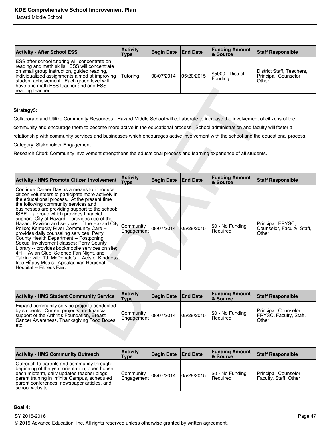| <b>Activity - After School ESS</b>                                                                                                                                                                                                                                                                               | <b>Activity</b><br>Type | Begin Date   End Date |            | <b>Funding Amount</b><br>∣& Source | <b>Staff Responsible</b>                                    |
|------------------------------------------------------------------------------------------------------------------------------------------------------------------------------------------------------------------------------------------------------------------------------------------------------------------|-------------------------|-----------------------|------------|------------------------------------|-------------------------------------------------------------|
| <b>ESS</b> after school tutoring will concentrate on<br>reading and math skills. ESS will concentrate<br>on small group instruction, guided reading,<br>individualized assignments aimed at improving<br>student acheivement. Each grade level will<br>have one math ESS teacher and one ESS<br>reading teacher. | <b>Tutoring</b>         | 108/07/2014           | 05/20/2015 | \$5000 - District<br>Funding       | District Staff, Teachers,<br>Principal, Counselor,<br>Other |

### **Strategy3:**

| reading teacher.                                                                                                                                                                                                                                                                                                                                                                                                                                                                                                                                                                                                                                                                                                                                                                                       |                                |                   |                 |                                   |                                                          |  |  |  |  |
|--------------------------------------------------------------------------------------------------------------------------------------------------------------------------------------------------------------------------------------------------------------------------------------------------------------------------------------------------------------------------------------------------------------------------------------------------------------------------------------------------------------------------------------------------------------------------------------------------------------------------------------------------------------------------------------------------------------------------------------------------------------------------------------------------------|--------------------------------|-------------------|-----------------|-----------------------------------|----------------------------------------------------------|--|--|--|--|
|                                                                                                                                                                                                                                                                                                                                                                                                                                                                                                                                                                                                                                                                                                                                                                                                        |                                |                   |                 |                                   |                                                          |  |  |  |  |
| Strategy3:                                                                                                                                                                                                                                                                                                                                                                                                                                                                                                                                                                                                                                                                                                                                                                                             |                                |                   |                 |                                   |                                                          |  |  |  |  |
| Collaborate and Utilize Community Resources - Hazard Middle School will collaborate to increase the involvement of citizens of the                                                                                                                                                                                                                                                                                                                                                                                                                                                                                                                                                                                                                                                                     |                                |                   |                 |                                   |                                                          |  |  |  |  |
| community and encourage them to become more active in the educational process. School administration and faculty will foster a                                                                                                                                                                                                                                                                                                                                                                                                                                                                                                                                                                                                                                                                         |                                |                   |                 |                                   |                                                          |  |  |  |  |
| relationship with community services and businesses which encourages active involvement with the school and the educational process.                                                                                                                                                                                                                                                                                                                                                                                                                                                                                                                                                                                                                                                                   |                                |                   |                 |                                   |                                                          |  |  |  |  |
| Category: Stakeholder Engagement                                                                                                                                                                                                                                                                                                                                                                                                                                                                                                                                                                                                                                                                                                                                                                       |                                |                   |                 |                                   |                                                          |  |  |  |  |
| Research Cited: Community involvement strengthens the educational process and learning experience of all students.                                                                                                                                                                                                                                                                                                                                                                                                                                                                                                                                                                                                                                                                                     |                                |                   |                 |                                   |                                                          |  |  |  |  |
|                                                                                                                                                                                                                                                                                                                                                                                                                                                                                                                                                                                                                                                                                                                                                                                                        |                                |                   |                 |                                   |                                                          |  |  |  |  |
|                                                                                                                                                                                                                                                                                                                                                                                                                                                                                                                                                                                                                                                                                                                                                                                                        |                                |                   |                 |                                   |                                                          |  |  |  |  |
| <b>Activity - HMS Promote Citizen Involvement</b>                                                                                                                                                                                                                                                                                                                                                                                                                                                                                                                                                                                                                                                                                                                                                      | <b>Activity</b><br><b>Type</b> | <b>Begin Date</b> | <b>End Date</b> | <b>Funding Amount</b><br>& Source | <b>Staff Responsible</b>                                 |  |  |  |  |
| Continue Career Day as a means to introduce<br>citizen volunteers to participate more actively in<br>the educational process. At the present time<br>the following community services and<br>businesses are providing support to the school:<br>ISBE -- a group which provides financial<br>support; City of Hazard -- provides use of the<br>Hazard Pavilion and services of the Hazard City<br>Police; Kentucky River Community Care --<br>provides daily counseling services; Perry<br>County Health Department -- Postponing<br>Sexual Involvement classes; Perry County<br>Library -- provides bookmobile services on site;<br>4H -- Avian Club, Science Fan Night, and<br>Talking with TJ; McDonald's -- Acts of Kindness<br>free Happy Meals; Appalachian Regional<br>Hospital -- Fitness Fair. | Community<br>Engagement        | 08/07/2014        | 05/29/2015      | \$0 - No Funding<br>Required      | Principal, FRYSC,<br>Counselor, Faculty, Staff,<br>Other |  |  |  |  |
|                                                                                                                                                                                                                                                                                                                                                                                                                                                                                                                                                                                                                                                                                                                                                                                                        | <b>Activity</b>                |                   |                 | <b>Funding Amount</b>             |                                                          |  |  |  |  |
| <b>Activity - HMS Student Community Service</b>                                                                                                                                                                                                                                                                                                                                                                                                                                                                                                                                                                                                                                                                                                                                                        | <b>Type</b>                    | <b>Begin Date</b> | <b>End Date</b> | & Source                          | <b>Staff Responsible</b>                                 |  |  |  |  |
| Expand community service projects conducted<br>by students. Current projects are financial<br>support of the Arthritis Foundation, Breast<br>Cancer Awareness, Thanksgiving Food Boxes,<br>etc.                                                                                                                                                                                                                                                                                                                                                                                                                                                                                                                                                                                                        | Community<br>Engagement        | 08/07/2014        | 05/29/2015      | \$0 - No Funding<br>Required      | Principal, Counselor,<br>FRYSC, Faculty, Staff,<br>Other |  |  |  |  |
|                                                                                                                                                                                                                                                                                                                                                                                                                                                                                                                                                                                                                                                                                                                                                                                                        |                                |                   |                 |                                   |                                                          |  |  |  |  |

| <b>Activity - HMS Student Community Service</b>                                                                                                                                                  | <b>Activity</b><br>Type               | Begin Date   End Date |            | <b>Funding Amount</b><br>8 Source | <b>Staff Responsible</b>                                        |
|--------------------------------------------------------------------------------------------------------------------------------------------------------------------------------------------------|---------------------------------------|-----------------------|------------|-----------------------------------|-----------------------------------------------------------------|
| Expand community service projects conducted<br>by students. Current projects are financial<br>support of the Arthritis Foundation, Breast<br>Cancer Awareness, Thanksgiving Food Boxes,<br>⊺etc. | Community<br>Engagement 08/07/2014 IU |                       | 05/29/2015 | S0 - No Funding<br>Required       | Principal, Counselor,<br><b>FRYSC, Faculty, Staff,</b><br>Other |

| <b>Activity - HMS Community Outreach</b>                                                                                                                                                                                                                    | <b>Activity</b><br>Type              | Begin Date   End Date |            | <b>Funding Amount</b><br>∣& Source | <b>Staff Responsible</b>                        |
|-------------------------------------------------------------------------------------------------------------------------------------------------------------------------------------------------------------------------------------------------------------|--------------------------------------|-----------------------|------------|------------------------------------|-------------------------------------------------|
| Outreach to parents and community through:<br>beginning of the year orientation, open house<br>each midterm, daily updated teacher blogs,<br>parent training in Infinite Campus, scheduled<br>parent conferences, newspaper articles, and<br>school website | l Communitv<br>Ingagement 08/07/2014 |                       | 05/29/2015 | \$0 - No Funding<br>l Reauired     | Principal, Counselor,<br> Faculty, Staff, Other |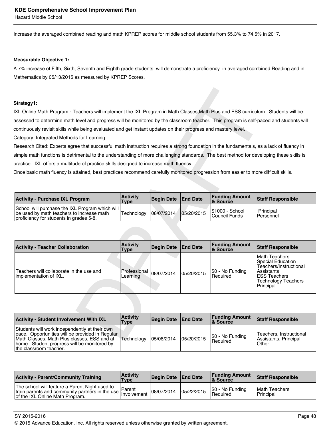Hazard Middle School

Increase the averaged combined reading and math KPREP scores for middle school students from 55.3% to 74.5% in 2017.

### **Measurable Objective 1:**

A 7% increase of Fifth, Sixth, Seventh and Eighth grade students will demonstrate a proficiency in averaged combined Reading and in Mathematics by 05/13/2015 as measured by KPREP Scores.

### **Strategy1:**

| <b>Activity - Purchase IXL Program</b>                                                                                                  | <b>Activity</b><br><b>Type</b> | Begin Date   End Date |            | <b>Funding Amount</b><br>& Source | <b>Staff Responsible</b> |
|-----------------------------------------------------------------------------------------------------------------------------------------|--------------------------------|-----------------------|------------|-----------------------------------|--------------------------|
| School will purchase the IXL Program which will<br>be used by math teachers to increase math<br>proficiency for students in grades 5-8. | Technology                     | 08/07/2014            | 05/20/2015 | \$1000 - School<br>Council Funds  | Principal<br>l Personnel |

| Strategy1:                                                                                                                                      |                                |                   |                 |                                         |                                                                                                                                                            |
|-------------------------------------------------------------------------------------------------------------------------------------------------|--------------------------------|-------------------|-----------------|-----------------------------------------|------------------------------------------------------------------------------------------------------------------------------------------------------------|
| IXL Online Math Program - Teachers will implement the IXL Program in Math Classes, Math Plus and ESS curriculum. Students will be               |                                |                   |                 |                                         |                                                                                                                                                            |
| assessed to determine math level and progress will be monitored by the classroom teacher. This program is self-paced and students will          |                                |                   |                 |                                         |                                                                                                                                                            |
| continuously revisit skills while being evaluated and get instant updates on their progress and mastery level.                                  |                                |                   |                 |                                         |                                                                                                                                                            |
| Category: Integrated Methods for Learning                                                                                                       |                                |                   |                 |                                         |                                                                                                                                                            |
| Research Cited: Experts agree that successful math instruction requires a strong foundation in the fundamentals, as a lack of fluency in        |                                |                   |                 |                                         |                                                                                                                                                            |
| simple math functions is detrimental to the understanding of more challenging standards. The best method for developing these skills is         |                                |                   |                 |                                         |                                                                                                                                                            |
| practice. IXL offers a multitude of practice skills designed to increase math fluency.                                                          |                                |                   |                 |                                         |                                                                                                                                                            |
| Once basic math fluency is attained, best practices recommend carefully monitored progression from easier to more difficult skills.             |                                |                   |                 |                                         |                                                                                                                                                            |
|                                                                                                                                                 |                                |                   |                 |                                         |                                                                                                                                                            |
|                                                                                                                                                 |                                |                   |                 |                                         |                                                                                                                                                            |
| <b>Activity - Purchase IXL Program</b>                                                                                                          | <b>Activity</b><br><b>Type</b> | <b>Begin Date</b> | <b>End Date</b> | <b>Funding Amount</b><br>& Source       | <b>Staff Responsible</b>                                                                                                                                   |
| School will purchase the IXL Program which will<br>be used by math teachers to increase math<br>proficiency for students in grades 5-8.         | Technology                     | 08/07/2014        | 05/20/2015      | \$1000 - School<br><b>Council Funds</b> | Principal<br>Personnel                                                                                                                                     |
|                                                                                                                                                 |                                |                   |                 |                                         |                                                                                                                                                            |
| <b>Activity - Teacher Collaboration</b>                                                                                                         | <b>Activity</b><br>Type        | <b>Begin Date</b> | <b>End Date</b> | <b>Funding Amount</b><br>& Source       | <b>Staff Responsible</b>                                                                                                                                   |
| Teachers will collaborate in the use and<br>implementation of IXL.                                                                              | Professional<br>Learning       | 08/07/2014        | 05/20/2015      | \$0 - No Funding<br>Required            | <b>Math Teachers</b><br><b>Special Education</b><br>Teachers/Instructional<br>Assistants<br><b>ESS Teachers</b><br><b>Technology Teachers</b><br>Principal |
|                                                                                                                                                 |                                |                   |                 |                                         |                                                                                                                                                            |
| <b>Activity - Student Involvement With IXL</b>                                                                                                  | <b>Activity</b><br><b>Type</b> | <b>Begin Date</b> | <b>End Date</b> | <b>Funding Amount</b><br>& Source       | <b>Staff Responsible</b>                                                                                                                                   |
| Students will work independently at their own<br>pace. Opportunities will be provided in Regular<br>Math Classes, Math Plus classes, ESS and at | Technology   05/08/2014        |                   | 05/20/2015      | \$0 - No Funding<br>Doguirod.           | Teachers, Instructional<br>Assistants, Principal,                                                                                                          |

| <b>Activity - Student Involvement With IXL</b>                                                                                                                                                                           | <b>Activity</b><br>Type | Begin Date   End Date |            | <b>Funding Amount</b><br>∣& Source | <b>Staff Responsible</b>                                   |
|--------------------------------------------------------------------------------------------------------------------------------------------------------------------------------------------------------------------------|-------------------------|-----------------------|------------|------------------------------------|------------------------------------------------------------|
| Students will work independently at their own<br>pace. Opportunities will be provided in Regular<br>Math Classes, Math Plus classes, ESS and at<br>home. Student progress will be monitored by<br>the classroom teacher. | Technoloav              | 05/08/2014            | 05/20/2015 | $ \$0 - No Funding$<br>l Reauired  | Teachers, Instructional<br>Assistants, Principal,<br>Other |

| <b>Activity - Parent/Community Training</b>                                                                                                                  | <b>Activity</b><br><b>Type</b> | Begin Date   End Date |            | <b>Funding Amount</b><br>8 Source   | <b>Staff Responsible</b>           |
|--------------------------------------------------------------------------------------------------------------------------------------------------------------|--------------------------------|-----------------------|------------|-------------------------------------|------------------------------------|
| The school will feature a Parent Night used to<br>train parents and community partners in the use $\mathbb{F}_p^{\alpha}$<br>of the IXL Online Math Program. | 'Parent<br><b>Involvement</b>  | 108/07/2014           | 05/22/2015 | \$0 - No Funding<br><b>Required</b> | <b>IMath Teachers</b><br>Principal |

SY 2015-2016 Page 48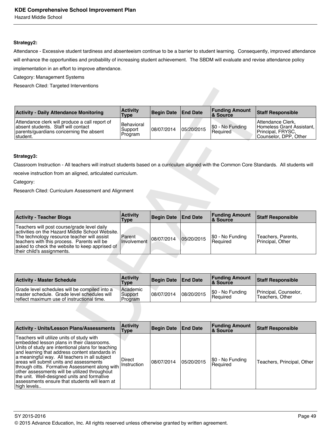### **Strategy2:**

Attendance - Excessive student tardiness and absenteeism continue to be a barrier to student learning. Consequently, improved attendance will enhance the opportunities and probability of increasing student achievement. The SBDM will evaluate and revise attendance policy implementation in an effort to improve attendance.

Category: Management Systems

Research Cited: Targeted Interventions

| <b>Activity - Daily Attendance Monitoring</b>                                                                                                | <b>Activity</b><br>Type                 | Begin Date   End Date |            | <b>Funding Amount</b><br>8 Source | <b>Staff Responsible</b>                                                                      |
|----------------------------------------------------------------------------------------------------------------------------------------------|-----------------------------------------|-----------------------|------------|-----------------------------------|-----------------------------------------------------------------------------------------------|
| Attendance clerk will produce a call report of<br>absent students. Staff will contact<br>parents/quardians concerning the absent<br>student. | <b>Behavioral</b><br>Support<br>Program | 08/07/2014            | 05/20/2015 | \$0 - No Funding<br>Required      | Attendance Clerk.<br>Homeless Grant Assistant,<br>Principal, FRYSC,<br>lCounselor. DPP. Other |

### **Strategy3:**

### Category:

| <b>Activity - Daily Attendance Monitoring</b>                                                                                                                                                                                                                                | <b>Activity</b><br><b>Type</b>   | <b>Begin Date</b> | <b>End Date</b> | <b>Funding Amount</b><br>& Source | <b>Staff Responsible</b>                                                                     |
|------------------------------------------------------------------------------------------------------------------------------------------------------------------------------------------------------------------------------------------------------------------------------|----------------------------------|-------------------|-----------------|-----------------------------------|----------------------------------------------------------------------------------------------|
| Attendance clerk will produce a call report of<br>absent students. Staff will contact<br>parents/guardians concerning the absent<br>student.                                                                                                                                 | Behavioral<br>Support<br>Program | 08/07/2014        | 05/20/2015      | \$0 - No Funding<br>Required      | Attendance Clerk,<br>Homeless Grant Assistant,<br>Principal, FRYSC,<br>Counselor, DPP, Other |
|                                                                                                                                                                                                                                                                              |                                  |                   |                 |                                   |                                                                                              |
| Strategy3:                                                                                                                                                                                                                                                                   |                                  |                   |                 |                                   |                                                                                              |
| Classroom Instruction - All teachers will instruct students based on a curriculum aligned with the Common Core Standards. All students will                                                                                                                                  |                                  |                   |                 |                                   |                                                                                              |
| receive instruction from an aligned, articulated curriculum.                                                                                                                                                                                                                 |                                  |                   |                 |                                   |                                                                                              |
| Category:                                                                                                                                                                                                                                                                    |                                  |                   |                 |                                   |                                                                                              |
| Research Cited: Curriculum Assessment and Alignment                                                                                                                                                                                                                          |                                  |                   |                 |                                   |                                                                                              |
|                                                                                                                                                                                                                                                                              |                                  |                   |                 |                                   |                                                                                              |
| <b>Activity - Teacher Blogs</b>                                                                                                                                                                                                                                              | <b>Activity</b><br><b>Type</b>   | <b>Begin Date</b> | <b>End Date</b> | <b>Funding Amount</b><br>& Source | <b>Staff Responsible</b>                                                                     |
| Teachers will post course/grade level daily<br>activities on the Hazard Middle School Website.<br>The technology resource teacher will assist<br>teachers with this process. Parents will be<br>asked to check the website to keep apprised of<br>their child's assignments. | Parent<br>Involvement            | 08/07/2014        | 05/20/2015      | \$0 - No Funding<br>Required      | Teachers, Parents,<br>Principal, Other                                                       |
|                                                                                                                                                                                                                                                                              |                                  |                   |                 |                                   |                                                                                              |
| <b>Activity - Master Schedule</b>                                                                                                                                                                                                                                            | <b>Activity</b><br><b>Type</b>   | <b>Begin Date</b> | <b>End Date</b> | <b>Funding Amount</b><br>& Source | <b>Staff Responsible</b>                                                                     |
| Grade level schedules will be compiled into a<br>master schedule. Grade level schedules will<br>reflect maximum use of instructional time.                                                                                                                                   | Academic<br>Support<br>Program   | 08/07/2014        | 08/20/2015      | \$0 - No Funding<br>Required      | Principal, Counselor,<br>Teachers, Other                                                     |
|                                                                                                                                                                                                                                                                              |                                  |                   |                 |                                   |                                                                                              |
| <b>Activity - Units/Lesson Plans/Assessments</b>                                                                                                                                                                                                                             | <b>Activity</b><br><b>Type</b>   | <b>Begin Date</b> | <b>End Date</b> | <b>Funding Amount</b><br>& Source | <b>Staff Responsible</b>                                                                     |
| Teachers will utilize units of study with                                                                                                                                                                                                                                    |                                  |                   |                 |                                   |                                                                                              |

| <b>Activity - Master Schedule</b>                                                                                                           | <b>Activity</b><br><b>Type</b> | Begin Date   End Date |            | <b>Funding Amount</b><br>8 Source   | <b>Staff Responsible</b>                 |
|---------------------------------------------------------------------------------------------------------------------------------------------|--------------------------------|-----------------------|------------|-------------------------------------|------------------------------------------|
| Grade level schedules will be compiled into a<br>Imaster schedule. Grade level schedules will<br>reflect maximum use of instructional time. | Academic<br>Support<br>Program | 08/07/2014            | 08/20/2015 | \$0 - No Funding<br><b>Required</b> | Principal, Counselor,<br>Teachers. Other |

| <b>Activity - Units/Lesson Plans/Assessments</b>                                                                                                                                                                                                                                                                                                                                                                                                                                                                | <b>Activity</b><br>Type | <b>Begin Date End Date</b> |            | <b>Funding Amount</b><br>& Source | <b>Staff Responsible</b>   |
|-----------------------------------------------------------------------------------------------------------------------------------------------------------------------------------------------------------------------------------------------------------------------------------------------------------------------------------------------------------------------------------------------------------------------------------------------------------------------------------------------------------------|-------------------------|----------------------------|------------|-----------------------------------|----------------------------|
| Teachers will utilize units of study with<br>embedded lesson plans in their classrooms.<br>Units of study are intentional plans for teaching<br>and learning that address content standards in<br>a meaningful way. All teachers in all subject<br>areas will submit units and assessments<br> through citts. Formative Assessment along with <br>other assessments will be utilized throughout<br>the unit. Well-designed units and formative<br>assessments ensure that students will learn at<br>high levels | Direct<br>Instruction   | 08/07/2014                 | 05/20/2015 | \$0 - No Funding<br>Required      | Teachers, Principal, Other |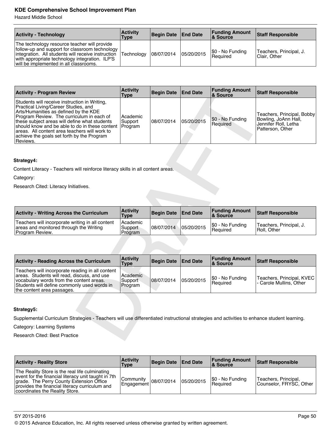Hazard Middle School

| <b>Activity - Technology</b>                                                                                                                                                                                                                     | <b>Activity</b><br>Type | Begin Date   End Date |            | <b>Funding Amount</b><br>∣& Source  | Staff Responsible                       |
|--------------------------------------------------------------------------------------------------------------------------------------------------------------------------------------------------------------------------------------------------|-------------------------|-----------------------|------------|-------------------------------------|-----------------------------------------|
| The technology resource teacher will provide<br>follow-up and support for classroom technology<br>integration. All students will receive instruction<br>with appropriate technology integration. ILP'S<br>will be implemented in all classrooms. | Technology              | 08/07/2014            | 05/20/2015 | \$0 - No Funding<br><b>Reauired</b> | Teachers, Principal, J.<br>Clair. Other |

| <b>Activity - Program Review</b>                                                                                                                                                                                                                                                                                                                                                          | <b>Activity</b><br><b>Type</b> | <b>Begin Date</b> | <b>End Date</b> | <b>Funding Amount</b><br>& Source | <b>Staff Responsible</b>                                                                       |
|-------------------------------------------------------------------------------------------------------------------------------------------------------------------------------------------------------------------------------------------------------------------------------------------------------------------------------------------------------------------------------------------|--------------------------------|-------------------|-----------------|-----------------------------------|------------------------------------------------------------------------------------------------|
| Students will receive instruction in Writing,<br>Practical Living/Career Studies, and<br>Arts/Humanities as defined by the KDE<br>Program Review. The curriculum in each of<br>these subject areas will define what students<br>should know and be able to do in these content<br>areas. All content area teachers will work to<br>achieve the goals set forth by the Program<br>Reviews. | Academic<br>Support<br>Program | 08/07/2014        | 05/20/2015      | \$0 - No Funding<br>Required      | Teachers, Principal, Bobby<br>Bowling, JoAnn Hall,<br>Jennifer Roll, Letha<br>Patterson, Other |
|                                                                                                                                                                                                                                                                                                                                                                                           |                                |                   |                 |                                   |                                                                                                |
| Strategy4:                                                                                                                                                                                                                                                                                                                                                                                |                                |                   |                 |                                   |                                                                                                |
| Content Literacy - Teachers will reinforce literacy skills in all content areas.                                                                                                                                                                                                                                                                                                          |                                |                   |                 |                                   |                                                                                                |
| Category:                                                                                                                                                                                                                                                                                                                                                                                 |                                |                   |                 |                                   |                                                                                                |
| Research Cited: Literacy Initiatives.                                                                                                                                                                                                                                                                                                                                                     |                                |                   |                 |                                   |                                                                                                |
|                                                                                                                                                                                                                                                                                                                                                                                           |                                |                   |                 |                                   |                                                                                                |
| <b>Activity - Writing Across the Curriculum</b>                                                                                                                                                                                                                                                                                                                                           | <b>Activity</b><br><b>Type</b> | <b>Begin Date</b> | <b>End Date</b> | <b>Funding Amount</b><br>& Source | <b>Staff Responsible</b>                                                                       |
| Teachers will incorporate writing in all content<br>areas and monitored through the Writing<br>Program Review.                                                                                                                                                                                                                                                                            | Academic<br>Support<br>Program | 08/07/2014        | 05/20/2015      | \$0 - No Funding<br>Required      | Teachers, Principal, J.<br>Roll, Other                                                         |
|                                                                                                                                                                                                                                                                                                                                                                                           |                                |                   |                 |                                   |                                                                                                |
| <b>Activity - Reading Across the Curriculum</b>                                                                                                                                                                                                                                                                                                                                           | <b>Activity</b><br><b>Type</b> | <b>Begin Date</b> | <b>End Date</b> | <b>Funding Amount</b><br>& Source | <b>Staff Responsible</b>                                                                       |
| Teachers will incorporate reading in all content<br>areas. Students will read, discuss, and use<br>vocabulary words from the content areas.<br>Students will define commonly used words in<br>the content area passages.                                                                                                                                                                  | Academic<br>Support<br>Program | 08/07/2014        | 05/20/2015      | \$0 - No Funding<br>Required      | Teachers, Principal, KVEC<br>- Carole Mullins, Other                                           |
|                                                                                                                                                                                                                                                                                                                                                                                           |                                |                   |                 |                                   |                                                                                                |
| Strategy5:                                                                                                                                                                                                                                                                                                                                                                                |                                |                   |                 |                                   |                                                                                                |
| Supplemental Curriculum Strategies - Teachers will use differentiated instructional strategies and activities to enhance student learning.                                                                                                                                                                                                                                                |                                |                   |                 |                                   |                                                                                                |
| Category: Learning Systems                                                                                                                                                                                                                                                                                                                                                                |                                |                   |                 |                                   |                                                                                                |
| <b>Research Cited: Best Practice</b>                                                                                                                                                                                                                                                                                                                                                      |                                |                   |                 |                                   |                                                                                                |

### **Strategy4:**

| <b>Activity - Writing Across the Curriculum</b>                                                                | <b>Activity</b><br><b>Type</b>    | Begin Date   End Date |            | <b>Funding Amount</b><br>∣& Source | <b>Staff Responsible</b>               |
|----------------------------------------------------------------------------------------------------------------|-----------------------------------|-----------------------|------------|------------------------------------|----------------------------------------|
| Teachers will incorporate writing in all content<br>areas and monitored through the Writing<br>Program Review. | l Academic<br>Support<br>'Program | 08/07/2014            | 05/20/2015 | \$0 - No Funding<br>l Reauired     | Teachers, Principal, J.<br>Roll. Other |

| <b>Activity - Reading Across the Curriculum</b>                                                                                                                                                                          | <b>Activity</b><br>Type         | Begin Date   End Date |            | <b>Funding Amount</b><br>8 Source | Staff Responsible                                      |
|--------------------------------------------------------------------------------------------------------------------------------------------------------------------------------------------------------------------------|---------------------------------|-----------------------|------------|-----------------------------------|--------------------------------------------------------|
| Teachers will incorporate reading in all content<br>areas. Students will read, discuss, and use<br>vocabulary words from the content areas.<br>Students will define commonly used words in<br>the content area passages. | Academic<br>Support<br> Program | 08/07/2014            | 05/20/2015 | \$0 - No Funding<br>Required      | Teachers, Principal, KVEC  <br>- Carole Mullins, Other |

### **Strategy5:**

| <b>Activity - Reality Store</b>                                                                                                                                                                                                       | <b>Activity</b><br>Type                  | Begin Date   End Date |            | <b>Funding Amount</b><br>∣& Source | <b>Staff Responsible</b>                        |
|---------------------------------------------------------------------------------------------------------------------------------------------------------------------------------------------------------------------------------------|------------------------------------------|-----------------------|------------|------------------------------------|-------------------------------------------------|
| The Reality Store is the real life culminating<br>event for the financial literacy unit taught in 7th<br>grade. The Perry County Extension Office<br>provides the financial literacy curriculum and<br>coordinates the Reality Store. | Community<br>I Engagement 08/07/2014 Iv. |                       | 05/20/2015 | [\$0 - No Funding<br>l Reauired    | Teachers, Principal,<br>Counselor, FRYSC, Other |

SY 2015-2016 Page 50

<sup>© 2015</sup> Advance Education, Inc. All rights reserved unless otherwise granted by written agreement.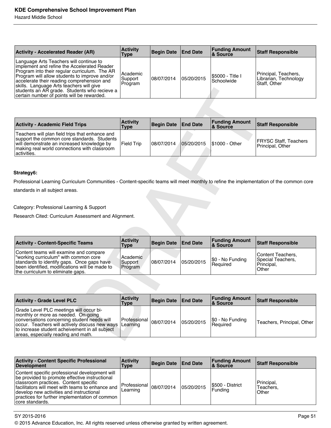Hazard Middle School

| <b>Activity - Accelerated Reader (AR)</b>                                                                                                                                                                                                                                                                                                                                        | <b>Activity</b><br>Type        | Begin Date   End Date |            | <b>Funding Amount</b><br>∣& Source            | <b>Staff Responsible</b>                                      |
|----------------------------------------------------------------------------------------------------------------------------------------------------------------------------------------------------------------------------------------------------------------------------------------------------------------------------------------------------------------------------------|--------------------------------|-----------------------|------------|-----------------------------------------------|---------------------------------------------------------------|
| Language Arts Teachers will continue to<br>implement and refine the Accelerated Reader<br>Program into their regular curriculum. The AR<br>Program will allow students to improve and/or<br>accelerate their reading comprehension and<br>skills. Language Arts teachers will give<br>students an AR grade. Students who recieve a<br>certain number of points will be rewarded. | Academic<br>Support<br>Program | 108/07/2014           | 05/20/2015 | <b>1\$5000 - Title I</b><br><b>Schoolwide</b> | Principal, Teachers,<br>Librarian, Technology<br>Staff. Other |

| <b>Activity - Academic Field Trips</b>                                                                                                                                                                       | <b>Activity</b><br>Type | Begin Date   End Date |             | <b>Funding Amount</b><br>∣& Source | Staff Responsible                                |
|--------------------------------------------------------------------------------------------------------------------------------------------------------------------------------------------------------------|-------------------------|-----------------------|-------------|------------------------------------|--------------------------------------------------|
| Teachers will plan field trips that enhance and<br>support the common core standards. Students<br>will demonstrate an increased knowledge by<br>making real world connections with classroom<br>lactivities. | <b>Field Trip</b>       | 08/07/2014            | 105/20/2015 | <b>S1000 - Other</b>               | <b>FRYSC Staff, Teachers</b><br>Principal, Other |

### **Strategy6:**

| <b>Activity - Content-Specific Teams</b>                                                                                                                                                                             | <b>Activity</b><br>Type        | Begin Date   End Date |            | <b>Funding Amount</b><br>8 Source | Staff Responsible                                             |
|----------------------------------------------------------------------------------------------------------------------------------------------------------------------------------------------------------------------|--------------------------------|-----------------------|------------|-----------------------------------|---------------------------------------------------------------|
| Content teams will examine and compare<br>working curriculum" with common core"<br>standards to identify gaps. Once gaps have<br>been identified, modifications will be made to<br>the curriculum to eliminate gaps. | Academic<br>Support<br>Program | 08/07/2014            | 05/20/2015 | \$0 - No Funding<br>l Reauired    | Content Teachers,<br>Special Teachers,<br>Principal,<br>Other |

| students an AR grade. Students who recieve a<br>certain number of points will be rewarded.                                                                                                                                                                               |                                |                   |                 |                                   |                                                               |  |  |  |  |
|--------------------------------------------------------------------------------------------------------------------------------------------------------------------------------------------------------------------------------------------------------------------------|--------------------------------|-------------------|-----------------|-----------------------------------|---------------------------------------------------------------|--|--|--|--|
|                                                                                                                                                                                                                                                                          |                                |                   |                 |                                   |                                                               |  |  |  |  |
| <b>Activity - Academic Field Trips</b>                                                                                                                                                                                                                                   | <b>Activity</b><br><b>Type</b> | <b>Begin Date</b> | <b>End Date</b> | <b>Funding Amount</b><br>& Source | <b>Staff Responsible</b>                                      |  |  |  |  |
| Teachers will plan field trips that enhance and<br>support the common core standards. Students<br>will demonstrate an increased knowledge by<br>making real world connections with classroom<br>activities.                                                              | <b>Field Trip</b>              | 08/07/2014        | 05/20/2015      | \$1000 - Other                    | <b>FRYSC Staff, Teachers</b><br>Principal, Other              |  |  |  |  |
|                                                                                                                                                                                                                                                                          |                                |                   |                 |                                   |                                                               |  |  |  |  |
| Strategy6:                                                                                                                                                                                                                                                               |                                |                   |                 |                                   |                                                               |  |  |  |  |
| Professional Learning Curriculum Communities - Content-specific teams will meet monthly to refine the implementation of the common core                                                                                                                                  |                                |                   |                 |                                   |                                                               |  |  |  |  |
| standards in all subject areas.                                                                                                                                                                                                                                          |                                |                   |                 |                                   |                                                               |  |  |  |  |
|                                                                                                                                                                                                                                                                          |                                |                   |                 |                                   |                                                               |  |  |  |  |
| Category: Professional Learning & Support                                                                                                                                                                                                                                |                                |                   |                 |                                   |                                                               |  |  |  |  |
| Research Cited: Curriculum Assessment and Alignment.                                                                                                                                                                                                                     |                                |                   |                 |                                   |                                                               |  |  |  |  |
|                                                                                                                                                                                                                                                                          |                                |                   |                 |                                   |                                                               |  |  |  |  |
|                                                                                                                                                                                                                                                                          |                                |                   |                 |                                   |                                                               |  |  |  |  |
| <b>Activity - Content-Specific Teams</b>                                                                                                                                                                                                                                 | <b>Activity</b><br><b>Type</b> | <b>Begin Date</b> | <b>End Date</b> | <b>Funding Amount</b><br>& Source | <b>Staff Responsible</b>                                      |  |  |  |  |
| Content teams will examine and compare<br>"working curriculum" with common core<br>standards to identify gaps. Once gaps have<br>been identified, modifications will be made to<br>the curriculum to eliminate gaps.                                                     | Academic<br>Support<br>Program | 08/07/2014        | 05/20/2015      | \$0 - No Funding<br>Required      | Content Teachers,<br>Special Teachers,<br>Principal,<br>Other |  |  |  |  |
|                                                                                                                                                                                                                                                                          |                                |                   |                 |                                   |                                                               |  |  |  |  |
| <b>Activity - Grade Level PLC</b>                                                                                                                                                                                                                                        | <b>Activity</b><br><b>Type</b> | <b>Begin Date</b> | <b>End Date</b> | <b>Funding Amount</b><br>& Source | <b>Staff Responsible</b>                                      |  |  |  |  |
| Grade Level PLC meetings will occur bi-<br>monthly or more as needed. On-going<br>conversations concerning student needs will<br>occur. Teachers will actively discuss new ways<br>to increase student acheivement in all subject<br>areas, especially reading and math. | Professional<br>Learning       | 08/07/2014        | 05/20/2015      | \$0 - No Funding<br>Required      | Teachers, Principal, Other                                    |  |  |  |  |

| <b>Activity - Content Specific Professional</b><br><b>Development</b>                                                                                                                                                                                                                                          | <b>Activity</b><br>Type  | <b>Begin Date</b> | <b>End Date</b> | <b>Funding Amount</b><br>∣& Source | <b>Staff Responsible</b>         |
|----------------------------------------------------------------------------------------------------------------------------------------------------------------------------------------------------------------------------------------------------------------------------------------------------------------|--------------------------|-------------------|-----------------|------------------------------------|----------------------------------|
| Content specific professional development will<br>be provided to promote effective instructional<br>classroom practices. Content specific<br>facilitators will meet with teams to enhance and<br>develop new activities and instructional<br>practices for further implementation of common<br>core standards. | Professional<br>Learning | 08/07/2014        | 05/20/2015      | I\$500 - District<br>Funding       | Principal.<br>Teachers.<br>Other |

# SY 2015-2016 Page 51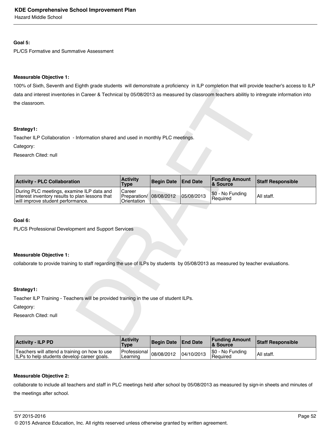### **Goal 5:**

PL/CS Formative and Summative Assessment

### **Measurable Objective 1:**

100% of Sixth, Seventh and Eighth grade students will demonstrate a proficiency in ILP completion that will provide teacher's access to ILP data and interest inventories in Career & Technical by 05/08/2013 as measured by classroom teachers abilitiy to intregrate information into the classroom.

### **Strategy1:**

| data and interest inventories in Career & Technical by 05/08/2013 as measured by classroom teachers abilitiy to intregrate information into |                                       |                   |                 |                                   |                          |
|---------------------------------------------------------------------------------------------------------------------------------------------|---------------------------------------|-------------------|-----------------|-----------------------------------|--------------------------|
| the classroom.                                                                                                                              |                                       |                   |                 |                                   |                          |
|                                                                                                                                             |                                       |                   |                 |                                   |                          |
|                                                                                                                                             |                                       |                   |                 |                                   |                          |
| Strategy1:                                                                                                                                  |                                       |                   |                 |                                   |                          |
| Teacher ILP Collaboration - Information shared and used in monthly PLC meetings.                                                            |                                       |                   |                 |                                   |                          |
| Category:                                                                                                                                   |                                       |                   |                 |                                   |                          |
| Research Cited: null                                                                                                                        |                                       |                   |                 |                                   |                          |
|                                                                                                                                             |                                       |                   |                 |                                   |                          |
| <b>Activity - PLC Collaboration</b>                                                                                                         | <b>Activity</b><br><b>Type</b>        | <b>Begin Date</b> | <b>End Date</b> | <b>Funding Amount</b><br>& Source | <b>Staff Responsible</b> |
| During PLC meetings, examine ILP data and<br>interest inventory results to plan lessons that<br>will improve student performance.           | Career<br>Preparation/<br>Orientation | 08/08/2012        | 05/08/2013      | \$0 - No Funding<br>Required      | All staff.               |
|                                                                                                                                             |                                       |                   |                 |                                   |                          |
| Goal 6:                                                                                                                                     |                                       |                   |                 |                                   |                          |
| PL/CS Professional Development and Support Services                                                                                         |                                       |                   |                 |                                   |                          |
|                                                                                                                                             |                                       |                   |                 |                                   |                          |
|                                                                                                                                             |                                       |                   |                 |                                   |                          |
| <b>Measurable Objective 1:</b>                                                                                                              |                                       |                   |                 |                                   |                          |
| collaborate to provide training to staff regarding the use of ILPs by students by 05/08/2013 as measured by teacher evaluations.            |                                       |                   |                 |                                   |                          |
|                                                                                                                                             |                                       |                   |                 |                                   |                          |
|                                                                                                                                             |                                       |                   |                 |                                   |                          |
| Strategy1:                                                                                                                                  |                                       |                   |                 |                                   |                          |
| Teacher ILP Training - Teachers will be provided training in the use of student ILPs.                                                       |                                       |                   |                 |                                   |                          |
| Category:                                                                                                                                   |                                       |                   |                 |                                   |                          |
| Research Cited: null                                                                                                                        |                                       |                   |                 |                                   |                          |
|                                                                                                                                             |                                       |                   |                 |                                   |                          |
|                                                                                                                                             |                                       |                   |                 |                                   |                          |
|                                                                                                                                             | <b>Activity</b>                       |                   |                 | <b>Funding Amount</b>             |                          |

### **Goal 6:**

### **Measurable Objective 1:**

### **Strategy1:**

| <b>Activity - ILP PD</b>                                                                     | <b>Activity</b><br>Type                 | Begin Date End Date |            | <b>Funding Amount</b><br>& Source | <b>Staff Responsible</b> |
|----------------------------------------------------------------------------------------------|-----------------------------------------|---------------------|------------|-----------------------------------|--------------------------|
| Teachers will attend a training on how to use<br>ILPs to help students develop career goals. | Professional $ 08/08/2012 $<br>Learning |                     | 04/10/2013 | $ \$0 - No Funding$<br>Required   | All staff.               |

### **Measurable Objective 2:**

collaborate to include all teachers and staff in PLC meetings held after school by 05/08/2013 as measured by sign-in sheets and minutes of the meetings after school.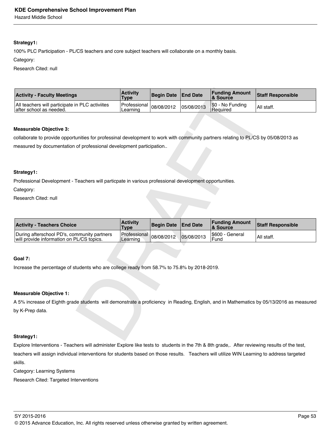Hazard Middle School

### **Strategy1:**

100% PLC Participation - PL/CS teachers and core subject teachers will collaborate on a monthly basis.

Category:

Research Cited: null

| <b>Activity - Faculty Meetings</b>                                         | <b>Activity</b><br><b>Type</b>          | Begin Date End Date |            | <b>Funding Amount</b><br><b>&amp; Source</b> | <b>Staff Responsible</b> |
|----------------------------------------------------------------------------|-----------------------------------------|---------------------|------------|----------------------------------------------|--------------------------|
| All teachers will participate in PLC activiites<br>after school as needed. | Professional $ 08/08/2012 $<br>Learning |                     | 05/08/2013 | S0 - No Funding<br>Required                  | All staff.               |

### **Measurable Objective 3:**

### **Strategy1:**

| <b>Activity - Faculty Meetings</b>                                                                                                      | <b>Activity</b><br>Type        | <b>Begin Date</b> | <b>End Date</b> | <b>Funding Amount</b><br>& Source | <b>Staff Responsible</b> |
|-----------------------------------------------------------------------------------------------------------------------------------------|--------------------------------|-------------------|-----------------|-----------------------------------|--------------------------|
| All teachers will participate in PLC activiites<br>after school as needed.                                                              | Professional<br>Learning       | 08/08/2012        | 05/08/2013      | \$0 - No Funding<br>Required      | All staff.               |
|                                                                                                                                         |                                |                   |                 |                                   |                          |
| <b>Measurable Objective 3:</b>                                                                                                          |                                |                   |                 |                                   |                          |
| collaborate to provide opportunities for professinal development to work with community partners relating to PL/CS by 05/08/2013 as     |                                |                   |                 |                                   |                          |
| measured by documentation of professional development participation                                                                     |                                |                   |                 |                                   |                          |
|                                                                                                                                         |                                |                   |                 |                                   |                          |
|                                                                                                                                         |                                |                   |                 |                                   |                          |
| Strategy1:                                                                                                                              |                                |                   |                 |                                   |                          |
| Professional Development - Teachers will particpate in various professional development opportunities.                                  |                                |                   |                 |                                   |                          |
| Category:                                                                                                                               |                                |                   |                 |                                   |                          |
| Research Cited: null                                                                                                                    |                                |                   |                 |                                   |                          |
|                                                                                                                                         |                                |                   |                 |                                   |                          |
|                                                                                                                                         |                                |                   |                 |                                   |                          |
| <b>Activity - Teachers Choice</b>                                                                                                       | <b>Activity</b><br><b>Type</b> | <b>Begin Date</b> | <b>End Date</b> | <b>Funding Amount</b><br>& Source | <b>Staff Responsible</b> |
| During afterschool PD's, community partners<br>will provide information on PL/CS topics.                                                | Professional<br>Learning       | 08/08/2012        | 05/08/2013      | \$600 - General<br>Fund           | All staff.               |
|                                                                                                                                         |                                |                   |                 |                                   |                          |
| Goal 7:                                                                                                                                 |                                |                   |                 |                                   |                          |
| Increase the percentage of students who are college ready from 58.7% to 75.8% by 2018-2019.                                             |                                |                   |                 |                                   |                          |
|                                                                                                                                         |                                |                   |                 |                                   |                          |
|                                                                                                                                         |                                |                   |                 |                                   |                          |
| <b>Measurable Objective 1:</b>                                                                                                          |                                |                   |                 |                                   |                          |
| A 5% increase of Eighth grade students will demonstrate a proficiency in Reading, English, and in Mathematics by 05/13/2016 as measured |                                |                   |                 |                                   |                          |
| by K-Prep data.                                                                                                                         |                                |                   |                 |                                   |                          |
|                                                                                                                                         |                                |                   |                 |                                   |                          |
|                                                                                                                                         |                                |                   |                 |                                   |                          |
| Strategy1:                                                                                                                              |                                |                   |                 |                                   |                          |

### **Goal 7:**

### **Measurable Objective 1:**

### **Strategy1:**

Explore Interventions - Teachers will administer Explore like tests to students in the 7th & 8th grade,. After reviewing results of the test, teachers will assign individual interventions for students based on those results. Teachers will utilize WIN Learning to address targeted skills.

Category: Learning Systems

Research Cited: Targeted Interventions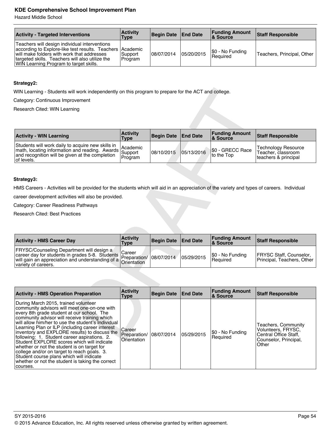Hazard Middle School

| <b>Activity - Targeted Interventions</b>                                                                                                                                                                                                              | <b>Activity</b><br><b>Type</b> | Begin Date   End Date |            | <b>Funding Amount</b><br><b>8</b> Source | Staff Responsible          |
|-------------------------------------------------------------------------------------------------------------------------------------------------------------------------------------------------------------------------------------------------------|--------------------------------|-----------------------|------------|------------------------------------------|----------------------------|
| Teachers will design individual interventions<br>according to Explore-like test results. Teachers Academic<br>will make folders with work that addresses<br>targeted skills. Teachers will also utilize the<br>WIN Learning Program to target skills. | Support<br>Program             | 08/07/2014            | 05/20/2015 | $ \$0 - No Funding$<br><b>Required</b>   | Teachers, Principal, Other |

### **Strategy2:**

| <b>Activity - WIN Learning</b>                                                                                                                                                                                                        | <b>Activity</b><br>Type | Begin Date   End Date |            | <b>Funding Amount</b><br>∣& Source | <b>Staff Responsible</b>                                          |
|---------------------------------------------------------------------------------------------------------------------------------------------------------------------------------------------------------------------------------------|-------------------------|-----------------------|------------|------------------------------------|-------------------------------------------------------------------|
| Students will work daily to acquire new skills in<br>all Suddents will work daily to acquire hew skills in<br>math, locating information and reading. Awards Support<br>and recognition will be given at the completion<br>of levels. | Program                 | 08/10/2015            | 05/13/2016 | \$0 - GRECC Race<br>Ito the Top    | Technology Resource<br>Teacher, classroom<br>teachers & principal |

### **Strategy3:**

| <b>Activity - HMS Career Day</b>                                                                                                                                                                                            | <b>Activity</b><br>Type | Begin Date   End Date |            | <b>Funding Amount</b><br><b>8</b> Source | <b>Staff Responsible</b>                                     |
|-----------------------------------------------------------------------------------------------------------------------------------------------------------------------------------------------------------------------------|-------------------------|-----------------------|------------|------------------------------------------|--------------------------------------------------------------|
| <b>FRYSC/Counseling Department will design a</b><br>career day for students in grades 5-8. Students Preparation/<br>will gain an appreciation and understanding of a $\bigcup_{i=1}^{n}$ orientation<br>variety of careers. |                         | 08/07/2014            | 05/29/2015 | \$0 - No Funding<br>l Reauired           | <b>FRYSC Staff, Counselor,</b><br>Principal, Teachers, Other |

| WIN Learning - Students will work independently on this program to prepare for the ACT and college.                                                                  |                                       |                   |                 |                                   |                                                                          |
|----------------------------------------------------------------------------------------------------------------------------------------------------------------------|---------------------------------------|-------------------|-----------------|-----------------------------------|--------------------------------------------------------------------------|
| Category: Continuous Improvement                                                                                                                                     |                                       |                   |                 |                                   |                                                                          |
| Research Cited: WIN Learning                                                                                                                                         |                                       |                   |                 |                                   |                                                                          |
|                                                                                                                                                                      |                                       |                   |                 |                                   |                                                                          |
| <b>Activity - WIN Learning</b>                                                                                                                                       | <b>Activity</b><br>Type               | <b>Begin Date</b> | <b>End Date</b> | <b>Funding Amount</b><br>& Source | <b>Staff Responsible</b>                                                 |
| Students will work daily to acquire new skills in<br>math, locating information and reading. Awards<br>and recognition will be given at the completion<br>of levels. | Academic<br>Support<br>Program        | 08/10/2015        | 05/13/2016      | \$0 - GRECC Race<br>to the Top    | <b>Technology Resource</b><br>Teacher, classroom<br>teachers & principal |
|                                                                                                                                                                      |                                       |                   |                 |                                   |                                                                          |
| Strategy3:                                                                                                                                                           |                                       |                   |                 |                                   |                                                                          |
| HMS Careers - Activities will be provided for the students which will aid in an appreciation of the variety and types of careers. Individual                         |                                       |                   |                 |                                   |                                                                          |
| career development activities will also be provided.                                                                                                                 |                                       |                   |                 |                                   |                                                                          |
| Category: Career Readiness Pathways                                                                                                                                  |                                       |                   |                 |                                   |                                                                          |
|                                                                                                                                                                      |                                       |                   |                 |                                   |                                                                          |
| Research Cited: Best Practices                                                                                                                                       |                                       |                   |                 |                                   |                                                                          |
|                                                                                                                                                                      |                                       |                   |                 |                                   |                                                                          |
|                                                                                                                                                                      |                                       |                   |                 |                                   |                                                                          |
| <b>Activity - HMS Career Day</b>                                                                                                                                     | <b>Activity</b><br>Type               | <b>Begin Date</b> | <b>End Date</b> | <b>Funding Amount</b><br>& Source | <b>Staff Responsible</b>                                                 |
| FRYSC/Counseling Department will design a<br>career day for students in grades 5-8. Students<br>will gain an appreciation and understanding of a                     | Career<br>Preparation/<br>Orientation | 108/07/2014       | 05/29/2015      | \$0 - No Funding<br>Required      | FRYSC Staff, Counselor,<br>Principal, Teachers, Other                    |
| variety of careers.                                                                                                                                                  |                                       |                   |                 |                                   |                                                                          |
|                                                                                                                                                                      |                                       |                   |                 |                                   |                                                                          |
|                                                                                                                                                                      |                                       |                   |                 |                                   |                                                                          |
| <b>Activity - HMS Operation Preparation</b><br>During March 2015, trained volunteer                                                                                  | <b>Activity</b><br>Type               | <b>Begin Date</b> | <b>End Date</b> | <b>Funding Amount</b><br>& Source | <b>Staff Responsible</b>                                                 |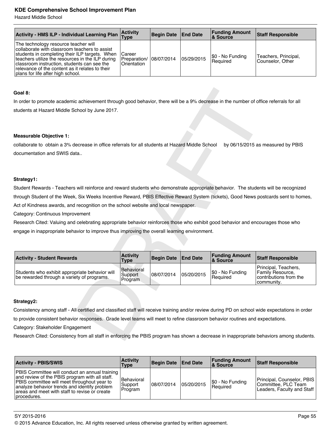Hazard Middle School

| <b>Activity - HMS ILP - Individual Learning Plan</b>                                                                                                                                                                                                                                                                               | Activity<br>'Type                                | Begin Date End Date |            | <b>Funding Amount</b><br>∣& Source  | <b>Staff Responsible</b>                 |
|------------------------------------------------------------------------------------------------------------------------------------------------------------------------------------------------------------------------------------------------------------------------------------------------------------------------------------|--------------------------------------------------|---------------------|------------|-------------------------------------|------------------------------------------|
| The technology resource teacher will<br>collaborate with classroom teachers to assist<br>students in completing their ILP targets. When<br>teachers utilize the resources in the ILP during<br>classroom instruction, students can see the<br>relevance of the content as it relates to their<br>plans for life after high school. | Career<br>Preparation/ 08/07/2014<br>Orientation |                     | 05/29/2015 | \$0 - No Funding<br><b>Required</b> | Teachers, Principal,<br>Counselor. Other |

### **Goal 8:**

### **Measurable Objective 1:**

### **Strategy1:**

| Goal 8:                                                                                                                                         |                                  |                   |                 |                                   |                                                                                  |
|-------------------------------------------------------------------------------------------------------------------------------------------------|----------------------------------|-------------------|-----------------|-----------------------------------|----------------------------------------------------------------------------------|
| In order to promote academic achievement through good behavior, there will be a 9% decrease in the number of office referrals for all           |                                  |                   |                 |                                   |                                                                                  |
| students at Hazard Middle School by June 2017.                                                                                                  |                                  |                   |                 |                                   |                                                                                  |
|                                                                                                                                                 |                                  |                   |                 |                                   |                                                                                  |
|                                                                                                                                                 |                                  |                   |                 |                                   |                                                                                  |
| <b>Measurable Objective 1:</b>                                                                                                                  |                                  |                   |                 |                                   |                                                                                  |
| collaborate to obtain a 3% decrease in office referrals for all students at Hazard Middle School                                                |                                  |                   |                 |                                   | by 06/15/2015 as measured by PBIS                                                |
| documentation and SWIS data                                                                                                                     |                                  |                   |                 |                                   |                                                                                  |
|                                                                                                                                                 |                                  |                   |                 |                                   |                                                                                  |
|                                                                                                                                                 |                                  |                   |                 |                                   |                                                                                  |
| Strategy1:                                                                                                                                      |                                  |                   |                 |                                   |                                                                                  |
| Student Rewards - Teachers will reinforce and reward students who demonstrate appropriate behavior. The students will be recognized             |                                  |                   |                 |                                   |                                                                                  |
| through Student of the Week, Six Weeks Incentive Reward, PBIS Effective Reward System (tickets), Good News postcards sent to homes,             |                                  |                   |                 |                                   |                                                                                  |
| Act of Kindness awards, and recognition on the school website and local newspaper.                                                              |                                  |                   |                 |                                   |                                                                                  |
| Category: Continuous Improvement                                                                                                                |                                  |                   |                 |                                   |                                                                                  |
| Research Cited: Valuing and celebrating appropriate behavior reinforces those who exhibit good behavior and encourages those who                |                                  |                   |                 |                                   |                                                                                  |
| engage in inappropriate behavior to improve thus improving the overall learning environment.                                                    |                                  |                   |                 |                                   |                                                                                  |
|                                                                                                                                                 |                                  |                   |                 |                                   |                                                                                  |
|                                                                                                                                                 |                                  |                   |                 |                                   |                                                                                  |
| <b>Activity - Student Rewards</b>                                                                                                               | <b>Activity</b><br><b>Type</b>   | <b>Begin Date</b> | <b>End Date</b> | <b>Funding Amount</b><br>& Source | <b>Staff Responsible</b>                                                         |
| Students who exhibit appropriate behavior will<br>be rewarded through a variety of programs.                                                    | Behavioral<br>Support<br>Program | 08/07/2014        | 05/20/2015      | \$0 - No Funding<br>Required      | Principal, Teachers,<br>Family Resource,<br>contributions from the<br>community. |
|                                                                                                                                                 |                                  |                   |                 |                                   |                                                                                  |
| Strategy2:                                                                                                                                      |                                  |                   |                 |                                   |                                                                                  |
| Consistency among staff - All certified and classified staff will receive training and/or review during PD on school wide expectations in order |                                  |                   |                 |                                   |                                                                                  |
| to provide consistent behavior responses. Grade level teams will meet to refine classroom behavior routines and expectations.                   |                                  |                   |                 |                                   |                                                                                  |
|                                                                                                                                                 |                                  |                   |                 |                                   |                                                                                  |
| Category: Stakeholder Engagement                                                                                                                |                                  |                   |                 |                                   |                                                                                  |
| Research Cited: Consistency from all staff in enforcing the PBIS program has shown a decrease in inappropriate behaviors among students.        |                                  |                   |                 |                                   |                                                                                  |

### **Strategy2:**

| <b>Activity - PBIS/SWIS</b>                                                                                                                                                                                                                                     | <b>Activity</b><br>Type          | <b>Begin Date End Date</b> |            | <b>Funding Amount</b><br>∣& Source | <b>Staff Responsible</b>                                                        |
|-----------------------------------------------------------------------------------------------------------------------------------------------------------------------------------------------------------------------------------------------------------------|----------------------------------|----------------------------|------------|------------------------------------|---------------------------------------------------------------------------------|
| PBIS Committee will conduct an annual training<br>and review of the PBIS program with all staff.<br>PBIS committee will meet throughout year to<br>analyze behavior trends and identify problem<br>areas and meet with staff to revise or create<br>procedures. | Behavioral<br>Support<br>Program | 08/07/2014                 | 05/20/2015 | \$0 - No Funding<br>Required       | Principal, Counselor, PBIS<br>Committee, PLC Team<br>Leaders, Faculty and Staff |

 $\,$  SY 2015-2016  $\,$  Page 55  $\,$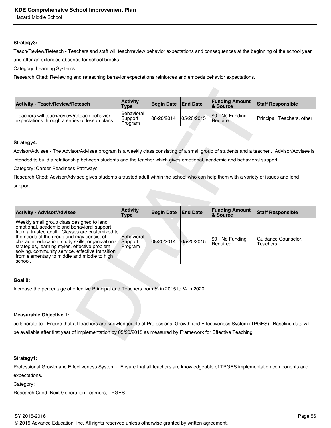Hazard Middle School

### **Strategy3:**

Teach/Review/Reteach - Teachers and staff will teach/review behavior expectations and consequences at the beginning of the school year and after an extended absence for school breaks.

Category: Learning Systems

Research Cited: Reviewing and reteaching behavior expectations reinforces and embeds behavior expectations.

| <b>Activity - Teach/Review/Reteach</b>                                                        | <b>Activity</b><br>Type           | Begin Date   End Date |            | <b>Funding Amount</b><br><b>&amp; Source</b> | <b>Staff Responsible</b>   |
|-----------------------------------------------------------------------------------------------|-----------------------------------|-----------------------|------------|----------------------------------------------|----------------------------|
| Teachers will teach/review/reteach behavior<br>expectations through a series of lesson plans. | Behavioral<br>'Support<br>Program | 108/20/2014           | 05/20/2015 | √\$0 - No Funding<br><b>Required</b>         | Principal, Teachers, other |

### **Strategy4:**

| <b>Activity - Teach/Review/Reteach</b>                                                                                                                                                                                                                                                                                                                                                                        | <b>Activity</b><br><b>Type</b>   | <b>Begin Date</b> | <b>End Date</b> | <b>Funding Amount</b><br>& Source | <b>Staff Responsible</b>        |
|---------------------------------------------------------------------------------------------------------------------------------------------------------------------------------------------------------------------------------------------------------------------------------------------------------------------------------------------------------------------------------------------------------------|----------------------------------|-------------------|-----------------|-----------------------------------|---------------------------------|
| Teachers will teach/review/reteach behavior<br>expectations through a series of lesson plans.                                                                                                                                                                                                                                                                                                                 | Behavioral<br>Support<br>Program | 08/20/2014        | 05/20/2015      | \$0 - No Funding<br>Required      | Principal, Teachers, other      |
|                                                                                                                                                                                                                                                                                                                                                                                                               |                                  |                   |                 |                                   |                                 |
| Strategy4:                                                                                                                                                                                                                                                                                                                                                                                                    |                                  |                   |                 |                                   |                                 |
| Advisor/Advisee - The Advisor/Advisee program is a weekly class consisting of a small group of students and a teacher. Advisor/Advisee is                                                                                                                                                                                                                                                                     |                                  |                   |                 |                                   |                                 |
| intended to build a relationship between students and the teacher which gives emotional, academic and behavioral support.                                                                                                                                                                                                                                                                                     |                                  |                   |                 |                                   |                                 |
| Category: Career Readiness Pathways                                                                                                                                                                                                                                                                                                                                                                           |                                  |                   |                 |                                   |                                 |
| Research Cited: Advisor/Advisee gives students a trusted adult within the school who can help them with a variety of issues and lend                                                                                                                                                                                                                                                                          |                                  |                   |                 |                                   |                                 |
| support.                                                                                                                                                                                                                                                                                                                                                                                                      |                                  |                   |                 |                                   |                                 |
|                                                                                                                                                                                                                                                                                                                                                                                                               |                                  |                   |                 |                                   |                                 |
|                                                                                                                                                                                                                                                                                                                                                                                                               |                                  |                   |                 |                                   |                                 |
| <b>Activity - Advisor/Advisee</b>                                                                                                                                                                                                                                                                                                                                                                             | <b>Activity</b><br><b>Type</b>   | <b>Begin Date</b> | <b>End Date</b> | <b>Funding Amount</b><br>& Source | <b>Staff Responsible</b>        |
| Weekly small group class designed to lend<br>emotional, academic and behavioral support<br>from a trusted adult. Classes are customized to<br>the needs of the group and may consist of<br>character education, study skills, organizational<br>strategies, learning styles, effective problem<br>solving, community service, effective transition<br>from elementary to middle and middle to high<br>school. | Behavioral<br>Support<br>Program | 08/20/2014        | 05/20/2015      | \$0 - No Funding<br>Required      | Guidance Counselor,<br>Teachers |
| Goal 9:                                                                                                                                                                                                                                                                                                                                                                                                       |                                  |                   |                 |                                   |                                 |
| Increase the percentage of effective Principal and Teachers from % in 2015 to % in 2020.                                                                                                                                                                                                                                                                                                                      |                                  |                   |                 |                                   |                                 |
|                                                                                                                                                                                                                                                                                                                                                                                                               |                                  |                   |                 |                                   |                                 |
| <b>Measurable Objective 1:</b>                                                                                                                                                                                                                                                                                                                                                                                |                                  |                   |                 |                                   |                                 |
|                                                                                                                                                                                                                                                                                                                                                                                                               |                                  |                   |                 |                                   |                                 |
| collaborate to Ensure that all teachers are knowledgeable of Professional Growth and Effectiveness System (TPGES). Baseline data will<br>be available after first year of implementation by 05/20/2015 as measured by Framework for Effective Teaching.                                                                                                                                                       |                                  |                   |                 |                                   |                                 |
|                                                                                                                                                                                                                                                                                                                                                                                                               |                                  |                   |                 |                                   |                                 |

### **Goal 9:**

### **Measurable Objective 1:**

### **Strategy1:**

Professional Growth and Effectiveness System - Ensure that all teachers are knowledgeable of TPGES implementation components and

expectations.

Category:

Research Cited: Next Generation Learners, TPGES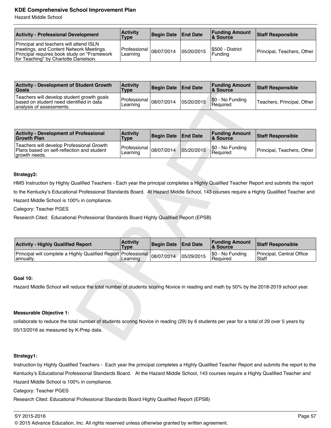Hazard Middle School

| <b>Activity - Professional Development</b>                                                                                                                                   | <b>Activity</b><br>Type                 | Begin Date   End Date |            | <b>Funding Amount</b><br>8 Source   | <b>Staff Responsible</b>   |
|------------------------------------------------------------------------------------------------------------------------------------------------------------------------------|-----------------------------------------|-----------------------|------------|-------------------------------------|----------------------------|
| Principal and teachers will attend ISLN<br>Imeetings, and Content Network Meetings.<br>Principal requires book study on "Framework"<br>for Teaching" by Charlotte Danielson. | Professional $ 08/07/2014 $<br>Learning |                       | 05/20/2015 | I\$500 - District<br><b>Fundina</b> | Principal, Teachers, Other |

| <b>Activity - Development of Student Growth</b><br><b>Goals</b>                                                     | <b>Activity</b><br><b>Type</b>          | Begin Date End Date |            | <b>Funding Amount</b><br>8 Source | <b>Staff Responsible</b>   |
|---------------------------------------------------------------------------------------------------------------------|-----------------------------------------|---------------------|------------|-----------------------------------|----------------------------|
| Teachers will develop student growth goals<br>Ibased on student need identified in data<br>analysis of assessments. | Professional $ 08/07/2014 $<br>Learning |                     | 05/20/2015 | \$0 - No Funding<br>Required      | Teachers, Principal, Other |

| Goals                                                                                                                                                                                | <b>Type</b>                    | begin Dale        | End Dale        | & Source                          | Stall Responsible                  |
|--------------------------------------------------------------------------------------------------------------------------------------------------------------------------------------|--------------------------------|-------------------|-----------------|-----------------------------------|------------------------------------|
| Teachers will develop student growth goals<br>based on student need identified in data<br>analysis of assessments.                                                                   | Professional<br>Learning       | 08/07/2014        | 05/20/2015      | \$0 - No Funding<br>Required      | Teachers, Principal, Other         |
|                                                                                                                                                                                      |                                |                   |                 |                                   |                                    |
| <b>Activity - Development of Professional</b><br><b>Growth Plan</b>                                                                                                                  | <b>Activity</b><br><b>Type</b> | <b>Begin Date</b> | <b>End Date</b> | <b>Funding Amount</b><br>& Source | <b>Staff Responsible</b>           |
| Teachers will develop Professional Growth<br>Plans based on self-reflection and student<br>growth needs.                                                                             | Professional<br>Learning       | 08/07/2014        | 05/20/2015      | \$0 - No Funding<br>Required      | Principal, Teachers, Other         |
|                                                                                                                                                                                      |                                |                   |                 |                                   |                                    |
| Strategy2:                                                                                                                                                                           |                                |                   |                 |                                   |                                    |
| HMS Instruction by Highly Qualified Teachers - Each year the principal completes a Highly Qualified Teacher Report and submits the report                                            |                                |                   |                 |                                   |                                    |
| to the Kentucky's Educational Professional Standards Board. At Hazard Middle School, 143 courses require a Highly Qualified Teacher and                                              |                                |                   |                 |                                   |                                    |
| Hazard Middle School is 100% in compliance.                                                                                                                                          |                                |                   |                 |                                   |                                    |
| Category: Teacher PGES                                                                                                                                                               |                                |                   |                 |                                   |                                    |
| Research Cited: Educational Professional Standards Board Highly Qualified Report (EPSB)                                                                                              |                                |                   |                 |                                   |                                    |
|                                                                                                                                                                                      |                                |                   |                 |                                   |                                    |
|                                                                                                                                                                                      |                                |                   |                 |                                   |                                    |
| <b>Activity - Highly Qualified Report</b>                                                                                                                                            | <b>Activity</b><br><b>Type</b> | <b>Begin Date</b> | <b>End Date</b> | <b>Funding Amount</b><br>& Source | <b>Staff Responsible</b>           |
| Principal will complete a Highly Qualified Report<br>annually.                                                                                                                       | Professional<br>Learning       | 08/07/2014        | 05/29/2015      | \$0 - No Funding<br>Required      | Principal, Central Office<br>Staff |
|                                                                                                                                                                                      |                                |                   |                 |                                   |                                    |
| <b>Goal 10:</b>                                                                                                                                                                      |                                |                   |                 |                                   |                                    |
| Hazard Middle School will reduce the total number of students scoring Novice in reading and math by 50% by the 2018-2019 school year.                                                |                                |                   |                 |                                   |                                    |
|                                                                                                                                                                                      |                                |                   |                 |                                   |                                    |
|                                                                                                                                                                                      |                                |                   |                 |                                   |                                    |
|                                                                                                                                                                                      |                                |                   |                 |                                   |                                    |
| <b>Measurable Objective 1:</b>                                                                                                                                                       |                                |                   |                 |                                   |                                    |
|                                                                                                                                                                                      |                                |                   |                 |                                   |                                    |
| collaborate to reduce the total number of students scoring Novice in reading (29) by 6 students per year for a total of 29 over 5 years by<br>05/13/2016 as measured by K-Prep data. |                                |                   |                 |                                   |                                    |

### **Strategy2:**

| <b>Activity - Highly Qualified Report</b>                                               | <b>Activity</b><br>Type | Begin Date End Date |            | <b>Funding Amount</b><br><b>&amp; Source</b> | <b>Staff Responsible</b>           |
|-----------------------------------------------------------------------------------------|-------------------------|---------------------|------------|----------------------------------------------|------------------------------------|
| Principal will complete a Highly Qualified Report Professional 08/07/2014<br> annually. | Learning                |                     | 05/29/2015 | S0 - No Funding<br>l Reauired                | Principal, Central Office<br>Staff |

### **Goal 10:**

### **Measurable Objective 1:**

### **Strategy1:**

Instruction by Highly Qualified Teachers - Each year the principal completes a Highly Qualified Teacher Report and submits the report to the Kentucky's Educational Professional Standards Board. At the Hazard Middle School, 143 courses require a Highly Qualified Teacher and Hazard Middle School is 100% in compliance.

Category: Teacher PGES

Research Cited: Educational Professional Standards Board Highly Qualified Report (EPSB)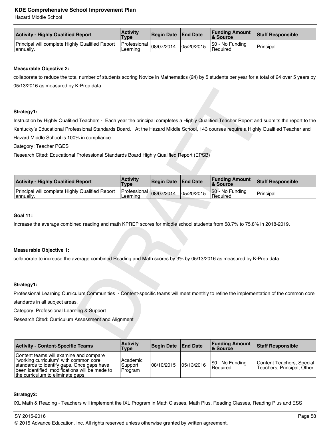Hazard Middle School

| <b>Activity - Highly Qualified Report</b>                    | <b>Activity</b><br>Type                 | Begin Date End Date |            | <b>Funding Amount</b><br>& Source | <b>Staff Responsible</b> |
|--------------------------------------------------------------|-----------------------------------------|---------------------|------------|-----------------------------------|--------------------------|
| Principal will complete Highly Qualified Report<br>annually. | Professional $ 08/07/2014 $<br>Learning |                     | 05/20/2015 | \$0 - No Funding<br>Required      | Principal                |

### **Measurable Objective 2:**

collaborate to reduce the total number of students scoring Novice in Mathematics (24) by 5 students per year for a total of 24 over 5 years by 05/13/2016 as measured by K-Prep data.

### **Strategy1:**

| Strategy1:                                                                                                                                   |                                |                   |                 |                                   |                          |
|----------------------------------------------------------------------------------------------------------------------------------------------|--------------------------------|-------------------|-----------------|-----------------------------------|--------------------------|
| Instruction by Highly Qualified Teachers - Each year the principal completes a Highly Qualified Teacher Report and submits the report to the |                                |                   |                 |                                   |                          |
| Kentucky's Educational Professional Standards Board. At the Hazard Middle School, 143 courses require a Highly Qualified Teacher and         |                                |                   |                 |                                   |                          |
| Hazard Middle School is 100% in compliance.                                                                                                  |                                |                   |                 |                                   |                          |
| Category: Teacher PGES                                                                                                                       |                                |                   |                 |                                   |                          |
| Research Cited: Educational Professional Standards Board Highly Qualified Report (EPSB)                                                      |                                |                   |                 |                                   |                          |
|                                                                                                                                              |                                |                   |                 |                                   |                          |
| <b>Activity - Highly Qualified Report</b>                                                                                                    | <b>Activity</b><br><b>Type</b> | <b>Begin Date</b> | <b>End Date</b> | <b>Funding Amount</b><br>& Source | <b>Staff Responsible</b> |
| Principal will complete Highly Qualified Report<br>annually.                                                                                 | Professional<br>Learning       | 08/07/2014        | 05/20/2015      | \$0 - No Funding<br>Required      | Principal                |
|                                                                                                                                              |                                |                   |                 |                                   |                          |
| <b>Goal 11:</b>                                                                                                                              |                                |                   |                 |                                   |                          |
| Increase the average combined reading and math KPREP scores for middle school students from 58.7% to 75.8% in 2018-2019.                     |                                |                   |                 |                                   |                          |
|                                                                                                                                              |                                |                   |                 |                                   |                          |
|                                                                                                                                              |                                |                   |                 |                                   |                          |
| <b>Measurable Objective 1:</b>                                                                                                               |                                |                   |                 |                                   |                          |
| collaborate to increase the average combined Reading and Math scores by 3% by 05/13/2016 as measured by K-Prep data.                         |                                |                   |                 |                                   |                          |
|                                                                                                                                              |                                |                   |                 |                                   |                          |
|                                                                                                                                              |                                |                   |                 |                                   |                          |
| Strategy1:                                                                                                                                   |                                |                   |                 |                                   |                          |
| Professional Learning Curriculum Communities - Content-specific teams will meet monthly to refine the implementation of the common core      |                                |                   |                 |                                   |                          |
| standards in all subject areas.                                                                                                              |                                |                   |                 |                                   |                          |
| Category: Professional Learning & Support                                                                                                    |                                |                   |                 |                                   |                          |
| Research Cited: Curriculum Assessment and Alignment                                                                                          |                                |                   |                 |                                   |                          |
|                                                                                                                                              |                                |                   |                 |                                   |                          |
|                                                                                                                                              |                                |                   |                 |                                   |                          |

### **Goal 11:**

### **Measurable Objective 1:**

### **Strategy1:**

| <b>Activity - Content-Specific Teams</b>                                                                                                                                                                             | <b>Activity</b><br>Type        | Begin Date   End Date |            | <b>Funding Amount</b><br>∣& Source | <b>Staff Responsible</b>                                |
|----------------------------------------------------------------------------------------------------------------------------------------------------------------------------------------------------------------------|--------------------------------|-----------------------|------------|------------------------------------|---------------------------------------------------------|
| Content teams will examine and compare<br>working curriculum" with common core"<br>standards to identify gaps. Once gaps have<br>been identified, modifications will be made to<br>the curriculum to eliminate gaps. | Academic<br>Support<br>Program | 08/10/2015            | 05/13/2016 | \$0 - No Funding<br>l Reauired     | Content Teachers, Special<br>Teachers, Principal, Other |

### **Strategy2:**

IXL Math & Reading - Teachers will implement the IXL Program in Math Classes, Math Plus, Reading Classes, Reading Plus and ESS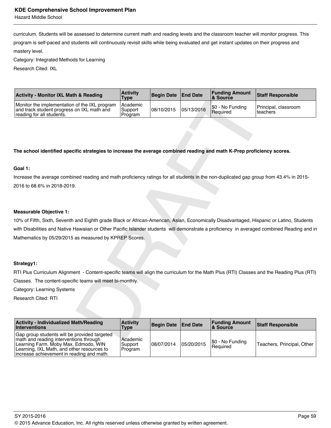Hazard Middle School

curriculum. Students will be assessed to determine current math and reading levels and the classroom teacher will monitor progress. This program is self-paced and students will continuously revisit skills while being evaluated and get instant updates on their progress and mastery level.

Category: Integrated Methods for Learning

Research Cited: IXL

| <b>Activity - Monitor IXL Math &amp; Reading</b>                                                                                            | <b>Activity</b><br><b>Type</b> | <b>Begin Date</b> | <b>End Date</b> | <b>Funding Amount</b><br>& Source                                                                                                                                                                                                                                                                                                  | <b>Staff Responsible</b>         |
|---------------------------------------------------------------------------------------------------------------------------------------------|--------------------------------|-------------------|-----------------|------------------------------------------------------------------------------------------------------------------------------------------------------------------------------------------------------------------------------------------------------------------------------------------------------------------------------------|----------------------------------|
| Monitor the implementation of the IXL program<br>and track student progress on IXL math and<br>reading for all students.                    | Academic<br>Support<br>Program | 08/10/2015        | 05/13/2016      | \$0 - No Funding<br>Required                                                                                                                                                                                                                                                                                                       | Principal, classroom<br>teachers |
|                                                                                                                                             |                                |                   |                 |                                                                                                                                                                                                                                                                                                                                    |                                  |
|                                                                                                                                             |                                |                   |                 |                                                                                                                                                                                                                                                                                                                                    |                                  |
| The school identified specific strategies to increase the average combined reading and math K-Prep proficiency scores.                      |                                |                   |                 |                                                                                                                                                                                                                                                                                                                                    |                                  |
| Goal 1:                                                                                                                                     |                                |                   |                 |                                                                                                                                                                                                                                                                                                                                    |                                  |
| Increase the average combined reading and math proficiency ratings for all students in the non-duplicated gap group from 43.4% in 2015-     |                                |                   |                 |                                                                                                                                                                                                                                                                                                                                    |                                  |
| 2016 to 68.6% in 2018-2019.                                                                                                                 |                                |                   |                 |                                                                                                                                                                                                                                                                                                                                    |                                  |
|                                                                                                                                             |                                |                   |                 |                                                                                                                                                                                                                                                                                                                                    |                                  |
| <b>Measurable Objective 1:</b>                                                                                                              |                                |                   |                 |                                                                                                                                                                                                                                                                                                                                    |                                  |
| 10% of Fifth, Sixth, Seventh and Eighth grade Black or African-American, Asian, Economically Disadvantaged, Hispanic or Latino, Students    |                                |                   |                 |                                                                                                                                                                                                                                                                                                                                    |                                  |
| with Disabilities and Native Hawaiian or Other Pacific Islander students will demonstrate a proficiency in averaged combined Reading and in |                                |                   |                 |                                                                                                                                                                                                                                                                                                                                    |                                  |
| Mathematics by 05/29/2015 as measured by KPREP Scores.                                                                                      |                                |                   |                 |                                                                                                                                                                                                                                                                                                                                    |                                  |
|                                                                                                                                             |                                |                   |                 |                                                                                                                                                                                                                                                                                                                                    |                                  |
| Strategy1:                                                                                                                                  |                                |                   |                 |                                                                                                                                                                                                                                                                                                                                    |                                  |
| RTI Plus Curriculum Alignment - Content-specific teams will align the curriculum for the Math Plus (RTI) Classes and the Reading Plus (RTI) |                                |                   |                 |                                                                                                                                                                                                                                                                                                                                    |                                  |
| Classes. The content-specific teams will meet bi-monthly.                                                                                   |                                |                   |                 |                                                                                                                                                                                                                                                                                                                                    |                                  |
| Category: Learning Systems                                                                                                                  |                                |                   |                 |                                                                                                                                                                                                                                                                                                                                    |                                  |
| <b>Research Cited: RTI</b>                                                                                                                  |                                |                   |                 |                                                                                                                                                                                                                                                                                                                                    |                                  |
|                                                                                                                                             |                                |                   |                 |                                                                                                                                                                                                                                                                                                                                    |                                  |
| <b>Activity - Individualized Math/Reading</b><br><b>Interventions</b>                                                                       | <b>Activity</b><br><b>Type</b> | <b>Begin Date</b> | <b>End Date</b> | <b>Funding Amount</b><br>& Source                                                                                                                                                                                                                                                                                                  | <b>Staff Responsible</b>         |
| Gap group students will be provided targeted<br>math and reading interventions through                                                      | Academic                       |                   |                 | $\mathbf{A}$ $\mathbf{A}$ $\mathbf{A}$ $\mathbf{A}$ $\mathbf{A}$ $\mathbf{A}$ $\mathbf{A}$ $\mathbf{A}$ $\mathbf{A}$ $\mathbf{A}$ $\mathbf{A}$ $\mathbf{A}$ $\mathbf{A}$ $\mathbf{A}$ $\mathbf{A}$ $\mathbf{A}$ $\mathbf{A}$ $\mathbf{A}$ $\mathbf{A}$ $\mathbf{A}$ $\mathbf{A}$ $\mathbf{A}$ $\mathbf{A}$ $\mathbf{A}$ $\mathbf{$ |                                  |

### **The school identified specific strategies to increase the average combined reading and math K-Prep proficiency scores.**

### **Goal 1:**

### **Measurable Objective 1:**

### **Strategy1:**

| <b>Activity - Individualized Math/Reading</b><br>Interventions                                                                                                                                                             | <b>Activity</b><br>Type         | Begin Date   End Date |            | <b>Funding Amount</b><br>∣& Source     | <b>Staff Responsible</b>   |
|----------------------------------------------------------------------------------------------------------------------------------------------------------------------------------------------------------------------------|---------------------------------|-----------------------|------------|----------------------------------------|----------------------------|
| Gap group students will be provided targeted<br>math and reading interventions through<br>Learning Farm. Moby Max, Edmodo, WIN<br>Learning, IXL Math, and other resources to<br>lincrease achievement in reading and math. | Academic<br>Support<br> Program | 08/07/2014            | 05/20/2015 | $ \$0 - No Funding$<br><b>Required</b> | Teachers, Principal, Other |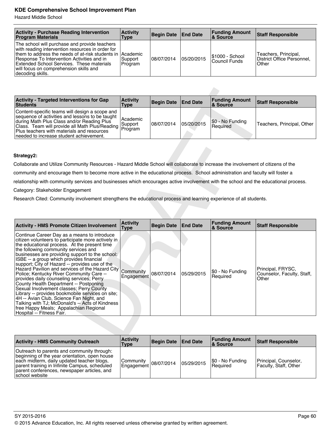Hazard Middle School

| <b>Activity - Purchase Reading Intervention</b><br><b>Program Materials</b>                                                                                                                                                                                                                                              | <b>Activity</b><br>Type | Begin Date   End Date |            | <b>Funding Amount</b><br><b>8</b> Source | <b>Staff Responsible</b>                                    |
|--------------------------------------------------------------------------------------------------------------------------------------------------------------------------------------------------------------------------------------------------------------------------------------------------------------------------|-------------------------|-----------------------|------------|------------------------------------------|-------------------------------------------------------------|
| The school will purchase and provide teachers<br>with reading intervention resources in order for<br>them to address the needs of at-risk students in IAcademic<br>Response To Intervention Activities and in<br>Extended School Services. These materials<br>will focus on comprehension skills and<br>decoding skills. | Support <br>Program     | 08/07/2014            | 05/20/2015 | \$1000 - School<br>l Council Funds       | Teachers, Principal,<br>District Office Personnel,<br>Other |

| <b>Activity - Targeted Interventions for Gap</b><br><b>Students</b>                                                                                                                                                                                                                                 | <b>Activity</b><br><b>Type</b> | Begin Date End Date |            | <b>Funding Amount</b><br>∣& Source | <b>Staff Responsible</b>   |
|-----------------------------------------------------------------------------------------------------------------------------------------------------------------------------------------------------------------------------------------------------------------------------------------------------|--------------------------------|---------------------|------------|------------------------------------|----------------------------|
| Content-specific teams will design a scope and<br>sequence of activities and lessons to be taught<br>during Math Plus Class and/or Reading Plus<br>Class. Team will provide all Math Plus/Reading Program<br>Plus teachers with materials and resources<br>Ineeded to increase student achievement. | Academic<br>Support            | 08/07/2014          | 05/20/2015 | \$0 - No Funding<br>l Reauired     | Teachers, Principal, Other |

### **Strategy2:**

| <b>Activity - Targeted Interventions for Gap</b><br><b>Students</b>                                                                                                                                                                                                                                                                                                                                                                                                                                                                                                                                                                                                                                                                                                                                    | <b>Activity</b><br><b>Type</b> | <b>Begin Date</b> | <b>End Date</b> | <b>Funding Amount</b><br>& Source | <b>Staff Responsible</b>                                 |
|--------------------------------------------------------------------------------------------------------------------------------------------------------------------------------------------------------------------------------------------------------------------------------------------------------------------------------------------------------------------------------------------------------------------------------------------------------------------------------------------------------------------------------------------------------------------------------------------------------------------------------------------------------------------------------------------------------------------------------------------------------------------------------------------------------|--------------------------------|-------------------|-----------------|-----------------------------------|----------------------------------------------------------|
| Content-specific teams will design a scope and<br>sequence of activities and lessons to be taught<br>during Math Plus Class and/or Reading Plus<br>Class. Team will provide all Math Plus/Reading<br>Plus teachers with materials and resources<br>needed to increase student achievement.                                                                                                                                                                                                                                                                                                                                                                                                                                                                                                             | Academic<br>Support<br>Program | 08/07/2014        | 05/20/2015      | \$0 - No Funding<br>Required      | Teachers, Principal, Other                               |
|                                                                                                                                                                                                                                                                                                                                                                                                                                                                                                                                                                                                                                                                                                                                                                                                        |                                |                   |                 |                                   |                                                          |
| Strategy2:                                                                                                                                                                                                                                                                                                                                                                                                                                                                                                                                                                                                                                                                                                                                                                                             |                                |                   |                 |                                   |                                                          |
| Collaborate and Utilize Community Resources - Hazard Middle School will collaborate to increase the involvement of citizens of the                                                                                                                                                                                                                                                                                                                                                                                                                                                                                                                                                                                                                                                                     |                                |                   |                 |                                   |                                                          |
| community and encourage them to become more active in the educational process. School administration and faculty will foster a                                                                                                                                                                                                                                                                                                                                                                                                                                                                                                                                                                                                                                                                         |                                |                   |                 |                                   |                                                          |
| relationship with community services and businesses which encourages active involvement with the school and the educational process.                                                                                                                                                                                                                                                                                                                                                                                                                                                                                                                                                                                                                                                                   |                                |                   |                 |                                   |                                                          |
| Category: Stakeholder Engagement                                                                                                                                                                                                                                                                                                                                                                                                                                                                                                                                                                                                                                                                                                                                                                       |                                |                   |                 |                                   |                                                          |
| Research Cited: Community involvement strengthens the educational process and learning experience of all students.                                                                                                                                                                                                                                                                                                                                                                                                                                                                                                                                                                                                                                                                                     |                                |                   |                 |                                   |                                                          |
|                                                                                                                                                                                                                                                                                                                                                                                                                                                                                                                                                                                                                                                                                                                                                                                                        |                                |                   |                 |                                   |                                                          |
|                                                                                                                                                                                                                                                                                                                                                                                                                                                                                                                                                                                                                                                                                                                                                                                                        |                                |                   |                 |                                   |                                                          |
| <b>Activity - HMS Promote Citizen Involvement</b>                                                                                                                                                                                                                                                                                                                                                                                                                                                                                                                                                                                                                                                                                                                                                      | <b>Activity</b><br><b>Type</b> | <b>Begin Date</b> | <b>End Date</b> | <b>Funding Amount</b><br>& Source | <b>Staff Responsible</b>                                 |
| Continue Career Day as a means to introduce<br>citizen volunteers to participate more actively in<br>the educational process. At the present time<br>the following community services and<br>businesses are providing support to the school:<br>ISBE -- a group which provides financial<br>support; City of Hazard -- provides use of the<br>Hazard Pavilion and services of the Hazard City<br>Police; Kentucky River Community Care --<br>provides daily counseling services; Perry<br>County Health Department -- Postponing<br>Sexual Involvement classes; Perry County<br>Library -- provides bookmobile services on site;<br>4H -- Avian Club, Science Fan Night, and<br>Talking with TJ; McDonald's -- Acts of Kindness<br>free Happy Meals; Appalachian Regional<br>Hospital -- Fitness Fair. | Community<br>Engagement        | 08/07/2014        | 05/29/2015      | \$0 - No Funding<br>Required      | Principal, FRYSC,<br>Counselor, Faculty, Staff,<br>Other |
|                                                                                                                                                                                                                                                                                                                                                                                                                                                                                                                                                                                                                                                                                                                                                                                                        |                                |                   |                 |                                   |                                                          |
|                                                                                                                                                                                                                                                                                                                                                                                                                                                                                                                                                                                                                                                                                                                                                                                                        | <b>Activity</b>                |                   |                 | <b>Funding Amount</b>             |                                                          |

| <b>Activity - HMS Community Outreach</b>                                                                                                                                                                                                                     | <b>Activity</b><br><b>Type</b>                          | Begin Date   End Date |            | <b>Funding Amount</b><br>∣& Source | <b>Staff Responsible</b>                       |
|--------------------------------------------------------------------------------------------------------------------------------------------------------------------------------------------------------------------------------------------------------------|---------------------------------------------------------|-----------------------|------------|------------------------------------|------------------------------------------------|
| Outreach to parents and community through:<br>beginning of the year orientation, open house<br>each midterm, daily updated teacher blogs,<br>parent training in Infinite Campus, scheduled<br>parent conferences, newspaper articles, and<br>Ischool website | Community<br>$\frac{1}{2}$   Engagement 08/07/2014   U. |                       | 05/29/2015 | \$0 - No Funding<br>l Reauired     | Principal, Counselor,<br>Faculty, Staff, Other |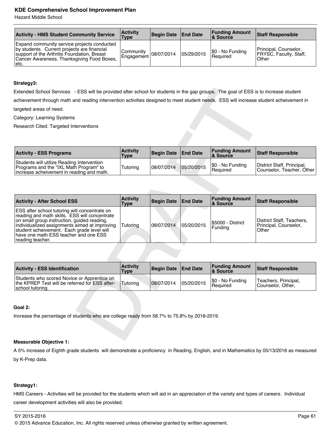Hazard Middle School

| <b>Activity - HMS Student Community Service</b>                                                                                                                                                  | <b>Activity</b><br>Type                   | Begin Date   End Date |            | <b>Funding Amount</b><br>∣& Source | <b>Staff Responsible</b>                                        |
|--------------------------------------------------------------------------------------------------------------------------------------------------------------------------------------------------|-------------------------------------------|-----------------------|------------|------------------------------------|-----------------------------------------------------------------|
| Expand community service projects conducted<br>by students. Current projects are financial<br>support of the Arthritis Foundation, Breast<br>Cancer Awareness, Thanksgiving Food Boxes,<br>∣etc. | Community<br>  Engagement 08/07/2014   U. |                       | 05/29/2015 | $ \$0 - No Funding$<br>l Reauired  | Principal, Counselor,<br><b>FRYSC, Faculty, Staff,</b><br>Other |

### **Strategy3:**

| <b>Activity - ESS Programs</b>                                                                                                    | <b>Activity</b><br><b>Type</b> | Begin Date   End Date |            | <b>Funding Amount</b><br>& Source | <b>Staff Responsible</b>                                |
|-----------------------------------------------------------------------------------------------------------------------------------|--------------------------------|-----------------------|------------|-----------------------------------|---------------------------------------------------------|
| Students will utilize Reading Intervention<br>Programs and the "IXL Math Program" to<br>increase acheivement in reading and math. | Tutoring                       | 08/07/2014            | 05/20/2015 | \$0 - No Funding<br>l Reauired    | District Staff, Principal,<br>Counselor, Teacher, Other |

| Extended School Services - ESS will be provided after school for students in the gap groups. The goal of ESS is to increase student                                                                                                                                                                       |                                |                   |                 |                                   |                                                             |
|-----------------------------------------------------------------------------------------------------------------------------------------------------------------------------------------------------------------------------------------------------------------------------------------------------------|--------------------------------|-------------------|-----------------|-----------------------------------|-------------------------------------------------------------|
| achievement through math and reading intervention activities designed to meet student needs. ESS will increase student acheivement in                                                                                                                                                                     |                                |                   |                 |                                   |                                                             |
| targeted areas of need.                                                                                                                                                                                                                                                                                   |                                |                   |                 |                                   |                                                             |
| Category: Learning Systems                                                                                                                                                                                                                                                                                |                                |                   |                 |                                   |                                                             |
| Research Cited: Targeted Interventions                                                                                                                                                                                                                                                                    |                                |                   |                 |                                   |                                                             |
|                                                                                                                                                                                                                                                                                                           |                                |                   |                 |                                   |                                                             |
|                                                                                                                                                                                                                                                                                                           |                                |                   |                 |                                   |                                                             |
| <b>Activity - ESS Programs</b>                                                                                                                                                                                                                                                                            | <b>Activity</b><br><b>Type</b> | <b>Begin Date</b> | <b>End Date</b> | <b>Funding Amount</b><br>& Source | <b>Staff Responsible</b>                                    |
| Students will utilize Reading Intervention<br>Programs and the "IXL Math Program" to<br>increase acheivement in reading and math.                                                                                                                                                                         | Tutoring                       | 08/07/2014        | 05/20/2015      | \$0 - No Funding<br>Required      | District Staff, Principal,<br>Counselor, Teacher, Other     |
|                                                                                                                                                                                                                                                                                                           |                                |                   |                 |                                   |                                                             |
|                                                                                                                                                                                                                                                                                                           |                                |                   |                 |                                   |                                                             |
| <b>Activity - After School ESS</b>                                                                                                                                                                                                                                                                        | <b>Activity</b><br><b>Type</b> | <b>Begin Date</b> | <b>End Date</b> | <b>Funding Amount</b><br>& Source | <b>Staff Responsible</b>                                    |
| ESS after school tutoring will concentrate on<br>reading and math skills. ESS will concentrate<br>on small group instruction, guided reading,<br>individualized assignments aimed at improving<br>student acheivement. Each grade level will<br>have one math ESS teacher and one ESS<br>reading teacher. | Tutoring                       | 08/07/2014        | 05/20/2015      | \$5000 - District<br>Funding      | District Staff, Teachers,<br>Principal, Counselor,<br>Other |
|                                                                                                                                                                                                                                                                                                           |                                |                   |                 |                                   |                                                             |
|                                                                                                                                                                                                                                                                                                           |                                |                   |                 |                                   |                                                             |
| <b>Activity - ESS Identification</b>                                                                                                                                                                                                                                                                      | <b>Activity</b><br><b>Type</b> | <b>Begin Date</b> | <b>End Date</b> | <b>Funding Amount</b><br>& Source | <b>Staff Responsible</b>                                    |
| Students who scored Novice or Apprentice on<br>the KPREP Test will be referred for ESS after-<br>school tutoring.                                                                                                                                                                                         | Tutoring                       | 08/07/2014        | 05/20/2015      | \$0 - No Funding<br>Required      | Teachers, Principal,<br>Counselor, Other,                   |
|                                                                                                                                                                                                                                                                                                           |                                |                   |                 |                                   |                                                             |
| Goal 2:                                                                                                                                                                                                                                                                                                   |                                |                   |                 |                                   |                                                             |
| Increase the percentage of students who are college ready from 58.7% to 75.8% by 2018-2019.                                                                                                                                                                                                               |                                |                   |                 |                                   |                                                             |
|                                                                                                                                                                                                                                                                                                           |                                |                   |                 |                                   |                                                             |
|                                                                                                                                                                                                                                                                                                           |                                |                   |                 |                                   |                                                             |
|                                                                                                                                                                                                                                                                                                           |                                |                   |                 |                                   |                                                             |

| <b>Activity - ESS Identification</b>                                                                              | <b>Activity</b><br><b>Type</b> | Begin Date   End Date |            | <b>Funding Amount</b><br>∣& Source | <b>Staff Responsible</b>                    |
|-------------------------------------------------------------------------------------------------------------------|--------------------------------|-----------------------|------------|------------------------------------|---------------------------------------------|
| Students who scored Novice or Apprentice on<br>the KPREP Test will be referred for ESS after-<br>school tutoring. | Tutoring                       | 108/07/2014           | 05/20/2015 | \$0 - No Funding<br>l Reauired     | Teachers, Principal,<br>l Counselor. Other. |

### **Goal 2:**

### **Measurable Objective 1:**

A 5% increase of Eighth grade students will demonstrate a proficiency in Reading, English, and in Mathematics by 05/13/2016 as measured by K-Prep data.

### **Strategy1:**

HMS Careers - Activities will be provided for the students which will aid in an appreciation of the variety and types of careers. Individual career development activities will also be provided.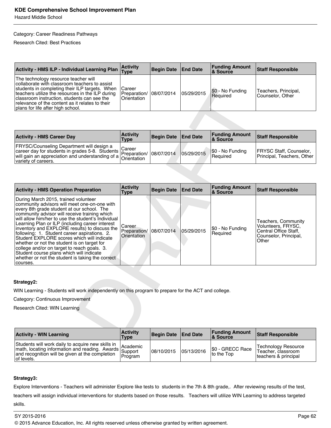### Category: Career Readiness Pathways

Research Cited: Best Practices

| Activity - HMS ILP - Individual Learning Plan                                                                                                                                                                                                                                                                                      | <b>Activity</b><br><b>Type</b>                           | Begin Date   End Date |            | <b>Funding Amount</b><br>8 Source | <b>Staff Responsible</b>                 |
|------------------------------------------------------------------------------------------------------------------------------------------------------------------------------------------------------------------------------------------------------------------------------------------------------------------------------------|----------------------------------------------------------|-----------------------|------------|-----------------------------------|------------------------------------------|
| The technology resource teacher will<br>collaborate with classroom teachers to assist<br>students in completing their ILP targets. When<br>teachers utilize the resources in the ILP during<br>classroom instruction, students can see the<br>relevance of the content as it relates to their<br>plans for life after high school. | <b>ICareer</b><br>Preparation/ 08/07/2014<br>Orientation |                       | 05/29/2015 | \$0 - No Funding<br>l Reauired    | Teachers, Principal,<br>Counselor, Other |

| <b>Activity - HMS Career Day</b>                                                                                                                                                                                                                          | <b>Activity</b><br>Type | Begin Date   End Date |            | <b>Funding Amount</b><br>8 Source | <b>Staff Responsible</b>                                     |
|-----------------------------------------------------------------------------------------------------------------------------------------------------------------------------------------------------------------------------------------------------------|-------------------------|-----------------------|------------|-----------------------------------|--------------------------------------------------------------|
| <b>FRYSC/Counseling Department will design a</b><br>$\frac{1}{1}$ career day for students in grades 5-8. Students $\frac{1}{2}$ Preparation/ $\frac{1}{2}$<br>will gain an appreciation and understanding of a $\vert$ Orientation<br>variety of careers. |                         | 08/07/2014            | 05/29/2015 | $ \$0 - No Funding$<br>l Reauired | <b>FRYSC Staff, Counselor,</b><br>Principal, Teachers, Other |

| Strategy2:                                                                                                                                                                                                                                                                                                                                                                                                                                                                                                                                                                                                                                            |                                       |                   |                 |                                   |                                                                                                      |
|-------------------------------------------------------------------------------------------------------------------------------------------------------------------------------------------------------------------------------------------------------------------------------------------------------------------------------------------------------------------------------------------------------------------------------------------------------------------------------------------------------------------------------------------------------------------------------------------------------------------------------------------------------|---------------------------------------|-------------------|-----------------|-----------------------------------|------------------------------------------------------------------------------------------------------|
|                                                                                                                                                                                                                                                                                                                                                                                                                                                                                                                                                                                                                                                       |                                       |                   |                 |                                   |                                                                                                      |
| During March 2015, trained volunteer<br>community advisors will meet one-on-one with<br>every 8th grade student at our school. The<br>community advisor will receive training which<br>will allow him/her to use the student's Individual<br>Learning Plan or ILP (including career interest<br>inventory and EXPLORE results) to discuss the<br>following: 1. Student career aspirations. 2.<br>Student EXPLORE scores which will indicate<br>whether or not the student is on target for<br>college and/or on target to reach goals. 3.<br>Student course plans which will indicate<br>whether or not the student is taking the correct<br>courses. | Career<br>Preparation/<br>Orientation | 08/07/2014        | 05/29/2015      | \$0 - No Funding<br>Required      | Teachers, Community<br>Volunteers, FRYSC,<br>Central Office Staff.<br>Counselor, Principal,<br>Other |
| <b>Activity - HMS Operation Preparation</b>                                                                                                                                                                                                                                                                                                                                                                                                                                                                                                                                                                                                           | <b>Activity</b><br><b>Type</b>        | <b>Begin Date</b> | <b>End Date</b> | <b>Funding Amount</b><br>& Source | <b>Staff Responsible</b>                                                                             |
|                                                                                                                                                                                                                                                                                                                                                                                                                                                                                                                                                                                                                                                       |                                       |                   |                 |                                   |                                                                                                      |
| FRYSC/Counseling Department will design a<br>career day for students in grades 5-8. Students<br>will gain an appreciation and understanding of a<br>variety of careers.                                                                                                                                                                                                                                                                                                                                                                                                                                                                               | Career<br>Preparation/<br>Orientation | 08/07/2014        | 05/29/2015      | \$0 - No Funding<br>Required      | FRYSC Staff, Counselor,<br>Principal, Teachers, Other                                                |
| <b>Activity - HMS Career Day</b>                                                                                                                                                                                                                                                                                                                                                                                                                                                                                                                                                                                                                      | <b>Activity</b><br><b>Type</b>        | <b>Begin Date</b> | <b>End Date</b> | <b>Funding Amount</b><br>& Source | <b>Staff Responsible</b>                                                                             |
|                                                                                                                                                                                                                                                                                                                                                                                                                                                                                                                                                                                                                                                       |                                       |                   |                 |                                   |                                                                                                      |
| classroom instruction, students can see the<br>relevance of the content as it relates to their<br>plans for life after high school.                                                                                                                                                                                                                                                                                                                                                                                                                                                                                                                   |                                       |                   |                 |                                   |                                                                                                      |

### **Strategy2:**

| <b>Activity - WIN Learning</b>                                                                                                                                                                                                                                              | <b>Activity</b><br>Type | Begin Date   End Date |            | <b>Funding Amount</b><br>8 Source | Staff Responsible                                                        |
|-----------------------------------------------------------------------------------------------------------------------------------------------------------------------------------------------------------------------------------------------------------------------------|-------------------------|-----------------------|------------|-----------------------------------|--------------------------------------------------------------------------|
| Students will work daily to acquire new skills in<br>Students will work daily to acquire new skills in<br>math, locating information and reading. Awards<br>and recognition will be given at the condition<br>and recognition will be given at the completion<br>of levels. | Program                 | 08/10/2015            | 05/13/2016 | I\$0 - GRECC Race<br>to the Top   | <b>Technology Resource</b><br>Teacher, classroom<br>teachers & principal |

### **Strategy3:**

Explore Interventions - Teachers will administer Explore like tests to students in the 7th & 8th grade,. After reviewing results of the test, teachers will assign individual interventions for students based on those results. Teachers will utilize WIN Learning to address targeted skills.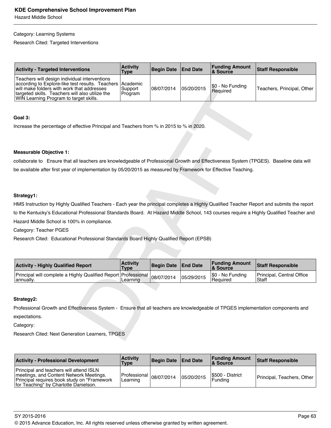### Category: Learning Systems

Research Cited: Targeted Interventions

| <b>Activity - Targeted Interventions</b>                                                                                                                                                                                                              | <b>Activity</b><br>Type | Begin Date   End Date |            | <b>Funding Amount</b><br>∣& Source | Staff Responsible          |
|-------------------------------------------------------------------------------------------------------------------------------------------------------------------------------------------------------------------------------------------------------|-------------------------|-----------------------|------------|------------------------------------|----------------------------|
| Teachers will design individual interventions<br>according to Explore-like test results. Teachers Academic<br>will make folders with work that addresses<br>targeted skills. Teachers will also utilize the<br>WIN Learning Program to target skills. | Support<br> Program     | 108/07/2014           | 05/20/2015 | \$0 - No Funding<br>Required       | Teachers, Principal, Other |

### **Goal 3:**

### **Measurable Objective 1:**

### **Strategy1:**

| will make folders with work that addresses<br>targeted skills. Teachers will also utilize the<br>WIN Learning Program to target skills.   | Support<br>Program             | 08/07/2014        | 05/20/2015      | Required                          | Teachers, Principal, Other         |
|-------------------------------------------------------------------------------------------------------------------------------------------|--------------------------------|-------------------|-----------------|-----------------------------------|------------------------------------|
|                                                                                                                                           |                                |                   |                 |                                   |                                    |
| Goal 3:                                                                                                                                   |                                |                   |                 |                                   |                                    |
| Increase the percentage of effective Principal and Teachers from % in 2015 to % in 2020.                                                  |                                |                   |                 |                                   |                                    |
|                                                                                                                                           |                                |                   |                 |                                   |                                    |
|                                                                                                                                           |                                |                   |                 |                                   |                                    |
| <b>Measurable Objective 1:</b>                                                                                                            |                                |                   |                 |                                   |                                    |
| collaborate to Ensure that all teachers are knowledgeable of Professional Growth and Effectiveness System (TPGES). Baseline data will     |                                |                   |                 |                                   |                                    |
| be available after first year of implementation by 05/20/2015 as measured by Framework for Effective Teaching.                            |                                |                   |                 |                                   |                                    |
|                                                                                                                                           |                                |                   |                 |                                   |                                    |
|                                                                                                                                           |                                |                   |                 |                                   |                                    |
| Strategy1:                                                                                                                                |                                |                   |                 |                                   |                                    |
| HMS Instruction by Highly Qualified Teachers - Each year the principal completes a Highly Qualified Teacher Report and submits the report |                                |                   |                 |                                   |                                    |
| to the Kentucky's Educational Professional Standards Board. At Hazard Middle School, 143 courses require a Highly Qualified Teacher and   |                                |                   |                 |                                   |                                    |
| Hazard Middle School is 100% in compliance.                                                                                               |                                |                   |                 |                                   |                                    |
| Category: Teacher PGES                                                                                                                    |                                |                   |                 |                                   |                                    |
| Research Cited: Educational Professional Standards Board Highly Qualified Report (EPSB)                                                   |                                |                   |                 |                                   |                                    |
|                                                                                                                                           |                                |                   |                 |                                   |                                    |
|                                                                                                                                           |                                |                   |                 |                                   |                                    |
| <b>Activity - Highly Qualified Report</b>                                                                                                 | <b>Activity</b><br><b>Type</b> | <b>Begin Date</b> | <b>End Date</b> | <b>Funding Amount</b><br>& Source | <b>Staff Responsible</b>           |
| Principal will complete a Highly Qualified Report<br>annually.                                                                            | Professional<br>Learning       | 08/07/2014        | 05/29/2015      | \$0 - No Funding<br>Required      | Principal, Central Office<br>Staff |
|                                                                                                                                           |                                |                   |                 |                                   |                                    |
| Strategy2:                                                                                                                                |                                |                   |                 |                                   |                                    |
| Professional Growth and Effectiveness System - Ensure that all teachers are knowledgeable of TPGES implementation components and          |                                |                   |                 |                                   |                                    |
| expectations.                                                                                                                             |                                |                   |                 |                                   |                                    |
| Category:                                                                                                                                 |                                |                   |                 |                                   |                                    |
| Research Cited: Next Generation Learners, TPGES                                                                                           |                                |                   |                 |                                   |                                    |
|                                                                                                                                           |                                |                   |                 |                                   |                                    |

### **Strategy2:**

| <b>Activity - Professional Development</b>                                                                                                                                          | <b>Activity</b><br>Type                 | Begin Date   End Date |            | <b>Funding Amount</b><br>& Source | <b>Staff Responsible</b>   |
|-------------------------------------------------------------------------------------------------------------------------------------------------------------------------------------|-----------------------------------------|-----------------------|------------|-----------------------------------|----------------------------|
| <b>Principal and teachers will attend ISLN</b><br>Imeetings, and Content Network Meetings.<br>Principal requires book study on "Framework"<br>for Teaching" by Charlotte Danielson. | Professional 08/07/2014 Ior<br>Learning |                       | 05/20/2015 | S500 - District<br>Funding        | Principal, Teachers, Other |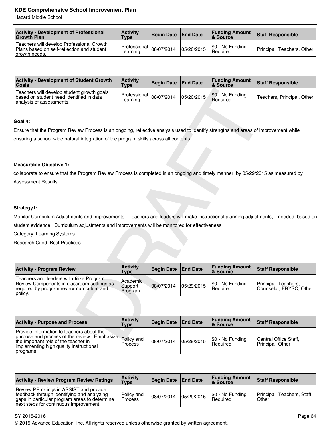Hazard Middle School

| <b>Activity - Development of Professional</b><br><b>Growth Plan</b>                                      | <b>Activity</b><br><b>Type</b>          | Begin Date   End Date |            | <b>Funding Amount</b><br>∣& Source  | <b>Staff Responsible</b>   |
|----------------------------------------------------------------------------------------------------------|-----------------------------------------|-----------------------|------------|-------------------------------------|----------------------------|
| Teachers will develop Professional Growth<br>Plans based on self-reflection and student<br>growth needs. | Professional $ 08/07/2014 $<br>Learning |                       | 05/20/2015 | \$0 - No Funding<br><b>Required</b> | Principal, Teachers, Other |

| <b>Activity - Development of Student Growth</b><br><b>Goals</b>                                                    | <b>Activity</b><br><b>Type</b>          | Begin Date   End Date |            | <b>Funding Amount</b><br>∣& Source | <b>Staff Responsible</b>   |
|--------------------------------------------------------------------------------------------------------------------|-----------------------------------------|-----------------------|------------|------------------------------------|----------------------------|
| Teachers will develop student growth goals<br>based on student need identified in data<br>analysis of assessments. | Professional $ 08/07/2014 $<br>Learning |                       | 05/20/2015 | \$0 - No Funding<br>Required       | Teachers, Principal, Other |

### **Goal 4:**

### **Measurable Objective 1:**

### **Strategy1:**

| Teachers will develop student growth goals<br>based on student need identified in data<br>analysis of assessments.                       | Professional<br>Learning       | 08/07/2014        | 05/20/2015      | \$0 - No Funding<br>Required                       | Teachers, Principal, Other                      |
|------------------------------------------------------------------------------------------------------------------------------------------|--------------------------------|-------------------|-----------------|----------------------------------------------------|-------------------------------------------------|
|                                                                                                                                          |                                |                   |                 |                                                    |                                                 |
| Goal 4:                                                                                                                                  |                                |                   |                 |                                                    |                                                 |
| Ensure that the Program Review Process is an ongoing, reflective analysis used to identify strengths and areas of improvement while      |                                |                   |                 |                                                    |                                                 |
| ensuring a school-wide natural integration of the program skills across all contents.                                                    |                                |                   |                 |                                                    |                                                 |
|                                                                                                                                          |                                |                   |                 |                                                    |                                                 |
|                                                                                                                                          |                                |                   |                 |                                                    |                                                 |
| <b>Measurable Objective 1:</b>                                                                                                           |                                |                   |                 |                                                    |                                                 |
| collaborate to ensure that the Program Review Process is completed in an ongoing and timely manner by 05/29/2015 as measured by          |                                |                   |                 |                                                    |                                                 |
| Assessment Results                                                                                                                       |                                |                   |                 |                                                    |                                                 |
|                                                                                                                                          |                                |                   |                 |                                                    |                                                 |
|                                                                                                                                          |                                |                   |                 |                                                    |                                                 |
| Strategy1:                                                                                                                               |                                |                   |                 |                                                    |                                                 |
| Monitor Curriculum Adjustments and Improvements - Teachers and leaders will make instructional planning adjustments, if needed, based or |                                |                   |                 |                                                    |                                                 |
| student evidence. Curriculum adjustments and improvements will be monitored for effectiveness.                                           |                                |                   |                 |                                                    |                                                 |
| Category: Learning Systems                                                                                                               |                                |                   |                 |                                                    |                                                 |
| <b>Research Cited: Best Practices</b>                                                                                                    |                                |                   |                 |                                                    |                                                 |
|                                                                                                                                          |                                |                   |                 |                                                    |                                                 |
|                                                                                                                                          |                                |                   |                 |                                                    |                                                 |
| <b>Activity - Program Review</b>                                                                                                         | <b>Activity</b><br><b>Type</b> | <b>Begin Date</b> | <b>End Date</b> | <b>Funding Amount</b><br>& Source                  | <b>Staff Responsible</b>                        |
| Teachers and leaders will utilize Program<br>Review Components in classroom settings as                                                  | Academic                       |                   |                 |                                                    |                                                 |
| required by program review curriculum and                                                                                                | Support<br>Program             | 08/07/2014        | 05/29/2015      | \$0 - No Funding<br>Required                       | Principal, Teachers,<br>Counselor, FRYSC, Other |
| policy.                                                                                                                                  |                                |                   |                 |                                                    |                                                 |
|                                                                                                                                          |                                |                   |                 |                                                    |                                                 |
|                                                                                                                                          | <b>Activity</b>                |                   |                 | <b>Funding Amount</b>                              |                                                 |
| <b>Activity - Purpose and Process</b>                                                                                                    | <b>Type</b>                    | <b>Begin Date</b> | <b>End Date</b> | & Source                                           | <b>Staff Responsible</b>                        |
| Provide information to teachers about the<br>purpose and process of the review. Emphasize                                                |                                |                   |                 |                                                    |                                                 |
| اسمطمممة مطة فمالعم                                                                                                                      | Policy and                     | 0.0070044         |                 | $\sqrt{2}$ $\sqrt{200/2}$ $\sqrt{50}$ - No Funding | Central Office Staff,                           |

| <b>Activity - Purpose and Process</b>                                                                                                                                                                | <b>Activity</b><br>Type | Begin Date   End Date |            | <b>Funding Amount</b><br><b>&amp; Source</b> | <b>Staff Responsible</b>                  |
|------------------------------------------------------------------------------------------------------------------------------------------------------------------------------------------------------|-------------------------|-----------------------|------------|----------------------------------------------|-------------------------------------------|
| Provide information to teachers about the<br>purpose and process of the review. Emphasize Policy and<br>the important role of the teacher in<br>implementing high quality instructional<br>programs. | Process                 | 08/07/2014            | 05/29/2015 | \$0 - No Funding<br><b>Required</b>          | Central Office Staff,<br>Principal, Other |

| <b>Activity - Review Program Review Ratings</b>                                                                                                                                  | <b>Activity</b><br>Type      | Begin Date   End Date |            | <b>Funding Amount</b><br>8 Source | Staff Responsible                    |
|----------------------------------------------------------------------------------------------------------------------------------------------------------------------------------|------------------------------|-----------------------|------------|-----------------------------------|--------------------------------------|
| Review PR ratings in ASSIST and provide<br>feedback through identifying and analyzing<br>gaps in particular program areas to determine<br>next steps for continuous improvement. | Policy and<br><b>Process</b> | 08/07/2014            | 05/29/2015 | \$0 - No Funding<br>l Reauired    | Principal, Teachers, Staff,<br>Other |

### SY 2015-2016 Page 64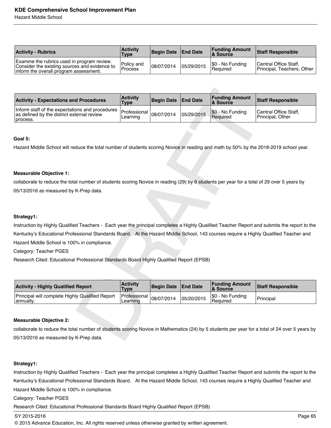Hazard Middle School

| <b>Activity - Rubrics</b>                                                                                                              | <b>Activity</b><br><b>Type</b> | Begin Date   End Date |            | <b>Funding Amount</b><br><b>&amp; Source</b> | <b>Staff Responsible</b>                              |
|----------------------------------------------------------------------------------------------------------------------------------------|--------------------------------|-----------------------|------------|----------------------------------------------|-------------------------------------------------------|
| Examine the rubrics used in program review.<br>Consider the existing sources and evidence to<br>inform the overall program assessment. | Policy and<br><b>Process</b>   | 08/07/2014            | 05/29/2015 | \$0 - No Funding<br>l Reauired               | Central Office Staff,<br>Principal. Teachers. Other I |

| <b>Activity - Expectations and Procedures</b>                                                                                                  | <b>Activity</b><br><b>Type</b> | <b>Begin Date</b> | <b>End Date</b> | <b>Funding Amount</b><br>& Source | <b>Staff Responsible</b>                  |
|------------------------------------------------------------------------------------------------------------------------------------------------|--------------------------------|-------------------|-----------------|-----------------------------------|-------------------------------------------|
| Inform staff of the expectations and procedures<br>as defined by the district external review<br>process.                                      | Professional<br>Learning       | 08/07/2014        | 05/29/2015      | \$0 - No Funding<br>Required      | Central Office Staff,<br>Principal, Other |
|                                                                                                                                                |                                |                   |                 |                                   |                                           |
| Goal 5:                                                                                                                                        |                                |                   |                 |                                   |                                           |
| Hazard Middle School will reduce the total number of students scoring Novice in reading and math by 50% by the 2018-2019 school year.          |                                |                   |                 |                                   |                                           |
|                                                                                                                                                |                                |                   |                 |                                   |                                           |
|                                                                                                                                                |                                |                   |                 |                                   |                                           |
| <b>Measurable Objective 1:</b>                                                                                                                 |                                |                   |                 |                                   |                                           |
| collaborate to reduce the total number of students scoring Novice in reading (29) by 6 students per year for a total of 29 over 5 years by     |                                |                   |                 |                                   |                                           |
| 05/13/2016 as measured by K-Prep data.                                                                                                         |                                |                   |                 |                                   |                                           |
|                                                                                                                                                |                                |                   |                 |                                   |                                           |
|                                                                                                                                                |                                |                   |                 |                                   |                                           |
| Strategy1:                                                                                                                                     |                                |                   |                 |                                   |                                           |
| Instruction by Highly Qualified Teachers - Each year the principal completes a Highly Qualified Teacher Report and submits the report to the   |                                |                   |                 |                                   |                                           |
| Kentucky's Educational Professional Standards Board. At the Hazard Middle School, 143 courses require a Highly Qualified Teacher and           |                                |                   |                 |                                   |                                           |
| Hazard Middle School is 100% in compliance.                                                                                                    |                                |                   |                 |                                   |                                           |
| Category: Teacher PGES                                                                                                                         |                                |                   |                 |                                   |                                           |
| Research Cited: Educational Professional Standards Board Highly Qualified Report (EPSB)                                                        |                                |                   |                 |                                   |                                           |
|                                                                                                                                                |                                |                   |                 |                                   |                                           |
|                                                                                                                                                |                                |                   |                 |                                   |                                           |
| <b>Activity - Highly Qualified Report</b>                                                                                                      | <b>Activity</b><br>Type        | <b>Begin Date</b> | <b>End Date</b> | <b>Funding Amount</b><br>& Source | <b>Staff Responsible</b>                  |
| Principal will complete Highly Qualified Report<br>annually.                                                                                   | Professional<br>Learning       | 08/07/2014        | 05/20/2015      | \$0 - No Funding<br>Required      | Principal                                 |
|                                                                                                                                                |                                |                   |                 |                                   |                                           |
| <b>Measurable Objective 2:</b>                                                                                                                 |                                |                   |                 |                                   |                                           |
| collaborate to reduce the total number of students scoring Novice in Mathematics (24) by 5 students per year for a total of 24 over 5 years by |                                |                   |                 |                                   |                                           |
| 05/13/2016 as measured by K-Prep data.                                                                                                         |                                |                   |                 |                                   |                                           |
|                                                                                                                                                |                                |                   |                 |                                   |                                           |

### **Goal 5:**

### **Measurable Objective 1:**

### **Strategy1:**

| <b>Activity - Highly Qualified Report</b>                    | <b>Activity</b><br><b>Type</b>          | Begin Date End Date |            | <b>Funding Amount</b><br><b>&amp; Source</b> | <b>Staff Responsible</b> |
|--------------------------------------------------------------|-----------------------------------------|---------------------|------------|----------------------------------------------|--------------------------|
| Principal will complete Highly Qualified Report<br> annually | Professional $ 08/07/2014 $<br>Learning |                     | 05/20/2015 | \$0 - No Funding<br>Required                 | 'Principal               |

### **Measurable Objective 2:**

### **Strategy1:**

Instruction by Highly Qualified Teachers - Each year the principal completes a Highly Qualified Teacher Report and submits the report to the Kentucky's Educational Professional Standards Board. At the Hazard Middle School, 143 courses require a Highly Qualified Teacher and Hazard Middle School is 100% in compliance.

Category: Teacher PGES

Research Cited: Educational Professional Standards Board Highly Qualified Report (EPSB)

### SY 2015-2016 Page 65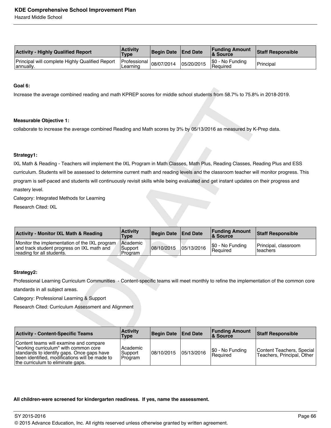| <b>Activity - Highly Qualified Report</b>                    | <b>Activity</b><br><b>Type</b>          | Begin Date   End Date |            | <b>Funding Amount</b><br>& Source   | <b>Staff Responsible</b> |
|--------------------------------------------------------------|-----------------------------------------|-----------------------|------------|-------------------------------------|--------------------------|
| Principal will complete Highly Qualified Report<br>annually. | Professional $ 08/07/2014 $<br>Learning |                       | 05/20/2015 | \$0 - No Funding<br><b>Required</b> | Principal                |

### **Goal 6:**

Increase the average combined reading and math KPREP scores for middle school students from 58.7% to 75.8% in 2018-2019.

### **Measurable Objective 1:**

collaborate to increase the average combined Reading and Math scores by 3% by 05/13/2016 as measured by K-Prep data.

### **Strategy1:**

ed reading and math KPREP scores for middle school students from 58.7% to 75.8% in<br>
versage combined Reading and Math scores by 3% by 05/13/2016 as measured by K-Pr<br>
versage combined Reading and Math scores by 3% by 05/13/ IXL Math & Reading - Teachers will implement the IXL Program in Math Classes, Math Plus, Reading Classes, Reading Plus and ESS curriculum. Students will be assessed to determine current math and reading levels and the classroom teacher will monitor progress. This program is self-paced and students will continuously revisit skills while being evaluated and get instant updates on their progress and mastery level.

Category: Integrated Methods for Learning

Research Cited: IXL

| <b>Activity - Monitor IXL Math &amp; Reading</b>                                                                         | <b>Activity</b><br><b>Type</b>         | Begin Date   End Date |            | <b>Funding Amount</b><br>& Source | <b>Staff Responsible</b>          |
|--------------------------------------------------------------------------------------------------------------------------|----------------------------------------|-----------------------|------------|-----------------------------------|-----------------------------------|
| Monitor the implementation of the IXL program<br>and track student progress on IXL math and<br>reading for all students. | <b>Academic</b><br>'Support<br>Program | 08/10/2015            | 05/13/2016 | \$0 - No Funding<br>l Reauired    | Principal, classroom<br>Iteachers |

### **Strategy2:**

Professional Learning Curriculum Communities - Content-specific teams will meet monthly to refine the implementation of the common core

standards in all subject areas.

Category: Professional Learning & Support

Research Cited: Curriculum Assessment and Alignment

| <b>Activity - Content-Specific Teams</b>                                                                                                                                                                            | <b>Activity</b><br>Type         | Begin Date   End Date |            | <b>Funding Amount</b><br>∣& Source | <b>Staff Responsible</b>                                |
|---------------------------------------------------------------------------------------------------------------------------------------------------------------------------------------------------------------------|---------------------------------|-----------------------|------------|------------------------------------|---------------------------------------------------------|
| Content teams will examine and compare<br>working curriculum" with common core<br>standards to identify gaps. Once gaps have<br>been identified, modifications will be made to<br>the curriculum to eliminate gaps. | Academic<br>Support<br> Program | 108/10/2015           | 05/13/2016 | \$0 - No Funding<br>l Reauired     | Content Teachers, Special<br>Teachers, Principal, Other |

**All children-were screened for kindergarten readiness. If yes, name the assessment.**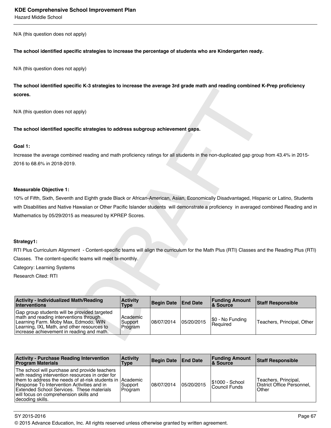N/A (this question does not apply)

### **The school identified specific strategies to increase the percentage of students who are Kindergarten ready.**

N/A (this question does not apply)

**The school identified specific K-3 strategies to increase the average 3rd grade math and reading combined K-Prep proficiency scores.** 

### **Goal 1:**

### **Measurable Objective 1:**

### **Strategy1:**

| scores.                                                                                                                                                                                                                                                                                                                                                                             |                                |                   |                 |                                   |                            |
|-------------------------------------------------------------------------------------------------------------------------------------------------------------------------------------------------------------------------------------------------------------------------------------------------------------------------------------------------------------------------------------|--------------------------------|-------------------|-----------------|-----------------------------------|----------------------------|
| N/A (this question does not apply)                                                                                                                                                                                                                                                                                                                                                  |                                |                   |                 |                                   |                            |
| The school identified specific strategies to address subgroup achievement gaps.                                                                                                                                                                                                                                                                                                     |                                |                   |                 |                                   |                            |
| Goal 1:<br>Increase the average combined reading and math proficiency ratings for all students in the non-duplicated gap group from 43.4% in 2015-<br>2016 to 68.6% in 2018-2019.                                                                                                                                                                                                   |                                |                   |                 |                                   |                            |
| <b>Measurable Objective 1:</b><br>10% of Fifth, Sixth, Seventh and Eighth grade Black or African-American, Asian, Economically Disadvantaged, Hispanic or Latino, Students<br>with Disabilities and Native Hawaiian or Other Pacific Islander students will demonstrate a proficiency in averaged combined Reading and ir<br>Mathematics by 05/29/2015 as measured by KPREP Scores. |                                |                   |                 |                                   |                            |
| Strategy1:<br>RTI Plus Curriculum Alignment - Content-specific teams will align the curriculum for the Math Plus (RTI) Classes and the Reading Plus (RTI)                                                                                                                                                                                                                           |                                |                   |                 |                                   |                            |
| Classes. The content-specific teams will meet bi-monthly.                                                                                                                                                                                                                                                                                                                           |                                |                   |                 |                                   |                            |
| Category: Learning Systems                                                                                                                                                                                                                                                                                                                                                          |                                |                   |                 |                                   |                            |
| <b>Research Cited: RTI</b>                                                                                                                                                                                                                                                                                                                                                          |                                |                   |                 |                                   |                            |
|                                                                                                                                                                                                                                                                                                                                                                                     |                                |                   |                 |                                   |                            |
| <b>Activity - Individualized Math/Reading</b><br>Interventions                                                                                                                                                                                                                                                                                                                      | <b>Activity</b><br><b>Type</b> | <b>Begin Date</b> | <b>End Date</b> | <b>Funding Amount</b><br>& Source | <b>Staff Responsible</b>   |
| Gap group students will be provided targeted<br>math and reading interventions through<br>Learning Farm. Moby Max, Edmodo, WIN<br>Learning, IXL Math, and other resources to<br>increase achievement in reading and math.                                                                                                                                                           | Academic<br>Support<br>Program | 08/07/2014        | 05/20/2015      | \$0 - No Funding<br>Required      | Teachers, Principal, Other |
|                                                                                                                                                                                                                                                                                                                                                                                     |                                |                   |                 |                                   |                            |

| <b>Activity - Purchase Reading Intervention</b><br><b>Program Materials</b>                                                                                                                                                                                                                                               | <b>Activity</b><br>Type | <b>Begin Date End Date</b> |            | <b>Funding Amount</b><br>∣& Source     | <b>Staff Responsible</b>                                    |
|---------------------------------------------------------------------------------------------------------------------------------------------------------------------------------------------------------------------------------------------------------------------------------------------------------------------------|-------------------------|----------------------------|------------|----------------------------------------|-------------------------------------------------------------|
| The school will purchase and provide teachers<br>with reading intervention resources in order for<br>Ithem to address the needs of at-risk students in IAcademic<br>Response To Intervention Activities and in<br>Extended School Services. These materials<br>will focus on comprehension skills and<br>decoding skills. | Support <br> Program    | 08/07/2014                 | 05/20/2015 | <b>S1000 - School</b><br>Council Funds | Teachers, Principal,<br>District Office Personnel.<br>Other |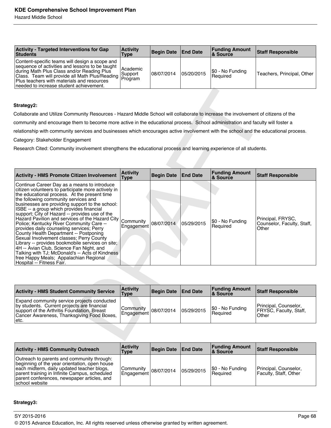| <b>Activity - Targeted Interventions for Gap</b><br>Students                                                                                                                                                                                                                                                                                                                        | <b>Activity</b><br>Type | Begin Date   End Date |            | <b>Funding Amount</b><br>∣& Source | <b>Staff Responsible</b>   |
|-------------------------------------------------------------------------------------------------------------------------------------------------------------------------------------------------------------------------------------------------------------------------------------------------------------------------------------------------------------------------------------|-------------------------|-----------------------|------------|------------------------------------|----------------------------|
| Content-specific teams will design a scope and<br>sequence of activities and lessons to be taught<br>during Math Plus Class and/or Reading Plus<br>Class Class and of Reading Plus<br>Class Team will provide all Math Plus/Reading Program<br>Plus to cohere with materials and resources<br>Plus teachers with materials and resources<br>needed to increase student achievement. | Academic                | 08/07/2014            | 05/20/2015 | $ \$0 - No Funding$<br>l Reauired  | Teachers, Principal, Other |

### **Strategy2:**

| Strategy2:                                                                                                                                                                                                                                                                                                                                                                                                                                                                                                                                                                                                                                                                                                                                                                                             |                                |                   |                 |                                   |                                                          |  |  |
|--------------------------------------------------------------------------------------------------------------------------------------------------------------------------------------------------------------------------------------------------------------------------------------------------------------------------------------------------------------------------------------------------------------------------------------------------------------------------------------------------------------------------------------------------------------------------------------------------------------------------------------------------------------------------------------------------------------------------------------------------------------------------------------------------------|--------------------------------|-------------------|-----------------|-----------------------------------|----------------------------------------------------------|--|--|
| Collaborate and Utilize Community Resources - Hazard Middle School will collaborate to increase the involvement of citizens of the                                                                                                                                                                                                                                                                                                                                                                                                                                                                                                                                                                                                                                                                     |                                |                   |                 |                                   |                                                          |  |  |
| community and encourage them to become more active in the educational process. School administration and faculty will foster a                                                                                                                                                                                                                                                                                                                                                                                                                                                                                                                                                                                                                                                                         |                                |                   |                 |                                   |                                                          |  |  |
| relationship with community services and businesses which encourages active involvement with the school and the educational process.                                                                                                                                                                                                                                                                                                                                                                                                                                                                                                                                                                                                                                                                   |                                |                   |                 |                                   |                                                          |  |  |
| Category: Stakeholder Engagement                                                                                                                                                                                                                                                                                                                                                                                                                                                                                                                                                                                                                                                                                                                                                                       |                                |                   |                 |                                   |                                                          |  |  |
| Research Cited: Community involvement strengthens the educational process and learning experience of all students.                                                                                                                                                                                                                                                                                                                                                                                                                                                                                                                                                                                                                                                                                     |                                |                   |                 |                                   |                                                          |  |  |
|                                                                                                                                                                                                                                                                                                                                                                                                                                                                                                                                                                                                                                                                                                                                                                                                        |                                |                   |                 |                                   |                                                          |  |  |
|                                                                                                                                                                                                                                                                                                                                                                                                                                                                                                                                                                                                                                                                                                                                                                                                        |                                |                   |                 |                                   |                                                          |  |  |
| <b>Activity - HMS Promote Citizen Involvement</b>                                                                                                                                                                                                                                                                                                                                                                                                                                                                                                                                                                                                                                                                                                                                                      | <b>Activity</b><br><b>Type</b> | <b>Begin Date</b> | <b>End Date</b> | <b>Funding Amount</b><br>& Source | <b>Staff Responsible</b>                                 |  |  |
| Continue Career Day as a means to introduce<br>citizen volunteers to participate more actively in<br>the educational process. At the present time<br>the following community services and<br>businesses are providing support to the school:<br>ISBE -- a group which provides financial<br>support; City of Hazard -- provides use of the<br>Hazard Pavilion and services of the Hazard City<br>Police; Kentucky River Community Care --<br>provides daily counseling services; Perry<br>County Health Department -- Postponing<br>Sexual Involvement classes; Perry County<br>Library -- provides bookmobile services on site;<br>4H -- Avian Club, Science Fan Night, and<br>Talking with TJ; McDonald's -- Acts of Kindness<br>free Happy Meals; Appalachian Regional<br>Hospital -- Fitness Fair. | Community<br>Engagement        | 08/07/2014        | 05/29/2015      | \$0 - No Funding<br>Required      | Principal, FRYSC,<br>Counselor, Faculty, Staff,<br>Other |  |  |
|                                                                                                                                                                                                                                                                                                                                                                                                                                                                                                                                                                                                                                                                                                                                                                                                        |                                |                   |                 |                                   |                                                          |  |  |
| <b>Activity - HMS Student Community Service</b>                                                                                                                                                                                                                                                                                                                                                                                                                                                                                                                                                                                                                                                                                                                                                        | <b>Activity</b><br><b>Type</b> | <b>Begin Date</b> | <b>End Date</b> | <b>Funding Amount</b><br>& Source | <b>Staff Responsible</b>                                 |  |  |
| Expand community service projects conducted<br>by students. Current projects are financial<br>support of the Arthritis Foundation, Breast<br>Cancer Awareness, Thanksgiving Food Boxes,<br>etc.                                                                                                                                                                                                                                                                                                                                                                                                                                                                                                                                                                                                        | Community<br>Engagement        | 08/07/2014        | 05/29/2015      | \$0 - No Funding<br>Required      | Principal, Counselor,<br>FRYSC, Faculty, Staff,<br>Other |  |  |
|                                                                                                                                                                                                                                                                                                                                                                                                                                                                                                                                                                                                                                                                                                                                                                                                        |                                |                   |                 |                                   |                                                          |  |  |

| <b>Activity - HMS Student Community Service</b>                                                                                                                                                         | <b>Activity</b><br>Type                | Begin Date   End Date |            | <b>Funding Amount</b><br><b>8</b> Source | Staff Responsible                                               |
|---------------------------------------------------------------------------------------------------------------------------------------------------------------------------------------------------------|----------------------------------------|-----------------------|------------|------------------------------------------|-----------------------------------------------------------------|
| <b>Expand community service projects conducted</b><br>by students. Current projects are financial<br>support of the Arthritis Foundation, Breast<br>Cancer Awareness, Thanksgiving Food Boxes,<br>letc. | Community<br>Engagement 08/07/2014 lu. |                       | 05/29/2015 | \$0 - No Funding<br>Required             | Principal, Counselor,<br><b>FRYSC, Faculty, Staff,</b><br>Other |

| <b>Activity - HMS Community Outreach</b>                                                                                                                                                                                                                    | <b>Activity</b><br>Type                           | Begin Date   End Date |            | <b>Funding Amount</b><br>8 Source   | Staff Responsible                              |
|-------------------------------------------------------------------------------------------------------------------------------------------------------------------------------------------------------------------------------------------------------------|---------------------------------------------------|-----------------------|------------|-------------------------------------|------------------------------------------------|
| Outreach to parents and community through:<br>beginning of the year orientation, open house<br>each midterm, daily updated teacher blogs,<br>parent training in Infinite Campus, scheduled<br>parent conferences, newspaper articles, and<br>school website | Community<br>108/07/2014 IL Engagement 08/07/2014 |                       | 05/29/2015 | \$0 - No Funding<br><b>Required</b> | Principal, Counselor,<br>Faculty, Staff, Other |

### **Strategy3:**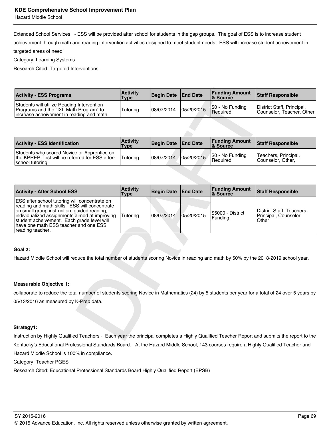Hazard Middle School

Extended School Services - ESS will be provided after school for students in the gap groups. The goal of ESS is to increase student achievement through math and reading intervention activities designed to meet student needs. ESS will increase student acheivement in targeted areas of need.

Category: Learning Systems

Research Cited: Targeted Interventions

| <b>Activity - ESS Programs</b>                                                                                                     | <b>Activity</b><br><b>Type</b> | Begin Date   End Date |            | <b>Funding Amount</b><br>8 Source | <b>Staff Responsible</b>                                |
|------------------------------------------------------------------------------------------------------------------------------------|--------------------------------|-----------------------|------------|-----------------------------------|---------------------------------------------------------|
| Students will utilize Reading Intervention<br>Programs and the "IXL Math Program" to<br>lincrease acheivement in reading and math. | Tutoring                       | 108/07/2014           | 05/20/2015 | [\$0 - No Funding<br>l Reauired   | District Staff, Principal,<br>Counselor, Teacher, Other |

| <b>Activity - ESS Identification</b>                                                                              | <b>Activity</b><br><b>Type</b> | Begin Date   End Date |            | <b>Funding Amount</b><br>8 Source | <b>Staff Responsible</b>                  |
|-------------------------------------------------------------------------------------------------------------------|--------------------------------|-----------------------|------------|-----------------------------------|-------------------------------------------|
| Students who scored Novice or Apprentice on<br>the KPREP Test will be referred for ESS after-<br>school tutoring. | Tutoring                       | 08/07/2014            | 05/20/2015 | \$0 - No Funding<br>l Reauired    | Teachers, Principal,<br>Counselor, Other, |

| <b>Activity - ESS Programs</b>                                                                                                                                                                                                                                                                            | <b>Activity</b><br><b>Type</b> | <b>Begin Date</b> | <b>End Date</b> | <b>Funding Amount</b><br>& Source | <b>Staff Responsible</b>                                    |
|-----------------------------------------------------------------------------------------------------------------------------------------------------------------------------------------------------------------------------------------------------------------------------------------------------------|--------------------------------|-------------------|-----------------|-----------------------------------|-------------------------------------------------------------|
| Students will utilize Reading Intervention<br>Programs and the "IXL Math Program" to<br>increase acheivement in reading and math.                                                                                                                                                                         | Tutoring                       | 08/07/2014        | 05/20/2015      | \$0 - No Funding<br>Required      | District Staff, Principal,<br>Counselor, Teacher, Other     |
|                                                                                                                                                                                                                                                                                                           |                                |                   |                 |                                   |                                                             |
| <b>Activity - ESS Identification</b>                                                                                                                                                                                                                                                                      | <b>Activity</b><br><b>Type</b> | <b>Begin Date</b> | <b>End Date</b> | <b>Funding Amount</b><br>& Source | <b>Staff Responsible</b>                                    |
| Students who scored Novice or Apprentice on<br>the KPREP Test will be referred for ESS after-<br>school tutoring                                                                                                                                                                                          | Tutoring                       | 08/07/2014        | 05/20/2015      | \$0 - No Funding<br>Required      | Teachers, Principal,<br>Counselor, Other,                   |
|                                                                                                                                                                                                                                                                                                           |                                |                   |                 |                                   |                                                             |
| <b>Activity - After School ESS</b>                                                                                                                                                                                                                                                                        | <b>Activity</b><br><b>Type</b> | <b>Begin Date</b> | <b>End Date</b> | <b>Funding Amount</b><br>& Source | <b>Staff Responsible</b>                                    |
| ESS after school tutoring will concentrate on<br>reading and math skills. ESS will concentrate<br>on small group instruction, guided reading,<br>individualized assignments aimed at improving<br>student acheivement. Each grade level will<br>have one math ESS teacher and one ESS<br>reading teacher. | Tutoring                       | 08/07/2014        | 05/20/2015      | \$5000 - District<br>Funding      | District Staff, Teachers,<br>Principal, Counselor,<br>Other |
| Goal 2:<br>Hazard Middle School will reduce the total number of students scoring Novice in reading and math by 50% by the 2018-2019 school year.                                                                                                                                                          |                                |                   |                 |                                   |                                                             |
|                                                                                                                                                                                                                                                                                                           |                                |                   |                 |                                   |                                                             |
| <b>Measurable Objective 1:</b>                                                                                                                                                                                                                                                                            |                                |                   |                 |                                   |                                                             |
| collaborate to reduce the total number of students scoring Novice in Mathematics (24) by 5 students per year for a total of 24 over 5 years by                                                                                                                                                            |                                |                   |                 |                                   |                                                             |
| 05/13/2016 as measured by K-Prep data.                                                                                                                                                                                                                                                                    |                                |                   |                 |                                   |                                                             |
| Strategy1:                                                                                                                                                                                                                                                                                                |                                |                   |                 |                                   |                                                             |
| Instruction by Highly Qualified Teachers - Each year the principal completes a Highly Qualified Teacher Report and submits the report to the                                                                                                                                                              |                                |                   |                 |                                   |                                                             |

#### **Goal 2:**

#### **Measurable Objective 1:**

#### **Strategy1:**

Instruction by Highly Qualified Teachers - Each year the principal completes a Highly Qualified Teacher Report and submits the report to the Kentucky's Educational Professional Standards Board. At the Hazard Middle School, 143 courses require a Highly Qualified Teacher and Hazard Middle School is 100% in compliance.

Category: Teacher PGES

Research Cited: Educational Professional Standards Board Highly Qualified Report (EPSB)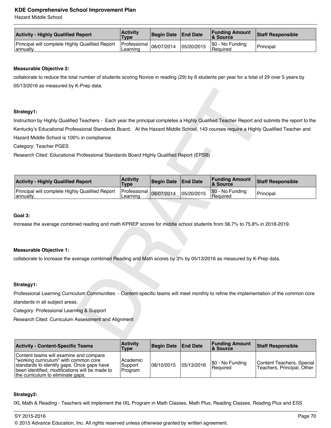Hazard Middle School

| <b>Activity - Highly Qualified Report</b>                    | <b>Activity</b><br>Type                 | Begin Date End Date |            | <b>Funding Amount</b><br><b>&amp; Source</b> | <b>Staff Responsible</b> |
|--------------------------------------------------------------|-----------------------------------------|---------------------|------------|----------------------------------------------|--------------------------|
| Principal will complete Highly Qualified Report<br>annually. | Professional $ 08/07/2014 $<br>Learning |                     | 05/20/2015 | \$0 - No Funding<br>l Reauired               | 'Principal               |

# **Measurable Objective 2:**

collaborate to reduce the total number of students scoring Novice in reading (29) by 6 students per year for a total of 29 over 5 years by 05/13/2016 as measured by K-Prep data.

#### **Strategy1:**

| Strategy1:                                                                                                                                   |                                |                   |                 |                                   |                          |
|----------------------------------------------------------------------------------------------------------------------------------------------|--------------------------------|-------------------|-----------------|-----------------------------------|--------------------------|
| Instruction by Highly Qualified Teachers - Each year the principal completes a Highly Qualified Teacher Report and submits the report to the |                                |                   |                 |                                   |                          |
| Kentucky's Educational Professional Standards Board. At the Hazard Middle School, 143 courses require a Highly Qualified Teacher and         |                                |                   |                 |                                   |                          |
| Hazard Middle School is 100% in compliance.                                                                                                  |                                |                   |                 |                                   |                          |
| Category: Teacher PGES                                                                                                                       |                                |                   |                 |                                   |                          |
| Research Cited: Educational Professional Standards Board Highly Qualified Report (EPSB)                                                      |                                |                   |                 |                                   |                          |
|                                                                                                                                              |                                |                   |                 |                                   |                          |
| <b>Activity - Highly Qualified Report</b>                                                                                                    | <b>Activity</b><br><b>Type</b> | <b>Begin Date</b> | <b>End Date</b> | <b>Funding Amount</b><br>& Source | <b>Staff Responsible</b> |
| Principal will complete Highly Qualified Report<br>annually.                                                                                 | Professional<br>Learning       | 08/07/2014        | 05/20/2015      | \$0 - No Funding<br>Required      | Principal                |
|                                                                                                                                              |                                |                   |                 |                                   |                          |
| Goal 3:                                                                                                                                      |                                |                   |                 |                                   |                          |
| Increase the average combined reading and math KPREP scores for middle school students from 58.7% to 75.8% in 2018-2019.                     |                                |                   |                 |                                   |                          |
|                                                                                                                                              |                                |                   |                 |                                   |                          |
|                                                                                                                                              |                                |                   |                 |                                   |                          |
| <b>Measurable Objective 1:</b>                                                                                                               |                                |                   |                 |                                   |                          |
| collaborate to increase the average combined Reading and Math scores by 3% by 05/13/2016 as measured by K-Prep data.                         |                                |                   |                 |                                   |                          |
|                                                                                                                                              |                                |                   |                 |                                   |                          |
|                                                                                                                                              |                                |                   |                 |                                   |                          |
| Strategy1:                                                                                                                                   |                                |                   |                 |                                   |                          |
| Professional Learning Curriculum Communities - Content-specific teams will meet monthly to refine the implementation of the common core      |                                |                   |                 |                                   |                          |
| standards in all subject areas.                                                                                                              |                                |                   |                 |                                   |                          |
| Category: Professional Learning & Support                                                                                                    |                                |                   |                 |                                   |                          |
| Research Cited: Curriculum Assessment and Alignment                                                                                          |                                |                   |                 |                                   |                          |
|                                                                                                                                              |                                |                   |                 |                                   |                          |
|                                                                                                                                              |                                |                   |                 |                                   |                          |

#### **Goal 3:**

#### **Measurable Objective 1:**

# **Strategy1:**

| <b>Activity - Content-Specific Teams</b>                                                                                                                                                                            | <b>Activity</b><br>Type         | Begin Date   End Date |            | <b>Funding Amount</b><br><b>8</b> Source | <b>Staff Responsible</b>                                |
|---------------------------------------------------------------------------------------------------------------------------------------------------------------------------------------------------------------------|---------------------------------|-----------------------|------------|------------------------------------------|---------------------------------------------------------|
| Content teams will examine and compare<br>working curriculum" with common core<br>standards to identify gaps. Once gaps have<br>been identified, modifications will be made to<br>the curriculum to eliminate gaps. | Academic<br>Support<br> Program | 108/10/2015           | 05/13/2016 | $ \$0 - No Funding$<br>l Reauired        | Content Teachers, Special<br>Teachers, Principal, Other |

# **Strategy2:**

IXL Math & Reading - Teachers will implement the IXL Program in Math Classes, Math Plus, Reading Classes, Reading Plus and ESS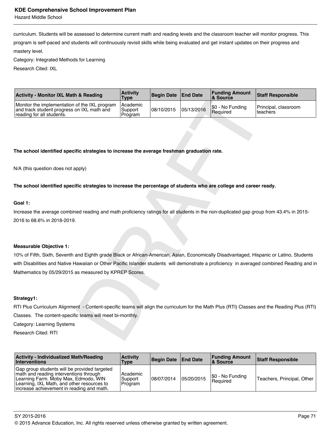Hazard Middle School

curriculum. Students will be assessed to determine current math and reading levels and the classroom teacher will monitor progress. This program is self-paced and students will continuously revisit skills while being evaluated and get instant updates on their progress and mastery level.

Category: Integrated Methods for Learning

Research Cited: IXL

| <b>Activity - Monitor IXL Math &amp; Reading</b>                                                                                                                                                         | <b>Activity</b><br><b>Type</b> | <b>Begin Date</b> | <b>End Date</b> | <b>Funding Amount</b><br>& Source | <b>Staff Responsible</b>         |
|----------------------------------------------------------------------------------------------------------------------------------------------------------------------------------------------------------|--------------------------------|-------------------|-----------------|-----------------------------------|----------------------------------|
| Monitor the implementation of the IXL program<br>and track student progress on IXL math and<br>reading for all students.                                                                                 | Academic<br>Support<br>Program | 08/10/2015        | 05/13/2016      | \$0 - No Funding<br>Required      | Principal, classroom<br>teachers |
|                                                                                                                                                                                                          |                                |                   |                 |                                   |                                  |
|                                                                                                                                                                                                          |                                |                   |                 |                                   |                                  |
| The school identified specific strategies to increase the average freshman graduation rate.                                                                                                              |                                |                   |                 |                                   |                                  |
|                                                                                                                                                                                                          |                                |                   |                 |                                   |                                  |
| N/A (this question does not apply)                                                                                                                                                                       |                                |                   |                 |                                   |                                  |
| The school identified specific strategies to increase the percentage of students who are college and career ready.                                                                                       |                                |                   |                 |                                   |                                  |
|                                                                                                                                                                                                          |                                |                   |                 |                                   |                                  |
| Goal 1:                                                                                                                                                                                                  |                                |                   |                 |                                   |                                  |
| Increase the average combined reading and math proficiency ratings for all students in the non-duplicated gap group from 43.4% in 2015-                                                                  |                                |                   |                 |                                   |                                  |
| 2016 to 68.6% in 2018-2019.                                                                                                                                                                              |                                |                   |                 |                                   |                                  |
|                                                                                                                                                                                                          |                                |                   |                 |                                   |                                  |
| <b>Measurable Objective 1:</b>                                                                                                                                                                           |                                |                   |                 |                                   |                                  |
| 10% of Fifth, Sixth, Seventh and Eighth grade Black or African-American, Asian, Economically Disadvantaged, Hispanic or Latino, Students                                                                 |                                |                   |                 |                                   |                                  |
| with Disabilities and Native Hawaiian or Other Pacific Islander students will demonstrate a proficiency in averaged combined Reading and in                                                              |                                |                   |                 |                                   |                                  |
| Mathematics by 05/29/2015 as measured by KPREP Scores.                                                                                                                                                   |                                |                   |                 |                                   |                                  |
|                                                                                                                                                                                                          |                                |                   |                 |                                   |                                  |
| Strategy1:                                                                                                                                                                                               |                                |                   |                 |                                   |                                  |
|                                                                                                                                                                                                          |                                |                   |                 |                                   |                                  |
| RTI Plus Curriculum Alignment - Content-specific teams will align the curriculum for the Math Plus (RTI) Classes and the Reading Plus (RTI)<br>Classes. The content-specific teams will meet bi-monthly. |                                |                   |                 |                                   |                                  |
| Category: Learning Systems                                                                                                                                                                               |                                |                   |                 |                                   |                                  |
| Research Cited: RTI                                                                                                                                                                                      |                                |                   |                 |                                   |                                  |
|                                                                                                                                                                                                          |                                |                   |                 |                                   |                                  |

#### **The school identified specific strategies to increase the average freshman graduation rate.**

#### **Goal 1:**

#### **Measurable Objective 1:**

#### **Strategy1:**

| <b>Activity - Individualized Math/Reading</b><br>Interventions                                                                                                                                                               | <b>Activity</b><br>Type           | Begin Date   End Date |            | <b>Funding Amount</b><br>∣& Source | <b>Staff Responsible</b>   |
|------------------------------------------------------------------------------------------------------------------------------------------------------------------------------------------------------------------------------|-----------------------------------|-----------------------|------------|------------------------------------|----------------------------|
| Gap group students will be provided targeted<br>I math and reading interventions through<br>Learning Farm. Moby Max, Edmodo, WIN<br>Learning, IXL Math, and other resources to<br>lincrease achievement in reading and math. | Academic<br>l Support<br> Program | 08/07/2014            | 05/20/2015 | $ \$0 - No Funding$<br>l Reauired  | Teachers, Principal, Other |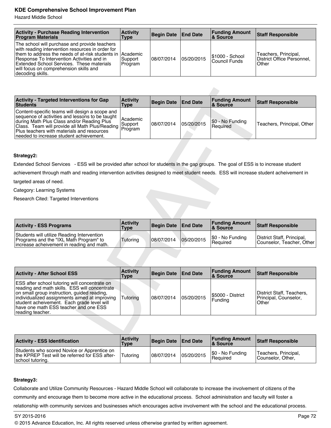Hazard Middle School

| <b>Activity - Purchase Reading Intervention</b><br><b>Program Materials</b>                                                                                                                                                                                                                                              | <b>Activity</b><br>Type | Begin Date   End Date |            | <b>Funding Amount</b><br>∣& Source | <b>Staff Responsible</b>                                      |
|--------------------------------------------------------------------------------------------------------------------------------------------------------------------------------------------------------------------------------------------------------------------------------------------------------------------------|-------------------------|-----------------------|------------|------------------------------------|---------------------------------------------------------------|
| The school will purchase and provide teachers<br>with reading intervention resources in order for<br>them to address the needs of at-risk students in IAcademic<br>Response To Intervention Activities and in<br>Extended School Services. These materials<br>will focus on comprehension skills and<br>decoding skills. | Support<br> Program     | 08/07/2014            | 05/20/2015 | \$1000 - School<br>l Council Funds | Teachers, Principal,<br>District Office Personnel,<br>l Other |

| <b>Activity - Targeted Interventions for Gap</b><br><b>Students</b>                                                                                                                                                                                                                                 | <b>Activity</b><br><b>Type</b> | Begin Date End Date |            | <b>Funding Amount</b><br>∣& Source | <b>Staff Responsible</b>   |
|-----------------------------------------------------------------------------------------------------------------------------------------------------------------------------------------------------------------------------------------------------------------------------------------------------|--------------------------------|---------------------|------------|------------------------------------|----------------------------|
| Content-specific teams will design a scope and<br>sequence of activities and lessons to be taught<br>during Math Plus Class and/or Reading Plus<br>Class. Team will provide all Math Plus/Reading Program<br>Plus teachers with materials and resources<br>Ineeded to increase student achievement. | Academic<br>Support            | 08/07/2014          | 05/20/2015 | S0 - No Funding<br>l Reauired      | Teachers, Principal, Other |

#### **Strategy2:**

| <b>Activity - ESS Programs</b>                                                                                                     | <b>Activity</b><br>Type | Begin Date   End Date |            | <b>Funding Amount</b><br>8 Source | <b>Staff Responsible</b>                                |
|------------------------------------------------------------------------------------------------------------------------------------|-------------------------|-----------------------|------------|-----------------------------------|---------------------------------------------------------|
| Students will utilize Reading Intervention<br>Programs and the "IXL Math Program" to<br>lincrease acheivement in reading and math. | Tutoring                | 108/07/2014           | 05/20/2015 | \$0 - No Funding<br>Required      | District Staff, Principal,<br>Counselor, Teacher, Other |

| <b>Activity - Targeted Interventions for Gap</b><br><b>Students</b>                                                                                                                                                                                                                                       | <b>Activity</b><br><b>Type</b> | <b>Begin Date</b>          | <b>End Date</b> | <b>Funding Amount</b><br>& Source | <b>Staff Responsible</b>                                    |
|-----------------------------------------------------------------------------------------------------------------------------------------------------------------------------------------------------------------------------------------------------------------------------------------------------------|--------------------------------|----------------------------|-----------------|-----------------------------------|-------------------------------------------------------------|
| Content-specific teams will design a scope and<br>sequence of activities and lessons to be taught<br>during Math Plus Class and/or Reading Plus<br>Class. Team will provide all Math Plus/Reading<br>Plus teachers with materials and resources<br>needed to increase student achievement.                | Academic<br>Support<br>Program | 08/07/2014                 | 05/20/2015      | \$0 - No Funding<br>Required      | Teachers, Principal, Other                                  |
|                                                                                                                                                                                                                                                                                                           |                                |                            |                 |                                   |                                                             |
| Strategy2:                                                                                                                                                                                                                                                                                                |                                |                            |                 |                                   |                                                             |
| Extended School Services - ESS will be provided after school for students in the gap groups. The goal of ESS is to increase student                                                                                                                                                                       |                                |                            |                 |                                   |                                                             |
| achievement through math and reading intervention activities designed to meet student needs. ESS will increase student acheivement in                                                                                                                                                                     |                                |                            |                 |                                   |                                                             |
| targeted areas of need.                                                                                                                                                                                                                                                                                   |                                |                            |                 |                                   |                                                             |
| Category: Learning Systems                                                                                                                                                                                                                                                                                |                                |                            |                 |                                   |                                                             |
| Research Cited: Targeted Interventions                                                                                                                                                                                                                                                                    |                                |                            |                 |                                   |                                                             |
|                                                                                                                                                                                                                                                                                                           |                                |                            |                 |                                   |                                                             |
|                                                                                                                                                                                                                                                                                                           |                                |                            |                 |                                   |                                                             |
| <b>Activity - ESS Programs</b>                                                                                                                                                                                                                                                                            | <b>Activity</b><br><b>Type</b> | <b>Begin Date</b>          | <b>End Date</b> | <b>Funding Amount</b><br>& Source | <b>Staff Responsible</b>                                    |
| Students will utilize Reading Intervention<br>Programs and the "IXL Math Program" to<br>increase acheivement in reading and math.                                                                                                                                                                         | Tutoring                       | 08/07/2014                 | 05/20/2015      | \$0 - No Funding<br>Required      | District Staff, Principal,<br>Counselor, Teacher, Other     |
|                                                                                                                                                                                                                                                                                                           |                                |                            |                 |                                   |                                                             |
|                                                                                                                                                                                                                                                                                                           |                                |                            |                 |                                   |                                                             |
| <b>Activity - After School ESS</b>                                                                                                                                                                                                                                                                        | <b>Activity</b><br><b>Type</b> | <b>Begin Date</b>          | <b>End Date</b> | <b>Funding Amount</b><br>& Source | <b>Staff Responsible</b>                                    |
| ESS after school tutoring will concentrate on<br>reading and math skills. ESS will concentrate<br>on small group instruction, guided reading,<br>individualized assignments aimed at improving<br>student acheivement. Each grade level will<br>have one math ESS teacher and one ESS<br>reading teacher. | Tutoring                       | 08/07/2014                 | 05/20/2015      | \$5000 - District<br>Funding      | District Staff, Teachers,<br>Principal, Counselor,<br>Other |
|                                                                                                                                                                                                                                                                                                           |                                |                            |                 |                                   |                                                             |
|                                                                                                                                                                                                                                                                                                           |                                |                            |                 |                                   |                                                             |
| Antivity FCC Identification                                                                                                                                                                                                                                                                               | <b>Activity</b>                | <b>Deain Data</b> End Data |                 | Fundina Amount                    | Ctaff Deepengible                                           |

| <b>Activity - ESS Identification</b>                                                                              | <b>Activity</b><br><b>Type</b> | Begin Date   End Date |            | <b>Funding Amount</b><br>8 Source | <b>Staff Responsible</b>                    |
|-------------------------------------------------------------------------------------------------------------------|--------------------------------|-----------------------|------------|-----------------------------------|---------------------------------------------|
| Students who scored Novice or Apprentice on<br>the KPREP Test will be referred for ESS after-<br>school tutoring. | Tutorina                       | 08/07/2014            | 05/20/2015 | \$0 - No Funding<br>Required      | Teachers, Principal,<br>l Counselor. Other. |

#### **Strategy3:**

Collaborate and Utilize Community Resources - Hazard Middle School will collaborate to increase the involvement of citizens of the community and encourage them to become more active in the educational process. School administration and faculty will foster a relationship with community services and businesses which encourages active involvement with the school and the educational process.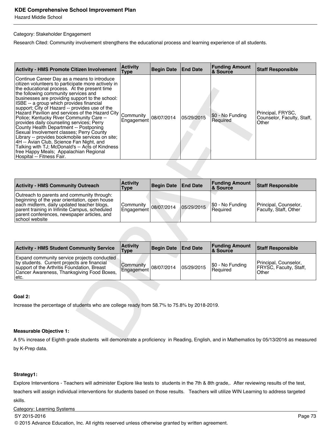#### Category: Stakeholder Engagement

Research Cited: Community involvement strengthens the educational process and learning experience of all students.

| <b>Activity - HMS Promote Citizen Involvement</b>                                                                                                                                                                                                                                                                                                                                                                                                                                                                                                                                                                                                                                                                                                                                                      | <b>Activity</b><br>Type | <b>Begin Date</b> | <b>End Date</b> | <b>Funding Amount</b><br>& Source | <b>Staff Responsible</b>                                 |
|--------------------------------------------------------------------------------------------------------------------------------------------------------------------------------------------------------------------------------------------------------------------------------------------------------------------------------------------------------------------------------------------------------------------------------------------------------------------------------------------------------------------------------------------------------------------------------------------------------------------------------------------------------------------------------------------------------------------------------------------------------------------------------------------------------|-------------------------|-------------------|-----------------|-----------------------------------|----------------------------------------------------------|
| Continue Career Day as a means to introduce<br>citizen volunteers to participate more actively in<br>the educational process. At the present time<br>the following community services and<br>businesses are providing support to the school:<br>ISBE -- a group which provides financial<br>support; City of Hazard -- provides use of the<br>Hazard Pavilion and services of the Hazard City<br>Police; Kentucky River Community Care --<br>provides daily counseling services; Perry<br>County Health Department -- Postponing<br>Sexual Involvement classes; Perry County<br>Library -- provides bookmobile services on site;<br>4H -- Avian Club, Science Fan Night, and<br>Talking with TJ; McDonald's -- Acts of Kindness<br>free Happy Meals; Appalachian Regional<br>Hospital -- Fitness Fair. | Community<br>Engagement | 08/07/2014        | 05/29/2015      | \$0 - No Funding<br>Required      | Principal, FRYSC,<br>Counselor, Faculty, Staff,<br>Other |
|                                                                                                                                                                                                                                                                                                                                                                                                                                                                                                                                                                                                                                                                                                                                                                                                        |                         |                   |                 |                                   |                                                          |
| <b>Activity - HMS Community Outreach</b>                                                                                                                                                                                                                                                                                                                                                                                                                                                                                                                                                                                                                                                                                                                                                               | <b>Activity</b><br>Type | <b>Begin Date</b> | <b>End Date</b> | <b>Funding Amount</b><br>& Source | <b>Staff Responsible</b>                                 |
| Outreach to parents and community through:<br>beginning of the year orientation, open house<br>each midterm, daily updated teacher blogs,<br>parent training in Infinite Campus, scheduled<br>parent conferences, newspaper articles, and<br>school website                                                                                                                                                                                                                                                                                                                                                                                                                                                                                                                                            | Community<br>Engagement | 08/07/2014        | 05/29/2015      | \$0 - No Funding<br>Required      | Principal, Counselor,<br>Faculty, Staff, Other           |
|                                                                                                                                                                                                                                                                                                                                                                                                                                                                                                                                                                                                                                                                                                                                                                                                        |                         |                   |                 |                                   |                                                          |
| <b>Activity - HMS Student Community Service</b>                                                                                                                                                                                                                                                                                                                                                                                                                                                                                                                                                                                                                                                                                                                                                        | <b>Activity</b><br>Type | <b>Begin Date</b> | <b>End Date</b> | <b>Funding Amount</b><br>& Source | <b>Staff Responsible</b>                                 |
| Expand community service projects conducted<br>by students. Current projects are financial<br>support of the Arthritis Foundation, Breast<br>Cancer Awareness, Thanksgiving Food Boxes,<br>etc.                                                                                                                                                                                                                                                                                                                                                                                                                                                                                                                                                                                                        | Community<br>Engagement | 08/07/2014        | 05/29/2015      | \$0 - No Funding<br>Required      | Principal, Counselor,<br>FRYSC, Faculty, Staff,<br>Other |
|                                                                                                                                                                                                                                                                                                                                                                                                                                                                                                                                                                                                                                                                                                                                                                                                        |                         |                   |                 |                                   |                                                          |
| Goal 2:                                                                                                                                                                                                                                                                                                                                                                                                                                                                                                                                                                                                                                                                                                                                                                                                |                         |                   |                 |                                   |                                                          |
| Increase the percentage of students who are college ready from 58.7% to 75.8% by 2018-2019.                                                                                                                                                                                                                                                                                                                                                                                                                                                                                                                                                                                                                                                                                                            |                         |                   |                 |                                   |                                                          |
|                                                                                                                                                                                                                                                                                                                                                                                                                                                                                                                                                                                                                                                                                                                                                                                                        |                         |                   |                 |                                   |                                                          |
| <b>Measurable Objective 1:</b>                                                                                                                                                                                                                                                                                                                                                                                                                                                                                                                                                                                                                                                                                                                                                                         |                         |                   |                 |                                   |                                                          |
| A 5% increase of Fighth grade students, will demonstrate a proficiency, in Beading. English, and in Mathematics by 05/13/2016 as measured                                                                                                                                                                                                                                                                                                                                                                                                                                                                                                                                                                                                                                                              |                         |                   |                 |                                   |                                                          |

| <b>Activity - HMS Community Outreach</b>                                                                                                                                                                                                                    | <b>Activity</b><br>Type            | Begin Date   End Date |            | <b>Funding Amount</b><br>8 Source | <b>Staff Responsible</b>                        |
|-------------------------------------------------------------------------------------------------------------------------------------------------------------------------------------------------------------------------------------------------------------|------------------------------------|-----------------------|------------|-----------------------------------|-------------------------------------------------|
| Outreach to parents and community through:<br>beginning of the year orientation, open house<br>each midterm, daily updated teacher blogs,<br>parent training in Infinite Campus, scheduled<br>parent conferences, newspaper articles, and<br>school website | Community<br>Engagement 08/07/2014 |                       | 05/29/2015 | ¶\$0 - No Funding<br>Required     | Principal, Counselor,<br> Faculty, Staff, Other |

| <b>Activity - HMS Student Community Service</b>                                                                                                                                                         | <b>Activity</b><br>Type                | Begin Date   End Date |            | <b>Funding Amount</b><br>8 Source   | Staff Responsible                                               |
|---------------------------------------------------------------------------------------------------------------------------------------------------------------------------------------------------------|----------------------------------------|-----------------------|------------|-------------------------------------|-----------------------------------------------------------------|
| <b>Expand community service projects conducted</b><br>by students. Current projects are financial<br>support of the Arthritis Foundation, Breast<br>Cancer Awareness, Thanksgiving Food Boxes,<br>letc. | Community<br>Engagement 08/07/2014 lux |                       | 05/29/2015 | \$0 - No Funding<br><b>Required</b> | Principal, Counselor,<br><b>FRYSC, Faculty, Staff,</b><br>Other |

# **Goal 2:**

# **Measurable Objective 1:**

A 5% increase of Eighth grade students will demonstrate a proficiency in Reading, English, and in Mathematics by 05/13/2016 as measured by K-Prep data.

# **Strategy1:**

Explore Interventions - Teachers will administer Explore like tests to students in the 7th & 8th grade,. After reviewing results of the test, teachers will assign individual interventions for students based on those results. Teachers will utilize WIN Learning to address targeted skills.

Category: Learning Systems

#### SY 2015-2016 Page 73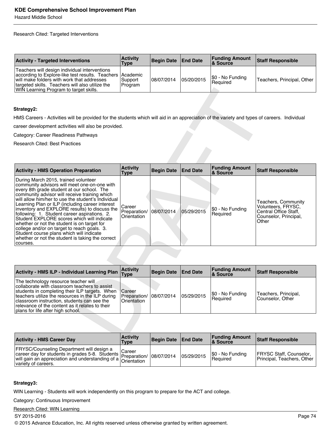Research Cited: Targeted Interventions

| <b>Activity - Targeted Interventions</b>                                                                                                                                                                                                              | <b>Activity</b><br>Type | Begin Date   End Date |            | <b>Funding Amount</b><br>∣& Source | <b>Staff Responsible</b>   |
|-------------------------------------------------------------------------------------------------------------------------------------------------------------------------------------------------------------------------------------------------------|-------------------------|-----------------------|------------|------------------------------------|----------------------------|
| Teachers will design individual interventions<br>according to Explore-like test results. Teachers Academic<br>will make folders with work that addresses<br>targeted skills. Teachers will also utilize the<br>WIN Learning Program to target skills. | Support<br> Program     | 108/07/2014           | 05/20/2015 | \$0 - No Funding<br>l Reauired     | Teachers, Principal, Other |

#### **Strategy2:**

| WIN Learning Program to target skills.                                                                                                                                                                                                                                                                                                                                                                                                                                                                                                                                                                                                                |                                       |                     |                 |                                   |                                                                                                      |
|-------------------------------------------------------------------------------------------------------------------------------------------------------------------------------------------------------------------------------------------------------------------------------------------------------------------------------------------------------------------------------------------------------------------------------------------------------------------------------------------------------------------------------------------------------------------------------------------------------------------------------------------------------|---------------------------------------|---------------------|-----------------|-----------------------------------|------------------------------------------------------------------------------------------------------|
|                                                                                                                                                                                                                                                                                                                                                                                                                                                                                                                                                                                                                                                       |                                       |                     |                 |                                   |                                                                                                      |
| Strategy2:                                                                                                                                                                                                                                                                                                                                                                                                                                                                                                                                                                                                                                            |                                       |                     |                 |                                   |                                                                                                      |
| HMS Careers - Activities will be provided for the students which will aid in an appreciation of the variety and types of careers. Individual                                                                                                                                                                                                                                                                                                                                                                                                                                                                                                          |                                       |                     |                 |                                   |                                                                                                      |
| career development activities will also be provided.                                                                                                                                                                                                                                                                                                                                                                                                                                                                                                                                                                                                  |                                       |                     |                 |                                   |                                                                                                      |
| Category: Career Readiness Pathways                                                                                                                                                                                                                                                                                                                                                                                                                                                                                                                                                                                                                   |                                       |                     |                 |                                   |                                                                                                      |
| <b>Research Cited: Best Practices</b>                                                                                                                                                                                                                                                                                                                                                                                                                                                                                                                                                                                                                 |                                       |                     |                 |                                   |                                                                                                      |
|                                                                                                                                                                                                                                                                                                                                                                                                                                                                                                                                                                                                                                                       |                                       |                     |                 |                                   |                                                                                                      |
|                                                                                                                                                                                                                                                                                                                                                                                                                                                                                                                                                                                                                                                       |                                       |                     |                 |                                   |                                                                                                      |
| <b>Activity - HMS Operation Preparation</b>                                                                                                                                                                                                                                                                                                                                                                                                                                                                                                                                                                                                           | <b>Activity</b><br><b>Type</b>        | <b>Begin Date</b>   | <b>End Date</b> | <b>Funding Amount</b><br>& Source | <b>Staff Responsible</b>                                                                             |
| During March 2015, trained volunteer<br>community advisors will meet one-on-one with<br>every 8th grade student at our school. The<br>community advisor will receive training which<br>will allow him/her to use the student's Individual<br>Learning Plan or ILP (including career interest<br>inventory and EXPLORE results) to discuss the<br>following: 1. Student career aspirations. 2.<br>Student EXPLORE scores which will indicate<br>whether or not the student is on target for<br>college and/or on target to reach goals. 3.<br>Student course plans which will indicate<br>whether or not the student is taking the correct<br>courses. | Career<br>Preparation/<br>Orientation | 08/07/2014          | 05/29/2015      | \$0 - No Funding<br>Required      | Teachers, Community<br>Volunteers, FRYSC,<br>Central Office Staff,<br>Counselor, Principal,<br>Other |
|                                                                                                                                                                                                                                                                                                                                                                                                                                                                                                                                                                                                                                                       |                                       |                     |                 |                                   |                                                                                                      |
| <b>Activity - HMS ILP - Individual Learning Plan</b>                                                                                                                                                                                                                                                                                                                                                                                                                                                                                                                                                                                                  | <b>Activity</b><br><b>Type</b>        | <b>Begin Date</b>   | <b>End Date</b> | <b>Funding Amount</b><br>& Source | <b>Staff Responsible</b>                                                                             |
| The technology resource teacher will<br>collaborate with classroom teachers to assist<br>students in completing their ILP targets. When<br>teachers utilize the resources in the ILP during<br>classroom instruction, students can see the<br>relevance of the content as it relates to their<br>plans for life after high school.                                                                                                                                                                                                                                                                                                                    | Career<br>Preparation/<br>Orientation | 08/07/2014          | 05/29/2015      | \$0 - No Funding<br>Required      | Teachers, Principal,<br>Counselor, Other                                                             |
|                                                                                                                                                                                                                                                                                                                                                                                                                                                                                                                                                                                                                                                       |                                       |                     |                 |                                   |                                                                                                      |
| <b>Activity - HMS Career Dav</b>                                                                                                                                                                                                                                                                                                                                                                                                                                                                                                                                                                                                                      | <b>Activity</b>                       | Begin Date End Date |                 | <b>Funding Amount</b>             | <b>Staff Responsible</b>                                                                             |

| <b>Activity - HMS ILP - Individual Learning Plan</b>                                                                                                                                                                                                                                                                               | <b>Activity</b><br>Type                                 | Begin Date   End Date |            | <b>Funding Amount</b><br>∣& Source | <b>Staff Responsible</b>                 |
|------------------------------------------------------------------------------------------------------------------------------------------------------------------------------------------------------------------------------------------------------------------------------------------------------------------------------------|---------------------------------------------------------|-----------------------|------------|------------------------------------|------------------------------------------|
| The technology resource teacher will<br>collaborate with classroom teachers to assist<br>students in completing their ILP targets. When<br>teachers utilize the resources in the ILP during<br>classroom instruction, students can see the<br>relevance of the content as it relates to their<br>plans for life after high school. | <b>Career</b><br>Preparation/ 08/07/2014<br>Orientation |                       | 05/29/2015 | \$0 - No Funding<br>l Reauired     | Teachers, Principal,<br>Counselor, Other |

| <b>Activity - HMS Career Day</b>                                                                                                                                                                                          | <b>Activity</b><br>Type | Begin Date   End Date |            | <b>Funding Amount</b><br><b>&amp; Source</b> | <b>Staff Responsible</b>                                     |
|---------------------------------------------------------------------------------------------------------------------------------------------------------------------------------------------------------------------------|-------------------------|-----------------------|------------|----------------------------------------------|--------------------------------------------------------------|
| <b>FRYSC/Counseling Department will design a</b><br>career day for students in grades 5-8. Students Preparation/ 08/07/2014<br>will gain an appreciation and understanding of a $\int$ Orientation<br>variety of careers. |                         |                       | 05/29/2015 | $ \$0 - No Funding$<br><b>Required</b>       | <b>FRYSC Staff, Counselor,</b><br>Principal, Teachers, Other |

# **Strategy3:**

WIN Learning - Students will work independently on this program to prepare for the ACT and college.

Category: Continuous Improvement

Research Cited: WIN Learning

SY 2015-2016 Page 74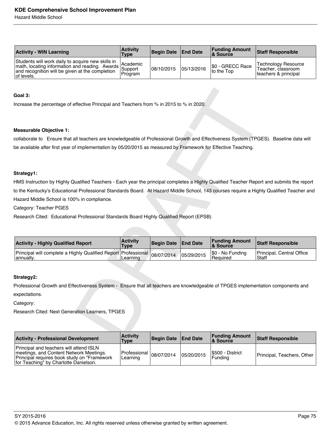| <b>Activity - WIN Learning</b>                                                                                                                                                                                                            | <b>Activity</b><br>Type | Begin Date   End Date |            | <b>Funding Amount</b><br>& Source | <b>Staff Responsible</b>                                           |
|-------------------------------------------------------------------------------------------------------------------------------------------------------------------------------------------------------------------------------------------|-------------------------|-----------------------|------------|-----------------------------------|--------------------------------------------------------------------|
| Students will work daily to acquire new skills in<br>and the same information and reading. Awards and Academic<br>math, locating information and reading. Awards Support<br>and recognition will be given at the completion<br>of levels. | Program                 | 08/10/2015            | 05/13/2016 | \$0 - GRECC Race<br>to the Top    | Technology Resource<br>Teacher, classroom<br>Iteachers & principal |

#### **Goal 3:**

#### **Measurable Objective 1:**

#### **Strategy1:**

| Goal 3:                                                                                                                                   |                                |                   |                 |                                   |                                    |
|-------------------------------------------------------------------------------------------------------------------------------------------|--------------------------------|-------------------|-----------------|-----------------------------------|------------------------------------|
| Increase the percentage of effective Principal and Teachers from % in 2015 to % in 2020.                                                  |                                |                   |                 |                                   |                                    |
|                                                                                                                                           |                                |                   |                 |                                   |                                    |
|                                                                                                                                           |                                |                   |                 |                                   |                                    |
| <b>Measurable Objective 1:</b>                                                                                                            |                                |                   |                 |                                   |                                    |
| collaborate to Ensure that all teachers are knowledgeable of Professional Growth and Effectiveness System (TPGES). Baseline data will     |                                |                   |                 |                                   |                                    |
| be available after first year of implementation by 05/20/2015 as measured by Framework for Effective Teaching.                            |                                |                   |                 |                                   |                                    |
|                                                                                                                                           |                                |                   |                 |                                   |                                    |
| Strategy1:                                                                                                                                |                                |                   |                 |                                   |                                    |
| HMS Instruction by Highly Qualified Teachers - Each year the principal completes a Highly Qualified Teacher Report and submits the report |                                |                   |                 |                                   |                                    |
| to the Kentucky's Educational Professional Standards Board. At Hazard Middle School, 143 courses require a Highly Qualified Teacher and   |                                |                   |                 |                                   |                                    |
| Hazard Middle School is 100% in compliance.                                                                                               |                                |                   |                 |                                   |                                    |
| Category: Teacher PGES                                                                                                                    |                                |                   |                 |                                   |                                    |
| Research Cited: Educational Professional Standards Board Highly Qualified Report (EPSB)                                                   |                                |                   |                 |                                   |                                    |
|                                                                                                                                           |                                |                   |                 |                                   |                                    |
|                                                                                                                                           |                                |                   |                 |                                   |                                    |
| <b>Activity - Highly Qualified Report</b>                                                                                                 | <b>Activity</b><br><b>Type</b> | <b>Begin Date</b> | <b>End Date</b> | <b>Funding Amount</b><br>& Source | <b>Staff Responsible</b>           |
| Principal will complete a Highly Qualified Report<br>annually.                                                                            | Professional<br>Learning       | 08/07/2014        | 05/29/2015      | \$0 - No Funding<br>Required      | Principal, Central Office<br>Staff |
|                                                                                                                                           |                                |                   |                 |                                   |                                    |
|                                                                                                                                           |                                |                   |                 |                                   |                                    |
| Strategy2:                                                                                                                                |                                |                   |                 |                                   |                                    |
| Professional Growth and Effectiveness System - Ensure that all teachers are knowledgeable of TPGES implementation components and          |                                |                   |                 |                                   |                                    |
| expectations.                                                                                                                             |                                |                   |                 |                                   |                                    |
| Category:                                                                                                                                 |                                |                   |                 |                                   |                                    |
| Research Cited: Next Generation Learners, TPGES                                                                                           |                                |                   |                 |                                   |                                    |
|                                                                                                                                           |                                |                   |                 |                                   |                                    |
|                                                                                                                                           |                                |                   |                 |                                   |                                    |
| <b>Activity - Professional Development</b>                                                                                                | <b>Activity</b>                | <b>Begin Date</b> | <b>End Date</b> | <b>Funding Amount</b>             | <b>Staff Responsible</b>           |

#### **Strategy2:**

| <b>Activity - Professional Development</b>                                                                                                                                          | <b>Activity</b><br><b>Type</b>          | Begin Date   End Date |            | <b>Funding Amount</b><br><b>8</b> Source | <b>Staff Responsible</b>   |
|-------------------------------------------------------------------------------------------------------------------------------------------------------------------------------------|-----------------------------------------|-----------------------|------------|------------------------------------------|----------------------------|
| <b>Principal and teachers will attend ISLN</b><br>Imeetings, and Content Network Meetings.<br>Principal requires book study on "Framework"<br>for Teaching" by Charlotte Danielson. | Professional $ 08/07/2014 $<br>Learning |                       | 05/20/2015 | I\$500 - District<br>l Fundina           | Principal, Teachers, Other |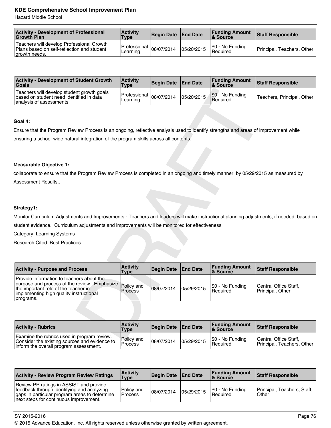Hazard Middle School

| <b>Activity - Development of Professional</b><br><b>Growth Plan</b>                                      | <b>Activity</b><br><b>Type</b>          | Begin Date   End Date |            | <b>Funding Amount</b><br>∣& Source  | <b>Staff Responsible</b>   |
|----------------------------------------------------------------------------------------------------------|-----------------------------------------|-----------------------|------------|-------------------------------------|----------------------------|
| Teachers will develop Professional Growth<br>Plans based on self-reflection and student<br>growth needs. | Professional $ 08/07/2014 $<br>Learning |                       | 05/20/2015 | \$0 - No Funding<br><b>Required</b> | Principal, Teachers, Other |

| <b>Activity - Development of Student Growth</b><br><b>Goals</b>                                                    | <b>Activity</b><br><b>Type</b>          | Begin Date   End Date |            | <b>Funding Amount</b><br>∣& Source | <b>Staff Responsible</b>   |
|--------------------------------------------------------------------------------------------------------------------|-----------------------------------------|-----------------------|------------|------------------------------------|----------------------------|
| Teachers will develop student growth goals<br>based on student need identified in data<br>analysis of assessments. | Professional $ 08/07/2014 $<br>Learning |                       | 05/20/2015 | \$0 - No Funding<br>Required       | Teachers, Principal, Other |

# **Goal 4:**

#### **Measurable Objective 1:**

#### **Strategy1:**

| Teachers will develop student growth goals<br>based on student need identified in data<br>analysis of assessments.                       | Professional<br>Learning       | 08/07/2014        | 05/20/2015      | \$0 - No Funding<br>Required      | Teachers, Principal, Other                |
|------------------------------------------------------------------------------------------------------------------------------------------|--------------------------------|-------------------|-----------------|-----------------------------------|-------------------------------------------|
|                                                                                                                                          |                                |                   |                 |                                   |                                           |
| Goal 4:                                                                                                                                  |                                |                   |                 |                                   |                                           |
| Ensure that the Program Review Process is an ongoing, reflective analysis used to identify strengths and areas of improvement while      |                                |                   |                 |                                   |                                           |
| ensuring a school-wide natural integration of the program skills across all contents.                                                    |                                |                   |                 |                                   |                                           |
|                                                                                                                                          |                                |                   |                 |                                   |                                           |
|                                                                                                                                          |                                |                   |                 |                                   |                                           |
| <b>Measurable Objective 1:</b>                                                                                                           |                                |                   |                 |                                   |                                           |
| collaborate to ensure that the Program Review Process is completed in an ongoing and timely manner by 05/29/2015 as measured by          |                                |                   |                 |                                   |                                           |
| Assessment Results                                                                                                                       |                                |                   |                 |                                   |                                           |
|                                                                                                                                          |                                |                   |                 |                                   |                                           |
|                                                                                                                                          |                                |                   |                 |                                   |                                           |
| Strategy1:                                                                                                                               |                                |                   |                 |                                   |                                           |
| Monitor Curriculum Adjustments and Improvements - Teachers and leaders will make instructional planning adjustments, if needed, based on |                                |                   |                 |                                   |                                           |
| student evidence. Curriculum adjustments and improvements will be monitored for effectiveness.                                           |                                |                   |                 |                                   |                                           |
| Category: Learning Systems                                                                                                               |                                |                   |                 |                                   |                                           |
| <b>Research Cited: Best Practices</b>                                                                                                    |                                |                   |                 |                                   |                                           |
|                                                                                                                                          |                                |                   |                 |                                   |                                           |
|                                                                                                                                          |                                |                   |                 |                                   |                                           |
| <b>Activity - Purpose and Process</b>                                                                                                    | <b>Activity</b><br><b>Type</b> | <b>Begin Date</b> | <b>End Date</b> | <b>Funding Amount</b><br>& Source | <b>Staff Responsible</b>                  |
| Provide information to teachers about the                                                                                                |                                |                   |                 |                                   |                                           |
| purpose and process of the review. Emphasize<br>the important role of the teacher in                                                     | Policy and<br>Process          | 08/07/2014        | 05/29/2015      | \$0 - No Funding<br>Required      | Central Office Staff,<br>Principal, Other |
| implementing high quality instructional<br>programs.                                                                                     |                                |                   |                 |                                   |                                           |
|                                                                                                                                          |                                |                   |                 |                                   |                                           |
|                                                                                                                                          |                                |                   |                 |                                   |                                           |
|                                                                                                                                          | <b>Activity</b>                |                   | <b>End Date</b> | <b>Funding Amount</b>             |                                           |
| <b>Activity - Rubrics</b>                                                                                                                | <b>Type</b>                    | <b>Begin Date</b> |                 | & Source                          | <b>Staff Responsible</b>                  |
| Examine the rubrics used in program review.<br>$O$ anaidau tha aviating agusana and avidanga                                             | Policy and                     | 0.070011          | 0.50000000000   | \$0 - No Funding                  | Central Office Staff,                     |

| <b>Activity - Rubrics</b>                                                                                                              | <b>Activity</b><br><b>Type</b> | Begin Date   End Date |            | <b>Funding Amount</b><br>8 Source | <b>Staff Responsible</b>                            |
|----------------------------------------------------------------------------------------------------------------------------------------|--------------------------------|-----------------------|------------|-----------------------------------|-----------------------------------------------------|
| Examine the rubrics used in program review.<br>Consider the existing sources and evidence to<br>inform the overall program assessment. | Policy and<br>Process          | 08/07/2014            | 05/29/2015 | \$0 - No Funding<br>Required      | Central Office Staff,<br>Principal, Teachers, Other |

| <b>Activity - Review Program Review Ratings</b>                                                                                                                                  | <b>Activity</b><br><b>Type</b> | Begin Date   End Date |            | <b>Funding Amount</b><br>8 Source | Staff Responsible                    |
|----------------------------------------------------------------------------------------------------------------------------------------------------------------------------------|--------------------------------|-----------------------|------------|-----------------------------------|--------------------------------------|
| Review PR ratings in ASSIST and provide<br>feedback through identifying and analyzing<br>gaps in particular program areas to determine<br>next steps for continuous improvement. | Policy and<br>l Process        | 08/07/2014            | 05/29/2015 | \$0 - No Funding<br>Required      | Principal, Teachers, Staff,<br>Other |

#### SY 2015-2016 Page 76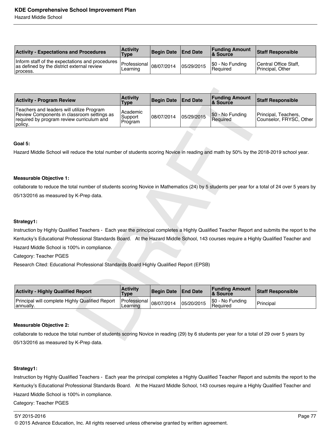Hazard Middle School

| <b>Activity - Expectations and Procedures</b>                                                               | <b>Activity</b><br><b>Type</b>                   | Begin Date   End Date |            | <b>Funding Amount</b><br><b>&amp; Source</b> | <b>Staff Responsible</b>                  |
|-------------------------------------------------------------------------------------------------------------|--------------------------------------------------|-----------------------|------------|----------------------------------------------|-------------------------------------------|
| Inform staff of the expectations and procedures  <br>as defined by the district external review<br>process. | - Professional 08/07/2014 Infinition<br>Learning |                       | 05/29/2015 | \$0 - No Funding<br>l Reauired               | Central Office Staff.<br>Principal, Other |

| <b>Activity - Program Review</b>                                                                                                                | <b>Activity</b><br><b>Type</b> | <b>Begin Date</b> | <b>End Date</b> | <b>Funding Amount</b><br>& Source | <b>Staff Responsible</b>                        |
|-------------------------------------------------------------------------------------------------------------------------------------------------|--------------------------------|-------------------|-----------------|-----------------------------------|-------------------------------------------------|
| Teachers and leaders will utilize Program<br>Review Components in classroom settings as<br>required by program review curriculum and<br>policy. | Academic<br>Support<br>Program | 08/07/2014        | 05/29/2015      | \$0 - No Funding<br>Required      | Principal, Teachers,<br>Counselor, FRYSC, Other |
|                                                                                                                                                 |                                |                   |                 |                                   |                                                 |
| Goal 5:                                                                                                                                         |                                |                   |                 |                                   |                                                 |
| Hazard Middle School will reduce the total number of students scoring Novice in reading and math by 50% by the 2018-2019 school year.           |                                |                   |                 |                                   |                                                 |
|                                                                                                                                                 |                                |                   |                 |                                   |                                                 |
|                                                                                                                                                 |                                |                   |                 |                                   |                                                 |
| <b>Measurable Objective 1:</b>                                                                                                                  |                                |                   |                 |                                   |                                                 |
| collaborate to reduce the total number of students scoring Novice in Mathematics (24) by 5 students per year for a total of 24 over 5 years by  |                                |                   |                 |                                   |                                                 |
| 05/13/2016 as measured by K-Prep data.                                                                                                          |                                |                   |                 |                                   |                                                 |
|                                                                                                                                                 |                                |                   |                 |                                   |                                                 |
|                                                                                                                                                 |                                |                   |                 |                                   |                                                 |
| Strategy1:                                                                                                                                      |                                |                   |                 |                                   |                                                 |
| Instruction by Highly Qualified Teachers - Each year the principal completes a Highly Qualified Teacher Report and submits the report to the    |                                |                   |                 |                                   |                                                 |
| Kentucky's Educational Professional Standards Board. At the Hazard Middle School, 143 courses require a Highly Qualified Teacher and            |                                |                   |                 |                                   |                                                 |
| Hazard Middle School is 100% in compliance.                                                                                                     |                                |                   |                 |                                   |                                                 |
| Category: Teacher PGES                                                                                                                          |                                |                   |                 |                                   |                                                 |
| Research Cited: Educational Professional Standards Board Highly Qualified Report (EPSB)                                                         |                                |                   |                 |                                   |                                                 |
|                                                                                                                                                 |                                |                   |                 |                                   |                                                 |
|                                                                                                                                                 |                                |                   |                 |                                   |                                                 |
| <b>Activity - Highly Qualified Report</b>                                                                                                       | <b>Activity</b><br><b>Type</b> | <b>Begin Date</b> | <b>End Date</b> | <b>Funding Amount</b><br>& Source | <b>Staff Responsible</b>                        |
| Principal will complete Highly Qualified Report<br>annually.                                                                                    | Professional<br>Learning       | 08/07/2014        | 05/20/2015      | \$0 - No Funding<br>Required      | Principal                                       |
|                                                                                                                                                 |                                |                   |                 |                                   |                                                 |
| <b>Measurable Objective 2:</b>                                                                                                                  |                                |                   |                 |                                   |                                                 |
| collaborate to reduce the total number of students scoring Novice in reading (29) by 6 students per year for a total of 29 over 5 years by      |                                |                   |                 |                                   |                                                 |
|                                                                                                                                                 |                                |                   |                 |                                   |                                                 |

#### **Goal 5:**

#### **Measurable Objective 1:**

#### **Strategy1:**

| <b>Activity - Highly Qualified Report</b>                    | <b>Activity</b><br><b>Type</b>          | Begin Date End Date |            | <b>Funding Amount</b><br>& Source   | <b>Staff Responsible</b> |
|--------------------------------------------------------------|-----------------------------------------|---------------------|------------|-------------------------------------|--------------------------|
| Principal will complete Highly Qualified Report<br> annually | Professional $ 08/07/2014 $<br>Learning |                     | 05/20/2015 | \$0 - No Funding<br><b>Required</b> | Principal                |

#### **Measurable Objective 2:**

collaborate to reduce the total number of students scoring Novice in reading (29) by 6 students per year for a total of 29 over 5 years by 05/13/2016 as measured by K-Prep data.

#### **Strategy1:**

Instruction by Highly Qualified Teachers - Each year the principal completes a Highly Qualified Teacher Report and submits the report to the Kentucky's Educational Professional Standards Board. At the Hazard Middle School, 143 courses require a Highly Qualified Teacher and Hazard Middle School is 100% in compliance.

Category: Teacher PGES

#### $\,$  SY 2015-2016  $\,$  Page 77  $\,$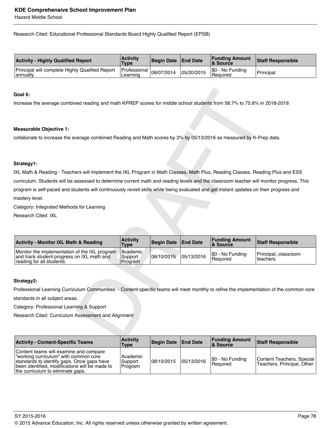Hazard Middle School

Research Cited: Educational Professional Standards Board Highly Qualified Report (EPSB)

| <b>Activity - Highly Qualified Report</b>                    | <b>Activity</b><br><b>Type</b>          | Begin Date End Date |            | <b>Funding Amount</b><br><b>&amp; Source</b> | <b>Staff Responsible</b> |
|--------------------------------------------------------------|-----------------------------------------|---------------------|------------|----------------------------------------------|--------------------------|
| Principal will complete Highly Qualified Report<br>annually. | Professional $ 08/07/2014 $<br>Learnıng |                     | 05/20/2015 | \$0 - No Funding<br>l Reauired               | 'Principal               |

#### **Goal 6:**

#### **Measurable Objective 1:**

#### **Strategy1:**

| Goal 6:                                                                                                                                  |                                |                   |                 |                                   |                                  |
|------------------------------------------------------------------------------------------------------------------------------------------|--------------------------------|-------------------|-----------------|-----------------------------------|----------------------------------|
| Increase the average combined reading and math KPREP scores for middle school students from 58.7% to 75.8% in 2018-2019.                 |                                |                   |                 |                                   |                                  |
|                                                                                                                                          |                                |                   |                 |                                   |                                  |
| <b>Measurable Objective 1:</b>                                                                                                           |                                |                   |                 |                                   |                                  |
| collaborate to increase the average combined Reading and Math scores by 3% by 05/13/2016 as measured by K-Prep data.                     |                                |                   |                 |                                   |                                  |
|                                                                                                                                          |                                |                   |                 |                                   |                                  |
|                                                                                                                                          |                                |                   |                 |                                   |                                  |
| Strategy1:                                                                                                                               |                                |                   |                 |                                   |                                  |
| IXL Math & Reading - Teachers will implement the IXL Program in Math Classes, Math Plus, Reading Classes, Reading Plus and ESS           |                                |                   |                 |                                   |                                  |
| curriculum. Students will be assessed to determine current math and reading levels and the classroom teacher will monitor progress. This |                                |                   |                 |                                   |                                  |
| program is self-paced and students will continuously revisit skills while being evaluated and get instant updates on their progress and  |                                |                   |                 |                                   |                                  |
| mastery level.                                                                                                                           |                                |                   |                 |                                   |                                  |
| Category: Integrated Methods for Learning                                                                                                |                                |                   |                 |                                   |                                  |
| Research Cited: IXL                                                                                                                      |                                |                   |                 |                                   |                                  |
|                                                                                                                                          |                                |                   |                 |                                   |                                  |
|                                                                                                                                          |                                |                   |                 |                                   |                                  |
| <b>Activity - Monitor IXL Math &amp; Reading</b>                                                                                         | <b>Activity</b><br><b>Type</b> | <b>Begin Date</b> | <b>End Date</b> | <b>Funding Amount</b><br>& Source | <b>Staff Responsible</b>         |
| Monitor the implementation of the IXL program<br>and track student progress on IXL math and<br>reading for all students.                 | Academic<br>Support<br>Program | 08/10/2015        | 05/13/2016      | \$0 - No Funding<br>Required      | Principal, classroom<br>teachers |
|                                                                                                                                          |                                |                   |                 |                                   |                                  |
| Strategy2:                                                                                                                               |                                |                   |                 |                                   |                                  |
| Professional Learning Curriculum Communities - Content-specific teams will meet monthly to refine the implementation of the common core  |                                |                   |                 |                                   |                                  |
| standards in all subject areas.                                                                                                          |                                |                   |                 |                                   |                                  |
| Category: Professional Learning & Support                                                                                                |                                |                   |                 |                                   |                                  |
| Research Cited: Curriculum Assessment and Alignment                                                                                      |                                |                   |                 |                                   |                                  |
|                                                                                                                                          |                                |                   |                 |                                   |                                  |
|                                                                                                                                          | <b>Activity</b>                |                   |                 | <b>Funding Amount</b>             |                                  |

#### **Strategy2:**

| <b>Activity - Content-Specific Teams</b>                                                                                                                                                                            | <b>Activity</b><br>Type         | Begin Date   End Date |            | <b>Funding Amount</b><br>∣& Source | <b>Staff Responsible</b>                                |
|---------------------------------------------------------------------------------------------------------------------------------------------------------------------------------------------------------------------|---------------------------------|-----------------------|------------|------------------------------------|---------------------------------------------------------|
| Content teams will examine and compare<br>working curriculum" with common core<br>standards to identify gaps. Once gaps have<br>been identified, modifications will be made to<br>the curriculum to eliminate gaps. | Academic<br>Support<br> Program | 08/10/2015            | 05/13/2016 | \$0 - No Funding<br>l Reauired     | Content Teachers, Special<br>Teachers, Principal, Other |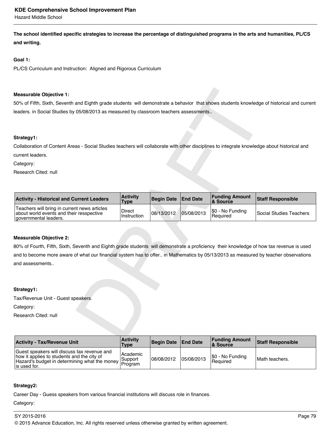**The school identified specific strategies to increase the percentage of distinguished programs in the arts and humanities, PL/CS and writing.**

# **Goal 1:**

PL/CS Curriculum and Instruction: Aligned and Rigorous Curriculum

#### **Measurable Objective 1:**

#### **Strategy1:**

| Measurable Objective 1:                                                                                                                                                                                                                                                                                           |                                |                   |                 |                                   |                                |
|-------------------------------------------------------------------------------------------------------------------------------------------------------------------------------------------------------------------------------------------------------------------------------------------------------------------|--------------------------------|-------------------|-----------------|-----------------------------------|--------------------------------|
| 50% of Fifth, Sixth, Seventh and Eighth grade students will demonstrate a behavior that shows students knowledge of historical and current                                                                                                                                                                        |                                |                   |                 |                                   |                                |
| leaders. in Social Studies by 05/08/2013 as measured by classroom teachers assessments                                                                                                                                                                                                                            |                                |                   |                 |                                   |                                |
| Strategy1:                                                                                                                                                                                                                                                                                                        |                                |                   |                 |                                   |                                |
| Collaboration of Content Areas - Social Studies teachers will collaborate with other disciplines to integrate knowledge about historical and                                                                                                                                                                      |                                |                   |                 |                                   |                                |
| current leaders.                                                                                                                                                                                                                                                                                                  |                                |                   |                 |                                   |                                |
| Category:                                                                                                                                                                                                                                                                                                         |                                |                   |                 |                                   |                                |
| Research Cited: null                                                                                                                                                                                                                                                                                              |                                |                   |                 |                                   |                                |
|                                                                                                                                                                                                                                                                                                                   |                                |                   |                 |                                   |                                |
| <b>Activity - Historical and Current Leaders</b>                                                                                                                                                                                                                                                                  | <b>Activity</b><br><b>Type</b> | <b>Begin Date</b> | <b>End Date</b> | <b>Funding Amount</b><br>& Source | <b>Staff Responsible</b>       |
| Teachers will bring in current news articles<br>about world events and their resspective<br>governmental leaders.                                                                                                                                                                                                 | Direct<br>Instruction          | 08/13/2012        | 05/08/2013      | \$0 - No Funding<br>Required      | <b>Social Studies Teachers</b> |
| <b>Measurable Objective 2:</b><br>80% of Fourth, Fifth, Sixth, Seventh and Eighth grade students will demonstrate a proficiency their knowledge of how tax revenue is used<br>and to become more aware of what our financial system has to offer in Mathematics by 05/13/2013 as measured by teacher observations |                                |                   |                 |                                   |                                |
| and assessments                                                                                                                                                                                                                                                                                                   |                                |                   |                 |                                   |                                |
| Strategy1:                                                                                                                                                                                                                                                                                                        |                                |                   |                 |                                   |                                |
| Tax/Revenue Unit - Guest speakers.                                                                                                                                                                                                                                                                                |                                |                   |                 |                                   |                                |
| Category:                                                                                                                                                                                                                                                                                                         |                                |                   |                 |                                   |                                |
| Research Cited: null                                                                                                                                                                                                                                                                                              |                                |                   |                 |                                   |                                |
|                                                                                                                                                                                                                                                                                                                   | <b>Activity</b>                |                   |                 | <b>Funding Amount</b>             |                                |

# **Measurable Objective 2:**

#### **Strategy1:**

Category:

| <b>Activity - Tax/Revenue Unit</b>                                                                                                                                  | <b>Activity</b><br>Type | Begin Date   End Date |            | <b>Funding Amount</b><br>∣& Source | <b>Staff Responsible</b> |
|---------------------------------------------------------------------------------------------------------------------------------------------------------------------|-------------------------|-----------------------|------------|------------------------------------|--------------------------|
| Guest speakers will discuss tax revenue and<br>how it applies to students and the city of<br>Hazard's budget in determining what the money Program<br>lis used for. | Academic<br>Support     | 08/08/2012            | 05/08/2013 | \$0 - No Funding<br>l Reauired     | Math teachers.           |

# **Strategy2:**

Career Day - Guess speakers from various financial institutions will discuss role in finances.

Category: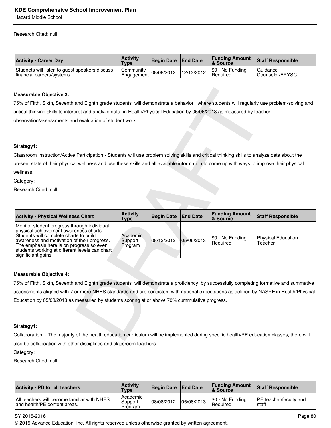Hazard Middle School

Research Cited: null

| <b>Activity - Career Day</b>                                                 | <b>Activity</b><br><b>Type</b>                  | Begin Date   End Date |            | <b>Funding Amount</b><br><b>&amp; Source</b> | <b>Staff Responsible</b>        |
|------------------------------------------------------------------------------|-------------------------------------------------|-----------------------|------------|----------------------------------------------|---------------------------------|
| Studnets will listen to guest speakers discuss<br>financial careers/systems. | Community<br>Primation 198/08/2012 1999. [1999] |                       | 12/13/2012 | \$0 - No Funding<br><b>Reauired</b>          | l Guidance<br> Counselor/FRYSC_ |

#### **Measurable Objective 3:**

#### **Strategy1:**

| <b>Measurable Objective 3:</b>                                                                                                                                                                                                          |                    |                   |                 |                       |                           |
|-----------------------------------------------------------------------------------------------------------------------------------------------------------------------------------------------------------------------------------------|--------------------|-------------------|-----------------|-----------------------|---------------------------|
| 75% of Fifth, Sixth, Seventh and Eighth grade students will demonstrate a behavior where students will regularly use problem-solving and                                                                                                |                    |                   |                 |                       |                           |
| critical thinking skills to interpret and analyze data in Health/Physical Education by 05/06/2013 as measured by teacher                                                                                                                |                    |                   |                 |                       |                           |
| observation/assessments and evaluation of student work                                                                                                                                                                                  |                    |                   |                 |                       |                           |
|                                                                                                                                                                                                                                         |                    |                   |                 |                       |                           |
|                                                                                                                                                                                                                                         |                    |                   |                 |                       |                           |
| Strategy1:                                                                                                                                                                                                                              |                    |                   |                 |                       |                           |
| Classroom Instruction/Active Participation - Students will use problem solving skills and critical thinking skills to analyze data about the                                                                                            |                    |                   |                 |                       |                           |
| present state of their physical wellness and use these skills and all available information to come up with ways to improve their physical                                                                                              |                    |                   |                 |                       |                           |
| wellness.                                                                                                                                                                                                                               |                    |                   |                 |                       |                           |
| Category:                                                                                                                                                                                                                               |                    |                   |                 |                       |                           |
| Research Cited: null                                                                                                                                                                                                                    |                    |                   |                 |                       |                           |
|                                                                                                                                                                                                                                         |                    |                   |                 |                       |                           |
|                                                                                                                                                                                                                                         |                    |                   |                 |                       |                           |
|                                                                                                                                                                                                                                         | <b>Activity</b>    |                   |                 | <b>Funding Amount</b> |                           |
| <b>Activity - Physical Wellness Chart</b>                                                                                                                                                                                               | Type               | <b>Begin Date</b> | <b>End Date</b> | & Source              | <b>Staff Responsible</b>  |
| Monitor student progress through individual<br>physical achievement awareness charts.                                                                                                                                                   |                    |                   |                 |                       |                           |
| Students will complete charts to build                                                                                                                                                                                                  | Academic           |                   |                 | \$0 - No Funding      | <b>Physical Education</b> |
| awareness and motivation of their progress.<br>The emphasis here is on progress so even                                                                                                                                                 | Support<br>Program | 08/13/2012        | 05/06/2013      | Required              | Teacher                   |
| students working at different levels can chart                                                                                                                                                                                          |                    |                   |                 |                       |                           |
| significiant gains.                                                                                                                                                                                                                     |                    |                   |                 |                       |                           |
|                                                                                                                                                                                                                                         |                    |                   |                 |                       |                           |
| <b>Measurable Objective 4:</b>                                                                                                                                                                                                          |                    |                   |                 |                       |                           |
|                                                                                                                                                                                                                                         |                    |                   |                 |                       |                           |
|                                                                                                                                                                                                                                         |                    |                   |                 |                       |                           |
| 75% of Fifth, Sixth, Seventh and Eighth grade students will demonstrate a proficiency by successfully completing formative and summative                                                                                                |                    |                   |                 |                       |                           |
|                                                                                                                                                                                                                                         |                    |                   |                 |                       |                           |
|                                                                                                                                                                                                                                         |                    |                   |                 |                       |                           |
| assessments aligned with 7 or more NHES standards and are consistent with national expectations as defined by NASPE in Health/Physical<br>Education by 05/08/2013 as measured by students scoring at or above 70% cummulative progress. |                    |                   |                 |                       |                           |
|                                                                                                                                                                                                                                         |                    |                   |                 |                       |                           |
| Strategy1:<br>Collaboration - The majority of the health education curriculum will be implemented during specific health/PE education classes, there will                                                                               |                    |                   |                 |                       |                           |

#### **Measurable Objective 4:**

#### **Strategy1:**

Collaboration - The majority of the health education curriculum will be implemented during specific health/PE education classes, there will also be collaboation with other disciplines and classroom teachers.

Category:

Research Cited: null

| <b>Activity - PD for all teachers</b>                                       | <b>Activity</b><br>Type        | Begin Date   End Date |            | <b>Funding Amount</b><br>8 Source   | <b>Staff Responsible</b>                |
|-----------------------------------------------------------------------------|--------------------------------|-----------------------|------------|-------------------------------------|-----------------------------------------|
| All teachers will become familiar with NHES<br>and health/PE content areas. | Academic<br>Support<br>Proaram | 08/08/2012            | 05/08/2013 | \$0 - No Funding<br><b>Required</b> | <b>PE</b> teacher/faculty and<br>Istaff |

#### SY 2015-2016 Page 80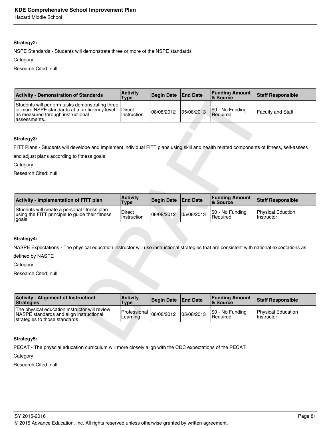Hazard Middle School

# **Strategy2:**

NSPE Standards - Students will demonstrate three or more ot the NSPE standards

Category:

Research Cited: null

| <b>Activity - Demonstration of Standards</b>                                                                                                          | <b>Activity</b><br><b>Type</b> | <b>Begin Date</b> | <b>End Date</b> | <b>Funding Amount</b><br>& Source | <b>Staff Responsible</b>                |
|-------------------------------------------------------------------------------------------------------------------------------------------------------|--------------------------------|-------------------|-----------------|-----------------------------------|-----------------------------------------|
| Students will perform tasks demonstrating three<br>or more NSPE standards at a proficiency level<br>as measured through instructional<br>assessments. | Direct<br>Instruction          | 08/08/2012        | 05/08/2013      | \$0 - No Funding<br>Required      | <b>Faculty and Staff</b>                |
|                                                                                                                                                       |                                |                   |                 |                                   |                                         |
| Strategy3:                                                                                                                                            |                                |                   |                 |                                   |                                         |
| FITT Plans - Students will develope and implement individual FITT plans using skill and health related components of fitness, self-assess             |                                |                   |                 |                                   |                                         |
| and adjust plans according to fitness goals                                                                                                           |                                |                   |                 |                                   |                                         |
| Category:                                                                                                                                             |                                |                   |                 |                                   |                                         |
| Research Cited: null                                                                                                                                  |                                |                   |                 |                                   |                                         |
|                                                                                                                                                       |                                |                   |                 |                                   |                                         |
|                                                                                                                                                       |                                |                   |                 |                                   |                                         |
| <b>Activity - Implementation of FITT plan</b>                                                                                                         | <b>Activity</b><br><b>Type</b> | <b>Begin Date</b> | <b>End Date</b> | <b>Funding Amount</b><br>& Source | <b>Staff Responsible</b>                |
| Students will create a personal fitness plan<br>using the FITT principle to guide their fitness<br>goals                                              | Direct<br>Instruction          | 08/08/2012        | 05/08/2013      | \$0 - No Funding<br>Required      | <b>Physical Eduction</b><br>Instructor  |
|                                                                                                                                                       |                                |                   |                 |                                   |                                         |
| Strategy4:                                                                                                                                            |                                |                   |                 |                                   |                                         |
| NASPE Expectations - The physical education instructor will use instructional strategies that are consistent with national expectations as            |                                |                   |                 |                                   |                                         |
| defined by NASPE                                                                                                                                      |                                |                   |                 |                                   |                                         |
|                                                                                                                                                       |                                |                   |                 |                                   |                                         |
| Category:                                                                                                                                             |                                |                   |                 |                                   |                                         |
| Research Cited: null                                                                                                                                  |                                |                   |                 |                                   |                                         |
|                                                                                                                                                       |                                |                   |                 |                                   |                                         |
| <b>Activity - Alignment of Instructionl</b><br><b>Strategies</b>                                                                                      | <b>Activity</b><br><b>Type</b> | <b>Begin Date</b> | <b>End Date</b> | <b>Funding Amount</b><br>& Source | <b>Staff Responsible</b>                |
| The physical education instructor will review<br>NASPE standards and align instructional<br>strategies to those standards                             | Professional<br>Learning       | 08/08/2012        | 05/08/2013      | \$0 - No Funding<br>Required      | <b>Physical Education</b><br>Instructor |
|                                                                                                                                                       |                                |                   |                 |                                   |                                         |
| Strategy5:                                                                                                                                            |                                |                   |                 |                                   |                                         |

#### **Strategy3:**

| <b>Activity - Implementation of FITT plan</b>                                                                   | <b>Activity</b><br><b>Type</b> | Begin Date   End Date |            | <b>Funding Amount</b><br><b>&amp; Source</b> | <b>Staff Responsible</b>                 |
|-----------------------------------------------------------------------------------------------------------------|--------------------------------|-----------------------|------------|----------------------------------------------|------------------------------------------|
| Students will create a personal fitness plan<br>using the FITT principle to quide their fitness<br><u>goals</u> | <b>Direct</b><br>Instruction   | 08/08/2012            | 05/08/2013 | \$0 - No Funding<br>l Reauired               | <b>Physical Eduction</b><br>l Instructor |

# **Strategy4:**

| <b>Activity - Alignment of Instructionl</b><br>Strategies                                                                 | <b>Activity</b><br><b>Type</b> | Begin Date   End Date |            | <b>Funding Amount</b><br>8 Source | Staff Responsible                         |
|---------------------------------------------------------------------------------------------------------------------------|--------------------------------|-----------------------|------------|-----------------------------------|-------------------------------------------|
| The physical education instructor will review<br>NASPE standards and align instructional<br>strategies to those standards | Professional<br>Learning       | 08/08/2012            | 05/08/2013 | \$0 - No Funding<br>l Reauired    | <b>Physical Education</b><br>l Instructor |

# **Strategy5:**

PECAT - The physcial education curriculum will more closely align with the CDC expectations of the PECAT

Category:

Research Cited: null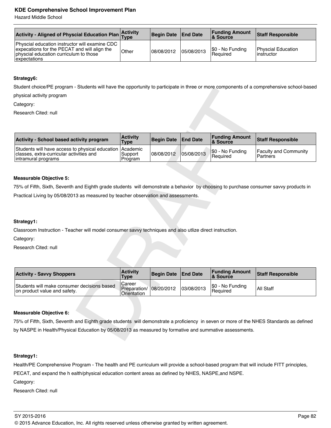Hazard Middle School

| Activity - Aligned of Physcial Education Plan Activity                                                                                                          |       | Begin Date   End Date |            | <b>Funding Amount</b><br>& Source | <b>Staff Responsible</b>                 |
|-----------------------------------------------------------------------------------------------------------------------------------------------------------------|-------|-----------------------|------------|-----------------------------------|------------------------------------------|
| <b>Physcial education instructor will examine CDC</b><br>expecations for the PECAT and will align the<br>physcial education curriculum to those<br>expectations | Other | 108/08/2012           | 05/08/2013 | \$0 - No Funding<br>Required      | <b>Physcial Education</b><br>linstructor |

# **Strategy6:**

Student choice/PE program - Students will have the opportunity to participate in three or more components of a comprehensive school-based

| <b>Activity - School based activity program</b>                                                                              | <b>Activity</b><br>Type | Begin Date End Date |            | <b>Funding Amount</b><br>8 Source | <b>Staff Responsible</b>                        |
|------------------------------------------------------------------------------------------------------------------------------|-------------------------|---------------------|------------|-----------------------------------|-------------------------------------------------|
| Students will have access to physical education Academic<br>classes, extra-curricular activities and<br> intramural programs | Support<br>Program      | 08/08/2012          | 05/08/2013 | \$0 - No Funding<br>Required      | <b>Faculty and Community</b><br><b>Partners</b> |

#### **Measurable Objective 5:**

#### **Strategy1:**

| Olddent choice/TE program - Olddents will have the opportunity to participate in three or more components or a comprehensive school-based |                                       |                   |                 |                                   |                                          |
|-------------------------------------------------------------------------------------------------------------------------------------------|---------------------------------------|-------------------|-----------------|-----------------------------------|------------------------------------------|
| physical activity program                                                                                                                 |                                       |                   |                 |                                   |                                          |
| Category:                                                                                                                                 |                                       |                   |                 |                                   |                                          |
| Research Cited: null                                                                                                                      |                                       |                   |                 |                                   |                                          |
|                                                                                                                                           |                                       |                   |                 |                                   |                                          |
|                                                                                                                                           |                                       |                   |                 |                                   |                                          |
| <b>Activity - School based activity program</b>                                                                                           | <b>Activity</b><br><b>Type</b>        | <b>Begin Date</b> | <b>End Date</b> | <b>Funding Amount</b><br>& Source | <b>Staff Responsible</b>                 |
| Students will have access to physical education<br>classes, extra-curricular activities and<br>intramural programs                        | Academic<br>Support<br>Program        | 08/08/2012        | 05/08/2013      | \$0 - No Funding<br>Required      | <b>Faculty and Community</b><br>Partners |
|                                                                                                                                           |                                       |                   |                 |                                   |                                          |
| <b>Measurable Objective 5:</b>                                                                                                            |                                       |                   |                 |                                   |                                          |
|                                                                                                                                           |                                       |                   |                 |                                   |                                          |
| 75% of Fifth, Sixth, Seventh and Eighth grade students will demonstrate a behavior by choosing to purchase consumer savvy products in     |                                       |                   |                 |                                   |                                          |
| Practical Living by 05/08/2013 as measured by teacher observation and assessments.                                                        |                                       |                   |                 |                                   |                                          |
|                                                                                                                                           |                                       |                   |                 |                                   |                                          |
|                                                                                                                                           |                                       |                   |                 |                                   |                                          |
| Strategy1:                                                                                                                                |                                       |                   |                 |                                   |                                          |
| Classroom Instruction - Teacher will model consumer savvy techniques and also utlize direct instruction.                                  |                                       |                   |                 |                                   |                                          |
| Category:                                                                                                                                 |                                       |                   |                 |                                   |                                          |
| Research Cited: null                                                                                                                      |                                       |                   |                 |                                   |                                          |
|                                                                                                                                           |                                       |                   |                 |                                   |                                          |
|                                                                                                                                           |                                       |                   |                 |                                   |                                          |
| <b>Activity - Savvy Shoppers</b>                                                                                                          | <b>Activity</b><br><b>Type</b>        | <b>Begin Date</b> | <b>End Date</b> | <b>Funding Amount</b><br>& Source | <b>Staff Responsible</b>                 |
| Students will make consumer decisions based<br>on product value and safety.                                                               | Career<br>Preparation/<br>Orientation | 08/20/2012        | 03/08/2013      | \$0 - No Funding<br>Required      | All Staff                                |
|                                                                                                                                           |                                       |                   |                 |                                   |                                          |
|                                                                                                                                           |                                       |                   |                 |                                   |                                          |
| <b>Measurable Objective 6:</b>                                                                                                            |                                       |                   |                 |                                   |                                          |
| 75% of Fifth, Sixth, Seventh and Eighth grade students will demonstrate a proficiency in seven or more of the NHES Standards as defined   |                                       |                   |                 |                                   |                                          |
| by NASPE in Health/Physical Education by 05/08/2013 as measured by formative and summative assessments.                                   |                                       |                   |                 |                                   |                                          |
|                                                                                                                                           |                                       |                   |                 |                                   |                                          |

#### **Measurable Objective 6:**

#### **Strategy1:**

Health/PE Comprehensive Program - The health and PE curriculum will provide a school-based program that will include FITT principles, PECAT, and expand the h ealth/physical education content areas as defined by NHES, NASPE,and NSPE.

Category:

Research Cited: null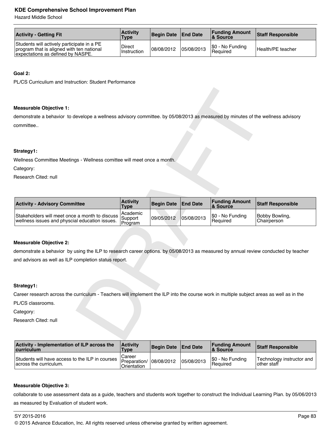Hazard Middle School

| <b>Activity - Getting Fit</b>                                                                                                | <b>Activity</b><br><b>Type</b> | Begin Date   End Date |            | <b>Funding Amount</b><br>8 Source | Staff Responsible |
|------------------------------------------------------------------------------------------------------------------------------|--------------------------------|-----------------------|------------|-----------------------------------|-------------------|
| Students will actively participate in a PE<br>program that is aligned with ten national<br>expectations as defined by NASPE. | <b>Direct</b><br>Instruction   | 108/08/2012           | 05/08/2013 | S0 - No Funding<br>Required       | Health/PE teacher |

# **Goal 2:**

PL/CS Curriculium and Instruction: Student Performance

#### **Measurable Objective 1:**

#### **Strategy1:**

| <b>Measurable Objective 1:</b>                                                                                                           |                                |                   |                 |                                   |                               |  |  |  |  |
|------------------------------------------------------------------------------------------------------------------------------------------|--------------------------------|-------------------|-----------------|-----------------------------------|-------------------------------|--|--|--|--|
| demonstrate a behavior to develope a wellness advisory committee. by 05/08/2013 as measured by minutes of the wellness advisory          |                                |                   |                 |                                   |                               |  |  |  |  |
| committee                                                                                                                                |                                |                   |                 |                                   |                               |  |  |  |  |
|                                                                                                                                          |                                |                   |                 |                                   |                               |  |  |  |  |
| Strategy1:                                                                                                                               |                                |                   |                 |                                   |                               |  |  |  |  |
| Wellness Committee Meetings - Wellness comittee will meet once a month.                                                                  |                                |                   |                 |                                   |                               |  |  |  |  |
| Category:                                                                                                                                |                                |                   |                 |                                   |                               |  |  |  |  |
| Research Cited: null                                                                                                                     |                                |                   |                 |                                   |                               |  |  |  |  |
|                                                                                                                                          |                                |                   |                 |                                   |                               |  |  |  |  |
|                                                                                                                                          |                                |                   |                 |                                   |                               |  |  |  |  |
| <b>Activity - Advisory Committee</b>                                                                                                     | <b>Activity</b><br><b>Type</b> | <b>Begin Date</b> | <b>End Date</b> | <b>Funding Amount</b><br>& Source | <b>Staff Responsible</b>      |  |  |  |  |
| Stakeholders will meet once a month to discuss<br>wellness issues and physcial education issues.                                         | Academic<br>Support<br>Program | 09/05/2012        | 05/08/2013      | \$0 - No Funding<br>Required      | Bobby Bowling,<br>Chairperson |  |  |  |  |
|                                                                                                                                          |                                |                   |                 |                                   |                               |  |  |  |  |
| <b>Measurable Objective 2:</b>                                                                                                           |                                |                   |                 |                                   |                               |  |  |  |  |
| demonstrate a behavior by using the ILP to research career options. by 05/08/2013 as measured by annual review conducted by teacher      |                                |                   |                 |                                   |                               |  |  |  |  |
| and advisors as well as ILP completion status report.                                                                                    |                                |                   |                 |                                   |                               |  |  |  |  |
|                                                                                                                                          |                                |                   |                 |                                   |                               |  |  |  |  |
|                                                                                                                                          |                                |                   |                 |                                   |                               |  |  |  |  |
| Strategy1:                                                                                                                               |                                |                   |                 |                                   |                               |  |  |  |  |
| Career research across the curriculum - Teachers will implement the ILP into the course work in multiple subject areas as well as in the |                                |                   |                 |                                   |                               |  |  |  |  |
| PL/CS classrooms.                                                                                                                        |                                |                   |                 |                                   |                               |  |  |  |  |
| Category:                                                                                                                                |                                |                   |                 |                                   |                               |  |  |  |  |
| Research Cited: null                                                                                                                     |                                |                   |                 |                                   |                               |  |  |  |  |
|                                                                                                                                          |                                |                   |                 |                                   |                               |  |  |  |  |
|                                                                                                                                          |                                |                   |                 |                                   |                               |  |  |  |  |

#### **Measurable Objective 2:**

# **Strategy1:**

| <b>Activity - Implementation of ILP across the</b><br><b>curriculum</b>     | <b>Activity</b><br>Type                          | Begin Date End Date |            | <b>Funding Amount</b><br><b>&amp; Source</b> | <b>Staff Responsible</b>                  |
|-----------------------------------------------------------------------------|--------------------------------------------------|---------------------|------------|----------------------------------------------|-------------------------------------------|
| Students will have access to the ILP in courses 1<br>across the curriculum. | Career<br>Preparation/ 08/08/2012<br>Orientation |                     | 05/08/2013 | \$0 - No Funding<br>l Reauired               | Technology instructor and<br>lother staff |

#### **Measurable Objective 3:**

collaborate to use assessment data as a guide, teachers and students work together to construct the Individual Learning Plan. by 05/06/2013 as measured by Evaluation of student work.

#### SY 2015-2016 Page 83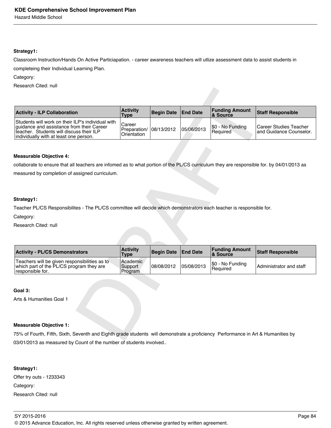#### **Strategy1:**

Classroom Instruction/Hands On Active Particiapation. - career awareness teachers will utlize assessment data to assist students in completeing their Individual Learning Plan.

Category:

Research Cited: null

| <b>Activity - ILP Collaboration</b>                                                                                                                                                  | <b>Activity</b><br><b>Type</b>        | <b>Begin Date</b> | <b>End Date</b> | <b>Funding Amount</b><br>& Source | <b>Staff Responsible</b>                                 |
|--------------------------------------------------------------------------------------------------------------------------------------------------------------------------------------|---------------------------------------|-------------------|-----------------|-----------------------------------|----------------------------------------------------------|
| Students will work on their ILP's individual with<br>guidance and assistance from their Career<br>teacher. Students will discuss their ILP<br>individually with at least one person. | Career<br>Preparation/<br>Orientation | 08/13/2012        | 05/06/2013      | \$0 - No Funding<br>Required      | <b>Career Studies Teacher</b><br>and Guidance Counselor. |
|                                                                                                                                                                                      |                                       |                   |                 |                                   |                                                          |
| <b>Measurable Objective 4:</b>                                                                                                                                                       |                                       |                   |                 |                                   |                                                          |
| collaborate to ensure that all teachers are infomed as to what portion of the PL/CS curriculum they are responsible for. by 04/01/2013 as                                            |                                       |                   |                 |                                   |                                                          |
| measured by completion of assigned curriculum.                                                                                                                                       |                                       |                   |                 |                                   |                                                          |
|                                                                                                                                                                                      |                                       |                   |                 |                                   |                                                          |
|                                                                                                                                                                                      |                                       |                   |                 |                                   |                                                          |
| Strategy1:                                                                                                                                                                           |                                       |                   |                 |                                   |                                                          |
| Teacher PL/CS Responsibilites - The PL/CS committee will decide which demonstrators each teacher is responsible for.                                                                 |                                       |                   |                 |                                   |                                                          |
| Category:                                                                                                                                                                            |                                       |                   |                 |                                   |                                                          |
| Research Cited: null                                                                                                                                                                 |                                       |                   |                 |                                   |                                                          |
|                                                                                                                                                                                      |                                       |                   |                 |                                   |                                                          |
|                                                                                                                                                                                      |                                       |                   |                 |                                   |                                                          |
| Activity - PL/CS Demonstrators                                                                                                                                                       | <b>Activity</b><br><b>Type</b>        | <b>Begin Date</b> | <b>End Date</b> | <b>Funding Amount</b><br>& Source | <b>Staff Responsible</b>                                 |
| Teachers will be given responsibilities as to<br>which part of the PL/CS program they are<br>responsible for.                                                                        | Academic<br>Support<br>Program        | 08/08/2012        | 05/08/2013      | \$0 - No Funding<br>Required      | Administrator and staff                                  |
|                                                                                                                                                                                      |                                       |                   |                 |                                   |                                                          |
| Goal 3:                                                                                                                                                                              |                                       |                   |                 |                                   |                                                          |
| Arts & Humanities Goal 1                                                                                                                                                             |                                       |                   |                 |                                   |                                                          |
|                                                                                                                                                                                      |                                       |                   |                 |                                   |                                                          |
|                                                                                                                                                                                      |                                       |                   |                 |                                   |                                                          |
| <b>Measurable Objective 1:</b>                                                                                                                                                       |                                       |                   |                 |                                   |                                                          |
| 75% of Fourth, Fifth, Sixth, Seventh and Eighth grade students will demonstrate a proficiency Performance in Art & Humanities by                                                     |                                       |                   |                 |                                   |                                                          |
|                                                                                                                                                                                      |                                       |                   |                 |                                   |                                                          |

#### **Measurable Objective 4:**

#### **Strategy1:**

| <b>Activity - PL/CS Demonstrators</b>                                                                         | <b>Activity</b><br><b>Type</b>   | Begin Date   End Date |            | <b>Funding Amount</b><br><b>&amp; Source</b> | <b>Staff Responsible</b> |
|---------------------------------------------------------------------------------------------------------------|----------------------------------|-----------------------|------------|----------------------------------------------|--------------------------|
| Teachers will be given responsibilities as to<br>which part of the PL/CS program they are<br>responsible for. | l Academic<br>Support<br>Program | 08/08/2012            | 05/08/2013 | \$0 - No Funding<br>Required                 | Administrator and staff  |

#### **Goal 3:**

# **Measurable Objective 1:**

75% of Fourth, Fifth, Sixth, Seventh and Eighth grade students will demonstrate a proficiency Performance in Art & Humanities by 03/01/2013 as measured by Count of the number of students involved..

# **Strategy1:**

Offer try outs - 1233343 Category: Research Cited: null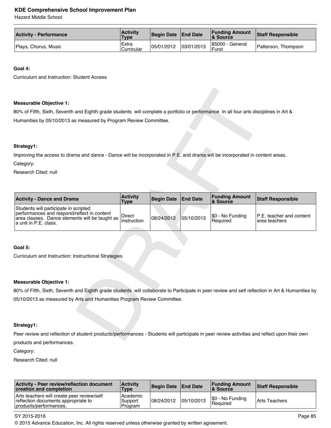Hazard Middle School

| <b>Activity - Performance</b> | <b>Activity</b><br>Type | Begin Date End Date |            | <b>Funding Amount</b><br><b>&amp; Source</b> | Staff Responsible   |
|-------------------------------|-------------------------|---------------------|------------|----------------------------------------------|---------------------|
| Plays, Chorus, Music          | Extra<br>Curricular     | 05/01/2012          | 03/01/2013 | <b>S5000 - General</b><br>Fund               | Patterson. Thompson |

#### **Goal 4:**

Curriculum and Instruction: Student Access

#### **Measurable Objective 1:**

#### **Strategy1:**

| <b>Measurable Objective 1:</b>                                                                                                                                  |                                |                   |                 |                                   |                                           |
|-----------------------------------------------------------------------------------------------------------------------------------------------------------------|--------------------------------|-------------------|-----------------|-----------------------------------|-------------------------------------------|
| 80% of Fifth, Sixth, Seventh and Eighth grade students will complete a portfolio or performance In all four arts disciplines in Art &                           |                                |                   |                 |                                   |                                           |
| Humanities by 05/10/2013 as measured by Program Review Committee.                                                                                               |                                |                   |                 |                                   |                                           |
| Strategy1:                                                                                                                                                      |                                |                   |                 |                                   |                                           |
| Improving the access to drama and dance - Dance will be incorporated in P.E. and drama will be incorporated in content areas.                                   |                                |                   |                 |                                   |                                           |
| Category:                                                                                                                                                       |                                |                   |                 |                                   |                                           |
| Research Cited: null                                                                                                                                            |                                |                   |                 |                                   |                                           |
|                                                                                                                                                                 |                                |                   |                 |                                   |                                           |
| <b>Activity - Dance and Drama</b>                                                                                                                               | <b>Activity</b><br><b>Type</b> | <b>Begin Date</b> | <b>End Date</b> | <b>Funding Amount</b><br>& Source | <b>Staff Responsible</b>                  |
| Students will participate in scripted<br>performances and respond/reflect in content<br>area classes. Dance elements will be taught as<br>a unit in P.E. class. | Direct<br>Instruction          | 08/24/2012        | 05/10/2013      | \$0 - No Funding<br>Required      | P.E. teacher and content<br>area teachers |
| Goal 5:                                                                                                                                                         |                                |                   |                 |                                   |                                           |
| Curriculum and Instruction: Instructional Strategies                                                                                                            |                                |                   |                 |                                   |                                           |
| <b>Measurable Objective 1:</b>                                                                                                                                  |                                |                   |                 |                                   |                                           |
| 80% of Fifth, Sixth, Seventh and Eighth grade students will collaborate to Participate in peer review and self reflection in Art & Humanities by                |                                |                   |                 |                                   |                                           |
| 05/10/2013 as measured by Arts and Humanities Program Review Committee.                                                                                         |                                |                   |                 |                                   |                                           |
|                                                                                                                                                                 |                                |                   |                 |                                   |                                           |
| Strategy1:                                                                                                                                                      |                                |                   |                 |                                   |                                           |
| Peer review and reflection of student products/performances - Students will participate in peer review activities and reflect upon their own                    |                                |                   |                 |                                   |                                           |
|                                                                                                                                                                 |                                |                   |                 |                                   |                                           |

# **Goal 5:**

#### **Measurable Objective 1:**

#### **Strategy1:**

Peer review and reflection of student products/performances - Students will participate in peer review activities and reflect upon their own products and performances.

Category:

Research Cited: null

| <b>Activity - Peer review/reflection document</b><br><b>creation and completion</b>                         | <b>Activity</b><br><b>Type</b> | Begin Date   End Date |            | <b>Funding Amount</b><br>8 Source | <b>Staff Responsible</b> |
|-------------------------------------------------------------------------------------------------------------|--------------------------------|-----------------------|------------|-----------------------------------|--------------------------|
| Arts teachers will create peer review/self<br>reflection documents appropriate to<br>products/performances. | Academic<br>Support<br>Program | 08/24/2012            | 05/10/2013 | \$0 - No Funding<br>Required      | Arts Teachers            |

#### SY 2015-2016 Page 85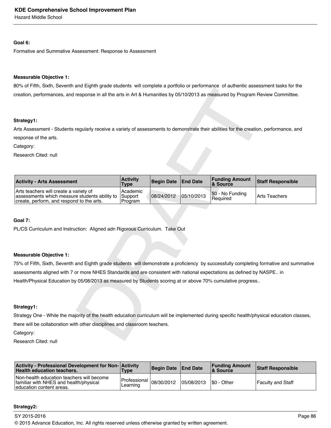Hazard Middle School

#### **Goal 6:**

Formative and Summative Assessment: Response to Assessment

#### **Measurable Objective 1:**

80% of Fifth, Sixth, Seventh and Eighth grade students will complete a portfolio or performance of authentic assessment tasks for the creation, performances, and response in all the arts in Art & Humanities by 05/10/2013 as measured by Program Review Committee.

#### **Strategy1:**

| creation, performances, and response in all the arts in Art & Humanities by 05/10/2013 as measured by Program Review Committee.             |                                |                   |                 |                                   |                          |
|---------------------------------------------------------------------------------------------------------------------------------------------|--------------------------------|-------------------|-----------------|-----------------------------------|--------------------------|
|                                                                                                                                             |                                |                   |                 |                                   |                          |
| Strategy1:                                                                                                                                  |                                |                   |                 |                                   |                          |
| Arts Assessment - Students regularly receive a variety of assessments to demonstrate their abilities for the creation, performance, and     |                                |                   |                 |                                   |                          |
| response of the arts.                                                                                                                       |                                |                   |                 |                                   |                          |
| Category:                                                                                                                                   |                                |                   |                 |                                   |                          |
| Research Cited: null                                                                                                                        |                                |                   |                 |                                   |                          |
|                                                                                                                                             |                                |                   |                 |                                   |                          |
|                                                                                                                                             |                                |                   |                 |                                   |                          |
| <b>Activity - Arts Assessment</b>                                                                                                           | <b>Activity</b><br><b>Type</b> | <b>Begin Date</b> | <b>End Date</b> | <b>Funding Amount</b><br>& Source | <b>Staff Responsible</b> |
| Arts teachers will create a variety of<br>assessments which measure students ability to<br>create, perform, and respond to the arts.        | Academic<br>Support<br>Program | 08/24/2012        | 05/10/2013      | \$0 - No Funding<br>Required      | <b>Arts Teachers</b>     |
|                                                                                                                                             |                                |                   |                 |                                   |                          |
| Goal 7:                                                                                                                                     |                                |                   |                 |                                   |                          |
| PL/CS Curriculum and Instruction: Aligned adn Rigorous Curriculum. Take Out                                                                 |                                |                   |                 |                                   |                          |
|                                                                                                                                             |                                |                   |                 |                                   |                          |
|                                                                                                                                             |                                |                   |                 |                                   |                          |
| <b>Measurable Objective 1:</b>                                                                                                              |                                |                   |                 |                                   |                          |
| 75% of Fifth, Sixth, Seventh and Eighth grade students will demonstrate a proficiency by successfully completing formative and summative    |                                |                   |                 |                                   |                          |
| assessments aligned with 7 or more NHES Standards and are consistent with national expectations as defined by NASPE in                      |                                |                   |                 |                                   |                          |
| Health/Physical Education by 05/08/2013 as measured by Students scoring at or above 70% cumulative progress                                 |                                |                   |                 |                                   |                          |
|                                                                                                                                             |                                |                   |                 |                                   |                          |
|                                                                                                                                             |                                |                   |                 |                                   |                          |
| Strategy1:                                                                                                                                  |                                |                   |                 |                                   |                          |
| Strategy One - While the majority of the health education curriculum will be implemented during specific health/physical education classes, |                                |                   |                 |                                   |                          |
| there will be collaboration with other disciplines and classroom teachers.                                                                  |                                |                   |                 |                                   |                          |
| Category:                                                                                                                                   |                                |                   |                 |                                   |                          |
| Dessenab Ottenburgh                                                                                                                         |                                |                   |                 |                                   |                          |

# **Goal 7:**

#### **Measurable Objective 1:**

#### **Strategy1:**

Research Cited: null

| <b>Activity - Professional Development for Non- Activity</b><br>Health education teachers.                              | <b>Type</b>                             | Begin Date End Date |            | <b>Funding Amount</b><br><b>&amp; Source</b> | <b>Staff Responsible</b> |
|-------------------------------------------------------------------------------------------------------------------------|-----------------------------------------|---------------------|------------|----------------------------------------------|--------------------------|
| Non-health education teachers will become<br><b>familiar with NHES and health/physical</b><br>leducation content areas. | Professional $ 08/30/2012 $<br>Learning |                     | 05/08/2013 | S0 - Other                                   | Faculty and Staff        |

# **Strategy2:**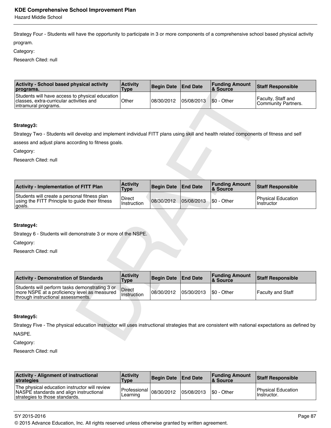Hazard Middle School

Strategy Four - Students will have the opportunity to participate in 3 or more components of a comprehensive school based physical activity

program.

Category:

Research Cited: null

| <b>Activity - School based physical activity</b><br>programs.                                                       | <b>Activity</b><br><b>Type</b> | Begin Date   End Date |            | <b>Funding Amount</b><br><b>&amp; Source</b> | <b>Staff Responsible</b>                  |
|---------------------------------------------------------------------------------------------------------------------|--------------------------------|-----------------------|------------|----------------------------------------------|-------------------------------------------|
| Students will have access to physical education<br>classes, extra-curricular activities and<br>intramural programs. | Other                          | 08/30/2012            | 05/08/2013 | S0 - Other                                   | Faculty, Staff and<br>Community Partners. |

#### **Strategy3:**

| programs.                                                                                                                                         | Type                           | sagni pala        | ייש ביי         | & Source                          | טועוטווטעטטו וושיכ                               |
|---------------------------------------------------------------------------------------------------------------------------------------------------|--------------------------------|-------------------|-----------------|-----------------------------------|--------------------------------------------------|
| Students will have access to physical education<br>classes, extra-curricular activities and<br>intramural programs.                               | Other                          | 08/30/2012        | 05/08/2013      | \$0 - Other                       | Faculty, Staff and<br><b>Community Partners.</b> |
|                                                                                                                                                   |                                |                   |                 |                                   |                                                  |
| Strategy3:                                                                                                                                        |                                |                   |                 |                                   |                                                  |
| Strategy Two - Students will develop and implement individual FITT plans using skill and health related components of fitness and self            |                                |                   |                 |                                   |                                                  |
| assess and adjust plans according to fitness goals.                                                                                               |                                |                   |                 |                                   |                                                  |
| Category:                                                                                                                                         |                                |                   |                 |                                   |                                                  |
| Research Cited: null                                                                                                                              |                                |                   |                 |                                   |                                                  |
|                                                                                                                                                   |                                |                   |                 |                                   |                                                  |
|                                                                                                                                                   |                                |                   |                 |                                   |                                                  |
| <b>Activity - Implementation of FITT Plan</b>                                                                                                     | <b>Activity</b><br><b>Type</b> | <b>Begin Date</b> | <b>End Date</b> | <b>Funding Amount</b><br>& Source | <b>Staff Responsible</b>                         |
| Students will create a personal fitness plan<br>using the FITT Principle to guide their fitness<br>goals.                                         | Direct<br>Instruction          | 08/30/2012        | 05/08/2013      | \$0 - Other                       | <b>Physical Education</b><br>Instructor          |
|                                                                                                                                                   |                                |                   |                 |                                   |                                                  |
| Strategy4:                                                                                                                                        |                                |                   |                 |                                   |                                                  |
| Strategy 6 - Students will demonstrate 3 or more of the NSPE.                                                                                     |                                |                   |                 |                                   |                                                  |
| Category:                                                                                                                                         |                                |                   |                 |                                   |                                                  |
| Research Cited: null                                                                                                                              |                                |                   |                 |                                   |                                                  |
|                                                                                                                                                   |                                |                   |                 |                                   |                                                  |
|                                                                                                                                                   |                                |                   |                 |                                   |                                                  |
| <b>Activity - Demonstration of Standards</b>                                                                                                      | <b>Activity</b><br><b>Type</b> | <b>Begin Date</b> | <b>End Date</b> | <b>Funding Amount</b><br>& Source | <b>Staff Responsible</b>                         |
| Students will perform tasks demonstrating 3 or<br>more NSPE at a proficiency level as measured<br>through instructional assessments.              | <b>Direct</b><br>Instruction   | 08/30/2012        | 05/30/2013      | \$0 - Other                       | <b>Faculty and Staff</b>                         |
|                                                                                                                                                   |                                |                   |                 |                                   |                                                  |
| Strategy5:                                                                                                                                        |                                |                   |                 |                                   |                                                  |
| Strategy Five - The physical education instructor will uses instructional strategies that are consistent with national expectations as defined by |                                |                   |                 |                                   |                                                  |
| NASPE.                                                                                                                                            |                                |                   |                 |                                   |                                                  |
|                                                                                                                                                   |                                |                   |                 |                                   |                                                  |

## **Strategy4:**

| <b>Activity - Demonstration of Standards</b>                                                                                         | <b>Activity</b><br>Type | Begin Date   End Date |                           | <b>Funding Amount</b><br>∣& Source | <b>Staff Responsible</b> |
|--------------------------------------------------------------------------------------------------------------------------------------|-------------------------|-----------------------|---------------------------|------------------------------------|--------------------------|
| Students will perform tasks demonstrating 3 or<br>more NSPE at a proficiency level as measured<br>through instructional assessments. | Direct<br>Instruction   | 08/30/2012            | 105/30/2013   \$0 - Other |                                    | Faculty and Staff        |

#### **Strategy5:**

Category:

Research Cited: null

| <b>Activity - Alignment of instructional</b><br>strategies                                                                 | <b>Activity</b><br><b>Type</b>         | Begin Date   End Date |                          | <b>Funding Amount</b><br>8 Source | <b>Staff Responsible</b>                  |
|----------------------------------------------------------------------------------------------------------------------------|----------------------------------------|-----------------------|--------------------------|-----------------------------------|-------------------------------------------|
| The physical education instructor will review<br>NASPE standards and align instructional<br>strategies to those standards. | Professional $ 08/30/2012$<br>Learning |                       | 05/08/2013   \$0 - Other |                                   | <b>Physical Education</b><br>⊺Instructor. |

SY 2015-2016 Page 87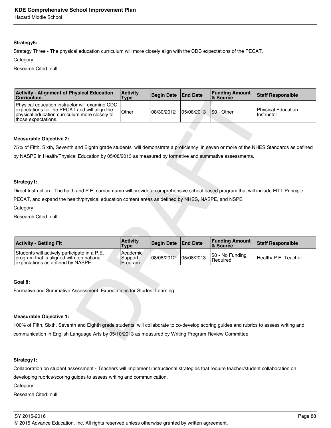Hazard Middle School

# **Strategy6:**

Strategy Three - The physical education curriculum will more closely align with the CDC expectations of the PECAT.

Category:

Research Cited: null

| <b>Activity - Alignment of Physical Education</b><br>Curriculum.                                                                                                        | <b>Activity</b><br><b>Type</b> | <b>Begin Date</b> | <b>End Date</b> | <b>Funding Amount</b><br>& Source | <b>Staff Responsible</b>                |
|-------------------------------------------------------------------------------------------------------------------------------------------------------------------------|--------------------------------|-------------------|-----------------|-----------------------------------|-----------------------------------------|
| Physical education instructor will examine CDC<br>expectations for the PECAT and will align the<br>physical education curriculum more closely to<br>those expectations. | Other                          | 08/30/2012        | 05/08/2013      | \$0 - Other                       | <b>Physical Education</b><br>Instructor |
|                                                                                                                                                                         |                                |                   |                 |                                   |                                         |
| <b>Measurable Objective 2:</b>                                                                                                                                          |                                |                   |                 |                                   |                                         |
| 75% of Fifth, Sixth, Seventh and Eighth grade students will demonstrate a proficiency in seven or more of the NHES Standards as defined                                 |                                |                   |                 |                                   |                                         |
| by NASPE in Health/Physical Education by 05/08/2013 as measured by formative and summative assessments.                                                                 |                                |                   |                 |                                   |                                         |
|                                                                                                                                                                         |                                |                   |                 |                                   |                                         |
|                                                                                                                                                                         |                                |                   |                 |                                   |                                         |
| Strategy1:                                                                                                                                                              |                                |                   |                 |                                   |                                         |
| Direct Instruction - The halth and P.E. curricumumn will provide a comprehensive school based program that will include FITT Principle,                                 |                                |                   |                 |                                   |                                         |
| PECAT, and expand the health/physical education content areas as defined by NHES, NASPE, and NSPE                                                                       |                                |                   |                 |                                   |                                         |
| Category:                                                                                                                                                               |                                |                   |                 |                                   |                                         |
| Research Cited: null                                                                                                                                                    |                                |                   |                 |                                   |                                         |
|                                                                                                                                                                         |                                |                   |                 |                                   |                                         |
|                                                                                                                                                                         |                                |                   |                 |                                   |                                         |
| <b>Activity - Getting Fit</b>                                                                                                                                           | <b>Activity</b><br><b>Type</b> | <b>Begin Date</b> | <b>End Date</b> | <b>Funding Amount</b><br>& Source | <b>Staff Responsible</b>                |
| Students will actively participate in a P.E.<br>program that is aligned with teh national<br>expectations as defined by NASPE                                           | Academic<br>Support<br>Program | 08/08/2012        | 05/08/2013      | \$0 - No Funding<br>Required      | Health/ P.E. Teacher                    |
|                                                                                                                                                                         |                                |                   |                 |                                   |                                         |
| Goal 8:                                                                                                                                                                 |                                |                   |                 |                                   |                                         |
| Formative and Summative Assessment: Expectations for Student Learning                                                                                                   |                                |                   |                 |                                   |                                         |
|                                                                                                                                                                         |                                |                   |                 |                                   |                                         |
|                                                                                                                                                                         |                                |                   |                 |                                   |                                         |
| <b>Measurable Objective 1:</b>                                                                                                                                          |                                |                   |                 |                                   |                                         |
| 100% of Fifth, Sixth, Seventh and Eighth grade students will collaborate to co-develop scoring guides and rubrics to assess writing and                                 |                                |                   |                 |                                   |                                         |
|                                                                                                                                                                         |                                |                   |                 |                                   |                                         |
| communication in English Language Arts by 05/10/2013 as measured by Writing Program Review Committee.                                                                   |                                |                   |                 |                                   |                                         |

#### **Measurable Objective 2:**

#### **Strategy1:**

#### Category:

| <b>Activity - Getting Fit</b>                                                                                                 | <b>Activity</b><br>Type          | Begin Date End Date |            | <b>Funding Amount</b><br>8 Source | <b>Staff Responsible</b> |
|-------------------------------------------------------------------------------------------------------------------------------|----------------------------------|---------------------|------------|-----------------------------------|--------------------------|
| Students will actively participate in a P.E.<br>program that is aligned with teh national<br>expectations as defined by NASPE | l Academic<br>Support<br>Program | 08/08/2012          | 05/08/2013 | \$0 - No Funding<br>l Reauired    | Health/ P.E. Teacher     |

#### **Goal 8:**

#### **Measurable Objective 1:**

#### **Strategy1:**

Collaboration on student assessment - Teachers will implement instructional strategies that require teacher/student collaboration on developing rubrics/scoring guides to assess writing and communication.

Category:

Research Cited: null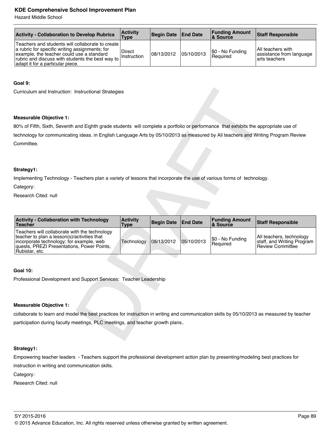Hazard Middle School

| <b>Activity - Collaboration to Develop Rubrics</b>                                                                                                                                                                                      | <b>Activity</b><br><b>Type</b> | Begin Date End Date |            | <b>Funding Amount</b><br>8 Source | <b>Staff Responsible</b>                                         |
|-----------------------------------------------------------------------------------------------------------------------------------------------------------------------------------------------------------------------------------------|--------------------------------|---------------------|------------|-----------------------------------|------------------------------------------------------------------|
| Teachers and students will collaborate to create<br>a rubric for specific writing assignments; for<br>example, the teacher could use a standard<br>rubric and discuss with students the best way to<br>adapt it for a particular piece. | Direct<br><i>Instruction</i>   | 08/13/2012          | 05/10/2013 | \$0 - No Funding<br>Required      | IAII teachers with<br>assistance from language<br>larts teachers |

# **Goal 9:**

#### **Measurable Objective 1:**

#### **Strategy1:**

#### Category:

| Curriculum and Instruction: Instructional Strategies                                                                                                                                                     |                                |                   |                 |                                   |                                                                            |
|----------------------------------------------------------------------------------------------------------------------------------------------------------------------------------------------------------|--------------------------------|-------------------|-----------------|-----------------------------------|----------------------------------------------------------------------------|
| <b>Measurable Objective 1:</b>                                                                                                                                                                           |                                |                   |                 |                                   |                                                                            |
| 80% of Fifth, Sixth, Seventh and Eighth grade students will complete a portfolio or performance that exhibits the appropriate use of                                                                     |                                |                   |                 |                                   |                                                                            |
| technology for communicating ideas. in English Language Arts by 05/10/2013 as measured by All teachers and Writing Program Review                                                                        |                                |                   |                 |                                   |                                                                            |
| Committee.                                                                                                                                                                                               |                                |                   |                 |                                   |                                                                            |
|                                                                                                                                                                                                          |                                |                   |                 |                                   |                                                                            |
|                                                                                                                                                                                                          |                                |                   |                 |                                   |                                                                            |
| Strategy1:                                                                                                                                                                                               |                                |                   |                 |                                   |                                                                            |
| Implementing Technology - Teachers plan a variety of lessons that incorporate the use of various forms of technology.                                                                                    |                                |                   |                 |                                   |                                                                            |
| Category:                                                                                                                                                                                                |                                |                   |                 |                                   |                                                                            |
| Research Cited: null                                                                                                                                                                                     |                                |                   |                 |                                   |                                                                            |
|                                                                                                                                                                                                          |                                |                   |                 |                                   |                                                                            |
|                                                                                                                                                                                                          |                                |                   |                 |                                   |                                                                            |
| <b>Activity - Collaboration with Technology</b><br><b>Teacher</b>                                                                                                                                        | <b>Activity</b><br><b>Type</b> | <b>Begin Date</b> | <b>End Date</b> | <b>Funding Amount</b><br>& Source | <b>Staff Responsible</b>                                                   |
| Teachers will collaborate with the technology<br>teacher to plan a lesson(s)/activities that<br>incorporate technology; for example, web<br>quests, PREZI Presentations, Power Points,<br>Rubistar, etc. | Technology                     | 08/13/2012        | 05/10/2013      | \$0 - No Funding<br>Required      | All teachers, technology<br>staff, and Writing Program<br>Review Committee |
|                                                                                                                                                                                                          |                                |                   |                 |                                   |                                                                            |
| <b>Goal 10:</b>                                                                                                                                                                                          |                                |                   |                 |                                   |                                                                            |
| Professional Development and Support Services: Teacher Leadership                                                                                                                                        |                                |                   |                 |                                   |                                                                            |
|                                                                                                                                                                                                          |                                |                   |                 |                                   |                                                                            |
|                                                                                                                                                                                                          |                                |                   |                 |                                   |                                                                            |
| <b>Measurable Objective 1:</b>                                                                                                                                                                           |                                |                   |                 |                                   |                                                                            |
| collaborate to learn and model the best practices for instruction in writing and communication skills by 05/10/2013 as measured by teacher                                                               |                                |                   |                 |                                   |                                                                            |
| participation during faculty meetings, PLC meetings, and teacher growth plans                                                                                                                            |                                |                   |                 |                                   |                                                                            |

#### **Goal 10:**

#### **Measurable Objective 1:**

#### **Strategy1:**

Empowering teacher leaders - Teachers support the professional development action plan by presenting/modeling best practices for

instruction in writing and communication skills.

Category:

Research Cited: null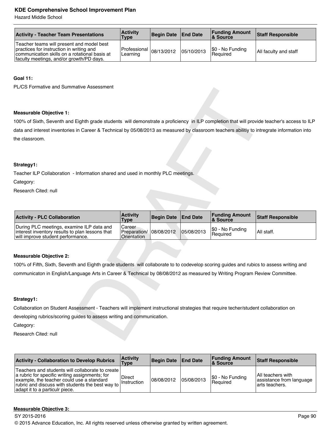Hazard Middle School

| <b>Activity - Teacher Team Presentations</b>                                                                                                                                         | <b>Activity</b><br>Type                | Begin Date End Date |            | <b>Funding Amount</b><br>∣& Source | <b>Staff Responsible</b> |
|--------------------------------------------------------------------------------------------------------------------------------------------------------------------------------------|----------------------------------------|---------------------|------------|------------------------------------|--------------------------|
| Teacher teams will present and model best<br>practices for instruction in writing and<br>communication skills on a rotational basis at<br>  faculty meetings, and/or growth/PD days. | Professional $ 08/13/2012$<br>Learning |                     | 05/10/2013 | \$0 - No Funding<br>Reauired       | All faculty and staff    |

# **Goal 11:**

PL/CS Formative and Summative Assessment

#### **Measurable Objective 1:**

#### **Strategy1:**

| $\sim$ 1 orman ve and Odinman ve $\sim$                                                                                                     |                                       |                   |                 |                                   |                          |
|---------------------------------------------------------------------------------------------------------------------------------------------|---------------------------------------|-------------------|-----------------|-----------------------------------|--------------------------|
| <b>Measurable Objective 1:</b>                                                                                                              |                                       |                   |                 |                                   |                          |
| 100% of Sixth, Seventh and Eighth grade students will demonstrate a proficiency in ILP completion that will provide teacher's access to ILP |                                       |                   |                 |                                   |                          |
| data and interest inventories in Career & Technical by 05/08/2013 as measured by classroom teachers abilitiy to intregrate information into |                                       |                   |                 |                                   |                          |
| the classroom.                                                                                                                              |                                       |                   |                 |                                   |                          |
|                                                                                                                                             |                                       |                   |                 |                                   |                          |
|                                                                                                                                             |                                       |                   |                 |                                   |                          |
| Strategy1:                                                                                                                                  |                                       |                   |                 |                                   |                          |
| Teacher ILP Collaboration - Information shared and used in monthly PLC meetings.                                                            |                                       |                   |                 |                                   |                          |
| Category:<br>Research Cited: null                                                                                                           |                                       |                   |                 |                                   |                          |
|                                                                                                                                             |                                       |                   |                 |                                   |                          |
|                                                                                                                                             |                                       |                   |                 |                                   |                          |
| <b>Activity - PLC Collaboration</b>                                                                                                         | <b>Activity</b><br><b>Type</b>        | <b>Begin Date</b> | <b>End Date</b> | <b>Funding Amount</b><br>& Source | <b>Staff Responsible</b> |
| During PLC meetings, examine ILP data and<br>interest inventory results to plan lessons that<br>will improve student performance.           | Career<br>Preparation/<br>Orientation | 08/08/2012        | 05/08/2013      | \$0 - No Funding<br>Required      | All staff.               |
|                                                                                                                                             |                                       |                   |                 |                                   |                          |
| <b>Measurable Objective 2:</b>                                                                                                              |                                       |                   |                 |                                   |                          |
| 100% of Fifth, Sixth, Seventh and Eighth grade students will collaborate to to codevelop scoring guides and rubics to assess writing and    |                                       |                   |                 |                                   |                          |
| communicaton in English/Language Arts in Career & Technical by 08/08/2012 as measured by Writing Program Review Committee.                  |                                       |                   |                 |                                   |                          |
|                                                                                                                                             |                                       |                   |                 |                                   |                          |
|                                                                                                                                             |                                       |                   |                 |                                   |                          |
| Strategy1:                                                                                                                                  |                                       |                   |                 |                                   |                          |
| Collaboration on Student Assessment - Teachers will implement instructional strategies that require techer/student collaboration on         |                                       |                   |                 |                                   |                          |
| developing rubrics/scoring guides to assess writing and communication.                                                                      |                                       |                   |                 |                                   |                          |
| Category:                                                                                                                                   |                                       |                   |                 |                                   |                          |
| Research Cited: null                                                                                                                        |                                       |                   |                 |                                   |                          |
|                                                                                                                                             |                                       |                   |                 |                                   |                          |

#### **Measurable Objective 2:**

#### **Strategy1:**

| <b>Activity - Collaboration to Develop Rubrics</b>                                                                                                                                                                                    | <b>Activity</b><br>Type      | Begin Date   End Date |            | <b>Funding Amount</b><br>8 Source      | <b>Staff Responsible</b>                                          |
|---------------------------------------------------------------------------------------------------------------------------------------------------------------------------------------------------------------------------------------|------------------------------|-----------------------|------------|----------------------------------------|-------------------------------------------------------------------|
| Teachers and students will collaborate to create<br>a rubric for specific writing assignments; for<br>example, the teacher could use a standard<br>rubric and discuss with students the best way to<br>adapt it to a particulr piece. | <b>Direct</b><br>Instruction | 108/08/2012           | 05/08/2013 | $ \$0 - No Funding$<br><b>Reauired</b> | IAII teachers with<br>assistance from language<br>larts teachers. |

#### **Measurable Objective 3:**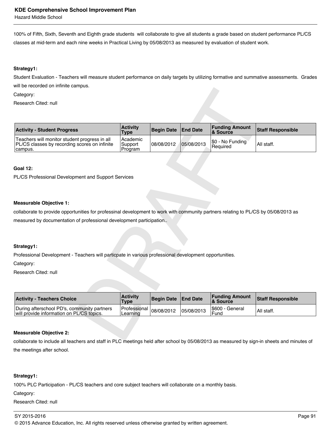100% of Fifth, Sixth, Seventh and Eighth grade students will collaborate to give all students a grade based on student performance PL/CS classes at mid-term and each nine weeks in Practical Living by 05/08/2013 as measured by evaluation of student work.

#### **Strategy1:**

Student Evaluation - Teachers will measure student performance on daily targets by utilizing formative and summative assessments. Grades will be recorded on infinite campus.

| Category:                                                                                                                           |                                |                   |                 |                                   |                          |
|-------------------------------------------------------------------------------------------------------------------------------------|--------------------------------|-------------------|-----------------|-----------------------------------|--------------------------|
| Research Cited: null                                                                                                                |                                |                   |                 |                                   |                          |
|                                                                                                                                     |                                |                   |                 |                                   |                          |
| <b>Activity - Student Progress</b>                                                                                                  | <b>Activity</b><br><b>Type</b> | <b>Begin Date</b> | <b>End Date</b> | <b>Funding Amount</b><br>& Source | <b>Staff Responsible</b> |
| Teachers will monitor student progress in all<br>PL/CS classes by recording scores on infinite<br>campus.                           | Academic<br>Support<br>Program | 08/08/2012        | 05/08/2013      | \$0 - No Funding<br>Required      | All staff.               |
|                                                                                                                                     |                                |                   |                 |                                   |                          |
| <b>Goal 12:</b>                                                                                                                     |                                |                   |                 |                                   |                          |
| PL/CS Professional Development and Support Services                                                                                 |                                |                   |                 |                                   |                          |
|                                                                                                                                     |                                |                   |                 |                                   |                          |
|                                                                                                                                     |                                |                   |                 |                                   |                          |
| <b>Measurable Objective 1:</b>                                                                                                      |                                |                   |                 |                                   |                          |
| collaborate to provide opportunities for professinal development to work with community partners relating to PL/CS by 05/08/2013 as |                                |                   |                 |                                   |                          |
| measured by documentation of professional development participation                                                                 |                                |                   |                 |                                   |                          |
|                                                                                                                                     |                                |                   |                 |                                   |                          |
|                                                                                                                                     |                                |                   |                 |                                   |                          |
| Strategy1:                                                                                                                          |                                |                   |                 |                                   |                          |
| Professional Development - Teachers will particpate in various professional development opportunities.                              |                                |                   |                 |                                   |                          |
| Category:                                                                                                                           |                                |                   |                 |                                   |                          |
| Research Cited: null                                                                                                                |                                |                   |                 |                                   |                          |
|                                                                                                                                     |                                |                   |                 |                                   |                          |
|                                                                                                                                     |                                |                   |                 |                                   |                          |
| <b>Activity - Teachers Choice</b>                                                                                                   | <b>Activity</b><br><b>Type</b> | <b>Begin Date</b> | <b>End Date</b> | <b>Funding Amount</b><br>& Source | <b>Staff Responsible</b> |
| During afterschool PD's, community partners<br>will provide information on PL/CS topics.                                            | Professional<br>Learning       | 08/08/2012        | 05/08/2013      | \$600 - General<br>Fund           | All staff.               |
|                                                                                                                                     |                                |                   |                 |                                   |                          |
|                                                                                                                                     |                                |                   |                 |                                   |                          |
| <b>Measurable Objective 2:</b>                                                                                                      |                                |                   |                 |                                   |                          |

#### **Goal 12:**

#### **Measurable Objective 1:**

#### **Strategy1:**

| <b>Activity - Teachers Choice</b>                                                        | <b>Activity</b><br>Type                                                                    | Begin Date End Date |            | <b>Funding Amount</b><br><b>&amp; Source</b> | <b>Staff Responsible</b> |
|------------------------------------------------------------------------------------------|--------------------------------------------------------------------------------------------|---------------------|------------|----------------------------------------------|--------------------------|
| During afterschool PD's, community partners<br>will provide information on PL/CS topics. | $\left  \frac{\text{Professor}}{\text{Lop} \cdot \text{P}} \right  08/08/2012$<br>Learning |                     | 05/08/2013 | S600 - General<br>Fund                       | All staff.               |

# **Measurable Objective 2:**

collaborate to include all teachers and staff in PLC meetings held after school by 05/08/2013 as measured by sign-in sheets and minutes of the meetings after school.

#### **Strategy1:**

100% PLC Participation - PL/CS teachers and core subject teachers will collaborate on a monthly basis.

Category:

Research Cited: null

# SY 2015-2016 **Page 91**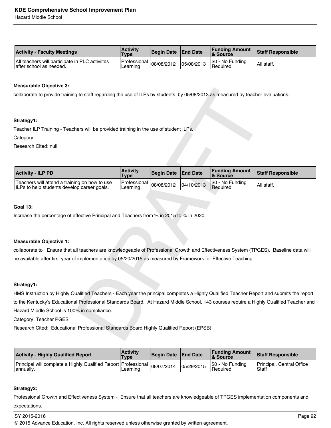| <b>Activity - Faculty Meetings</b>                                         | <b>Activity</b><br><b>Type</b>          | Begin Date End Date |            | <b>Funding Amount</b><br>& Source   | <b>Staff Responsible</b> |
|----------------------------------------------------------------------------|-----------------------------------------|---------------------|------------|-------------------------------------|--------------------------|
| All teachers will participate in PLC activiites<br>after school as needed. | Professional $ 08/08/2012 $<br>Learning |                     | 05/08/2013 | \$0 - No Funding<br><b>Required</b> | All staff.               |

#### **Measurable Objective 3:**

#### **Strategy1:**

#### Category:

| collaborate to provide training to staff regarding the use of ILPs by students by 05/08/2013 as measured by teacher evaluations.                                        |                                |                   |                 |                                   |                          |
|-------------------------------------------------------------------------------------------------------------------------------------------------------------------------|--------------------------------|-------------------|-----------------|-----------------------------------|--------------------------|
| Strategy1:                                                                                                                                                              |                                |                   |                 |                                   |                          |
| Teacher ILP Training - Teachers will be provided training in the use of student ILPs.                                                                                   |                                |                   |                 |                                   |                          |
| Category:                                                                                                                                                               |                                |                   |                 |                                   |                          |
| Research Cited: null                                                                                                                                                    |                                |                   |                 |                                   |                          |
|                                                                                                                                                                         |                                |                   |                 |                                   |                          |
| <b>Activity - ILP PD</b>                                                                                                                                                | <b>Activity</b><br><b>Type</b> | <b>Begin Date</b> | <b>End Date</b> | <b>Funding Amount</b><br>& Source | <b>Staff Responsible</b> |
| Teachers will attend a training on how to use<br>ILPs to help students develop career goals.                                                                            | Professional<br>Learning       | 08/08/2012        | 04/10/2013      | \$0 - No Funding<br>Required      | All staff.               |
|                                                                                                                                                                         |                                |                   |                 |                                   |                          |
| <b>Goal 13:</b>                                                                                                                                                         |                                |                   |                 |                                   |                          |
| Increase the percentage of effective Principal and Teachers from % in 2015 to % in 2020.                                                                                |                                |                   |                 |                                   |                          |
|                                                                                                                                                                         |                                |                   |                 |                                   |                          |
|                                                                                                                                                                         |                                |                   |                 |                                   |                          |
| <b>Measurable Objective 1:</b><br>collaborate to Ensure that all teachers are knowledgeable of Professional Growth and Effectiveness System (TPGES). Baseline data will |                                |                   |                 |                                   |                          |
| be available after first year of implementation by 05/20/2015 as measured by Framework for Effective Teaching.                                                          |                                |                   |                 |                                   |                          |
|                                                                                                                                                                         |                                |                   |                 |                                   |                          |
|                                                                                                                                                                         |                                |                   |                 |                                   |                          |
| Strategy1:                                                                                                                                                              |                                |                   |                 |                                   |                          |
| HMS Instruction by Highly Qualified Teachers - Each year the principal completes a Highly Qualified Teacher Report and submits the report                               |                                |                   |                 |                                   |                          |
| to the Kentucky's Educational Professional Standards Board. At Hazard Middle School, 143 courses require a Highly Qualified Teacher and                                 |                                |                   |                 |                                   |                          |
| Hazard Middle School is 100% in compliance.                                                                                                                             |                                |                   |                 |                                   |                          |
| Category: Teacher PGES                                                                                                                                                  |                                |                   |                 |                                   |                          |
| Research Cited: Educational Professional Standards Board Highly Qualified Report (EPSB)                                                                                 |                                |                   |                 |                                   |                          |
|                                                                                                                                                                         |                                |                   |                 |                                   |                          |

#### **Goal 13:**

#### **Measurable Objective 1:**

#### **Strategy1:**

| <b>Activity - Highly Qualified Report</b>                                              | <b>Activity</b><br><b>Type</b> | Begin Date End Date |            | <b>Funding Amount</b><br>& Source | <b>Staff Responsible</b>           |
|----------------------------------------------------------------------------------------|--------------------------------|---------------------|------------|-----------------------------------|------------------------------------|
| Principal will complete a Highly Qualified Report Professional 08/07/2014<br> annually | Learning                       |                     | 05/29/2015 | \$0 - No Funding<br>Required      | Principal, Central Office<br>Staff |

# **Strategy2:**

Professional Growth and Effectiveness System - Ensure that all teachers are knowledgeable of TPGES implementation components and expectations.

# SY 2015-2016 Page 92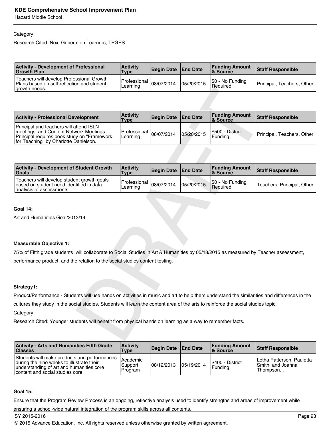Hazard Middle School

# Category:

Research Cited: Next Generation Learners, TPGES

| <b>Activity - Development of Professional</b><br><b>Growth Plan</b>                                       | <b>Activity</b><br>Type                 | Begin Date End Date |            | <b>Funding Amount</b><br>∣& Source | <b>Staff Responsible</b>   |
|-----------------------------------------------------------------------------------------------------------|-----------------------------------------|---------------------|------------|------------------------------------|----------------------------|
| Teachers will develop Professional Growth<br> Plans based on self-reflection and student<br>growth needs. | Professional $ 08/07/2014 $<br>Learning |                     | 05/20/2015 | \$0 - No Funding<br>Required       | Principal, Teachers, Other |

| growth needs.                                                                                                                                                              |                                |                   |                 |                                   |                            |
|----------------------------------------------------------------------------------------------------------------------------------------------------------------------------|--------------------------------|-------------------|-----------------|-----------------------------------|----------------------------|
|                                                                                                                                                                            |                                |                   |                 |                                   |                            |
| <b>Activity - Professional Development</b>                                                                                                                                 | <b>Activity</b><br><b>Type</b> | <b>Begin Date</b> | <b>End Date</b> | <b>Funding Amount</b><br>& Source | <b>Staff Responsible</b>   |
| Principal and teachers will attend ISLN<br>meetings, and Content Network Meetings.<br>Principal requires book study on "Framework<br>for Teaching" by Charlotte Danielson. | Professional<br>Learning       | 08/07/2014        | 05/20/2015      | \$500 - District<br>Funding       | Principal, Teachers, Other |
|                                                                                                                                                                            |                                |                   |                 |                                   |                            |
| <b>Activity - Development of Student Growth</b><br><b>Goals</b>                                                                                                            | <b>Activity</b><br><b>Type</b> | <b>Begin Date</b> | <b>End Date</b> | <b>Funding Amount</b><br>& Source | <b>Staff Responsible</b>   |
| Teachers will develop student growth goals<br>based on student need identified in data<br>analysis of assessments.                                                         | Professional<br>Learning       | 08/07/2014        | 05/20/2015      | \$0 - No Funding<br>Required      | Teachers, Principal, Other |
|                                                                                                                                                                            |                                |                   |                 |                                   |                            |
| Goal 14:                                                                                                                                                                   |                                |                   |                 |                                   |                            |
| Art and Humanities Goal/2013/14                                                                                                                                            |                                |                   |                 |                                   |                            |
|                                                                                                                                                                            |                                |                   |                 |                                   |                            |
| <b>Measurable Objective 1:</b>                                                                                                                                             |                                |                   |                 |                                   |                            |
| 75% of Fifth grade students will collaborate to Social Studies in Art & Humanities by 05/18/2015 as measured by Teacher assessment,                                        |                                |                   |                 |                                   |                            |
| performance product, and the relation to the social studies content testing                                                                                                |                                |                   |                 |                                   |                            |
|                                                                                                                                                                            |                                |                   |                 |                                   |                            |
| Strategy1:                                                                                                                                                                 |                                |                   |                 |                                   |                            |
| Product/Performance - Students will use hands on activities in music and art to help them understand the similarities and differences in the                               |                                |                   |                 |                                   |                            |
| cultures they study in the social studies. Students will learn the content area of the arts to reinforce the social studies topic.                                         |                                |                   |                 |                                   |                            |
| Category:                                                                                                                                                                  |                                |                   |                 |                                   |                            |
| Research Cited: Younger students will benefit from physical hands on learning as a way to remember facts.                                                                  |                                |                   |                 |                                   |                            |
|                                                                                                                                                                            |                                |                   |                 |                                   |                            |
|                                                                                                                                                                            |                                |                   |                 |                                   |                            |

| <b>Activity - Development of Student Growth</b><br><b>Goals</b>                                                    | <b>Activity</b><br><b>Type</b>          | Begin Date   End Date |            | <b>Funding Amount</b><br><b>&amp; Source</b> | <b>Staff Responsible</b>   |
|--------------------------------------------------------------------------------------------------------------------|-----------------------------------------|-----------------------|------------|----------------------------------------------|----------------------------|
| Teachers will develop student growth goals<br>based on student need identified in data<br>analysis of assessments. | Professional $ 08/07/2014 $<br>Learning |                       | 05/20/2015 | \$0 - No Funding<br><b>Required</b>          | Teachers, Principal, Other |

#### **Goal 14:**

#### **Measurable Objective 1:**

# **Strategy1:**

| <b>Activity - Arts and Humanities Fifth Grade</b><br><b>Classes</b>                                                                                                       | <b>Activity</b><br><b>Type</b> | Begin Date End Date |            | <b>Funding Amount</b><br>8 Source | <b>Staff Responsible</b>                                   |
|---------------------------------------------------------------------------------------------------------------------------------------------------------------------------|--------------------------------|---------------------|------------|-----------------------------------|------------------------------------------------------------|
| Students will make products and performances<br>during the nine weeks to illustrate their<br>understanding of art and humanities core<br>content and social studies core. | Academic<br>Support<br>Program | 108/12/2013         | 05/19/2014 | I\$400 - District<br>Funding      | Letha Patterson, Pauletta<br>Smith, and Joanna<br>Thompson |

# **Goal 15:**

Ensure that the Program Review Process is an ongoing, reflective analysis used to identify strengths and areas of improvement while

ensuring a school-wide natural integration of the program skills across all contents.

SY 2015-2016 Page 93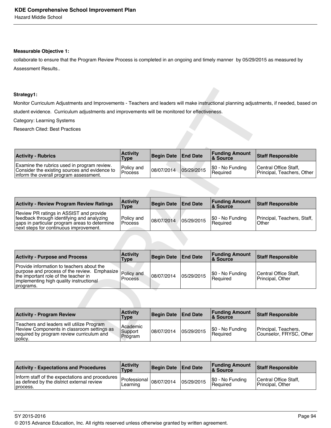#### **Measurable Objective 1:**

collaborate to ensure that the Program Review Process is completed in an ongoing and timely manner by 05/29/2015 as measured by Assessment Results..

#### **Strategy1:**

| <b>Activity - Rubrics</b>                                                                                                              | <b>Activity</b><br>Type      | Begin Date   End Date |            | <b>Funding Amount</b><br><b>&amp; Source</b> | <b>Staff Responsible</b>                            |
|----------------------------------------------------------------------------------------------------------------------------------------|------------------------------|-----------------------|------------|----------------------------------------------|-----------------------------------------------------|
| Examine the rubrics used in program review.<br>Consider the existing sources and evidence to<br>inform the overall program assessment. | Policy and<br><b>Process</b> | 08/07/2014            | 05/29/2015 | \$0 - No Funding<br>l Reauired               | Central Office Staff.<br>Principal, Teachers, Other |

| <b>Activity - Review Program Review Ratings</b>                                                                                                                                  | <b>Activity</b><br>Type | Begin Date   End Date |            | <b>Funding Amount</b><br>8 Source | Staff Responsible                      |
|----------------------------------------------------------------------------------------------------------------------------------------------------------------------------------|-------------------------|-----------------------|------------|-----------------------------------|----------------------------------------|
| Review PR ratings in ASSIST and provide<br>feedback through identifying and analyzing<br>gaps in particular program areas to determine<br>next steps for continuous improvement. | Policy and<br>l Process | 08/07/2014            | 05/29/2015 | \$0 - No Funding<br>l Reauired    | Principal, Teachers, Staff,<br>l Other |

| Strategy1:                                                                                                                                                                                |                                |                   |                 |                                   |                                                     |
|-------------------------------------------------------------------------------------------------------------------------------------------------------------------------------------------|--------------------------------|-------------------|-----------------|-----------------------------------|-----------------------------------------------------|
| Monitor Curriculum Adjustments and Improvements - Teachers and leaders will make instructional planning adjustments, if needed, based on                                                  |                                |                   |                 |                                   |                                                     |
| student evidence. Curriculum adjustments and improvements will be monitored for effectiveness.                                                                                            |                                |                   |                 |                                   |                                                     |
| Category: Learning Systems                                                                                                                                                                |                                |                   |                 |                                   |                                                     |
| <b>Research Cited: Best Practices</b>                                                                                                                                                     |                                |                   |                 |                                   |                                                     |
|                                                                                                                                                                                           |                                |                   |                 |                                   |                                                     |
|                                                                                                                                                                                           |                                |                   |                 |                                   |                                                     |
| <b>Activity - Rubrics</b>                                                                                                                                                                 | <b>Activity</b><br>Type        | <b>Begin Date</b> | <b>End Date</b> | <b>Funding Amount</b><br>& Source | <b>Staff Responsible</b>                            |
| Examine the rubrics used in program review.<br>Consider the existing sources and evidence to<br>inform the overall program assessment.                                                    | Policy and<br>Process          | 08/07/2014        | 05/29/2015      | \$0 - No Funding<br>Required      | Central Office Staff,<br>Principal, Teachers, Other |
|                                                                                                                                                                                           |                                |                   |                 |                                   |                                                     |
| <b>Activity - Review Program Review Ratings</b>                                                                                                                                           | <b>Activity</b><br><b>Type</b> | <b>Begin Date</b> | <b>End Date</b> | <b>Funding Amount</b><br>& Source | <b>Staff Responsible</b>                            |
| Review PR ratings in ASSIST and provide<br>feedback through identifying and analyzing<br>gaps in particular program areas to determine<br>next steps for continuous improvement.          | Policy and<br>Process          | 08/07/2014        | 05/29/2015      | \$0 - No Funding<br>Required      | Principal, Teachers, Staff,<br>Other                |
|                                                                                                                                                                                           |                                |                   |                 |                                   |                                                     |
| <b>Activity - Purpose and Process</b>                                                                                                                                                     | <b>Activity</b><br><b>Type</b> | <b>Begin Date</b> | <b>End Date</b> | <b>Funding Amount</b><br>& Source | <b>Staff Responsible</b>                            |
| Provide information to teachers about the<br>purpose and process of the review. Emphasize<br>the important role of the teacher in<br>implementing high quality instructional<br>programs. | Policy and<br>Process          | 08/07/2014        | 05/29/2015      | \$0 - No Funding<br>Required      | Central Office Staff,<br>Principal, Other           |
|                                                                                                                                                                                           |                                |                   |                 |                                   |                                                     |
| <b>Activity - Program Review</b>                                                                                                                                                          | <b>Activity</b><br><b>Type</b> | <b>Begin Date</b> | <b>End Date</b> | <b>Funding Amount</b><br>& Source | <b>Staff Responsible</b>                            |
| Teachers and leaders will utilize Program<br>Review Components in classroom settings as<br>required by program review curriculum and<br>policy.                                           | Academic<br>Support<br>Program | 08/07/2014        | 05/29/2015      | \$0 - No Funding<br>Reguired      | Principal, Teachers,<br>Counselor, FRYSC, Other     |

| <b>Activity - Program Review</b>                                                                                                                | <b>Activity</b><br>Type        | Begin Date End Date |            | <b>Funding Amount</b><br><b>&amp; Source</b> | <b>Staff Responsible</b>                          |
|-------------------------------------------------------------------------------------------------------------------------------------------------|--------------------------------|---------------------|------------|----------------------------------------------|---------------------------------------------------|
| Teachers and leaders will utilize Program<br>Review Components in classroom settings as<br>required by program review curriculum and<br>policy. | Academic<br>Support<br>Program | 08/07/2014          | 05/29/2015 | \$0 - No Funding<br>l Reauired               | Principal, Teachers,<br>Counselor. FRYSC. Other I |

| <b>Activity - Expectations and Procedures</b>                                                              | <b>Activity</b><br><b>Type</b> | Begin Date   End Date |            | <b>Funding Amount</b><br>8 Source | <b>Staff Responsible</b>                  |
|------------------------------------------------------------------------------------------------------------|--------------------------------|-----------------------|------------|-----------------------------------|-------------------------------------------|
| . inform staff of the expectations and procedures $\left $ Professional $\right _{08/07/2014}$<br>process. | Learnıng                       |                       | 05/29/2015 | \$0 - No Funding<br>l Reauired    | Central Office Staff,<br>Principal, Other |

SY 2015-2016 Page 94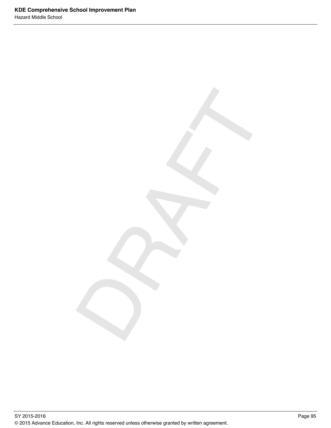SY 2015-2016 **Page 95** © 2015 Advance Education, Inc. All rights reserved unless otherwise granted by written agreement.

DRAFT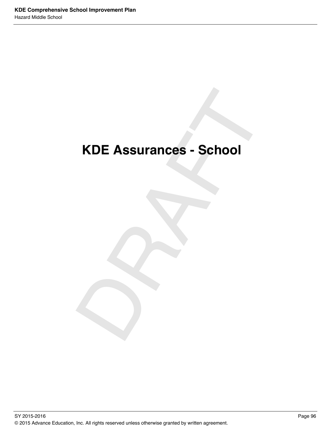# KDE Assurances - School **KDE Assurances - School**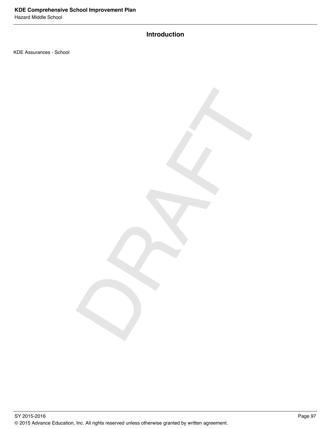# **Introduction**

DRAFT

KDE Assurances - School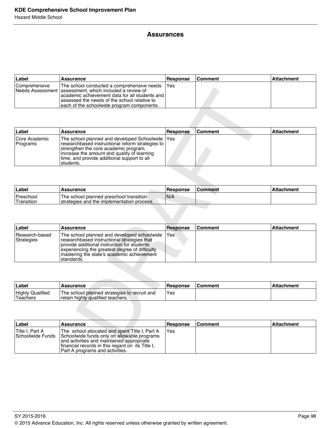# **Assurances**

| <b>⊥abel</b>  | Assurance                                                                                                                                                                                                                                                  | Response    | <b>Comment</b> | <b>Attachment</b> |
|---------------|------------------------------------------------------------------------------------------------------------------------------------------------------------------------------------------------------------------------------------------------------------|-------------|----------------|-------------------|
| Comprehensive | The school conducted a comprehensive needs<br>Needs Assessment lassessment, which included a review of<br>lacademic achievement data for all students and l<br>lassessed the needs of the school relative to<br>each of the schoolwide program components. | <b>IYes</b> |                |                   |

|                                            | Needs Assessment assessment, which included a review of<br>academic achievement data for all students and<br>assessed the needs of the school relative to<br>each of the schoolwide program components.                                                 |                 |                |                   |
|--------------------------------------------|---------------------------------------------------------------------------------------------------------------------------------------------------------------------------------------------------------------------------------------------------------|-----------------|----------------|-------------------|
|                                            |                                                                                                                                                                                                                                                         |                 |                |                   |
| Label                                      | Assurance                                                                                                                                                                                                                                               | Response        | <b>Comment</b> | <b>Attachment</b> |
| Core Academic<br>Programs                  | The school planned and developed Schoolwide<br>researchbased instructional reform strategies to<br>strengthen the core academic program,<br>increase the amount and quality of learning<br>time, and provide additional support to all<br>students.     | Yes             |                |                   |
|                                            |                                                                                                                                                                                                                                                         |                 |                |                   |
| Label                                      | Assurance                                                                                                                                                                                                                                               | <b>Response</b> | <b>Comment</b> | <b>Attachment</b> |
| Preschool<br>Transition                    | The school planned preschool transition<br>strategies and the implementation process.                                                                                                                                                                   | N/A             |                |                   |
|                                            |                                                                                                                                                                                                                                                         |                 |                |                   |
| Label                                      | <b>Assurance</b>                                                                                                                                                                                                                                        | <b>Response</b> | <b>Comment</b> | Attachment        |
| Research-based<br><b>Strategies</b>        | The school planned and developed schoolwide<br>researchbased instructional strategies that<br>provide additional instruction for students<br>experiencing the greatest degree of difficulty<br>mastering the state's academic achievement<br>standards. | Yes             |                |                   |
|                                            |                                                                                                                                                                                                                                                         |                 |                |                   |
| Label                                      | <b>Assurance</b>                                                                                                                                                                                                                                        | <b>Response</b> | Comment        | <b>Attachment</b> |
| <b>Highly Qualified</b><br><b>Teachers</b> | The school planned strategies to recruit and<br>retain highly qualified teachers.                                                                                                                                                                       | Yes             |                |                   |
|                                            |                                                                                                                                                                                                                                                         |                 |                |                   |
| Label                                      | Assurance                                                                                                                                                                                                                                               | <b>Response</b> | Comment        | Attachment        |
| Title I, Part A<br>Schoolwide Funds        | The school allocated and spent Title I, Part A<br>Schoolwide funds only on allowable programs<br>and octivities and maintained enprenriate                                                                                                              | Yes             |                |                   |

| ∣Label                                      | Assurance                                                                             | <b>Response</b> | l Comment | l Attachment |
|---------------------------------------------|---------------------------------------------------------------------------------------|-----------------|-----------|--------------|
| <b>Preschool</b><br><sup>'</sup> Transition | The school planned preschool transition<br>strategies and the implementation process. | N/A             |           |              |

| ∣Label                       | Assurance                                                                                                                                                                                                                                                  | <b>Response</b> | <b>Comment</b> | <b>Attachment</b> |
|------------------------------|------------------------------------------------------------------------------------------------------------------------------------------------------------------------------------------------------------------------------------------------------------|-----------------|----------------|-------------------|
| Research-based<br>Strategies | The school planned and developed schoolwide<br>researchbased instructional strategies that<br>provide additional instruction for students<br>experiencing the greatest degree of difficulty<br>I mastering the state's academic achievement<br>Istandards. | <b>IYes</b>     |                |                   |

| ∣Labe                                | <b>Assurance</b>                                                                    | <b>Response</b> | <b>Comment</b> | <b>Attachment</b> |
|--------------------------------------|-------------------------------------------------------------------------------------|-----------------|----------------|-------------------|
| <b>Highly Qualified</b><br>'Teachers | The school planned strategies to recruit and<br>I retain highly qualified teachers. | Yes             |                |                   |

| ∣Label                              | Assurance                                                                                                                                                                                                                                 | <b>Response</b> | <b>Comment</b> | ∣Attachment |
|-------------------------------------|-------------------------------------------------------------------------------------------------------------------------------------------------------------------------------------------------------------------------------------------|-----------------|----------------|-------------|
| Title I. Part A<br>Schoolwide Funds | The school allocated and spent Title I, Part A<br>Schoolwide funds only on allowable programs<br>and activities and maintained appropriate<br>Ifinancial records in this regard on its Title I.<br><b>Part A programs and activities.</b> | l Yes           |                |             |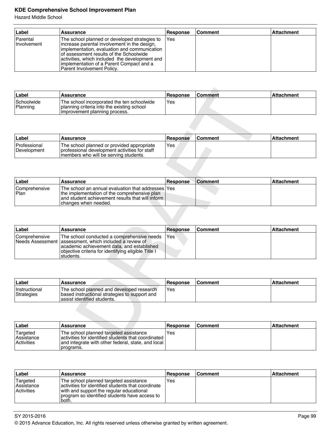| Label                   | Assurance                                                                                                                                                                                                                                                                                                              | Response | ∣Comment | <b>Attachment</b> |
|-------------------------|------------------------------------------------------------------------------------------------------------------------------------------------------------------------------------------------------------------------------------------------------------------------------------------------------------------------|----------|----------|-------------------|
| Parental<br>Involvement | The school planned or developed strategies to<br>increase parental involvement in the design,<br>implementation, evaluation and communication<br>lof assessment results of the Schoolwide<br>activities, which included the development and<br>limplementation of a Parent Compact and a<br>Parent Involvement Policy. | Yes      |          |                   |

| Label                  | Assurance                                                                                                                    | <b>Response</b> | <b>Comment</b> | ∣Attachment |
|------------------------|------------------------------------------------------------------------------------------------------------------------------|-----------------|----------------|-------------|
| Schoolwide<br>Planning | The school incorporated the ten schoolwide<br>I planning criteria into the existing school<br>limprovement planning process. | Yes             |                |             |

| Label                         | Assurance                                                                                                                              | <b>Response</b> | <b>Comment</b> | <b>Attachment</b> |
|-------------------------------|----------------------------------------------------------------------------------------------------------------------------------------|-----------------|----------------|-------------------|
| Professional<br>l Development | The school planned or provided appropriate<br>I professional development activities for staff<br>members who will be serving students. | Yes             |                |                   |

| Label                         | <b>Assurance</b>                                                                                                                                                                    | Response | <b>Comment</b> | ∣Attachment |
|-------------------------------|-------------------------------------------------------------------------------------------------------------------------------------------------------------------------------------|----------|----------------|-------------|
| <b>Comprehensive</b><br> Plan | The school an annual evaluation that addresses lYes<br>the implementation of the comprehensive plan<br>land student achievement results that will inform I<br>Ichanges when needed. |          |                |             |

| Label                              | Assurance                                                                                                                                                                                 | <b>Response</b> | <b>Comment</b> | <b>Attachment</b> |
|------------------------------------|-------------------------------------------------------------------------------------------------------------------------------------------------------------------------------------------|-----------------|----------------|-------------------|
| Schoolwide<br>Planning             | The school incorporated the ten schoolwide<br>planning criteria into the existing school<br>improvement planning process.                                                                 | Yes             |                |                   |
|                                    |                                                                                                                                                                                           |                 |                |                   |
| Label                              | Assurance                                                                                                                                                                                 | Response        | <b>Comment</b> | <b>Attachment</b> |
| Professional<br>Development        | The school planned or provided appropriate<br>professional development activities for staff<br>members who will be serving students.                                                      | Yes             |                |                   |
|                                    |                                                                                                                                                                                           |                 |                |                   |
| Label                              | <b>Assurance</b>                                                                                                                                                                          | Response        | <b>Comment</b> | <b>Attachment</b> |
| Comprehensive<br>Plan              | The school an annual evaluation that addresses<br>the implementation of the comprehensive plan<br>and student achievement results that will inform<br>changes when needed.                | Yes             |                |                   |
| Label                              | <b>Assurance</b>                                                                                                                                                                          | <b>Response</b> | <b>Comment</b> | <b>Attachment</b> |
| Comprehensive<br>Needs Assessment  | The school conducted a comprehensive needs<br>assessment, which included a review of<br>academic achievement data, and established<br>objective criteria for identifying eligible Title I | Yes             |                |                   |
|                                    | students.                                                                                                                                                                                 |                 |                |                   |
|                                    |                                                                                                                                                                                           |                 |                |                   |
| Label                              | <b>Assurance</b>                                                                                                                                                                          | Response        | <b>Comment</b> | Attachment        |
| Instructional<br><b>Strategies</b> | The school planned and developed research<br>based instructional strategies to support and<br>assist identified students.                                                                 | Yes             |                |                   |
|                                    |                                                                                                                                                                                           |                 |                |                   |
| Label                              | Assurance                                                                                                                                                                                 | Response        | <b>Comment</b> | Attachment        |
| Targeted<br>Assistance             | The school planned targeted assistance<br>activities for identified students that coordinated                                                                                             | Yes             |                |                   |

| ∣Label                             | Assurance                                                                                                                  | <b>Response</b> | <b>Comment</b> | <b>Attachment</b> |
|------------------------------------|----------------------------------------------------------------------------------------------------------------------------|-----------------|----------------|-------------------|
| <b>Instructional</b><br>Strategies | The school planned and developed research<br>based instructional strategies to support and<br>lassist identified students. | 'Yes            |                |                   |

| ∣Label                                             | <b>Assurance</b>                                                                                                                                                    | <b>Response</b> | <b>Comment</b> | ∣Attachment |
|----------------------------------------------------|---------------------------------------------------------------------------------------------------------------------------------------------------------------------|-----------------|----------------|-------------|
| Targeted<br><b>Assistance</b><br><b>Activities</b> | The school planned targeted assistance<br>activities for identified students that coordinated I<br>and integrate with other federal, state, and local<br> programs. | <b>Yes</b>      |                |             |

| Label                                          | Assurance                                                                                                                                                                                            | <b>Response</b> | Comment | ∣Attachment |
|------------------------------------------------|------------------------------------------------------------------------------------------------------------------------------------------------------------------------------------------------------|-----------------|---------|-------------|
| 'Targeted<br> Assistance <br><b>Activities</b> | The school planned targeted assistance<br>activities for identified students that coordinate<br>with and support the regular educational<br>Iprogram so identified students have access to<br>'both. | Yes             |         |             |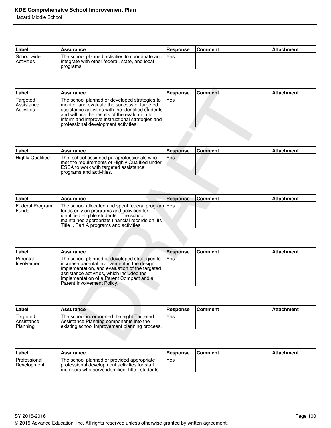| ∣Label                          | <b>Assurance</b>                                                                                                    | <b>Response</b> | <b>Comment</b> | <b>Attachment</b> |
|---------------------------------|---------------------------------------------------------------------------------------------------------------------|-----------------|----------------|-------------------|
| Schoolwide<br><b>Activities</b> | The school planned activities to coordinate and TYes<br>integrate with other federal, state, and local<br>programs. |                 |                |                   |

| Label                                              | Assurance                                                                                                                                                                                                                                                                                        | Response | <b>Comment</b> | <b>Attachment</b> |
|----------------------------------------------------|--------------------------------------------------------------------------------------------------------------------------------------------------------------------------------------------------------------------------------------------------------------------------------------------------|----------|----------------|-------------------|
| Targeted<br><b>Assistance</b><br><b>Activities</b> | The school planned or developed strategies to<br>monitor and evaluate the success of targeted<br>assistance activities with the identified students<br>and will use the results of the evaluation to<br>inform and improve instructional strategies and<br>Iprofessional development activities. | IYes     |                |                   |

| Label                   | <b>Assurance</b>                                                                                                                                                  | <b>Response</b> | <b>Comment</b> | <b>Attachment</b> |
|-------------------------|-------------------------------------------------------------------------------------------------------------------------------------------------------------------|-----------------|----------------|-------------------|
| <b>Highly Qualified</b> | The school assigned paraprofessionals who<br>Imet the requirements of Highly Qualified under<br>ESEA to work with targeted assistance<br>programs and activities. | <b>Yes</b>      |                |                   |

| Label                     | <b>Assurance</b>                                                                                                                                                                                                                              | <b>Response</b> | ∣Comment | ∣Attachment |
|---------------------------|-----------------------------------------------------------------------------------------------------------------------------------------------------------------------------------------------------------------------------------------------|-----------------|----------|-------------|
| Federal Program<br> Funds | The school allocated and spent federal program   Yes<br>funds only on programs and activities for<br>lidentified eligible students. The school<br>maintained appropriate financial records on its<br>Title I, Part A programs and activities. |                 |          |             |

| Label                                | <b>Assurance</b>                                                                                                                                                                                                                                                                                | <b>Response</b> | <b>Comment</b> | <b>Attachment</b> |
|--------------------------------------|-------------------------------------------------------------------------------------------------------------------------------------------------------------------------------------------------------------------------------------------------------------------------------------------------|-----------------|----------------|-------------------|
| Targeted<br>Assistance<br>Activities | The school planned or developed strategies to<br>monitor and evaluate the success of targeted<br>assistance activities with the identified students<br>and will use the results of the evaluation to<br>inform and improve instructional strategies and<br>professional development activities. | Yes             |                |                   |
|                                      |                                                                                                                                                                                                                                                                                                 |                 |                |                   |
| Label                                | <b>Assurance</b>                                                                                                                                                                                                                                                                                | <b>Response</b> | <b>Comment</b> | <b>Attachment</b> |
| <b>Highly Qualified</b>              | The school assigned paraprofessionals who<br>met the requirements of Highly Qualified under<br>ESEA to work with targeted assistance<br>programs and activities.                                                                                                                                | Yes             |                |                   |
|                                      |                                                                                                                                                                                                                                                                                                 |                 |                |                   |
| Label                                | <b>Assurance</b>                                                                                                                                                                                                                                                                                | <b>Response</b> | <b>Comment</b> | <b>Attachment</b> |
| Federal Program<br><b>Funds</b>      | The school allocated and spent federal program<br>funds only on programs and activities for<br>identified eligible students. The school<br>maintained appropriate financial records on its<br>Title I, Part A programs and activities.                                                          | Yes             |                |                   |
|                                      |                                                                                                                                                                                                                                                                                                 |                 |                |                   |
| Label                                | <b>Assurance</b>                                                                                                                                                                                                                                                                                | <b>Response</b> | <b>Comment</b> | <b>Attachment</b> |
| Parental<br>Involvement              | The school planned or developed strategies to<br>increase parental involvement in the design,<br>implementation, and evaluation of the targeted<br>assistance activities, which included the<br>implementation of a Parent Compact and a<br>Parent Involvement Policy.                          | Yes             |                |                   |
|                                      |                                                                                                                                                                                                                                                                                                 |                 |                |                   |
| Label                                | <b>Assurance</b>                                                                                                                                                                                                                                                                                | Response        | <b>Comment</b> | <b>Attachment</b> |
| Targeted<br>Assistance<br>Planning   | The school incorporated the eight Targeted<br>Assistance Planning components into the<br>existing school improvement planning process.                                                                                                                                                          | Yes             |                |                   |
|                                      |                                                                                                                                                                                                                                                                                                 |                 |                |                   |

| ∣Label                                     | 'Assurance                                                                                                                             | <b>Response</b> | <b>Comment</b> | ∣Attachment |
|--------------------------------------------|----------------------------------------------------------------------------------------------------------------------------------------|-----------------|----------------|-------------|
| 'Targeted<br><b>Assistance</b><br>Planning | The school incorporated the eight Targeted<br>Assistance Planning components into the<br>existing school improvement planning process. | Yes             |                |             |

| Label                       | <b>Assurance</b>                                                                                                                                | <b>Response</b> | <b>Comment</b> | ∣Attachment |
|-----------------------------|-------------------------------------------------------------------------------------------------------------------------------------------------|-----------------|----------------|-------------|
| Professional<br>Development | The school planned or provided appropriate<br>Iprofessional development activities for staff<br>Imembers who serve identified Title I students. | <b>Yes</b>      |                |             |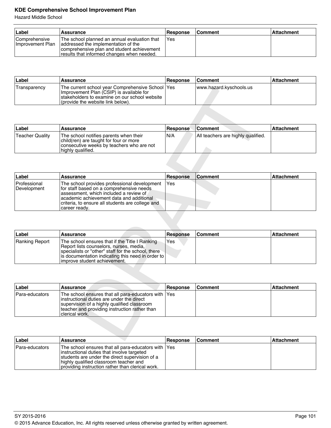| Label                                    | Assurance                                                                                                                                                                       | <b>Response</b> | <b>Comment</b> | <b>Attachment</b> |
|------------------------------------------|---------------------------------------------------------------------------------------------------------------------------------------------------------------------------------|-----------------|----------------|-------------------|
| <b>Comprehensive</b><br>Improvement Plan | The school planned an annual evaluation that<br>addressed the implementation of the<br>comprehensive plan and student achievement<br>results that informed changes when needed. | l Yes           |                |                   |

| Label        | <b>Assurance</b>                                                                                                                                                                    | Response | <b>Comment</b>          | <b>Attachment</b> |
|--------------|-------------------------------------------------------------------------------------------------------------------------------------------------------------------------------------|----------|-------------------------|-------------------|
| Transparency | The current school year Comprehensive School  Yes<br>Improvement Plan (CSIP) is available for<br>stakeholders to examine on our school website<br>(provide the website link below). |          | www.hazard.kyschools.us |                   |

| ∣Label          | <b>Assurance</b>                                                                                                                                   | <b>Response</b> | <b>Comment</b>                     | <b>Attachment</b> |
|-----------------|----------------------------------------------------------------------------------------------------------------------------------------------------|-----------------|------------------------------------|-------------------|
| Teacher Quality | The school notifies parents when their<br>child(ren) are taught for four or more<br>consecutive weeks by teachers who are not<br>highly qualified. | N/A             | All teachers are highly qualified. |                   |

| <b>Hallsparency</b>         | The current scribble year Complementsive Scribble Lites<br>Improvement Plan (CSIP) is available for<br>stakeholders to examine on our school website<br>(provide the website link below).                                            |                 | www.fiazafu.kySCHOOIS.uS           |                   |
|-----------------------------|--------------------------------------------------------------------------------------------------------------------------------------------------------------------------------------------------------------------------------------|-----------------|------------------------------------|-------------------|
|                             |                                                                                                                                                                                                                                      |                 |                                    |                   |
| Label                       | Assurance                                                                                                                                                                                                                            | Response        | <b>Comment</b>                     | <b>Attachment</b> |
| <b>Teacher Quality</b>      | The school notifies parents when their<br>child(ren) are taught for four or more<br>consecutive weeks by teachers who are not<br>highly qualified.                                                                                   | N/A             | All teachers are highly qualified. |                   |
|                             |                                                                                                                                                                                                                                      |                 |                                    |                   |
| Label                       | Assurance                                                                                                                                                                                                                            | <b>Response</b> | <b>Comment</b>                     | <b>Attachment</b> |
| Professional<br>Development | The school provides professional development<br>for staff based on a comprehensive needs<br>assessment, which included a review of<br>academic achievement data and additional<br>criteria, to ensure all students are college and   | Yes             |                                    |                   |
|                             | career ready.                                                                                                                                                                                                                        |                 |                                    |                   |
|                             |                                                                                                                                                                                                                                      |                 |                                    |                   |
| Label                       | Assurance                                                                                                                                                                                                                            | <b>Response</b> | <b>Comment</b>                     | <b>Attachment</b> |
| Ranking Report              | The school ensures that if the Title I Ranking<br>Report lists counselors, nurses, media,<br>specialists or "other" staff for the school, there<br>is documentation indicating this need in order to<br>improve student achievement. | Yes             |                                    |                   |
|                             |                                                                                                                                                                                                                                      |                 |                                    |                   |
| Label                       | <b>Assurance</b>                                                                                                                                                                                                                     | <b>Response</b> | <b>Comment</b>                     | Attachment        |
| Para-educators              | The school ensures that all para-educators with<br>instructional duties are under the direct<br>supervision of a highly qualified classroom<br>teacher and providing instruction rather than<br>clerical work.                       | Yes             |                                    |                   |
| ll ahall                    | <b>Accurance</b>                                                                                                                                                                                                                     | <b>Reenonce</b> | $Cc$ mmant                         | <b>Attachment</b> |

| ⊥Label         | <b>∣Assurance</b>                                                                                                                                                                                                                         | <b>Response</b> | <b>Comment</b> | ∣Attachment |
|----------------|-------------------------------------------------------------------------------------------------------------------------------------------------------------------------------------------------------------------------------------------|-----------------|----------------|-------------|
| Ranking Report | The school ensures that if the Title I Ranking<br>Report lists counselors, nurses, media,<br>specialists or "other" staff for the school, there<br>  is documentation indicating this need in order to  <br>limprove student achievement. | l Yes           |                |             |

| ∣Label         | Assurance                                                                                                                                                                                                             | <b>Response</b> | <b>Comment</b> | ∣Attachment |
|----------------|-----------------------------------------------------------------------------------------------------------------------------------------------------------------------------------------------------------------------|-----------------|----------------|-------------|
| Para-educators | The school ensures that all para-educators with  Yes<br>linstructional duties are under the direct<br>supervision of a highly qualified classroom<br>teacher and providing instruction rather than<br>Iclerical work. |                 |                |             |

| ∣Label         | Assurance                                                                                                                                                                                                                                          | Response | <b>Comment</b> | <b>Attachment</b> |
|----------------|----------------------------------------------------------------------------------------------------------------------------------------------------------------------------------------------------------------------------------------------------|----------|----------------|-------------------|
| Para-educators | The school ensures that all para-educators with  Yes<br>instructional duties that involve targeted<br>students are under the direct supervision of a<br>highly qualified classroom teacher and<br>providing instruction rather than clerical work. |          |                |                   |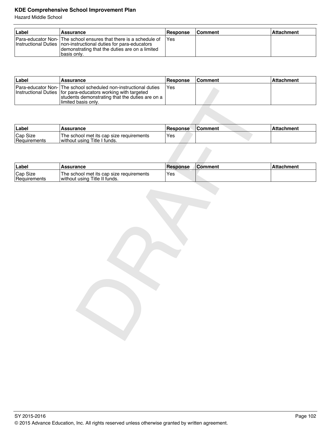| Label | <b>Assurance</b>                                                                                                                                                                                         | <b>Response</b> | <b>Comment</b> | ∣Attachment |
|-------|----------------------------------------------------------------------------------------------------------------------------------------------------------------------------------------------------------|-----------------|----------------|-------------|
|       | Para-educator Non- The school ensures that there is a schedule of<br>Instructional Duties   non-instructional duties for para-educators<br>demonstrating that the duties are on a limited<br>basis only. | l Yes           |                |             |

| ⊦Label | <b>Assurance</b>                                                                                                                                                                                             | <b>Response</b> | <b>Comment</b> | ∣Attachment |
|--------|--------------------------------------------------------------------------------------------------------------------------------------------------------------------------------------------------------------|-----------------|----------------|-------------|
|        | Para-educator Non- The school scheduled non-instructional duties<br>Instructional Duties for para-educators working with targeted<br>students demonstrating that the duties are on a<br>llimited basis onlv. | <b>IYes</b>     |                |             |

| <b>Instructional Duties</b> | <b>Fara-educator Non-</b> Trile scribbi scributible fibri-instructional duties<br>for para-educators working with targeted<br>students demonstrating that the duties are on a<br>limited basis only. | 155             |                |                   |
|-----------------------------|------------------------------------------------------------------------------------------------------------------------------------------------------------------------------------------------------|-----------------|----------------|-------------------|
|                             |                                                                                                                                                                                                      |                 |                |                   |
| Label                       | <b>Assurance</b>                                                                                                                                                                                     | <b>Response</b> | <b>Comment</b> | <b>Attachment</b> |
| Cap Size<br>Requirements    | The school met its cap size requirements<br>without using Title I funds.                                                                                                                             | Yes             |                |                   |
|                             |                                                                                                                                                                                                      |                 |                |                   |
| Label                       | <b>Assurance</b>                                                                                                                                                                                     | <b>Response</b> | Comment        | <b>Attachment</b> |
| Cap Size<br>Requirements    | The school met its cap size requirements<br>without using Title II funds.                                                                                                                            | Yes             |                |                   |
|                             |                                                                                                                                                                                                      |                 |                |                   |
|                             |                                                                                                                                                                                                      |                 |                |                   |
|                             |                                                                                                                                                                                                      |                 |                |                   |
|                             |                                                                                                                                                                                                      |                 |                |                   |
|                             |                                                                                                                                                                                                      |                 |                |                   |
|                             |                                                                                                                                                                                                      |                 |                |                   |
|                             |                                                                                                                                                                                                      |                 |                |                   |
|                             |                                                                                                                                                                                                      |                 |                |                   |
|                             |                                                                                                                                                                                                      |                 |                |                   |
|                             |                                                                                                                                                                                                      |                 |                |                   |
|                             |                                                                                                                                                                                                      |                 |                |                   |
|                             |                                                                                                                                                                                                      |                 |                |                   |
|                             |                                                                                                                                                                                                      |                 |                |                   |
|                             |                                                                                                                                                                                                      |                 |                |                   |
|                             |                                                                                                                                                                                                      |                 |                |                   |

| ∣Label                                | <b>Assurance</b>                                                          | <b>Response</b> | <b>Comment</b> | <b>Attachment</b> |
|---------------------------------------|---------------------------------------------------------------------------|-----------------|----------------|-------------------|
| <sup>1</sup> Cap Size<br>Requirements | The school met its cap size requirements<br>without using Title II funds. | Yes             |                |                   |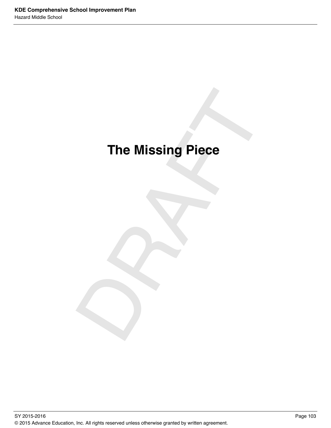# The Missing Piece **The Missing Piece**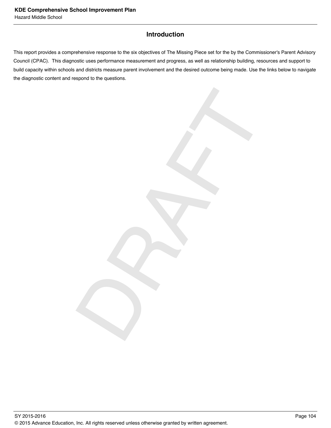# **Introduction**

This report provides a comprehensive response to the six objectives of The Missing Piece set for the by the Commissioner's Parent Advisory Council (CPAC). This diagnostic uses performance measurement and progress, as well as relationship building, resources and support to build capacity within schools and districts measure parent involvement and the desired outcome being made. Use the links below to navigate the diagnostic content and respond to the questions.

DRAFT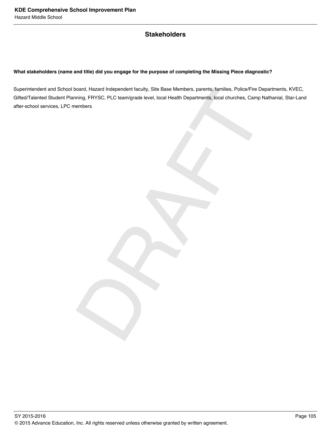# **Stakeholders**

### **What stakeholders (name and title) did you engage for the purpose of completing the Missing Piece diagnostic?**

oard, Hazard Independent faculty, Site Base Members, parents, families, Police/Fire Dring, FRYSC, PLC team/grade level, local Health Departments, local churches, Camp f<br>embers Superintendent and School board, Hazard Independent faculty, Site Base Members, parents, families, Police/Fire Departments, KVEC, Gifted/Talented Student Planning, FRYSC, PLC team/grade level, local Health Departments, local churches, Camp Nathanial, Star-Land after-school services, LPC members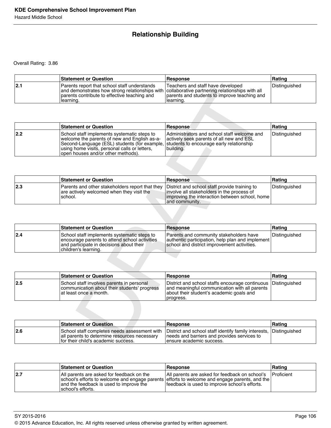# **Relationship Building**

|     | <b>Statement or Question</b>                                                                                                                                                                                 | <b>Response</b>                                                                                | Rating        |
|-----|--------------------------------------------------------------------------------------------------------------------------------------------------------------------------------------------------------------|------------------------------------------------------------------------------------------------|---------------|
| 2.1 | Parents report that school staff understands<br>and demonstrates how strong relationships with collaborative partnering relationships with all<br>parents contribute to effective teaching and<br>'Iearnıng. | Teachers and staff have developed<br>parents and students to improve teaching and<br>learning. | Distinguished |

|     | and demonstrates how strong relationships with collaborative partnering relationships with all<br>parents contribute to effective teaching and<br>learning.                                                                        | parents and students to improve teaching and<br>learning.                                                                                                       |               |
|-----|------------------------------------------------------------------------------------------------------------------------------------------------------------------------------------------------------------------------------------|-----------------------------------------------------------------------------------------------------------------------------------------------------------------|---------------|
|     |                                                                                                                                                                                                                                    |                                                                                                                                                                 |               |
|     | <b>Statement or Question</b>                                                                                                                                                                                                       | Responsel                                                                                                                                                       | Rating        |
| 2.2 | School staff implements systematic steps to<br>welcome the parents of new and English as-a-<br>Second-Language (ESL) students (for example,<br>using home visits, personal calls or letters,<br>open houses and/or other methods). | Administrators and school staff welcome and<br>actively seek parents of all new and ESL<br>students to encourage early relationship<br>building.                | Distinguished |
|     |                                                                                                                                                                                                                                    |                                                                                                                                                                 |               |
|     | <b>Statement or Question</b>                                                                                                                                                                                                       | Response                                                                                                                                                        | <b>Rating</b> |
| 2.3 | Parents and other stakeholders report that they<br>are actively welcomed when they visit the<br>school.                                                                                                                            | District and school staff provide training to<br>involve all stakeholders in the process of<br>improving the interaction between school, home<br>and community. | Distinguished |
|     |                                                                                                                                                                                                                                    |                                                                                                                                                                 |               |
|     | <b>Statement or Question</b>                                                                                                                                                                                                       | <b>Response</b>                                                                                                                                                 | Rating        |
| 2.4 | School staff implements systematic steps to<br>encourage parents to attend school activities<br>and participate in decisions about their<br>children's learning.                                                                   | Parents and community stakeholders have<br>authentic participation, help plan and implement<br>school and district improvement activities.                      | Distinguished |
|     |                                                                                                                                                                                                                                    |                                                                                                                                                                 |               |
|     | <b>Statement or Question</b>                                                                                                                                                                                                       | Response                                                                                                                                                        | Rating        |
| 2.5 | School staff involves parents in personal<br>communication about their students' progress<br>at least once a month.                                                                                                                | District and school staffs encourage continuous<br>and meaningful communication with all parents<br>about their student's academic goals and<br>progress.       | Distinguished |
|     |                                                                                                                                                                                                                                    |                                                                                                                                                                 |               |
|     | <b>Statement or Question</b>                                                                                                                                                                                                       | <b>Response</b>                                                                                                                                                 | Rating        |
| 2.6 | School staff completes needs assessment with<br>all parents to determine resources necessary<br>for thoir obild <sup>l</sup> e asadomia successo                                                                                   | District and school staff identify family interests,<br>needs and barriers and provides services to<br>angura goodamig quaqqaa                                  | Distinguished |

|     | <b>Statement or Question</b>                                                                                                                           | Response                                                                                                         | Ratinɑ        |
|-----|--------------------------------------------------------------------------------------------------------------------------------------------------------|------------------------------------------------------------------------------------------------------------------|---------------|
| 2.3 | Parents and other stakeholders report that they District and school staff provide training to<br>are actively welcomed when they visit the<br>Ischool. | involve all stakeholders in the process of<br>  improving the interaction between school, home<br>and community. | Distinguished |

|     | <b>Statement or Question</b>                                                                                                                                     | <b>Response</b>                                                                                                                                | Rating        |
|-----|------------------------------------------------------------------------------------------------------------------------------------------------------------------|------------------------------------------------------------------------------------------------------------------------------------------------|---------------|
| 2.4 | School staff implements systematic steps to<br>encourage parents to attend school activities<br>and participate in decisions about their<br>children's learning. | Parents and community stakeholders have<br>  authentic participation, help plan and implement  <br>school and district improvement activities. | Distinguished |

|     | <b>Statement or Question</b>                                                                                         | <b>Response</b>                                                                                                                                                         | ∣Ratinɑ |
|-----|----------------------------------------------------------------------------------------------------------------------|-------------------------------------------------------------------------------------------------------------------------------------------------------------------------|---------|
| 2.5 | School staff involves parents in personal<br>communication about their students' progress<br>lat least once a month. | District and school staffs encourage continuous Distinguished<br>and meaningful communication with all parents<br>about their student's academic goals and<br>progress. |         |

|     | <b>Statement or Question</b>                                                                                                          | <b>Response</b>                                                                                                                                | ∣Ratinq |
|-----|---------------------------------------------------------------------------------------------------------------------------------------|------------------------------------------------------------------------------------------------------------------------------------------------|---------|
| 2.6 | School staff completes needs assessment with<br>all parents to determine resources necessary<br>If or their child's academic success. | District and school staff identify family interests, Distinguished<br>needs and barriers and provides services to<br>Tensure academic success. |         |

|     | <b>Statement or Question</b>                                                                              | Response                                                                                                                                                                                         | Rating              |
|-----|-----------------------------------------------------------------------------------------------------------|--------------------------------------------------------------------------------------------------------------------------------------------------------------------------------------------------|---------------------|
| 2.7 | All parents are asked for feedback on the<br>and the feedback is used to improve the<br>school's efforts. | All parents are asked for feedback on school's<br>school's efforts to welcome and engage parents efforts to welcome and engage parents, and the<br>feedback is used to improve school's efforts. | <b>I</b> Proficient |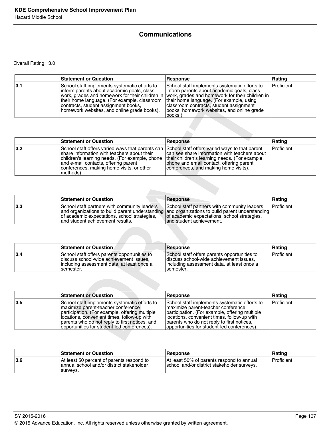# **Communications**

|     | <b>Statement or Question</b>                                                                                                                                                                                                        | Response                                                                                                                                                                                                                                                                                                                                        | Rating       |
|-----|-------------------------------------------------------------------------------------------------------------------------------------------------------------------------------------------------------------------------------------|-------------------------------------------------------------------------------------------------------------------------------------------------------------------------------------------------------------------------------------------------------------------------------------------------------------------------------------------------|--------------|
| 3.1 | School staff implements systematic efforts to<br>linform parents about academic goals, class<br>their home language. (For example, classroom<br>contracts, student assignment books,<br>homework websites, and online grade books). | School staff implements systematic efforts to<br>linform parents about academic goals, class<br>work, grades and homework for their children in vork, grades and homework for their children in<br>their home language. (For example, using<br>classroom contracts, student assignment<br>books, homework websites, and online grade<br>books.) | l Proficient |

|     | <b>Statement or Question</b>                                                                                                                                                                                                                                                                        | <b>Response</b>                                                                                                                                                                      | Rating       |
|-----|-----------------------------------------------------------------------------------------------------------------------------------------------------------------------------------------------------------------------------------------------------------------------------------------------------|--------------------------------------------------------------------------------------------------------------------------------------------------------------------------------------|--------------|
| 3.2 | School staff offers varied ways that parents can School staff offers varied ways to that parent<br>share information with teachers about their<br>children's learning needs. (For example, phone<br>and e-mail contacts, offering parent<br>conferences, making home visits, or other<br> methods). | can see share information with teachers about<br>their children's learning needs. (For example,<br>phone and email contact, offering parent<br>conferences, and making home visits). | l Proficient |

|     | <b>Statement or Question</b>                                                                                                      | <b>Response</b>                                                                                                                                                                                                              | <b>IRating</b>      |
|-----|-----------------------------------------------------------------------------------------------------------------------------------|------------------------------------------------------------------------------------------------------------------------------------------------------------------------------------------------------------------------------|---------------------|
| 3.3 | School staff partners with community leaders<br>of academic expectations, school strategies,<br>land student achievement results. | School staff partners with community leaders<br>and organizations to build parent understanding and organizations to build parent understanding<br>of academic expectations, school strategies,<br>land student achievement. | <b>I</b> Proficient |

|     | <b>Statement or Question</b>                                                                                                                         | <b>Response</b>                                                                                                                                    | <b>Rating</b> |
|-----|------------------------------------------------------------------------------------------------------------------------------------------------------|----------------------------------------------------------------------------------------------------------------------------------------------------|---------------|
| 3.4 | School staff offers parents opportunities to<br>discuss school-wide achievement issues.<br>lincluding assessment data, at least once a<br>!semester. | School staff offers parents opportunities to<br>discuss school-wide achievement issues.<br>including assessment data, at least once a<br>semester. | Proficient    |

|     | inform parents about academic goals, class<br>work, grades and homework for their children in<br>their home language. (For example, classroom<br>contracts, student assignment books,<br>homework websites, and online grade books).                                                  | inform parents about academic goals, class<br>work, grades and homework for their children in<br>their home language. (For example, using<br>classroom contracts, student assignment<br>books, homework websites, and online grade<br>books.)                                     |            |
|-----|---------------------------------------------------------------------------------------------------------------------------------------------------------------------------------------------------------------------------------------------------------------------------------------|-----------------------------------------------------------------------------------------------------------------------------------------------------------------------------------------------------------------------------------------------------------------------------------|------------|
|     |                                                                                                                                                                                                                                                                                       |                                                                                                                                                                                                                                                                                   |            |
|     | <b>Statement or Question</b>                                                                                                                                                                                                                                                          | <b>Response</b>                                                                                                                                                                                                                                                                   | Rating     |
| 3.2 | School staff offers varied ways that parents can<br>share information with teachers about their<br>children's learning needs. (For example, phone<br>and e-mail contacts, offering parent<br>conferences, making home visits, or other<br>methods).                                   | School staff offers varied ways to that parent<br>can see share information with teachers about<br>their children's learning needs. (For example,<br>phone and email contact, offering parent<br>conferences, and making home visits).                                            | Proficient |
|     |                                                                                                                                                                                                                                                                                       |                                                                                                                                                                                                                                                                                   |            |
|     | <b>Statement or Question</b>                                                                                                                                                                                                                                                          | <b>Response</b>                                                                                                                                                                                                                                                                   | Rating     |
| 3.3 | School staff partners with community leaders<br>and organizations to build parent understanding<br>of academic expectations, school strategies,<br>and student achievement results.                                                                                                   | School staff partners with community leaders<br>and organizations to build parent understanding<br>of academic expectations, school strategies,<br>and student achievement.                                                                                                       | Proficient |
|     |                                                                                                                                                                                                                                                                                       |                                                                                                                                                                                                                                                                                   |            |
|     | <b>Statement or Question</b>                                                                                                                                                                                                                                                          | <b>Response</b>                                                                                                                                                                                                                                                                   | Rating     |
| 3.4 | School staff offers parents opportunities to<br>discuss school-wide achievement issues.<br>including assessment data, at least once a<br>semester.                                                                                                                                    | School staff offers parents opportunities to<br>discuss school-wide achievement issues,<br>including assessment data, at least once a<br>semester.                                                                                                                                | Proficient |
|     |                                                                                                                                                                                                                                                                                       |                                                                                                                                                                                                                                                                                   |            |
|     | <b>Statement or Question</b>                                                                                                                                                                                                                                                          | <b>Response</b>                                                                                                                                                                                                                                                                   | Rating     |
| 3.5 | School staff implements systematic efforts to<br>maximize parent-teacher conference<br>participation. (For example, offering multiple<br>locations, convenient times, follow-up with<br>parents who do not reply to first notices, and<br>opportunities for student-led conferences). | School staff implements systematic efforts to<br>maximize parent-teacher conference<br>participation. (For example, offering multiple<br>locations, convenient times, follow-up with<br>parents who do not reply to first notices,<br>opportunities for student-led conferences). | Proficient |
|     |                                                                                                                                                                                                                                                                                       |                                                                                                                                                                                                                                                                                   |            |

|      | <b>Statement or Question</b>                                                                        | <b>Response</b>                                                                           | Rating       |
|------|-----------------------------------------------------------------------------------------------------|-------------------------------------------------------------------------------------------|--------------|
| 13.6 | At least 50 percent of parents respond to<br>annual school and/or district stakeholder<br>Isurvevs. | IAt least 50% of parents respond to annual<br>school and/or district stakeholder surveys. | l Proficient |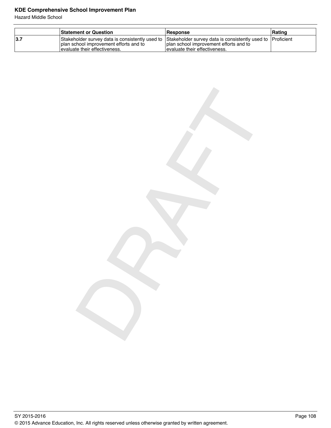# **KDE Comprehensive School Improvement Plan**

Hazard Middle School

|     | <b>Statement or Question</b>                                                                                                                                                             | <b>Response</b>                                                            | Rating |
|-----|------------------------------------------------------------------------------------------------------------------------------------------------------------------------------------------|----------------------------------------------------------------------------|--------|
| 3.7 | Stakeholder survey data is consistently used to Stakeholder survey data is consistently used to [Proficient]<br>plan school improvement efforts and to<br>levaluate their effectiveness. | I plan school improvement efforts and to<br>levaluate their effectiveness. |        |

DRAFT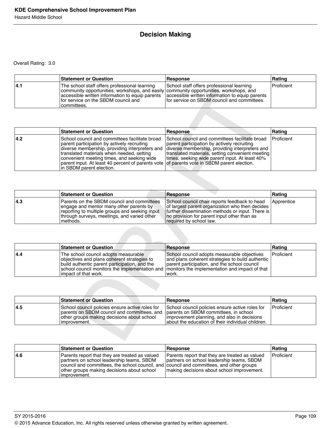# **Decision Making**

|      | <b>Statement or Question</b>                                                                                                                                                                                                                                                                     | <b>Response</b>                                                                          | Ratinɑ     |
|------|--------------------------------------------------------------------------------------------------------------------------------------------------------------------------------------------------------------------------------------------------------------------------------------------------|------------------------------------------------------------------------------------------|------------|
| 14.1 | The school staff offers professional learning<br>community opportunities, workshops, and easily community opportunities, workshops, and<br>accessible written information to equip parents accessible written information to equip parents<br>for service on the SBDM council and<br>committees. | School staff offers professional learning<br>for service on SBDM council and committees. | Proficient |

|     | community opportunities, workshops, and easily community opportunities, workshops, and<br>accessible written information to equip parents<br>for service on the SBDM council and<br>committees.                                                                                                                             | accessible written information to equip parents<br>for service on SBDM council and committees.                                                                                                                                                                                                    |            |
|-----|-----------------------------------------------------------------------------------------------------------------------------------------------------------------------------------------------------------------------------------------------------------------------------------------------------------------------------|---------------------------------------------------------------------------------------------------------------------------------------------------------------------------------------------------------------------------------------------------------------------------------------------------|------------|
|     |                                                                                                                                                                                                                                                                                                                             |                                                                                                                                                                                                                                                                                                   |            |
|     | <b>Statement or Question</b>                                                                                                                                                                                                                                                                                                | Response                                                                                                                                                                                                                                                                                          | Rating     |
| 4.2 | School council and committees facilitate broad<br>parent participation by actively recruiting<br>diverse membership, providing interpreters and<br>translated materials when needed, setting<br>convenient meeting times, and seeking wide<br>parent input. At least 40 percent of parents vote<br>in SBDM parent election. | School council and committees facilitate broad<br>parent participation by actively recruiting<br>diverse membership, providing interpreters and<br>translated materials, setting convenient meeting<br>times, seeking wide parent input. At least 40%<br>of parents vote in SBDM parent election. | Proficient |
|     |                                                                                                                                                                                                                                                                                                                             |                                                                                                                                                                                                                                                                                                   |            |
|     | <b>Statement or Question</b>                                                                                                                                                                                                                                                                                                | <b>Response</b>                                                                                                                                                                                                                                                                                   | Rating     |
| 4.3 | Parents on the SBDM council and committees<br>engage and mentor many other parents by<br>reporting to multiple groups and seeking input<br>through surveys, meetings, and varied other<br>methods.                                                                                                                          | School council chair reports feedback to head<br>of largest parent organization who then decides<br>further dissemination methods or input. There is<br>no provision for parent input other than as<br>required by school law.                                                                    | Apprentice |
|     |                                                                                                                                                                                                                                                                                                                             |                                                                                                                                                                                                                                                                                                   |            |
|     | <b>Statement or Question</b>                                                                                                                                                                                                                                                                                                | <b>Response</b>                                                                                                                                                                                                                                                                                   | Rating     |
| 4.4 | The school council adopts measurable<br>objectives and plans coherent strategies to<br>build authentic parent participation, and the<br>school council monitors the implementation and<br>impact of that work.                                                                                                              | School council adopts measurable objectives<br>and plans coherent strategies to build authentic<br>parent participation, and the school council<br>monitors the implementation and impact of that<br>work.                                                                                        | Proficient |
|     |                                                                                                                                                                                                                                                                                                                             |                                                                                                                                                                                                                                                                                                   |            |
|     | <b>Statement or Question</b>                                                                                                                                                                                                                                                                                                | <b>Response</b>                                                                                                                                                                                                                                                                                   | Rating     |
| 4.5 | School council policies ensure active roles for<br>parents on SBDM council and committees, and<br>other groups making decisions about school<br>improvement.                                                                                                                                                                | School council policies ensure active roles for<br>parents on SBDM committees, in school<br>improvement planning, and also in decisions<br>about the education of their individual children.                                                                                                      | Proficient |
|     |                                                                                                                                                                                                                                                                                                                             |                                                                                                                                                                                                                                                                                                   |            |

|     | <b>Statement or Question</b>                                                                                                                                                                         | <b>Response</b>                                                                                                                                                                                                                 | <b>IRating</b>    |
|-----|------------------------------------------------------------------------------------------------------------------------------------------------------------------------------------------------------|---------------------------------------------------------------------------------------------------------------------------------------------------------------------------------------------------------------------------------|-------------------|
| 4.3 | Parents on the SBDM council and committees<br>engage and mentor many other parents by<br>reporting to multiple groups and seeking input<br>Ithrough surveys, meetings, and varied other<br>Imethods. | School council chair reports feedback to head<br>of largest parent organization who then decides<br> further dissemination methods or input. There is<br>no provision for parent input other than as<br>required by school law. | <i>Apprentice</i> |

|     | <b>Statement or Question</b>                                                                                                                                                                                                                                    | <b>Response</b>                                                                                                                                          | Rating            |
|-----|-----------------------------------------------------------------------------------------------------------------------------------------------------------------------------------------------------------------------------------------------------------------|----------------------------------------------------------------------------------------------------------------------------------------------------------|-------------------|
| 4.4 | The school council adopts measurable<br>objectives and plans coherent strategies to<br>build authentic parent participation, and the<br>school council monitors the implementation and Imonitors the implementation and impact of that<br>limpact of that work. | School council adopts measurable objectives<br>and plans coherent strategies to build authentic<br>parent participation, and the school council<br>work. | <b>Proficient</b> |

|      | <b>Statement or Question</b>                                                                                                                                                                        | <b>Response</b>                                                                                                                                     | Rating       |
|------|-----------------------------------------------------------------------------------------------------------------------------------------------------------------------------------------------------|-----------------------------------------------------------------------------------------------------------------------------------------------------|--------------|
| 14.5 | School council policies ensure active roles for<br>parents on SBDM council and committees, and parents on SBDM committees, in school<br>other groups making decisions about school<br>limprovement. | School council policies ensure active roles for<br>improvement planning, and also in decisions<br>about the education of their individual children. | l Proficient |

|      | <b>Statement or Question</b>                                                                                                                                                                                                                           | <b>Response</b>                                                                                                                           | Rating            |
|------|--------------------------------------------------------------------------------------------------------------------------------------------------------------------------------------------------------------------------------------------------------|-------------------------------------------------------------------------------------------------------------------------------------------|-------------------|
| 14.6 | Parents report that they are treated as valued<br>partners on school leadership teams, SBDM<br>council and committees, the school council, and council and committees, and other groups<br>other groups making decisions about school<br>limprovement. | Parents report that they are treated as valued<br>partners on school leadership teams, SBDM<br>making decisions about school improvement. | <b>Proficient</b> |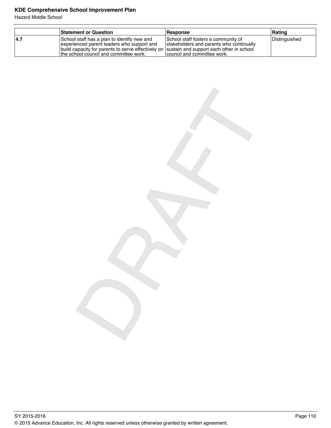# **KDE Comprehensive School Improvement Plan**

Hazard Middle School

|      | <b>Statement or Question</b>                                                                                                                                                                                                         | <b>Response</b>                                                                                                | ∣Ratinɑ       |
|------|--------------------------------------------------------------------------------------------------------------------------------------------------------------------------------------------------------------------------------------|----------------------------------------------------------------------------------------------------------------|---------------|
| 14.7 | School staff has a plan to identify new and<br>experienced parent leaders who support and<br> build capacity for parents to serve effectively on  sustain and support each other in school<br>the school council and committee work. | School staff fosters a community of<br>stakeholders and parents who continually<br>council and committee work. | Distinguished |

DRAFT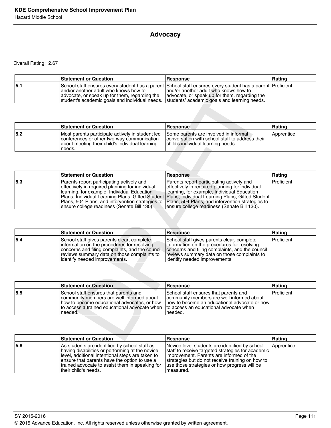# **Advocacy**

|      | <b>Statement or Question</b>                                                                                                                                                           | <b>Response</b>                                                                                                                                                                                      | Rating |
|------|----------------------------------------------------------------------------------------------------------------------------------------------------------------------------------------|------------------------------------------------------------------------------------------------------------------------------------------------------------------------------------------------------|--------|
| 15.1 | land/or another adult who knows how to<br>advocate, or speak up for them, regarding the<br>student's academic goals and individual needs. Students' academic goals and learning needs. | School staff ensures every student has a parent School staff ensures every student has a parent Proficient<br>and/or another adult who knows how to<br>advocate, or speak up for them, regarding the |        |

|     | <b>Statement or Question</b>                                                                                                                                 | <b>Response</b>                                                                                                                | Rating     |
|-----|--------------------------------------------------------------------------------------------------------------------------------------------------------------|--------------------------------------------------------------------------------------------------------------------------------|------------|
| 5.2 | Most parents participate actively in student led<br>conferences or other two-way communication<br>about meeting their child's individual learning<br>'needs. | Some parents are involved in informal<br>conversation with school staff to address their<br>child's individual learning needs. | Apprentice |

|     | and/or another adult who knows how to<br>advocate, or speak up for them, regarding the<br>student's academic goals and individual needs.                                                                                                                                                           | and/or another adult who knows how to<br>advocate, or speak up for them, regarding the<br>students' academic goals and learning needs.                                                                                                                                                             |            |
|-----|----------------------------------------------------------------------------------------------------------------------------------------------------------------------------------------------------------------------------------------------------------------------------------------------------|----------------------------------------------------------------------------------------------------------------------------------------------------------------------------------------------------------------------------------------------------------------------------------------------------|------------|
|     |                                                                                                                                                                                                                                                                                                    |                                                                                                                                                                                                                                                                                                    |            |
|     | <b>Statement or Question</b>                                                                                                                                                                                                                                                                       | Response                                                                                                                                                                                                                                                                                           | Rating     |
| 5.2 | Most parents participate actively in student led<br>conferences or other two-way communication<br>about meeting their child's individual learning<br>needs.                                                                                                                                        | Some parents are involved in informal<br>conversation with school staff to address their<br>child's individual learning needs.                                                                                                                                                                     | Apprentice |
|     |                                                                                                                                                                                                                                                                                                    |                                                                                                                                                                                                                                                                                                    |            |
|     | <b>Statement or Question</b>                                                                                                                                                                                                                                                                       | <b>Response</b>                                                                                                                                                                                                                                                                                    | Rating     |
| 5.3 | Parents report participating actively and<br>effectively in required planning for individual<br>learning, for example, Individual Education<br>Plans, Individual Learning Plans, Gifted Student<br>Plans, 504 Plans, and intervention strategies to<br>ensure college readiness (Senate Bill 130). | Parents report participating actively and<br>effectively in required planning for individual<br>learning, for example, Individual Education<br>Plans, Individual Learning Plans, Gifted Student<br>Plans, 504 Plans, and intervention strategies to<br>ensure college readiness (Senate Bill 130). | Proficient |
|     |                                                                                                                                                                                                                                                                                                    |                                                                                                                                                                                                                                                                                                    |            |
|     | <b>Statement or Question</b>                                                                                                                                                                                                                                                                       | <b>Response</b>                                                                                                                                                                                                                                                                                    | Rating     |
| 5.4 | School staff gives parents clear, complete<br>information on the procedures for resolving<br>concerns and filing complaints, and the council<br>reviews summary data on those complaints to<br>identify needed improvements.                                                                       | School staff gives parents clear, complete<br>information on the procedures for resolving<br>concerns and filing complaints, and the council<br>reviews summary data on those complaints to<br>identify needed improvements.                                                                       | Proficient |
|     |                                                                                                                                                                                                                                                                                                    |                                                                                                                                                                                                                                                                                                    |            |
|     | <b>Statement or Question</b>                                                                                                                                                                                                                                                                       | Response                                                                                                                                                                                                                                                                                           | Rating     |
| 5.5 | School staff ensures that parents and<br>community members are well informed about<br>how to become educational advocates, or how<br>to access a trained educational advocate when<br>needed.                                                                                                      | School staff ensures that parents and<br>community members are well informed about<br>how to become an educational advocate or how<br>to access an educational advocate when<br>needed.                                                                                                            | Proficient |
|     |                                                                                                                                                                                                                                                                                                    |                                                                                                                                                                                                                                                                                                    |            |
|     | <b>Statement or Question</b>                                                                                                                                                                                                                                                                       | <b>Response</b>                                                                                                                                                                                                                                                                                    | Rating     |

|     | <b>Statement or Question</b>                                                                                                                                                                                                  | Response                                                                                                                                                                                                                       | Rating            |
|-----|-------------------------------------------------------------------------------------------------------------------------------------------------------------------------------------------------------------------------------|--------------------------------------------------------------------------------------------------------------------------------------------------------------------------------------------------------------------------------|-------------------|
| 5.4 | School staff gives parents clear, complete<br>information on the procedures for resolving<br>concerns and filing complaints, and the council<br>reviews summary data on those complaints to<br>lidentify needed improvements. | School staff gives parents clear, complete<br>linformation on the procedures for resolving<br>concerns and filing complaints, and the council<br>reviews summary data on those complaints to<br>lidentify needed improvements. | <b>Proficient</b> |

|     | <b>Statement or Question</b>                                                                                                                                                                    | <b>Response</b>                                                                                                                                                                           | Rating     |
|-----|-------------------------------------------------------------------------------------------------------------------------------------------------------------------------------------------------|-------------------------------------------------------------------------------------------------------------------------------------------------------------------------------------------|------------|
| 5.5 | School staff ensures that parents and<br>community members are well informed about<br>how to become educational advocates, or how<br>Ito access a trained educational advocate when<br>Ineeded. | School staff ensures that parents and<br>community members are well informed about<br>Thow to become an educational advocate or how<br>Ito access an educational advocate when<br>needed. | Proficient |

|     | <b>Statement or Question</b>                                                                                                                                                                                                                                                     | <b>Response</b>                                                                                                                                                                                                                                                    | Rating     |
|-----|----------------------------------------------------------------------------------------------------------------------------------------------------------------------------------------------------------------------------------------------------------------------------------|--------------------------------------------------------------------------------------------------------------------------------------------------------------------------------------------------------------------------------------------------------------------|------------|
| 5.6 | As students are identified by school staff as<br>having disabilities or performing at the novice<br>level, additional intentional steps are taken to<br>ensure that parents have the option to use a<br>trained advocate to assist them in speaking for<br>Itheir child's needs. | Novice level students are identified by school<br>staff to receive targeted strategies for academic<br>limprovement. Parents are informed of the<br>strategies but do not receive training on how to<br>use those strategies or how progress will be<br>Imeasured. | Apprentice |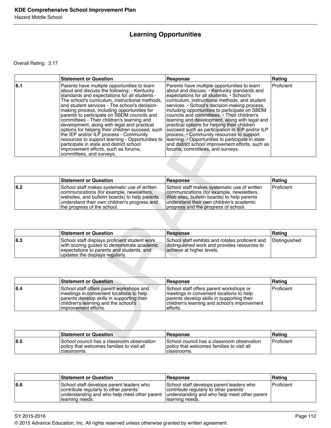# **Learning Opportunities**

|     | <b>Statement or Question</b>                                                                                                                                                                                                                                                                                                                                                                                                                                                                                                                                                                                                                                                                                  | <b>Response</b>                                                                                                                                                                                                                                                                                                                                                                                                                                                                                                                                                                                                                                                                             | Rating        |
|-----|---------------------------------------------------------------------------------------------------------------------------------------------------------------------------------------------------------------------------------------------------------------------------------------------------------------------------------------------------------------------------------------------------------------------------------------------------------------------------------------------------------------------------------------------------------------------------------------------------------------------------------------------------------------------------------------------------------------|---------------------------------------------------------------------------------------------------------------------------------------------------------------------------------------------------------------------------------------------------------------------------------------------------------------------------------------------------------------------------------------------------------------------------------------------------------------------------------------------------------------------------------------------------------------------------------------------------------------------------------------------------------------------------------------------|---------------|
| 6.1 | Parents have multiple opportunities to learn<br>about and discuss the following: - Kentucky<br>standards and expectations for all students -<br>The school's curriculum, instructional methods,<br>and student services - The school's decision-<br>making process, including opportunities for<br>parents to participate on SBDM councils and<br>committees - Their children's learning and<br>development, along with legal and practical<br>options for helping their children succeed, such<br>the IEP and/or ILP process - Community<br>resources to support learning - Opportunities to<br>participate in state and district school<br>improvement efforts, such as forums,<br>committees, and surveys. | Parents have multiple opportunities to learn<br>about and discuss: • Kentucky standards and<br>expectations for all students. • School's<br>curriculum, instructional methods, and student<br>services. • School's decision-making process,<br>including opportunities to participate on SBDM<br>councils and committees. • Their children's<br>learning and development, along with legal and<br>practical options for helping their children<br>succeed such as participation in IEP and/or ILP<br>process. • Community resources to support<br>learning. • Opportunities to participate in state<br>and district school improvement efforts, such as<br>forums, committees, and surveys. | Proficient    |
|     |                                                                                                                                                                                                                                                                                                                                                                                                                                                                                                                                                                                                                                                                                                               |                                                                                                                                                                                                                                                                                                                                                                                                                                                                                                                                                                                                                                                                                             |               |
|     | <b>Statement or Question</b>                                                                                                                                                                                                                                                                                                                                                                                                                                                                                                                                                                                                                                                                                  | <b>Response</b>                                                                                                                                                                                                                                                                                                                                                                                                                                                                                                                                                                                                                                                                             | Rating        |
| 6.2 | School staff makes systematic use of written<br>communications (for example, newsletters,<br>websites, and bulletin boards) to help parents<br>understand their own children's progress and<br>the progress of the school.                                                                                                                                                                                                                                                                                                                                                                                                                                                                                    | School staff makes systematic use of written<br>communications (for example, newsletters,<br>Web sites, bulletin boards) to help parents<br>understand their own children's academic<br>progress and the progress of school.                                                                                                                                                                                                                                                                                                                                                                                                                                                                | Proficient    |
|     | <b>Statement or Question</b>                                                                                                                                                                                                                                                                                                                                                                                                                                                                                                                                                                                                                                                                                  |                                                                                                                                                                                                                                                                                                                                                                                                                                                                                                                                                                                                                                                                                             | Rating        |
|     |                                                                                                                                                                                                                                                                                                                                                                                                                                                                                                                                                                                                                                                                                                               | <b>Response</b>                                                                                                                                                                                                                                                                                                                                                                                                                                                                                                                                                                                                                                                                             |               |
| 6.3 | School staff displays proficient student work<br>with scoring guides to demonstrate academic<br>expectations to parents and students, and<br>updates the displays regularly.                                                                                                                                                                                                                                                                                                                                                                                                                                                                                                                                  | School staff exhibits and rotates proficient and<br>distinguished work and provides resources to<br>achieve at higher levels.                                                                                                                                                                                                                                                                                                                                                                                                                                                                                                                                                               | Distinguished |
|     |                                                                                                                                                                                                                                                                                                                                                                                                                                                                                                                                                                                                                                                                                                               |                                                                                                                                                                                                                                                                                                                                                                                                                                                                                                                                                                                                                                                                                             |               |
|     | <b>Statement or Question</b>                                                                                                                                                                                                                                                                                                                                                                                                                                                                                                                                                                                                                                                                                  | <b>Response</b>                                                                                                                                                                                                                                                                                                                                                                                                                                                                                                                                                                                                                                                                             | Rating        |
| 6.4 | School staff offers parent workshops and<br>meetings in convenient locations to help<br>parents develop skills in supporting their<br>children's learning and the school's<br>improvement efforts.                                                                                                                                                                                                                                                                                                                                                                                                                                                                                                            | School staff offers parent workshops or<br>meetings in convenient locations to help<br>parents develop skills in supporting their<br>children's learning and school's improvement<br>efforts.                                                                                                                                                                                                                                                                                                                                                                                                                                                                                               | Proficient    |
|     |                                                                                                                                                                                                                                                                                                                                                                                                                                                                                                                                                                                                                                                                                                               |                                                                                                                                                                                                                                                                                                                                                                                                                                                                                                                                                                                                                                                                                             |               |
|     | <b>Statement or Question</b>                                                                                                                                                                                                                                                                                                                                                                                                                                                                                                                                                                                                                                                                                  | <b>Response</b>                                                                                                                                                                                                                                                                                                                                                                                                                                                                                                                                                                                                                                                                             | Rating        |
| e r | Cahaal aayyaal haa a alaaayaan ah                                                                                                                                                                                                                                                                                                                                                                                                                                                                                                                                                                                                                                                                             | Cahaal saupail haa a alaasusana ahaamustism                                                                                                                                                                                                                                                                                                                                                                                                                                                                                                                                                                                                                                                 | $D = 4$       |

|     | <b>Statement or Question</b>                                                                                                                                                                                               | <b>Response</b>                                                                                                                                                                                                              | Rating            |
|-----|----------------------------------------------------------------------------------------------------------------------------------------------------------------------------------------------------------------------------|------------------------------------------------------------------------------------------------------------------------------------------------------------------------------------------------------------------------------|-------------------|
| 6.2 | School staff makes systematic use of written<br>communications (for example, newsletters,<br>websites, and bulletin boards) to help parents<br>understand their own children's progress and<br>the progress of the school. | School staff makes systematic use of written<br>communications (for example, newsletters,<br>Web sites, bulletin boards) to help parents<br>understand their own children's academic<br>progress and the progress of school. | <b>Proficient</b> |

|      | <b>Statement or Question</b>                                                                                                                                                 | <b>Response</b>                                                                                                               | ∣Ratinɑ       |
|------|------------------------------------------------------------------------------------------------------------------------------------------------------------------------------|-------------------------------------------------------------------------------------------------------------------------------|---------------|
| 16.3 | School staff displays proficient student work<br>with scoring guides to demonstrate academic<br>expectations to parents and students, and<br>updates the displays regularly. | School staff exhibits and rotates proficient and<br>distinguished work and provides resources to<br>achieve at higher levels. | Distinguished |

|     | <b>Statement or Question</b>                                                                                                                                                                         | <b>Response</b>                                                                                                                                                                                  | Rating     |
|-----|------------------------------------------------------------------------------------------------------------------------------------------------------------------------------------------------------|--------------------------------------------------------------------------------------------------------------------------------------------------------------------------------------------------|------------|
| 6.4 | School staff offers parent workshops and<br>Imeetings in convenient locations to help<br>parents develop skills in supporting their<br>children's learning and the school's<br>limprovement efforts. | ISchool staff offers parent workshops or<br>Imeetings in convenient locations to help<br>parents develop skills in supporting their<br>children's learning and school's improvement<br>lefforts. | Proficient |

|      | <b>Statement or Question</b>                                                                             | <b>Response</b>                                                                                         | Rating       |
|------|----------------------------------------------------------------------------------------------------------|---------------------------------------------------------------------------------------------------------|--------------|
| 16.5 | ISchool council has a classroom observation<br>policy that welcomes families to visit all<br>classrooms. | School council has a classroom observation<br>policy that welcomes families to visit all<br>classrooms. | l Proficient |

|     | <b>Statement or Question</b>                                                                                                                                                                         | <b>Response</b>                                                                                        | Rating            |
|-----|------------------------------------------------------------------------------------------------------------------------------------------------------------------------------------------------------|--------------------------------------------------------------------------------------------------------|-------------------|
| 6.6 | School staff develops parent leaders who<br>contribute regularly to other parents'<br>understanding and who help meet other parent  understanding and who help meet other parent<br>Ilearning needs. | School staff develops parent leaders who<br>contribute regularly to other parents'<br>Ilearning needs. | <b>Proficient</b> |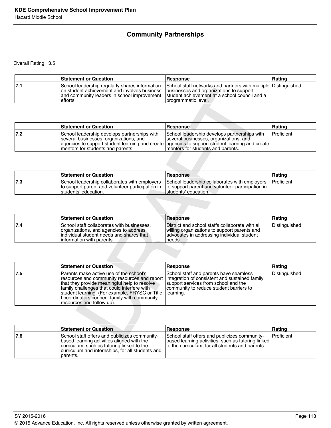# **Community Partnerships**

|     | <b>Statement or Question</b>                                                                                                                              | <b>Response</b>                                                                                                                                                                   | ∣Ratinq |
|-----|-----------------------------------------------------------------------------------------------------------------------------------------------------------|-----------------------------------------------------------------------------------------------------------------------------------------------------------------------------------|---------|
| 7.1 | School leadership regularly shares information<br>on student achievement and involves business<br>and community leaders in school improvement<br>efforts. | School staff networks and partners with multiple Distinguished<br>businesses and organizations to support<br>student achievement at a school council and a<br>programmatic level. |         |

|      | <b>Statement or Question</b>                                                                                                 | <b>Response</b>                                                                                                                                                                                                                 | ∣Ratinɑ      |
|------|------------------------------------------------------------------------------------------------------------------------------|---------------------------------------------------------------------------------------------------------------------------------------------------------------------------------------------------------------------------------|--------------|
| 17.2 | School leadership develops partnerships with<br>several businesses, organizations, and<br>Imentors for students and parents. | School leadership develops partnerships with<br>several businesses, organizations, and<br>agencies to support student learning and create agencies to support student learning and create<br>Imentors for students and parents. | l Proficient |

|      | <b>Statement or Question</b>                                                                                                 | <b>Response</b>                                                                                                                 | <b>Rating</b> |
|------|------------------------------------------------------------------------------------------------------------------------------|---------------------------------------------------------------------------------------------------------------------------------|---------------|
| 17.3 | to support parent and volunteer participation in   to support parent and volunteer participation in<br>Istudents' education. | School leadership collaborates with employers School leadership collaborates with employers Proficient<br>Istudents' education. |               |

|     | <b>Statement or Question</b>                                                                                                                                    | <b>Response</b>                                                                                                                                         | Rating        |
|-----|-----------------------------------------------------------------------------------------------------------------------------------------------------------------|---------------------------------------------------------------------------------------------------------------------------------------------------------|---------------|
| 7.4 | School staff collaborates with businesses.<br>organizations, and agencies to address<br>lindividual student needs and shares that<br>linformation with parents. | District and school staffs collaborate with all<br>willing organizations to support parents and<br>advocates in addressing individual student<br>needs. | Distinguished |

|            | on student achievement and involves business<br>and community leaders in school improvement<br>efforts.                                                                                                                                                                                                               | businesses and organizations to support<br>student achievement at a school council and a<br>programmatic level.                                                                          |               |
|------------|-----------------------------------------------------------------------------------------------------------------------------------------------------------------------------------------------------------------------------------------------------------------------------------------------------------------------|------------------------------------------------------------------------------------------------------------------------------------------------------------------------------------------|---------------|
|            |                                                                                                                                                                                                                                                                                                                       |                                                                                                                                                                                          |               |
|            | <b>Statement or Question</b>                                                                                                                                                                                                                                                                                          | Response                                                                                                                                                                                 | Rating        |
| 7.2        | School leadership develops partnerships with<br>several businesses, organizations, and<br>agencies to support student learning and create<br>mentors for students and parents.                                                                                                                                        | School leadership develops partnerships with<br>several businesses, organizations, and<br>agencies to support student learning and create<br>mentors for students and parents.           | Proficient    |
|            |                                                                                                                                                                                                                                                                                                                       |                                                                                                                                                                                          |               |
|            | <b>Statement or Question</b>                                                                                                                                                                                                                                                                                          | <b>Response</b>                                                                                                                                                                          | Rating        |
| 7.3        | School leadership collaborates with employers<br>to support parent and volunteer participation in<br>students' education.                                                                                                                                                                                             | School leadership collaborates with employers<br>to support parent and volunteer participation in<br>students' education.                                                                | Proficient    |
|            |                                                                                                                                                                                                                                                                                                                       |                                                                                                                                                                                          |               |
|            | <b>Statement or Question</b>                                                                                                                                                                                                                                                                                          | <b>Response</b>                                                                                                                                                                          | Rating        |
| 7.4        | School staff collaborates with businesses,<br>organizations, and agencies to address<br>individual student needs and shares that<br>information with parents.                                                                                                                                                         | District and school staffs collaborate with all<br>willing organizations to support parents and<br>advocates in addressing individual student<br>needs.                                  | Distinguished |
|            |                                                                                                                                                                                                                                                                                                                       |                                                                                                                                                                                          |               |
|            |                                                                                                                                                                                                                                                                                                                       |                                                                                                                                                                                          |               |
|            | <b>Statement or Question</b>                                                                                                                                                                                                                                                                                          | <b>Response</b>                                                                                                                                                                          | Rating        |
|            | Parents make active use of the school's<br>resources and community resources and report<br>that they provide meaningful help to resolve<br>family challenges that could interfere with<br>student learning. (For example, FRYSC or Title<br>I coordinators connect family with community<br>resources and follow up). | School staff and parents have seamless<br>integration of consistent and sustained family<br>support services from school and the<br>community to reduce student barriers to<br>learning. | Distinguished |
|            |                                                                                                                                                                                                                                                                                                                       |                                                                                                                                                                                          |               |
| 7.5<br>7.6 | <b>Statement or Question</b><br>School staff offers and publicizes community-                                                                                                                                                                                                                                         | <b>Response</b><br>School staff offers and publicizes community-                                                                                                                         | <b>Rating</b> |

|      | <b>Statement or Question</b>                                                                                                                                                                               | <b>Response</b>                                                                                                                                           | Ratinɑ            |
|------|------------------------------------------------------------------------------------------------------------------------------------------------------------------------------------------------------------|-----------------------------------------------------------------------------------------------------------------------------------------------------------|-------------------|
| 17.6 | School staff offers and publicizes community-<br>based learning activities aligned with the<br>curriculum, such as tutoring linked to the<br>curriculum and internships, for all students and<br>Iparents. | School staff offers and publicizes community-<br>(based learning activities, such as tutoring linked)<br>to the curriculum, for all students and parents. | <b>Proficient</b> |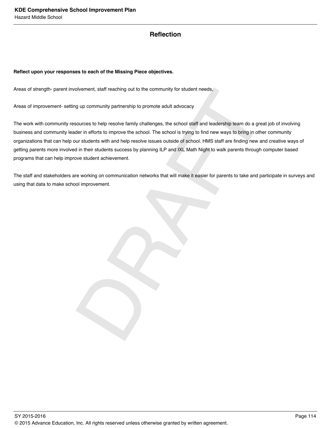## **Reflection**

### **Reflect upon your responses to each of the Missing Piece objectives.**

Areas of strength- parent involvement, staff reaching out to the community for student needs,

Areas of improvement- setting up community partnership to promote adult advocacy

aboment, staff reaching out to the community for student needs,<br>a up community partnership to promote adult advocacy<br>volumes to help resolve family challenges, the school staff and leadership team do a gre<br>for in efforts t The work with community resources to help resolve family challenges, the school staff and leadership team do a great job of involving business and community leader in efforts to improve the school. The school is trying to find new ways to bring in other community organizations that can help our students with and help resolve issues outside of school. HMS staff are finding new and creative ways of getting parents more involved in their students success by planning ILP and IXL Math Night to walk parents through computer based programs that can help improve student achievement.

The staff and stakeholders are working on communication networks that will make it easier for parents to take and participate in surveys and using that data to make school improvement.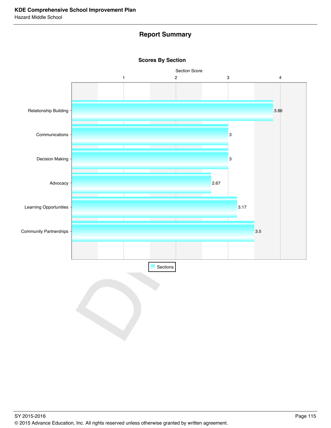# **Report Summary**



**Scores By Section**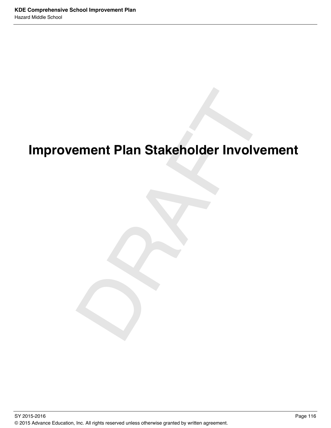# ement Plan Stakeholder Involve<br>Drama<br>Drama<br>Drama<br>Drama<br>Drama<br>Drama<br>Drama<br>Drama<br>Drama<br>Drama<br>Drama<br>Drama<br>Drama<br>Drama<br>Drama<br>Drama<br>Drama<br>Drama<br>Drama<br>Drama<br>Drama<br>Drama<br>Drama<br>Drama<br>Drama<br>Drama<br>Drama<br>Drama<br>Drama<br>Drama<br>Drama<br>Drama **Improvement Plan Stakeholder Involvement**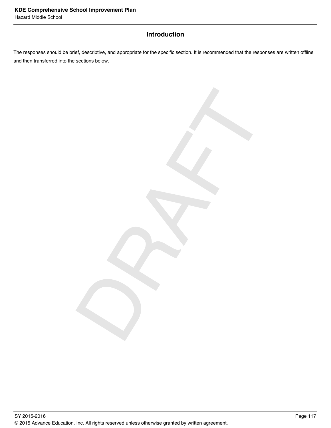# **Introduction**

The responses should be brief, descriptive, and appropriate for the specific section. It is recommended that the responses are written offline and then transferred into the sections below.

DRAFT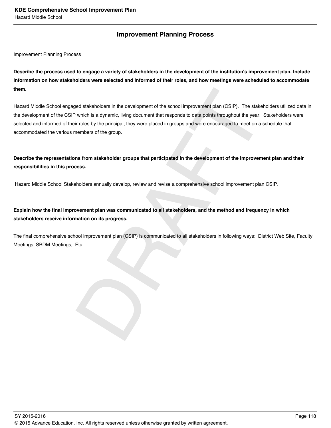### **Improvement Planning Process**

Improvement Planning Process

**Describe the process used to engage a variety of stakeholders in the development of the institution's improvement plan. Include information on how stakeholders were selected and informed of their roles, and how meetings were scheduled to accommodate them.** 

ed stakeholders in the development of the school improvement plan (CSIP). The stake<br>which is a dynamic, living document that responds to data points throughout the year.<br>Troles by the principal; they were placed in groups Hazard Middle School engaged stakeholders in the development of the school improvement plan (CSIP). The stakeholders utilized data in the development of the CSIP which is a dynamic, living document that responds to data points throughout the year. Stakeholders were selected and informed of their roles by the principal; they were placed in groups and were encouraged to meet on a schedule that accommodated the various members of the group.

**Describe the representations from stakeholder groups that participated in the development of the improvement plan and their responsibilities in this process.**

Hazard Middle School Stakeholders annually develop, review and revise a comprehensive school improvement plan CSIP.

**Explain how the final improvement plan was communicated to all stakeholders, and the method and frequency in which stakeholders receive information on its progress.** 

The final comprehensive school improvement plan (CSIP) is communicated to all stakeholders in following ways: District Web Site, Faculty Meetings, SBDM Meetings, Etc…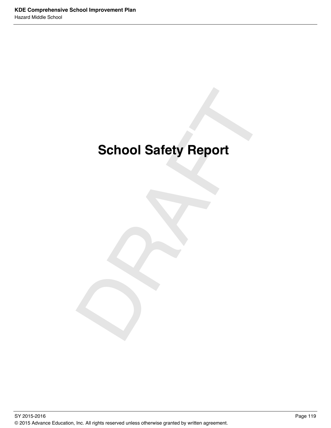# School Safety Report **School Safety Report**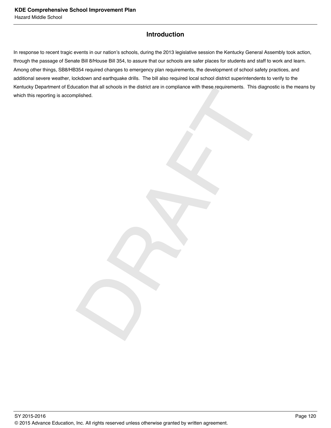## **Introduction**

DRAFT CONTROLL In response to recent tragic events in our nation's schools, during the 2013 legislative session the Kentucky General Assembly took action, through the passage of Senate Bill 8/House Bill 354, to assure that our schools are safer places for students and staff to work and learn. Among other things, SB8/HB354 required changes to emergency plan requirements, the development of school safety practices, and additional severe weather, lockdown and earthquake drills. The bill also required local school district superintendents to verify to the Kentucky Department of Education that all schools in the district are in compliance with these requirements. This diagnostic is the means by which this reporting is accomplished.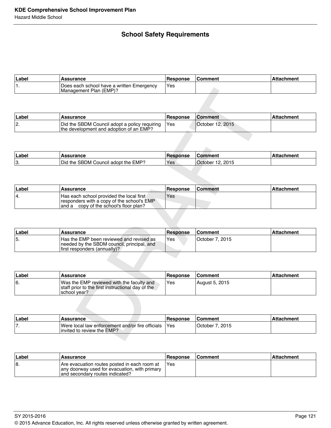# **School Safety Requirements**

| ∣Label | <b>Assurance</b>                                                    | Response | <b>Comment</b> | <b>Attachment</b> |
|--------|---------------------------------------------------------------------|----------|----------------|-------------------|
|        | Does each school have a written Emergency<br>Management Plan (EMP)? | 'Yes     |                |                   |

| Label | <b>Assurance</b>                                                                         | <b>Response</b> | <b>Comment</b>    | <b>Attachment</b> |
|-------|------------------------------------------------------------------------------------------|-----------------|-------------------|-------------------|
| 12.   | Did the SBDM Council adopt a policy requiring<br>the development and adoption of an EMP? | Yes             | lOctober 12. 2015 |                   |

| Labe <sup>®</sup> | <b>\ssurance</b>                                     | <b>Response</b> | Comment          | :hment<br>Alla <sup>r</sup> |
|-------------------|------------------------------------------------------|-----------------|------------------|-----------------------------|
| $\sqrt{2}$<br>J.  | Council adopt the EMP?<br><b>SBDM</b><br>`the<br>Did | Yes             | 2015<br>.October |                             |

| ∣Label | Assurance                                                                                                                            | Response | <b>Comment</b> | ∣Attachment |
|--------|--------------------------------------------------------------------------------------------------------------------------------------|----------|----------------|-------------|
|        | Has each school provided the local first.<br>responders with a copy of the school's EMP<br>copy of the school's floor plan?<br>and a | Yes.     |                |             |

|                            | Management Plan (EMP)?                                                                                                           |                 |                  |                   |
|----------------------------|----------------------------------------------------------------------------------------------------------------------------------|-----------------|------------------|-------------------|
|                            |                                                                                                                                  |                 |                  |                   |
|                            |                                                                                                                                  |                 |                  |                   |
| Label                      | <b>Assurance</b>                                                                                                                 | <b>Response</b> | <b>Comment</b>   | <b>Attachment</b> |
| $\overline{2}$ .           | Did the SBDM Council adopt a policy requiring<br>the development and adoption of an EMP?                                         | Yes             | October 12, 2015 |                   |
|                            |                                                                                                                                  |                 |                  |                   |
|                            |                                                                                                                                  |                 |                  |                   |
| Label                      | Assurance                                                                                                                        | <b>Response</b> | <b>Comment</b>   | <b>Attachment</b> |
| 3.                         | Did the SBDM Council adopt the EMP?                                                                                              | Yes             | October 12, 2015 |                   |
|                            |                                                                                                                                  |                 |                  |                   |
|                            | Has each school provided the local first<br>responders with a copy of the school's EMP<br>and a copy of the school's floor plan? | Yes             |                  |                   |
|                            |                                                                                                                                  |                 |                  |                   |
|                            | <b>Assurance</b>                                                                                                                 | <b>Response</b> | <b>Comment</b>   | <b>Attachment</b> |
|                            | Has the EMP been reviewed and revised as<br>needed by the SBDM council, principal, and<br>first responders (annually)?           | Yes             | October 7, 2015  |                   |
|                            |                                                                                                                                  |                 |                  |                   |
| 4.<br>Label<br>5.<br>Label | <b>Assurance</b>                                                                                                                 | Response        | <b>Comment</b>   | <b>Attachment</b> |
| 6.                         | Was the EMP reviewed with the faculty and<br>staff prior to the first instructional day of the<br>school year?                   | Yes             | August 5, 2015   |                   |
|                            |                                                                                                                                  |                 |                  |                   |
| Label                      | <b>Assurance</b>                                                                                                                 | <b>Response</b> | <b>Comment</b>   | <b>Attachment</b> |

| ∣Label | <b>Assurance</b>                                                                                                | <b>Response</b> | <b>Comment</b> | ∣Attachment |
|--------|-----------------------------------------------------------------------------------------------------------------|-----------------|----------------|-------------|
| 16.    | Was the EMP reviewed with the faculty and<br>staff prior to the first instructional day of the<br>Ischool vear? | Yes             | August 5, 2015 |             |

| ∣Label | <b>Assurance</b>                                                                | Response | <b>Comment</b>  | l Attachment |
|--------|---------------------------------------------------------------------------------|----------|-----------------|--------------|
| .      | Were local law enforcement and/or fire officials<br>linvited to review the EMP? | Yes      | October 7, 2015 |              |

| ∣Label | <b>Assurance</b>                                                                                                                 | Response | <b>Comment</b> | Attachment |
|--------|----------------------------------------------------------------------------------------------------------------------------------|----------|----------------|------------|
| 18.    | Are evacuation routes posted in each room at<br>any doorway used for evacuation, with primary<br>and secondary routes indicated? | Yes      |                |            |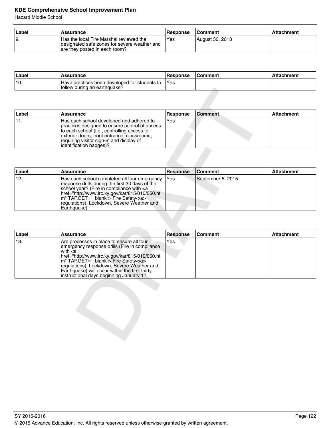## **KDE Comprehensive School Improvement Plan**

Hazard Middle School

| ∣Label | <b>Assurance</b>                                                                                                         | Response | <b>Comment</b>  | ∣Attachment |
|--------|--------------------------------------------------------------------------------------------------------------------------|----------|-----------------|-------------|
| l9.    | Has the local Fire Marshal reviewed the<br>designated safe zones for severe weather and<br>are they posted in each room? | Yes      | August 30, 2013 |             |

| ∣Label | Assurance                                                                        | <b>Response</b> | ∣Comment | Attachment |
|--------|----------------------------------------------------------------------------------|-----------------|----------|------------|
| '10.   | I Have practices been developed for students to<br>lfollow during an earthquake? | <b>Yes</b>      |          |            |

| ∣Label | Assurance                                                                                                                                                                                                                                                       | <b>Response</b> | <b>Comment</b> | ∣ Attachment |
|--------|-----------------------------------------------------------------------------------------------------------------------------------------------------------------------------------------------------------------------------------------------------------------|-----------------|----------------|--------------|
|        | Has each school developed and adhered to<br>practices designed to ensure control of access<br>to each school (i.e., controlling access to<br>exterior doors, front entrance, classrooms,<br>requiring visitor sign-in and display of<br>identification badges)? | l Yes           |                |              |

| Label | <b>Assurance</b>                                                                                                                                                                                                                                                                                             | Response | <b>Comment</b>    | <b>Attachment</b> |
|-------|--------------------------------------------------------------------------------------------------------------------------------------------------------------------------------------------------------------------------------------------------------------------------------------------------------------|----------|-------------------|-------------------|
| 12.   | Has each school completed all four emergency<br>response drills during the first 30 days of the<br> school year? (Fire in compliance with <a<br> href="http://www.lrc.ky.gov/kar/815/010/060.ht<br/>m" TARGET=" blank"&gt; Fire Safety<br/>regulations), Lockdown, Severe Weather and<br/>Earthquake)</a<br> | IYes     | September 5, 2015 |                   |

|              | iollow during an earlinguake?                                                                                                                                                                                                                                                                           |                        |                   |                   |
|--------------|---------------------------------------------------------------------------------------------------------------------------------------------------------------------------------------------------------------------------------------------------------------------------------------------------------|------------------------|-------------------|-------------------|
|              |                                                                                                                                                                                                                                                                                                         |                        |                   |                   |
| Label        | <b>Assurance</b>                                                                                                                                                                                                                                                                                        | <b>Response</b>        | <b>Comment</b>    | <b>Attachment</b> |
| 11.          | Has each school developed and adhered to<br>practices designed to ensure control of access<br>to each school (i.e., controlling access to<br>exterior doors, front entrance, classrooms,<br>requiring visitor sign-in and display of<br>identification badges)?                                         | Yes                    |                   |                   |
|              |                                                                                                                                                                                                                                                                                                         |                        |                   |                   |
| Label        | <b>Assurance</b>                                                                                                                                                                                                                                                                                        | Response               | <b>Comment</b>    | <b>Attachment</b> |
| 12.          | Has each school completed all four emergency<br>response drills during the first 30 days of the<br>school year? (Fire in compliance with <a<br>href="http://www.lrc.ky.gov/kar/815/010/060.ht<br/>m" TARGET="_blank"&gt; Fire Safety<br/>regulations), Lockdown, Severe Weather and</a<br>              | Yes                    | September 5, 2015 |                   |
|              | Earthquake)                                                                                                                                                                                                                                                                                             |                        |                   |                   |
|              | <b>Assurance</b>                                                                                                                                                                                                                                                                                        |                        |                   | <b>Attachment</b> |
| Label<br>13. | Are processes in place to ensure all four<br>emergency response drills (Fire in compliance<br>with <a<br>href="http://www.lrc.ky.gov/kar/815/010/060.ht<br/>m" TARGET="_blank"&gt; Fire Safety<br/>regulations), Lockdown, Severe Weather and<br/>Earthquake) will occur within the first thirty</a<br> | <b>Response</b><br>Yes | <b>Comment</b>    |                   |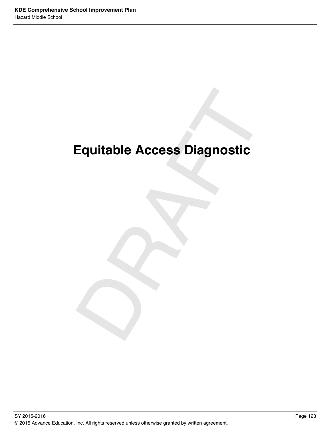# Equitable Access Diagnostic<br>Dragmatic<br>Dragmatic School of School of School of School of School of School of School of School of School of School of **Equitable Access Diagnostic**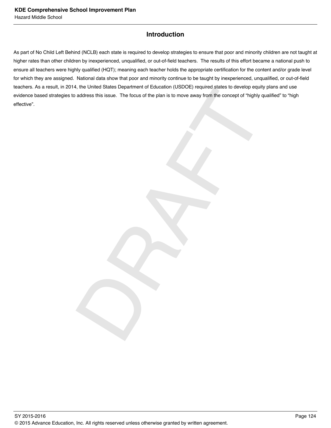# **Introduction**

the changes are the focus of the plan is to move away from the concept of "highly caddress this issue. The focus of the plan is to move away from the concept of "highly c As part of No Child Left Behind (NCLB) each state is required to develop strategies to ensure that poor and minority children are not taught at higher rates than other children by inexperienced, unqualified, or out-of-field teachers. The results of this effort became a national push to ensure all teachers were highly qualified (HQT); meaning each teacher holds the appropriate certification for the content and/or grade level for which they are assigned. National data show that poor and minority continue to be taught by inexperienced, unqualified, or out-of-field teachers. As a result, in 2014, the United States Department of Education (USDOE) required states to develop equity plans and use evidence based strategies to address this issue. The focus of the plan is to move away from the concept of "highly qualified" to "high effective".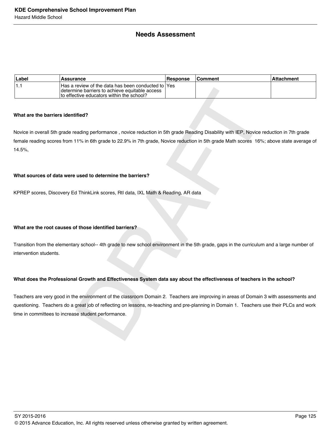### **Needs Assessment**

| ⊥Label | <b>Assurance</b>                                                                                                                                    | <b>Response</b> | <b>Comment</b> | Attachment |
|--------|-----------------------------------------------------------------------------------------------------------------------------------------------------|-----------------|----------------|------------|
|        | Has a review of the data has been conducted to IYes<br>determine barriers to achieve equitable access<br>Ito effective educators within the school? |                 |                |            |

### **What are the barriers identified?**

Novice in overall 5th grade reading performance , novice reduction in 5th grade Reading Disability with IEP, Novice reduction in 7th grade female reading scores from 11% in 6th grade to 22.9% in 7th grade, Novice reduction in 5th grade Math scores 16%; above state average of 14.5%,

### **What sources of data were used to determine the barriers?**

KPREP scores, Discovery Ed ThinkLink scores, RtI data, IXL Math & Reading, AR data

### **What are the root causes of those identified barriers?**

Transition from the elementary school-- 4th grade to new school environment in the 5th grade, gaps in the curriculum and a large number of intervention students.

### **What does the Professional Growth and Effectiveness System data say about the effectiveness of teachers in the school?**

ine barriers to achieve equitable access<br>
The ducators within the school?<br>
The ducators within the school?<br>
The ducators within the school?<br>
The ducators within the school?<br>
Think Link scores, Rtl data, IXL Math & Reading, Teachers are very good in the environment of the classroom Domain 2. Teachers are improving in areas of Domain 3 with assessments and questioning. Teachers do a great job of reflecting on lessons, re-teaching and pre-planning in Domain 1. Teachers use their PLCs and work time in committees to increase student performance.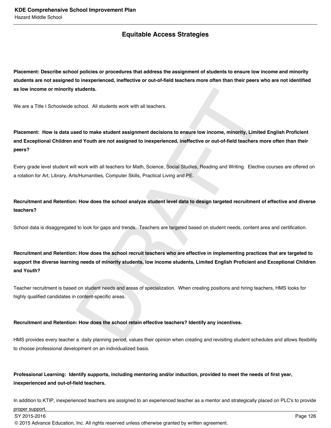## **Equitable Access Strategies**

**Placement: Describe school policies or procedures that address the assignment of students to ensure low income and minority students are not assigned to inexperienced, ineffective or out-of-field teachers more often than their peers who are not identified as low income or minority students.** 

We are a Title I Schoolwide school. All students work with all teachers.

**Placement: How is data used to make student assignment decisions to ensure low income, minority, Limited English Proficient and Exceptional Children and Youth are not assigned to inexperienced, ineffective or out-of-field teachers more often than their peers?**

Every grade level student will work with all teachers for Math, Science, Social Studies, Reading and Writing. Elective courses are offered on a rotation for Art, Library, Arts/Humanities, Computer Skills, Practical Living and PE.

**Recruitment and Retention: How does the school analyze student level data to design targeted recruitment of effective and diverse teachers?** 

School data is disaggregated to look for gaps and trends. Teachers are targeted based on student needs, content area and certification.

chool. All students work with all teachers.<br>
and to make student assignment decisions to ensure low income, minority, Limited of to make student assigned to inexperienced, ineffective or out-of-field teachers m<br>
1997 work **Recruitment and Retention: How does the school recruit teachers who are effective in implementing practices that are targeted to support the diverse learning needs of minority students, low income students, Limited English Proficient and Exceptional Children and Youth?**

Teacher recruitment is based on student needs and areas of specialization. When creating positions and hiring teachers, HMS looks for highly qualified candidates in content-specific areas.

### **Recruitment and Retention: How does the school retain effective teachers? Identify any incentives.**

HMS provides every teacher a daily planning period, values their opinion when creating and revisiting student schedules and allows flexibility to choose professional development on an individualized basis.

### **Professional Learning: Identify supports, including mentoring and/or induction, provided to meet the needs of first year, inexperienced and out-of-field teachers.**

In addition to KTIP, inexperienced teachers are assigned to an experienced teacher as a mentor and strategically placed on PLC's to provide

proper support.

SY 2015-2016 Page 126

© 2015 Advance Education, Inc. All rights reserved unless otherwise granted by written agreement.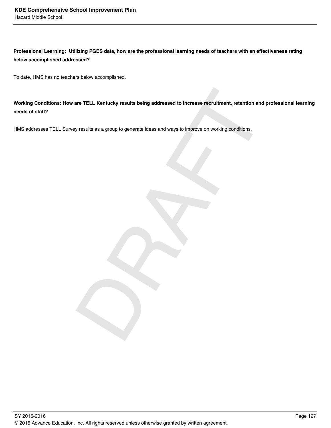**Professional Learning: Utilizing PGES data, how are the professional learning needs of teachers with an effectiveness rating below accomplished addressed?**

To date, HMS has no teachers below accomplished.

are TELL Kentucky results being addressed to increase recruitment, retention and<br>the results as a group to generate ideas and ways to improve on working conditions. **Working Conditions: How are TELL Kentucky results being addressed to increase recruitment, retention and professional learning needs of staff?** 

HMS addresses TELL Survey results as a group to generate ideas and ways to improve on working conditions.